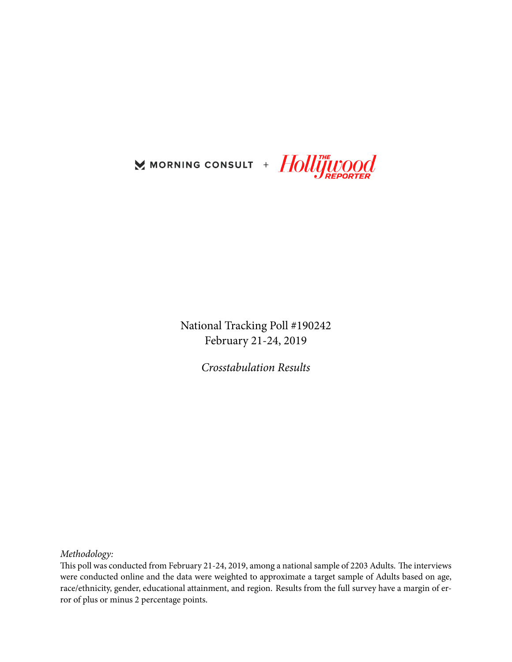

National Tracking Poll #190242 February 21-24, 2019

*Crosstabulation Results*

*Methodology:*

This poll was conducted from February 21-24, 2019, among a national sample of 2203 Adults. The interviews were conducted online and the data were weighted to approximate a target sample of Adults based on age, race/ethnicity, gender, educational attainment, and region. Results from the full survey have a margin of error of plus or minus 2 percentage points.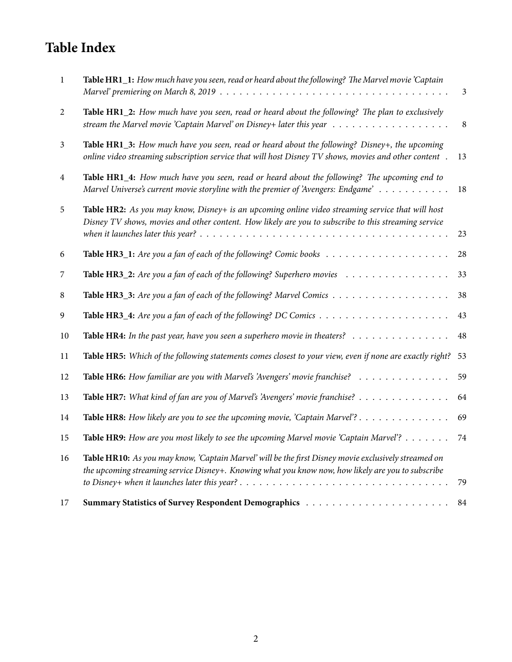# **Table Index**

| -1             | Table HR1_1: How much have you seen, read or heard about the following? The Marvel movie 'Captain                                                                                                            | $\mathfrak{Z}$ |
|----------------|--------------------------------------------------------------------------------------------------------------------------------------------------------------------------------------------------------------|----------------|
| 2              | Table HR1_2: How much have you seen, read or heard about the following? The plan to exclusively<br>stream the Marvel movie 'Captain Marvel' on Disney+ later this year $\dots \dots \dots \dots \dots \dots$ | $8\phantom{1}$ |
| $\mathfrak{Z}$ | Table HR1_3: How much have you seen, read or heard about the following? Disney+, the upcoming<br>online video streaming subscription service that will host Disney TV shows, movies and other content.       | 13             |
| $\overline{4}$ | Table HR1_4: How much have you seen, read or heard about the following? The upcoming end to<br>Marvel Universe's current movie storyline with the premier of 'Avengers: Endgame'                             | 18             |
| 5              | Table HR2: As you may know, Disney+ is an upcoming online video streaming service that will host<br>Disney TV shows, movies and other content. How likely are you to subscribe to this streaming service     | 23             |
| 6              |                                                                                                                                                                                                              | 28             |
| 7              | Table HR3_2: Are you a fan of each of the following? Superhero movies                                                                                                                                        | 33             |
| 8              |                                                                                                                                                                                                              | 38             |
| 9              |                                                                                                                                                                                                              | 43             |
| 10             | Table HR4: In the past year, have you seen a superhero movie in theaters? $\ldots \ldots \ldots \ldots$                                                                                                      | 48             |
| 11             | Table HR5: Which of the following statements comes closest to your view, even if none are exactly right?                                                                                                     | 53             |
| 12             | Table HR6: How familiar are you with Marvel's 'Avengers' movie franchise?                                                                                                                                    | 59             |
| 13             | Table HR7: What kind of fan are you of Marvel's 'Avengers' movie franchise?                                                                                                                                  | 64             |
| 14             | Table HR8: How likely are you to see the upcoming movie, 'Captain Marvel'?                                                                                                                                   | 69             |
| 15             | Table HR9: How are you most likely to see the upcoming Marvel movie 'Captain Marvel'?                                                                                                                        | 74             |
| 16             | Table HR10: As you may know, 'Captain Marvel' will be the first Disney movie exclusively streamed on<br>the upcoming streaming service Disney+. Knowing what you know now, how likely are you to subscribe   | 79             |
| 17             |                                                                                                                                                                                                              | 84             |
|                |                                                                                                                                                                                                              |                |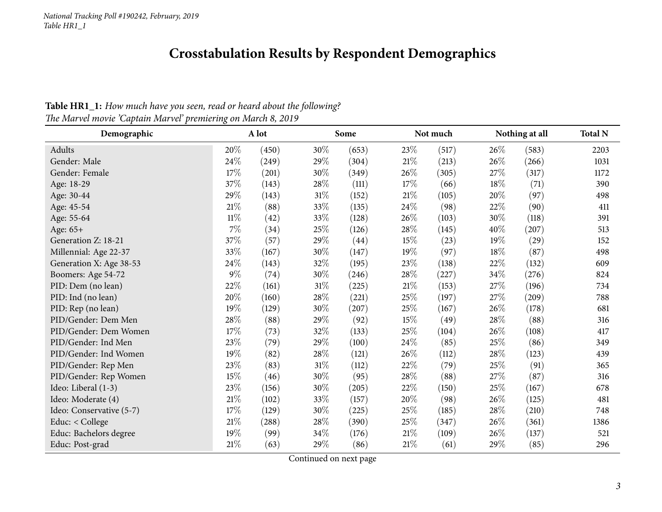## **Crosstabulation Results by Respondent Demographics**

Table HR1\_1: How much have you seen, read or heard about the following?

<span id="page-2-0"></span>

| Demographic              |        | A lot |        | Some  |        | Not much |      | Nothing at all     |      |
|--------------------------|--------|-------|--------|-------|--------|----------|------|--------------------|------|
| Adults                   | 20%    | (450) | 30%    | (653) | 23\%   | (517)    | 26\% | (583)              | 2203 |
| Gender: Male             | 24\%   | (249) | 29%    | (304) | $21\%$ | (213)    | 26%  | (266)              | 1031 |
| Gender: Female           | 17\%   | (201) | 30%    | (349) | 26\%   | (305)    | 27%  | (317)              | 1172 |
| Age: 18-29               | 37%    | (143) | 28\%   | (111) | 17%    | (66)     | 18%  | (71)               | 390  |
| Age: 30-44               | 29%    | (143) | $31\%$ | (152) | 21%    | (105)    | 20%  | (97)               | 498  |
| Age: 45-54               | $21\%$ | (88)  | 33%    | (135) | 24\%   | (98)     | 22%  | (90)               | 411  |
| Age: 55-64               | $11\%$ | (42)  | 33%    | (128) | 26%    | (103)    | 30%  | (118)              | 391  |
| Age: 65+                 | $7\%$  | (34)  | 25%    | (126) | 28\%   | (145)    | 40%  | (207)              | 513  |
| Generation Z: 18-21      | 37%    | (57)  | 29%    | (44)  | $15\%$ | (23)     | 19%  | $\left( 29\right)$ | 152  |
| Millennial: Age 22-37    | 33%    | (167) | 30%    | (147) | 19%    | (97)     | 18%  | (87)               | 498  |
| Generation X: Age 38-53  | 24\%   | (143) | 32%    | (195) | 23%    | (138)    | 22%  | (132)              | 609  |
| Boomers: Age 54-72       | $9\%$  | (74)  | 30%    | (246) | 28\%   | (227)    | 34%  | (276)              | 824  |
| PID: Dem (no lean)       | 22%    | (161) | $31\%$ | (225) | 21%    | (153)    | 27%  | (196)              | 734  |
| PID: Ind (no lean)       | 20%    | (160) | 28\%   | (221) | 25%    | (197)    | 27%  | (209)              | 788  |
| PID: Rep (no lean)       | 19%    | (129) | 30%    | (207) | $25\%$ | (167)    | 26%  | (178)              | 681  |
| PID/Gender: Dem Men      | $28\%$ | (88)  | 29%    | (92)  | $15\%$ | (49)     | 28%  | (88)               | 316  |
| PID/Gender: Dem Women    | 17\%   | (73)  | 32%    | (133) | 25%    | (104)    | 26%  | (108)              | 417  |
| PID/Gender: Ind Men      | 23%    | (79)  | 29%    | (100) | 24\%   | (85)     | 25%  | (86)               | 349  |
| PID/Gender: Ind Women    | 19%    | (82)  | 28\%   | (121) | 26%    | (112)    | 28%  | (123)              | 439  |
| PID/Gender: Rep Men      | 23\%   | (83)  | $31\%$ | (112) | 22%    | (79)     | 25%  | (91)               | 365  |
| PID/Gender: Rep Women    | 15%    | (46)  | 30%    | (95)  | $28\%$ | (88)     | 27%  | (87)               | 316  |
| Ideo: Liberal (1-3)      | 23\%   | (156) | $30\%$ | (205) | 22\%   | (150)    | 25%  | (167)              | 678  |
| Ideo: Moderate (4)       | $21\%$ | (102) | 33%    | (157) | 20%    | (98)     | 26%  | (125)              | 481  |
| Ideo: Conservative (5-7) | 17\%   | (129) | 30%    | (225) | 25%    | (185)    | 28%  | (210)              | 748  |
| Educ: < College          | $21\%$ | (288) | 28\%   | (390) | $25\%$ | (347)    | 26%  | (361)              | 1386 |
| Educ: Bachelors degree   | 19%    | (99)  | 34%    | (176) | 21%    | (109)    | 26%  | (137)              | 521  |
| Educ: Post-grad          | $21\%$ | (63)  | 29%    | (86)  | 21%    | (61)     | 29%  | (85)               | 296  |

*The Marvel movie 'Captain Marvel' premiering on March 8, <sup>2019</sup>*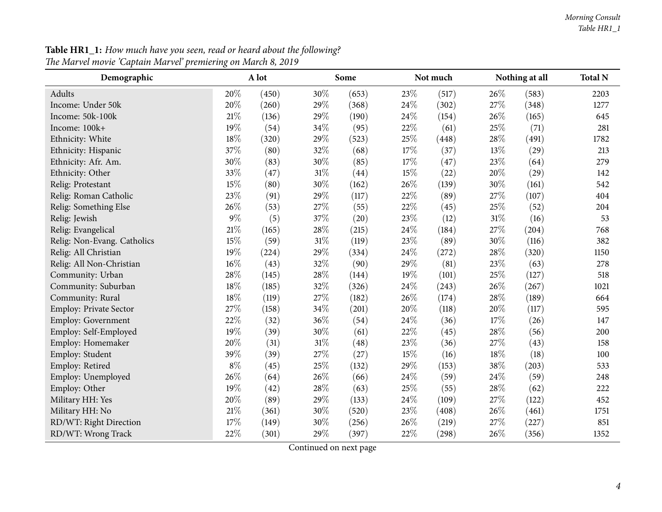| <b>Table HR1_1:</b> How much have you seen, read or heard about the following? |  |  |
|--------------------------------------------------------------------------------|--|--|
| The Marvel movie 'Captain Marvel' premiering on March 8, 2019                  |  |  |

| Demographic                   | A lot  |                    |     | Some  |      | Not much |        | Nothing at all |      |
|-------------------------------|--------|--------------------|-----|-------|------|----------|--------|----------------|------|
| Adults                        | 20%    | (450)              | 30% | (653) | 23%  | (517)    | 26%    | (583)          | 2203 |
| Income: Under 50k             | 20%    | (260)              | 29% | (368) | 24%  | (302)    | 27%    | (348)          | 1277 |
| Income: 50k-100k              | 21%    | (136)              | 29% | (190) | 24%  | (154)    | 26%    | (165)          | 645  |
| Income: 100k+                 | 19%    | (54)               | 34% | (95)  | 22%  | (61)     | 25%    | (71)           | 281  |
| Ethnicity: White              | $18\%$ | (320)              | 29% | (523) | 25%  | (448)    | 28%    | (491)          | 1782 |
| Ethnicity: Hispanic           | 37%    | (80)               | 32% | (68)  | 17%  | (37)     | 13%    | (29)           | 213  |
| Ethnicity: Afr. Am.           | 30%    | (83)               | 30% | (85)  | 17%  | (47)     | 23%    | (64)           | 279  |
| Ethnicity: Other              | 33%    | (47)               | 31% | (44)  | 15%  | (22)     | 20%    | (29)           | 142  |
| Relig: Protestant             | 15%    | (80)               | 30% | (162) | 26%  | (139)    | 30%    | (161)          | 542  |
| Relig: Roman Catholic         | 23%    | (91)               | 29% | (117) | 22%  | (89)     | 27%    | (107)          | 404  |
| Relig: Something Else         | 26%    | (53)               | 27% | (55)  | 22%  | (45)     | 25%    | (52)           | 204  |
| Relig: Jewish                 | $9\%$  | (5)                | 37% | (20)  | 23%  | (12)     | $31\%$ | (16)           | 53   |
| Relig: Evangelical            | $21\%$ | (165)              | 28% | (215) | 24\% | (184)    | 27%    | (204)          | 768  |
| Relig: Non-Evang. Catholics   | 15%    | (59)               | 31% | (119) | 23%  | (89)     | 30%    | (116)          | 382  |
| Relig: All Christian          | 19%    | (224)              | 29% | (334) | 24%  | (272)    | 28%    | (320)          | 1150 |
| Relig: All Non-Christian      | $16\%$ | (43)               | 32% | (90)  | 29%  | (81)     | 23%    | (63)           | 278  |
| Community: Urban              | 28\%   | (145)              | 28% | (144) | 19%  | (101)    | 25%    | (127)          | 518  |
| Community: Suburban           | 18%    | (185)              | 32% | (326) | 24%  | (243)    | 26%    | (267)          | 1021 |
| Community: Rural              | 18%    | (119)              | 27% | (182) | 26%  | (174)    | 28%    | (189)          | 664  |
| <b>Employ: Private Sector</b> | 27%    | (158)              | 34% | (201) | 20%  | (118)    | 20%    | (117)          | 595  |
| Employ: Government            | 22%    | (32)               | 36% | (54)  | 24%  | (36)     | 17%    | (26)           | 147  |
| Employ: Self-Employed         | 19%    | (39)               | 30% | (61)  | 22%  | (45)     | 28%    | (56)           | 200  |
| Employ: Homemaker             | 20%    | (31)               | 31% | (48)  | 23%  | (36)     | 27%    | (43)           | 158  |
| Employ: Student               | 39%    | (39)               | 27% | (27)  | 15%  | (16)     | 18%    | (18)           | 100  |
| Employ: Retired               | $8\%$  | (45)               | 25% | (132) | 29%  | (153)    | 38%    | (203)          | 533  |
| Employ: Unemployed            | 26%    | (64)               | 26% | (66)  | 24\% | (59)     | 24\%   | (59)           | 248  |
| Employ: Other                 | 19%    | $\left( 42\right)$ | 28% | (63)  | 25%  | (55)     | 28%    | (62)           | 222  |
| Military HH: Yes              | 20%    | (89)               | 29% | (133) | 24%  | (109)    | 27%    | (122)          | 452  |
| Military HH: No               | 21%    | (361)              | 30% | (520) | 23%  | (408)    | 26%    | (461)          | 1751 |
| RD/WT: Right Direction        | 17%    | (149)              | 30% | (256) | 26%  | (219)    | 27%    | (227)          | 851  |
| RD/WT: Wrong Track            | 22%    | (301)              | 29% | (397) | 22%  | (298)    | 26%    | (356)          | 1352 |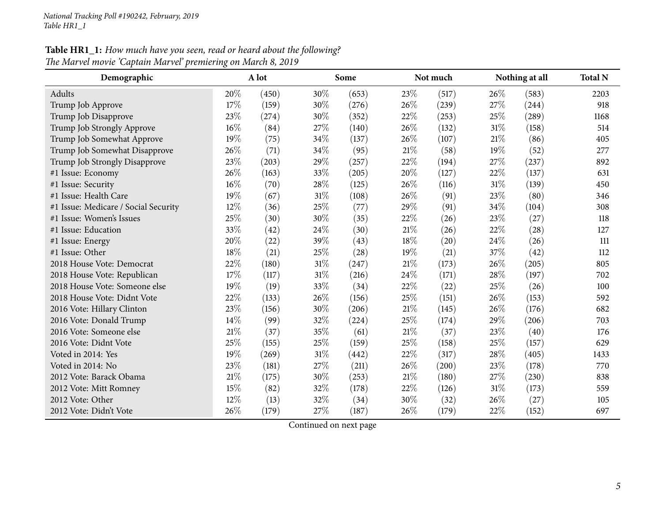### **Table HR1\_1:** How much have you seen, read or heard about the following? *The Marvel movie 'Captain Marvel' premiering on March 8, <sup>2019</sup>*

| Demographic                          |      | A lot |        | Some  |      | Not much |        | Nothing at all |      |
|--------------------------------------|------|-------|--------|-------|------|----------|--------|----------------|------|
| Adults                               | 20%  | (450) | $30\%$ | (653) | 23\% | (517)    | 26%    | (583)          | 2203 |
| Trump Job Approve                    | 17%  | (159) | 30%    | (276) | 26%  | (239)    | 27\%   | (244)          | 918  |
| Trump Job Disapprove                 | 23%  | (274) | 30%    | (352) | 22%  | (253)    | 25%    | (289)          | 1168 |
| Trump Job Strongly Approve           | 16%  | (84)  | 27%    | (140) | 26%  | (132)    | $31\%$ | (158)          | 514  |
| Trump Job Somewhat Approve           | 19%  | (75)  | 34%    | (137) | 26%  | (107)    | 21%    | (86)           | 405  |
| Trump Job Somewhat Disapprove        | 26%  | (71)  | 34%    | (95)  | 21%  | (58)     | 19%    | (52)           | 277  |
| Trump Job Strongly Disapprove        | 23%  | (203) | 29%    | (257) | 22%  | (194)    | 27\%   | (237)          | 892  |
| #1 Issue: Economy                    | 26%  | (163) | 33%    | (205) | 20%  | (127)    | 22%    | (137)          | 631  |
| #1 Issue: Security                   | 16%  | (70)  | 28%    | (125) | 26%  | (116)    | 31%    | (139)          | 450  |
| #1 Issue: Health Care                | 19%  | (67)  | 31%    | (108) | 26%  | (91)     | 23%    | (80)           | 346  |
| #1 Issue: Medicare / Social Security | 12%  | (36)  | 25%    | (77)  | 29%  | (91)     | 34\%   | (104)          | 308  |
| #1 Issue: Women's Issues             | 25%  | (30)  | 30%    | (35)  | 22%  | (26)     | 23%    | (27)           | 118  |
| #1 Issue: Education                  | 33%  | (42)  | 24%    | (30)  | 21\% | (26)     | 22%    | (28)           | 127  |
| #1 Issue: Energy                     | 20%  | (22)  | 39%    | (43)  | 18%  | (20)     | 24%    | (26)           | 111  |
| #1 Issue: Other                      | 18%  | (21)  | 25%    | (28)  | 19%  | (21)     | 37%    | (42)           | 112  |
| 2018 House Vote: Democrat            | 22%  | (180) | 31%    | (247) | 21%  | (173)    | 26%    | (205)          | 805  |
| 2018 House Vote: Republican          | 17%  | (117) | 31%    | (216) | 24%  | (171)    | 28%    | (197)          | 702  |
| 2018 House Vote: Someone else        | 19%  | (19)  | 33%    | (34)  | 22%  | (22)     | 25%    | (26)           | 100  |
| 2018 House Vote: Didnt Vote          | 22%  | (133) | 26%    | (156) | 25%  | (151)    | 26%    | (153)          | 592  |
| 2016 Vote: Hillary Clinton           | 23%  | (156) | 30%    | (206) | 21%  | (145)    | 26%    | (176)          | 682  |
| 2016 Vote: Donald Trump              | 14%  | (99)  | 32%    | (224) | 25%  | (174)    | 29%    | (206)          | 703  |
| 2016 Vote: Someone else              | 21\% | (37)  | 35%    | (61)  | 21%  | (37)     | 23%    | (40)           | 176  |
| 2016 Vote: Didnt Vote                | 25%  | (155) | 25%    | (159) | 25%  | (158)    | 25%    | (157)          | 629  |
| Voted in 2014: Yes                   | 19%  | (269) | 31%    | (442) | 22%  | (317)    | 28%    | (405)          | 1433 |
| Voted in 2014: No                    | 23%  | (181) | 27%    | (211) | 26%  | (200)    | 23%    | (178)          | 770  |
| 2012 Vote: Barack Obama              | 21%  | (175) | 30%    | (253) | 21%  | (180)    | 27\%   | (230)          | 838  |
| 2012 Vote: Mitt Romney               | 15%  | (82)  | 32%    | (178) | 22%  | (126)    | 31%    | (173)          | 559  |
| 2012 Vote: Other                     | 12%  | (13)  | 32%    | (34)  | 30%  | (32)     | 26%    | (27)           | 105  |
| 2012 Vote: Didn't Vote               | 26%  | (179) | 27%    | (187) | 26%  | (179)    | 22%    | (152)          | 697  |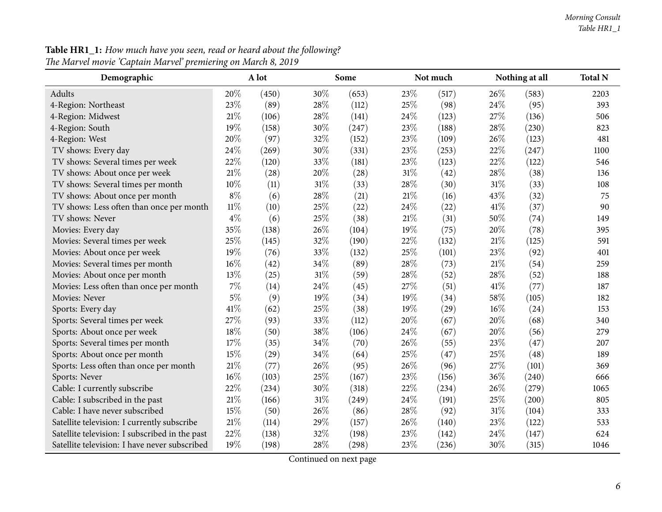| <b>Table HR1_1:</b> How much have you seen, read or heard about the following? |  |  |
|--------------------------------------------------------------------------------|--|--|
| The Marvel movie 'Captain Marvel' premiering on March 8, 2019                  |  |  |

| Demographic                                    |        | A lot |     | Some  |        | Not much |      | Nothing at all |      |
|------------------------------------------------|--------|-------|-----|-------|--------|----------|------|----------------|------|
| Adults                                         | 20%    | (450) | 30% | (653) | 23%    | (517)    | 26%  | (583)          | 2203 |
| 4-Region: Northeast                            | 23%    | (89)  | 28% | (112) | 25%    | (98)     | 24%  | (95)           | 393  |
| 4-Region: Midwest                              | 21\%   | (106) | 28% | (141) | 24%    | (123)    | 27%  | (136)          | 506  |
| 4-Region: South                                | 19%    | (158) | 30% | (247) | 23%    | (188)    | 28%  | (230)          | 823  |
| 4-Region: West                                 | 20%    | (97)  | 32% | (152) | 23%    | (109)    | 26%  | (123)          | 481  |
| TV shows: Every day                            | 24%    | (269) | 30% | (331) | 23%    | (253)    | 22%  | (247)          | 1100 |
| TV shows: Several times per week               | 22%    | (120) | 33% | (181) | 23%    | (123)    | 22%  | (122)          | 546  |
| TV shows: About once per week                  | 21%    | (28)  | 20% | (28)  | $31\%$ | (42)     | 28%  | (38)           | 136  |
| TV shows: Several times per month              | 10%    | (11)  | 31% | (33)  | 28%    | (30)     | 31%  | (33)           | 108  |
| TV shows: About once per month                 | $8\%$  | (6)   | 28% | (21)  | 21%    | (16)     | 43%  | (32)           | 75   |
| TV shows: Less often than once per month       | $11\%$ | (10)  | 25% | (22)  | 24%    | (22)     | 41\% | (37)           | 90   |
| TV shows: Never                                | $4\%$  | (6)   | 25% | (38)  | $21\%$ | (31)     | 50%  | (74)           | 149  |
| Movies: Every day                              | 35%    | (138) | 26% | (104) | 19%    | (75)     | 20%  | (78)           | 395  |
| Movies: Several times per week                 | 25%    | (145) | 32% | (190) | 22%    | (132)    | 21%  | (125)          | 591  |
| Movies: About once per week                    | 19%    | (76)  | 33% | (132) | 25%    | (101)    | 23%  | (92)           | 401  |
| Movies: Several times per month                | 16%    | (42)  | 34% | (89)  | 28%    | (73)     | 21%  | (54)           | 259  |
| Movies: About once per month                   | 13%    | (25)  | 31% | (59)  | 28%    | (52)     | 28%  | (52)           | 188  |
| Movies: Less often than once per month         | 7%     | (14)  | 24% | (45)  | 27%    | (51)     | 41\% | (77)           | 187  |
| Movies: Never                                  | $5\%$  | (9)   | 19% | (34)  | 19%    | (34)     | 58%  | (105)          | 182  |
| Sports: Every day                              | 41%    | (62)  | 25% | (38)  | 19%    | (29)     | 16%  | (24)           | 153  |
| Sports: Several times per week                 | 27%    | (93)  | 33% | (112) | 20%    | (67)     | 20%  | (68)           | 340  |
| Sports: About once per week                    | 18%    | (50)  | 38% | (106) | 24%    | (67)     | 20%  | (56)           | 279  |
| Sports: Several times per month                | 17%    | (35)  | 34% | (70)  | 26%    | (55)     | 23%  | (47)           | 207  |
| Sports: About once per month                   | 15%    | (29)  | 34% | (64)  | 25%    | (47)     | 25%  | (48)           | 189  |
| Sports: Less often than once per month         | 21%    | (77)  | 26% | (95)  | 26%    | (96)     | 27%  | (101)          | 369  |
| Sports: Never                                  | 16%    | (103) | 25% | (167) | 23%    | (156)    | 36%  | (240)          | 666  |
| Cable: I currently subscribe                   | 22%    | (234) | 30% | (318) | 22%    | (234)    | 26%  | (279)          | 1065 |
| Cable: I subscribed in the past                | 21%    | (166) | 31% | (249) | 24%    | (191)    | 25%  | (200)          | 805  |
| Cable: I have never subscribed                 | 15%    | (50)  | 26% | (86)  | 28%    | (92)     | 31%  | (104)          | 333  |
| Satellite television: I currently subscribe    | 21\%   | (114) | 29% | (157) | 26%    | (140)    | 23%  | (122)          | 533  |
| Satellite television: I subscribed in the past | 22%    | (138) | 32% | (198) | 23%    | (142)    | 24%  | (147)          | 624  |
| Satellite television: I have never subscribed  | 19%    | (198) | 28% | (298) | 23%    | (236)    | 30%  | (315)          | 1046 |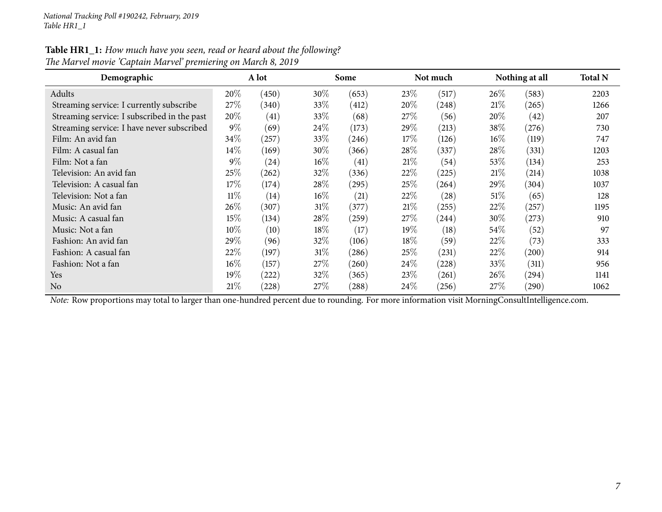| Table HR1_1: How much have you seen, read or heard about the following? |
|-------------------------------------------------------------------------|
| The Marvel movie 'Captain Marvel' premiering on March 8, 2019           |

| Demographic                                 | A lot  |                    |        | Some  |      | Not much |        | Nothing at all |      |
|---------------------------------------------|--------|--------------------|--------|-------|------|----------|--------|----------------|------|
| Adults                                      | 20%    | (450)              | 30%    | (653) | 23%  | (517)    | 26\%   | (583)          | 2203 |
| Streaming service: I currently subscribe    | 27\%   | (340)              | 33%    | (412) | 20%  | (248)    | 21%    | (265)          | 1266 |
| Streaming service: I subscribed in the past | 20%    | (41)               | 33\%   | (68)  | 27\% | (56)     | $20\%$ | (42)           | 207  |
| Streaming service: I have never subscribed  | $9\%$  | (69)               | 24\%   | (173) | 29%  | (213)    | 38\%   | (276)          | 730  |
| Film: An avid fan                           | 34\%   | (257)              | 33\%   | (246) | 17%  | (126)    | $16\%$ | (119)          | 747  |
| Film: A casual fan                          | 14%    | (169)              | 30%    | (366) | 28\% | (337)    | 28\%   | (331)          | 1203 |
| Film: Not a fan                             | $9\%$  | $\left( 24\right)$ | $16\%$ | (41)  | 21%  | (54)     | $53\%$ | (134)          | 253  |
| Television: An avid fan                     | 25%    | (262)              | 32%    | (336) | 22%  | (225)    | 21%    | (214)          | 1038 |
| Television: A casual fan                    | 17%    | (174)              | 28%    | (295) | 25\% | (264)    | $29\%$ | (304)          | 1037 |
| Television: Not a fan                       | $11\%$ | (14)               | $16\%$ | (21)  | 22\% | (28)     | 51%    | (65)           | 128  |
| Music: An avid fan                          | 26%    | (307)              | 31%    | (377) | 21%  | (255)    | $22\%$ | (257)          | 1195 |
| Music: A casual fan                         | 15%    | (134)              | 28\%   | (259) | 27\% | (244)    | $30\%$ | (273)          | 910  |
| Music: Not a fan                            | 10%    | (10)               | 18%    | (17)  | 19%  | (18)     | $54\%$ | (52)           | 97   |
| Fashion: An avid fan                        | 29%    | (96)               | 32\%   | (106) | 18\% | (59)     | 22%    | (73)           | 333  |
| Fashion: A casual fan                       | 22%    | (197)              | $31\%$ | (286) | 25\% | (231)    | 22\%   | (200)          | 914  |
| Fashion: Not a fan                          | $16\%$ | (157)              | 27%    | (260) | 24\% | (228)    | 33%    | (311)          | 956  |
| <b>Yes</b>                                  | $19\%$ | (222)              | 32%    | (365) | 23\% | (261)    | 26\%   | (294)          | 1141 |
| N <sub>o</sub>                              | 21%    | (228)              | 27\%   | (288) | 24%  | (256)    | $27\%$ | (290)          | 1062 |

*Note:* Row proportions may total to larger than one-hundred percen<sup>t</sup> due to rounding. For more information visit [MorningConsultIntelligence.com](https://morningconsultintelligence.com).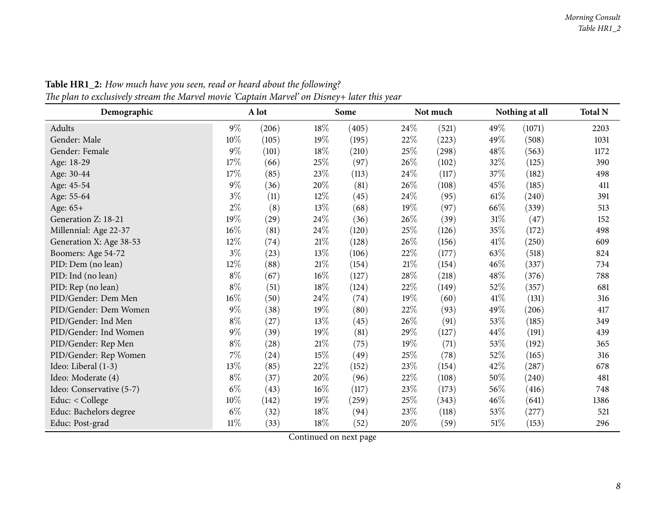<span id="page-7-0"></span>

| Demographic              | A lot  |       |        | Some  |        | Not much |      | Nothing at all |      |
|--------------------------|--------|-------|--------|-------|--------|----------|------|----------------|------|
| Adults                   | $9\%$  | (206) | 18%    | (405) | 24\%   | (521)    | 49%  | (1071)         | 2203 |
| Gender: Male             | 10%    | (105) | 19%    | (195) | 22\%   | (223)    | 49%  | (508)          | 1031 |
| Gender: Female           | $9\%$  | (101) | 18%    | (210) | 25\%   | (298)    | 48%  | (563)          | 1172 |
| Age: 18-29               | 17%    | (66)  | $25\%$ | (97)  | 26\%   | (102)    | 32%  | (125)          | 390  |
| Age: 30-44               | 17%    | (85)  | 23%    | (113) | 24\%   | (117)    | 37%  | (182)          | 498  |
| Age: 45-54               | $9\%$  | (36)  | $20\%$ | (81)  | 26\%   | (108)    | 45%  | (185)          | 411  |
| Age: 55-64               | $3\%$  | (11)  | 12%    | (45)  | 24\%   | (95)     | 61%  | (240)          | 391  |
| Age: 65+                 | $2\%$  | (8)   | 13%    | (68)  | 19%    | (97)     | 66%  | (339)          | 513  |
| Generation Z: 18-21      | 19%    | (29)  | 24\%   | (36)  | 26\%   | (39)     | 31%  | (47)           | 152  |
| Millennial: Age 22-37    | $16\%$ | (81)  | 24%    | (120) | 25%    | (126)    | 35%  | (172)          | 498  |
| Generation X: Age 38-53  | 12%    | (74)  | 21%    | (128) | 26\%   | (156)    | 41\% | (250)          | 609  |
| Boomers: Age 54-72       | $3\%$  | (23)  | 13%    | (106) | 22\%   | (177)    | 63%  | (518)          | 824  |
| PID: Dem (no lean)       | 12%    | (88)  | 21\%   | (154) | $21\%$ | (154)    | 46%  | (337)          | 734  |
| PID: Ind (no lean)       | $8\%$  | (67)  | 16%    | (127) | 28\%   | (218)    | 48%  | (376)          | 788  |
| PID: Rep (no lean)       | $8\%$  | (51)  | 18%    | (124) | 22\%   | (149)    | 52%  | (357)          | 681  |
| PID/Gender: Dem Men      | $16\%$ | (50)  | 24%    | (74)  | 19%    | (60)     | 41\% | (131)          | 316  |
| PID/Gender: Dem Women    | $9\%$  | (38)  | 19%    | (80)  | 22%    | (93)     | 49\% | (206)          | 417  |
| PID/Gender: Ind Men      | $8\%$  | (27)  | 13%    | (45)  | 26%    | (91)     | 53%  | (185)          | 349  |
| PID/Gender: Ind Women    | $9\%$  | (39)  | 19%    | (81)  | 29%    | (127)    | 44%  | (191)          | 439  |
| PID/Gender: Rep Men      | $8\%$  | (28)  | 21%    | (75)  | 19%    | (71)     | 53%  | (192)          | 365  |
| PID/Gender: Rep Women    | $7\%$  | (24)  | 15%    | (49)  | 25%    | (78)     | 52%  | (165)          | 316  |
| Ideo: Liberal (1-3)      | 13%    | (85)  | 22%    | (152) | 23%    | (154)    | 42%  | (287)          | 678  |
| Ideo: Moderate (4)       | $8\%$  | (37)  | 20%    | (96)  | 22\%   | (108)    | 50%  | (240)          | 481  |
| Ideo: Conservative (5-7) | $6\%$  | (43)  | $16\%$ | (117) | 23\%   | (173)    | 56%  | (416)          | 748  |
| Educ: < College          | $10\%$ | (142) | 19%    | (259) | 25%    | (343)    | 46%  | (641)          | 1386 |
| Educ: Bachelors degree   | $6\%$  | (32)  | 18%    | (94)  | 23\%   | (118)    | 53%  | (277)          | 521  |
| Educ: Post-grad          | 11%    | (33)  | 18%    | (52)  | 20%    | (59)     | 51\% | (153)          | 296  |

Table HR1\_2: How much have you seen, read or heard about the following? The plan to exclusively stream the Marvel movie 'Captain Marvel' on Disney+ later this year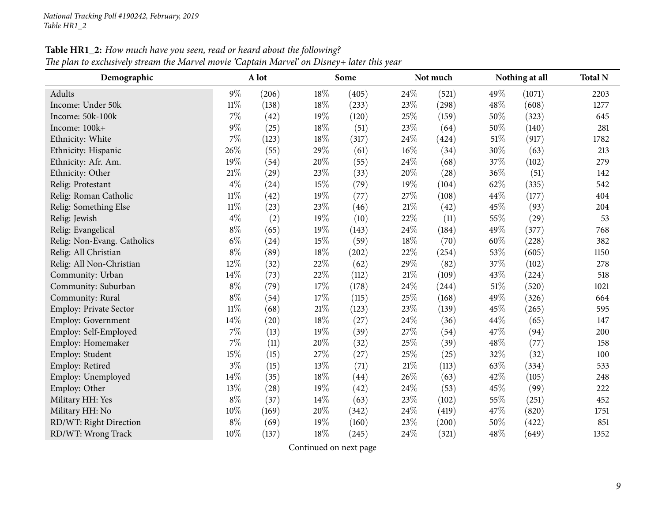|  | Table HR1_2: How much have you seen, read or heard about the following? |  |  |  |  |
|--|-------------------------------------------------------------------------|--|--|--|--|
|  |                                                                         |  |  |  |  |

The plan to exclusively stream the Marvel movie 'Captain Marvel' on Disney+ later this year

| Demographic                 |        | A lot |        | Some  |        | Not much |     | Nothing at all |      |
|-----------------------------|--------|-------|--------|-------|--------|----------|-----|----------------|------|
| Adults                      | $9\%$  | (206) | 18%    | (405) | 24\%   | (521)    | 49% | (1071)         | 2203 |
| Income: Under 50k           | $11\%$ | (138) | 18%    | (233) | 23%    | (298)    | 48% | (608)          | 1277 |
| Income: 50k-100k            | 7%     | (42)  | 19%    | (120) | 25%    | (159)    | 50% | (323)          | 645  |
| Income: 100k+               | $9\%$  | (25)  | 18%    | (51)  | 23%    | (64)     | 50% | (140)          | 281  |
| Ethnicity: White            | 7%     | (123) | 18%    | (317) | 24%    | (424)    | 51% | (917)          | 1782 |
| Ethnicity: Hispanic         | 26%    | (55)  | 29%    | (61)  | $16\%$ | (34)     | 30% | (63)           | 213  |
| Ethnicity: Afr. Am.         | 19%    | (54)  | 20%    | (55)  | $24\%$ | (68)     | 37% | (102)          | 279  |
| Ethnicity: Other            | $21\%$ | (29)  | 23%    | (33)  | $20\%$ | (28)     | 36% | (51)           | 142  |
| Relig: Protestant           | $4\%$  | (24)  | 15%    | (79)  | 19%    | (104)    | 62% | (335)          | 542  |
| Relig: Roman Catholic       | $11\%$ | (42)  | 19%    | (77)  | 27%    | (108)    | 44% | (177)          | 404  |
| Relig: Something Else       | $11\%$ | (23)  | 23%    | (46)  | 21%    | (42)     | 45% | (93)           | 204  |
| Relig: Jewish               | $4\%$  | (2)   | 19%    | (10)  | 22%    | (11)     | 55% | (29)           | 53   |
| Relig: Evangelical          | $8\%$  | (65)  | 19%    | (143) | 24%    | (184)    | 49% | (377)          | 768  |
| Relig: Non-Evang. Catholics | $6\%$  | (24)  | 15%    | (59)  | $18\%$ | (70)     | 60% | (228)          | 382  |
| Relig: All Christian        | $8\%$  | (89)  | 18%    | (202) | 22%    | (254)    | 53% | (605)          | 1150 |
| Relig: All Non-Christian    | $12\%$ | (32)  | 22%    | (62)  | 29%    | (82)     | 37% | (102)          | 278  |
| Community: Urban            | 14%    | (73)  | 22%    | (112) | 21%    | (109)    | 43% | (224)          | 518  |
| Community: Suburban         | $8\%$  | (79)  | 17%    | (178) | 24%    | (244)    | 51% | (520)          | 1021 |
| Community: Rural            | $8\%$  | (54)  | 17%    | (115) | 25%    | (168)    | 49% | (326)          | 664  |
| Employ: Private Sector      | $11\%$ | (68)  | $21\%$ | (123) | 23%    | (139)    | 45% | (265)          | 595  |
| Employ: Government          | 14%    | (20)  | 18%    | (27)  | 24\%   | (36)     | 44% | (65)           | 147  |
| Employ: Self-Employed       | $7\%$  | (13)  | 19%    | (39)  | 27%    | (54)     | 47% | (94)           | 200  |
| Employ: Homemaker           | $7\%$  | (11)  | 20%    | (32)  | 25%    | (39)     | 48% | (77)           | 158  |
| Employ: Student             | 15%    | (15)  | 27%    | (27)  | $25\%$ | (25)     | 32% | (32)           | 100  |
| Employ: Retired             | $3\%$  | (15)  | 13%    | (71)  | $21\%$ | (113)    | 63% | (334)          | 533  |
| Employ: Unemployed          | 14%    | (35)  | 18%    | (44)  | $26\%$ | (63)     | 42% | (105)          | 248  |
| Employ: Other               | 13%    | (28)  | 19%    | (42)  | 24%    | (53)     | 45% | (99)           | 222  |
| Military HH: Yes            | $8\%$  | (37)  | 14%    | (63)  | 23%    | (102)    | 55% | (251)          | 452  |
| Military HH: No             | 10%    | (169) | 20%    | (342) | 24%    | (419)    | 47% | (820)          | 1751 |
| RD/WT: Right Direction      | $8\%$  | (69)  | 19%    | (160) | 23%    | (200)    | 50% | (422)          | 851  |
| RD/WT: Wrong Track          | 10%    | (137) | 18%    | (245) | 24%    | (321)    | 48% | (649)          | 1352 |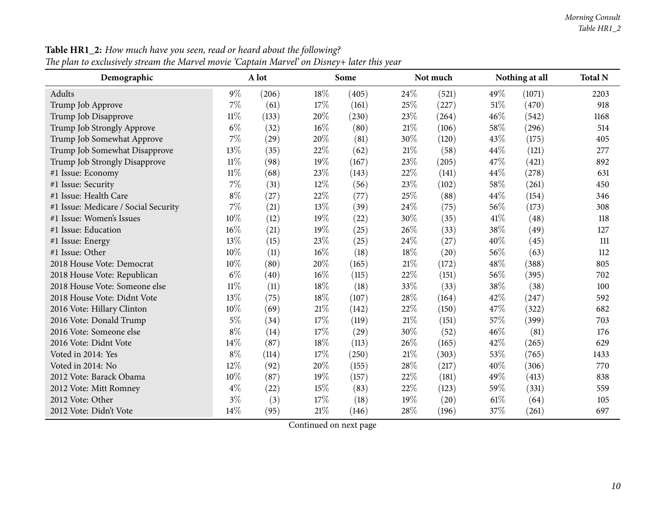| Demographic                          |        | A lot |     | Some  |        | Not much |      | Nothing at all | <b>Total N</b> |
|--------------------------------------|--------|-------|-----|-------|--------|----------|------|----------------|----------------|
| Adults                               | $9\%$  | (206) | 18% | (405) | 24%    | (521)    | 49%  | (1071)         | 2203           |
| Trump Job Approve                    | 7%     | (61)  | 17% | (161) | 25%    | (227)    | 51%  | (470)          | 918            |
| Trump Job Disapprove                 | 11%    | (133) | 20% | (230) | 23%    | (264)    | 46%  | (542)          | 1168           |
| Trump Job Strongly Approve           | $6\%$  | (32)  | 16% | (80)  | $21\%$ | (106)    | 58%  | (296)          | 514            |
| Trump Job Somewhat Approve           | 7%     | (29)  | 20% | (81)  | 30%    | (120)    | 43%  | (175)          | 405            |
| Trump Job Somewhat Disapprove        | 13%    | (35)  | 22% | (62)  | 21%    | (58)     | 44%  | (121)          | 277            |
| Trump Job Strongly Disapprove        | $11\%$ | (98)  | 19% | (167) | 23%    | (205)    | 47%  | (421)          | 892            |
| #1 Issue: Economy                    | $11\%$ | (68)  | 23% | (143) | 22%    | (141)    | 44%  | (278)          | 631            |
| #1 Issue: Security                   | 7%     | (31)  | 12% | (56)  | 23%    | (102)    | 58%  | (261)          | 450            |
| #1 Issue: Health Care                | $8\%$  | (27)  | 22% | (77)  | 25%    | (88)     | 44%  | (154)          | 346            |
| #1 Issue: Medicare / Social Security | 7%     | (21)  | 13% | (39)  | 24\%   | (75)     | 56%  | (173)          | 308            |
| #1 Issue: Women's Issues             | 10%    | (12)  | 19% | (22)  | 30%    | (35)     | 41\% | (48)           | 118            |
| #1 Issue: Education                  | 16%    | (21)  | 19% | (25)  | 26%    | (33)     | 38%  | (49)           | 127            |
| #1 Issue: Energy                     | 13%    | (15)  | 23% | (25)  | 24%    | (27)     | 40%  | (45)           | 111            |
| #1 Issue: Other                      | 10%    | (11)  | 16% | (18)  | 18%    | (20)     | 56%  | (63)           | 112            |
| 2018 House Vote: Democrat            | 10%    | (80)  | 20% | (165) | $21\%$ | (172)    | 48%  | (388)          | 805            |
| 2018 House Vote: Republican          | $6\%$  | (40)  | 16% | (115) | 22%    | (151)    | 56%  | (395)          | 702            |
| 2018 House Vote: Someone else        | $11\%$ | (11)  | 18% | (18)  | 33%    | (33)     | 38%  | (38)           | 100            |
| 2018 House Vote: Didnt Vote          | 13%    | (75)  | 18% | (107) | 28\%   | (164)    | 42%  | (247)          | 592            |
| 2016 Vote: Hillary Clinton           | 10%    | (69)  | 21% | (142) | 22%    | (150)    | 47%  | (322)          | 682            |
| 2016 Vote: Donald Trump              | $5\%$  | (34)  | 17% | (119) | $21\%$ | (151)    | 57%  | (399)          | 703            |
| 2016 Vote: Someone else              | $8\%$  | (14)  | 17% | (29)  | $30\%$ | (52)     | 46%  | (81)           | 176            |
| 2016 Vote: Didnt Vote                | 14%    | (87)  | 18% | (113) | 26%    | (165)    | 42%  | (265)          | 629            |
| Voted in 2014: Yes                   | $8\%$  | (114) | 17% | (250) | 21%    | (303)    | 53%  | (765)          | 1433           |
| Voted in 2014: No                    | 12%    | (92)  | 20% | (155) | 28\%   | (217)    | 40%  | (306)          | 770            |
| 2012 Vote: Barack Obama              | 10%    | (87)  | 19% | (157) | 22%    | (181)    | 49%  | (413)          | 838            |
| 2012 Vote: Mitt Romney               | $4\%$  | (22)  | 15% | (83)  | 22%    | (123)    | 59%  | (331)          | 559            |
| 2012 Vote: Other                     | $3\%$  | (3)   | 17% | (18)  | 19%    | (20)     | 61\% | (64)           | 105            |
| 2012 Vote: Didn't Vote               | 14%    | (95)  | 21% | (146) | 28%    | (196)    | 37%  | (261)          | 697            |

**Table HR1\_2:** How much have you seen, read or heard about the following?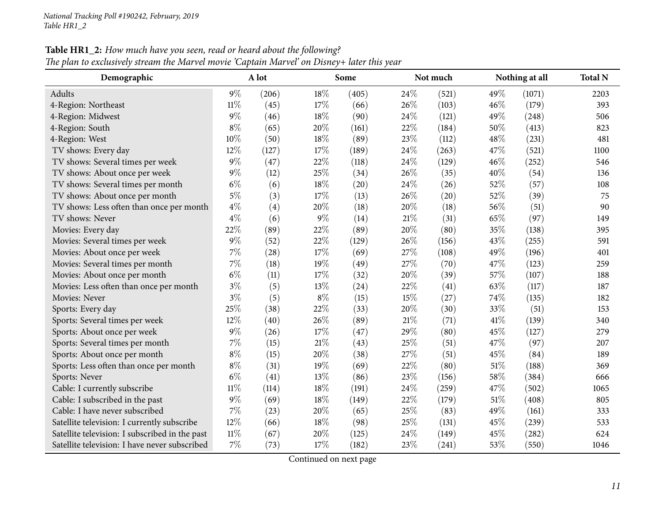| Demographic                                    |        | A lot |       | Some  |      | Not much |        | Nothing at all | <b>Total N</b> |
|------------------------------------------------|--------|-------|-------|-------|------|----------|--------|----------------|----------------|
| <b>Adults</b>                                  | $9\%$  | (206) | 18%   | (405) | 24\% | (521)    | 49\%   | (1071)         | 2203           |
| 4-Region: Northeast                            | $11\%$ | (45)  | 17%   | (66)  | 26%  | (103)    | 46%    | (179)          | 393            |
| 4-Region: Midwest                              | 9%     | (46)  | 18%   | (90)  | 24%  | (121)    | 49%    | (248)          | 506            |
| 4-Region: South                                | $8\%$  | (65)  | 20%   | (161) | 22%  | (184)    | 50%    | (413)          | 823            |
| 4-Region: West                                 | 10%    | (50)  | 18%   | (89)  | 23%  | (112)    | 48%    | (231)          | 481            |
| TV shows: Every day                            | 12%    | (127) | 17%   | (189) | 24%  | (263)    | 47%    | (521)          | 1100           |
| TV shows: Several times per week               | 9%     | (47)  | 22%   | (118) | 24%  | (129)    | 46%    | (252)          | 546            |
| TV shows: About once per week                  | 9%     | (12)  | 25%   | (34)  | 26%  | (35)     | 40%    | (54)           | 136            |
| TV shows: Several times per month              | $6\%$  | (6)   | 18%   | (20)  | 24%  | (26)     | 52%    | (57)           | 108            |
| TV shows: About once per month                 | $5\%$  | (3)   | 17%   | (13)  | 26%  | (20)     | 52%    | (39)           | 75             |
| TV shows: Less often than once per month       | $4\%$  | (4)   | 20%   | (18)  | 20%  | (18)     | 56%    | (51)           | 90             |
| TV shows: Never                                | $4\%$  | (6)   | 9%    | (14)  | 21%  | (31)     | 65%    | (97)           | 149            |
| Movies: Every day                              | 22%    | (89)  | 22%   | (89)  | 20%  | (80)     | 35%    | (138)          | 395            |
| Movies: Several times per week                 | $9\%$  | (52)  | 22%   | (129) | 26%  | (156)    | 43%    | (255)          | 591            |
| Movies: About once per week                    | 7%     | (28)  | 17%   | (69)  | 27%  | (108)    | 49%    | (196)          | 401            |
| Movies: Several times per month                | $7\%$  | (18)  | 19%   | (49)  | 27%  | (70)     | 47%    | (123)          | 259            |
| Movies: About once per month                   | $6\%$  | (11)  | 17%   | (32)  | 20%  | (39)     | 57%    | (107)          | 188            |
| Movies: Less often than once per month         | $3\%$  | (5)   | 13%   | (24)  | 22%  | (41)     | 63%    | (117)          | 187            |
| Movies: Never                                  | $3\%$  | (5)   | $8\%$ | (15)  | 15%  | (27)     | 74%    | (135)          | 182            |
| Sports: Every day                              | 25%    | (38)  | 22%   | (33)  | 20%  | (30)     | 33%    | (51)           | 153            |
| Sports: Several times per week                 | 12%    | (40)  | 26%   | (89)  | 21%  | (71)     | $41\%$ | (139)          | 340            |
| Sports: About once per week                    | 9%     | (26)  | 17%   | (47)  | 29%  | (80)     | 45%    | (127)          | 279            |
| Sports: Several times per month                | 7%     | (15)  | 21%   | (43)  | 25%  | (51)     | 47%    | (97)           | 207            |
| Sports: About once per month                   | $8\%$  | (15)  | 20%   | (38)  | 27%  | (51)     | 45%    | (84)           | 189            |
| Sports: Less often than once per month         | $8\%$  | (31)  | 19%   | (69)  | 22%  | (80)     | 51\%   | (188)          | 369            |
| Sports: Never                                  | $6\%$  | (41)  | 13%   | (86)  | 23%  | (156)    | 58%    | (384)          | 666            |
| Cable: I currently subscribe                   | $11\%$ | (114) | 18%   | (191) | 24%  | (259)    | 47%    | (502)          | 1065           |
| Cable: I subscribed in the past                | 9%     | (69)  | 18%   | (149) | 22%  | (179)    | 51%    | (408)          | 805            |
| Cable: I have never subscribed                 | 7%     | (23)  | 20%   | (65)  | 25%  | (83)     | 49%    | (161)          | 333            |
| Satellite television: I currently subscribe    | 12%    | (66)  | 18%   | (98)  | 25%  | (131)    | 45%    | (239)          | 533            |
| Satellite television: I subscribed in the past | $11\%$ | (67)  | 20%   | (125) | 24%  | (149)    | 45%    | (282)          | 624            |
| Satellite television: I have never subscribed  | 7%     | (73)  | 17%   | (182) | 23%  | (241)    | 53%    | (550)          | 1046           |

**Table HR1\_2:** How much have you seen, read or heard about the following? The plan to exclusively stream the Marvel movie 'Captain Marvel' on Disney+ later this year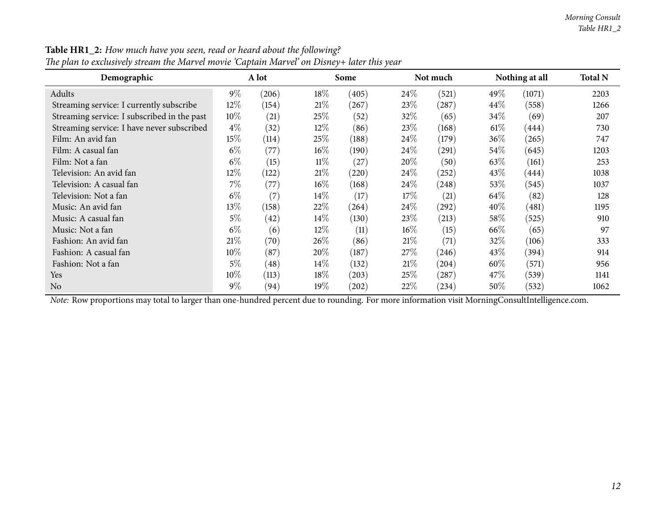| Demographic                                 |        | A lot |        | Some                |        | Not much |        | Nothing at all | <b>Total N</b> |
|---------------------------------------------|--------|-------|--------|---------------------|--------|----------|--------|----------------|----------------|
| Adults                                      | $9\%$  | (206) | 18%    | (405)               | $24\%$ | (521)    | 49%    | (1071)         | 2203           |
| Streaming service: I currently subscribe    | $12\%$ | (154) | 21%    | (267)               | 23%    | (287)    | $44\%$ | (558)          | 1266           |
| Streaming service: I subscribed in the past | 10%    | (21)  | 25%    | (52)                | 32\%   | (65)     | $34\%$ | (69)           | 207            |
| Streaming service: I have never subscribed  | $4\%$  | (32)  | $12\%$ | (86)                | 23\%   | (168)    | 61%    | (444)          | 730            |
| Film: An avid fan                           | 15%    | (114) | 25\%   | (188)               | $24\%$ | (179)    | $36\%$ | (265)          | 747            |
| Film: A casual fan                          | $6\%$  | (77)  | $16\%$ | (190)               | $24\%$ | (291)    | $54\%$ | (645)          | 1203           |
| Film: Not a fan                             | $6\%$  | (15)  | $11\%$ | (27)                | $20\%$ | (50)     | 63\%   | (161)          | 253            |
| Television: An avid fan                     | 12%    | (122) | 21%    | (220)               | $24\%$ | (252)    | 43\%   | (444)          | 1038           |
| Television: A casual fan                    | $7\%$  | (77)  | $16\%$ | (168)               | $24\%$ | (248)    | 53\%   | (545)          | 1037           |
| Television: Not a fan                       | $6\%$  | (7)   | $14\%$ | (17)                | 17%    | (21)     | 64\%   | (82)           | 128            |
| Music: An avid fan                          | 13%    | (158) | 22%    | (264)               | $24\%$ | (292)    | $40\%$ | (481)          | 1195           |
| Music: A casual fan                         | $5\%$  | (42)  | $14\%$ | (130)               | 23\%   | (213)    | $58\%$ | (525)          | 910            |
| Music: Not a fan                            | $6\%$  | (6)   | $12\%$ | (11)                | $16\%$ | (15)     | 66\%   | (65)           | 97             |
| Fashion: An avid fan                        | 21\%   | (70)  | 26%    | (86)                | 21%    | (71)     | 32%    | (106)          | 333            |
| Fashion: A casual fan                       | $10\%$ | (87)  | 20%    | (187)               | 27%    | (246)    | $43\%$ | (394)          | 914            |
| Fashion: Not a fan                          | $5\%$  | (48)  | $14\%$ | (132)               | 21%    | (204)    | $60\%$ | (571)          | 956            |
| Yes                                         | $10\%$ | (113) | 18%    | (203)               | 25%    | (287)    | 47\%   | (539)          | 1141           |
| N <sub>o</sub>                              | $9\%$  | (94)  | 19%    | $\left( 202\right)$ | 22%    | (234)    | $50\%$ | (532)          | 1062           |

Table HR1\_2: How much have you seen, read or heard about the following? The plan to exclusively stream the Marvel movie 'Captain Marvel' on Disney+ later this year

*Note:* Row proportions may total to larger than one-hundred percen<sup>t</sup> due to rounding. For more information visit [MorningConsultIntelligence.com](https://morningconsultintelligence.com).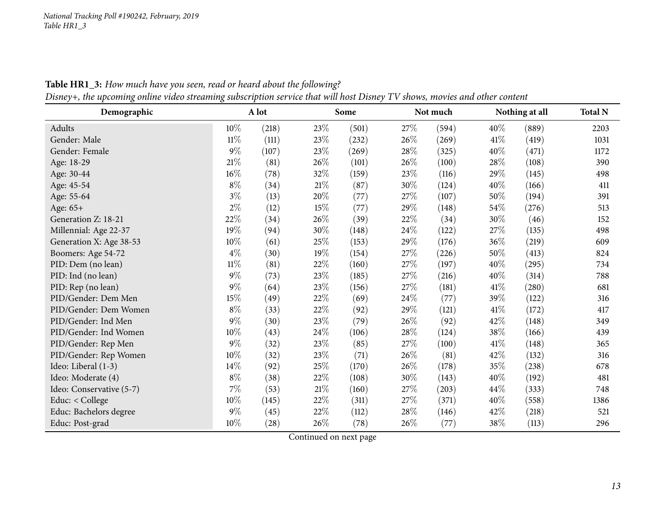<span id="page-12-0"></span>

| $\circ$<br>Demographic   | $\circ$ | A lot |        | Some  |        | Not much |      | Nothing at all | <b>Total N</b> |
|--------------------------|---------|-------|--------|-------|--------|----------|------|----------------|----------------|
| Adults                   | 10%     | (218) | 23%    | (501) | 27\%   | (594)    | 40%  | (889)          | 2203           |
| Gender: Male             | $11\%$  | (111) | 23%    | (232) | 26\%   | (269)    | 41\% | (419)          | 1031           |
| Gender: Female           | $9\%$   | (107) | 23%    | (269) | 28\%   | (325)    | 40%  | (471)          | 1172           |
| Age: 18-29               | $21\%$  | (81)  | 26%    | (101) | 26\%   | (100)    | 28%  | (108)          | 390            |
| Age: 30-44               | $16\%$  | (78)  | 32%    | (159) | 23\%   | (116)    | 29%  | (145)          | 498            |
| Age: 45-54               | $8\%$   | (34)  | $21\%$ | (87)  | 30%    | (124)    | 40%  | (166)          | 411            |
| Age: 55-64               | $3\%$   | (13)  | 20%    | (77)  | 27\%   | (107)    | 50%  | (194)          | 391            |
| Age: 65+                 | $2\%$   | (12)  | $15\%$ | (77)  | 29%    | (148)    | 54%  | (276)          | 513            |
| Generation Z: 18-21      | 22%     | (34)  | 26%    | (39)  | 22\%   | (34)     | 30%  | (46)           | 152            |
| Millennial: Age 22-37    | 19%     | (94)  | 30%    | (148) | 24\%   | (122)    | 27%  | (135)          | 498            |
| Generation X: Age 38-53  | $10\%$  | (61)  | 25%    | (153) | 29%    | (176)    | 36%  | (219)          | 609            |
| Boomers: Age 54-72       | $4\%$   | (30)  | 19%    | (154) | 27\%   | (226)    | 50%  | (413)          | 824            |
| PID: Dem (no lean)       | $11\%$  | (81)  | 22%    | (160) | $27\%$ | (197)    | 40%  | (295)          | 734            |
| PID: Ind (no lean)       | $9\%$   | (73)  | 23%    | (185) | 27\%   | (216)    | 40%  | (314)          | 788            |
| PID: Rep (no lean)       | $9\%$   | (64)  | 23%    | (156) | $27\%$ | (181)    | 41\% | (280)          | 681            |
| PID/Gender: Dem Men      | 15%     | (49)  | 22%    | (69)  | 24\%   | (77)     | 39%  | (122)          | 316            |
| PID/Gender: Dem Women    | $8\%$   | (33)  | 22\%   | (92)  | 29%    | (121)    | 41\% | (172)          | 417            |
| PID/Gender: Ind Men      | $9\%$   | (30)  | 23%    | (79)  | 26\%   | (92)     | 42%  | (148)          | 349            |
| PID/Gender: Ind Women    | $10\%$  | (43)  | $24\%$ | (106) | 28\%   | (124)    | 38%  | (166)          | 439            |
| PID/Gender: Rep Men      | $9\%$   | (32)  | 23%    | (85)  | $27\%$ | (100)    | 41\% | (148)          | 365            |
| PID/Gender: Rep Women    | 10%     | (32)  | 23\%   | (71)  | 26\%   | (81)     | 42%  | (132)          | 316            |
| Ideo: Liberal (1-3)      | 14%     | (92)  | 25\%   | (170) | 26\%   | (178)    | 35%  | (238)          | 678            |
| Ideo: Moderate (4)       | $8\%$   | (38)  | 22%    | (108) | 30%    | (143)    | 40%  | (192)          | 481            |
| Ideo: Conservative (5-7) | $7\%$   | (53)  | $21\%$ | (160) | 27\%   | (203)    | 44\% | (333)          | 748            |
| Educ: < College          | 10%     | (145) | 22%    | (311) | 27\%   | (371)    | 40%  | (558)          | 1386           |
| Educ: Bachelors degree   | $9\%$   | (45)  | 22\%   | (112) | $28\%$ | (146)    | 42%  | (218)          | 521            |
| Educ: Post-grad          | $10\%$  | (28)  | 26%    | (78)  | 26\%   | (77)     | 38%  | (113)          | 296            |

Table HR1\_3: How much have you seen, read or heard about the following? Disney+, the upcoming online video streaming subscription service that will host Disney TV shows, movies and other content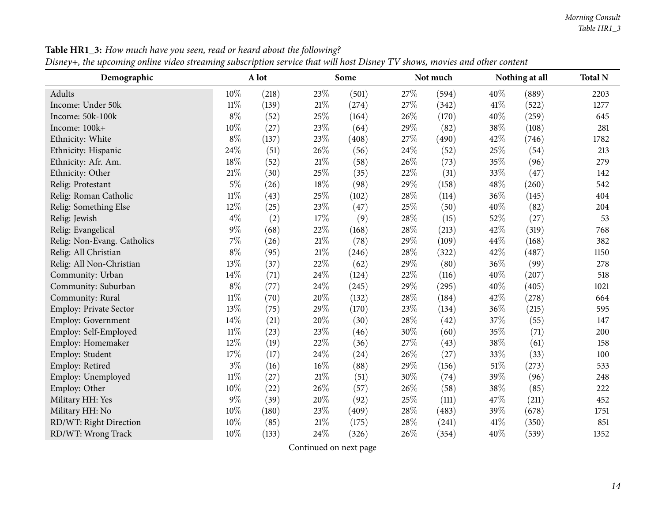| Demographic                 |        | A lot |        | Some  |      | Not much |     | Nothing at all | <b>Total N</b> |
|-----------------------------|--------|-------|--------|-------|------|----------|-----|----------------|----------------|
| Adults                      | 10%    | (218) | 23%    | (501) | 27%  | (594)    | 40% | (889)          | 2203           |
| Income: Under 50k           | $11\%$ | (139) | 21%    | (274) | 27%  | (342)    | 41% | (522)          | 1277           |
| Income: 50k-100k            | $8\%$  | (52)  | 25%    | (164) | 26%  | (170)    | 40% | (259)          | 645            |
| Income: 100k+               | 10%    | (27)  | 23%    | (64)  | 29%  | (82)     | 38% | (108)          | 281            |
| Ethnicity: White            | $8\%$  | (137) | 23%    | (408) | 27%  | (490)    | 42% | (746)          | 1782           |
| Ethnicity: Hispanic         | 24%    | (51)  | 26%    | (56)  | 24%  | (52)     | 25% | (54)           | 213            |
| Ethnicity: Afr. Am.         | 18%    | (52)  | $21\%$ | (58)  | 26%  | (73)     | 35% | (96)           | 279            |
| Ethnicity: Other            | 21%    | (30)  | 25%    | (35)  | 22\% | (31)     | 33% | (47)           | 142            |
| Relig: Protestant           | $5\%$  | (26)  | 18%    | (98)  | 29%  | (158)    | 48% | (260)          | 542            |
| Relig: Roman Catholic       | $11\%$ | (43)  | 25%    | (102) | 28%  | (114)    | 36% | (145)          | 404            |
| Relig: Something Else       | 12%    | (25)  | 23%    | (47)  | 25%  | (50)     | 40% | (82)           | 204            |
| Relig: Jewish               | $4\%$  | (2)   | 17%    | (9)   | 28\% | (15)     | 52% | (27)           | 53             |
| Relig: Evangelical          | 9%     | (68)  | 22%    | (168) | 28%  | (213)    | 42% | (319)          | 768            |
| Relig: Non-Evang. Catholics | 7%     | (26)  | 21%    | (78)  | 29%  | (109)    | 44% | (168)          | 382            |
| Relig: All Christian        | $8\%$  | (95)  | 21%    | (246) | 28\% | (322)    | 42% | (487)          | 1150           |
| Relig: All Non-Christian    | 13%    | (37)  | 22%    | (62)  | 29%  | (80)     | 36% | (99)           | 278            |
| Community: Urban            | 14%    | (71)  | 24%    | (124) | 22%  | (116)    | 40% | (207)          | 518            |
| Community: Suburban         | $8\%$  | (77)  | 24%    | (245) | 29%  | (295)    | 40% | (405)          | 1021           |
| Community: Rural            | $11\%$ | (70)  | 20%    | (132) | 28%  | (184)    | 42% | (278)          | 664            |
| Employ: Private Sector      | 13%    | (75)  | 29%    | (170) | 23%  | (134)    | 36% | (215)          | 595            |
| Employ: Government          | 14%    | (21)  | 20%    | (30)  | 28\% | (42)     | 37% | (55)           | 147            |
| Employ: Self-Employed       | $11\%$ | (23)  | 23%    | (46)  | 30%  | (60)     | 35% | (71)           | 200            |
| Employ: Homemaker           | 12%    | (19)  | 22%    | (36)  | 27%  | (43)     | 38% | (61)           | 158            |
| Employ: Student             | 17%    | (17)  | 24%    | (24)  | 26%  | (27)     | 33% | (33)           | 100            |
| Employ: Retired             | $3\%$  | (16)  | 16%    | (88)  | 29%  | (156)    | 51% | (273)          | 533            |
| Employ: Unemployed          | $11\%$ | (27)  | 21%    | (51)  | 30%  | (74)     | 39% | (96)           | 248            |
| Employ: Other               | 10%    | (22)  | 26%    | (57)  | 26%  | (58)     | 38% | (85)           | 222            |
| Military HH: Yes            | 9%     | (39)  | 20%    | (92)  | 25%  | (111)    | 47% | (211)          | 452            |
| Military HH: No             | 10%    | (180) | 23%    | (409) | 28\% | (483)    | 39% | (678)          | 1751           |
| RD/WT: Right Direction      | 10%    | (85)  | 21%    | (175) | 28%  | (241)    | 41% | (350)          | 851            |
| RD/WT: Wrong Track          | 10%    | (133) | 24%    | (326) | 26%  | (354)    | 40% | (539)          | 1352           |

**Table HR1\_3:** How much have you seen, read or heard about the following?

Disney+, the upcoming online video streaming subscription service that will host Disney TV shows, movies and other content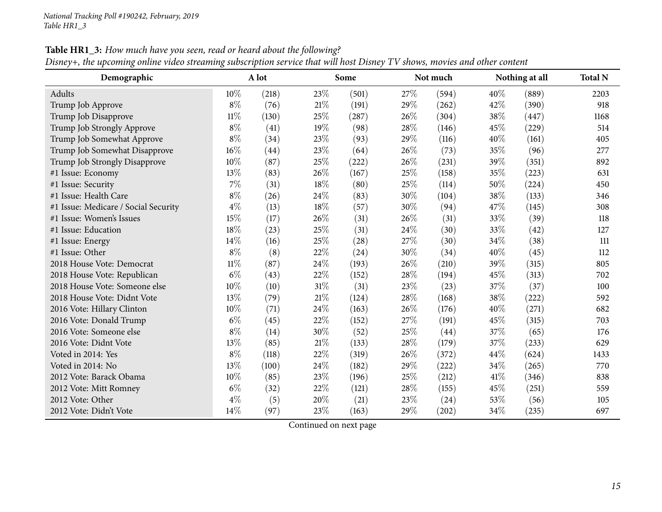| Demographic                          |        | A lot |        | Some  |      | Not much |      | Nothing at all | <b>Total N</b> |
|--------------------------------------|--------|-------|--------|-------|------|----------|------|----------------|----------------|
| Adults                               | $10\%$ | (218) | 23%    | (501) | 27\% | (594)    | 40%  | (889)          | 2203           |
| Trump Job Approve                    | $8\%$  | (76)  | 21\%   | (191) | 29%  | (262)    | 42%  | (390)          | 918            |
| Trump Job Disapprove                 | $11\%$ | (130) | 25%    | (287) | 26%  | (304)    | 38%  | (447)          | 1168           |
| Trump Job Strongly Approve           | $8\%$  | (41)  | 19%    | (98)  | 28%  | (146)    | 45%  | (229)          | 514            |
| Trump Job Somewhat Approve           | $8\%$  | (34)  | 23%    | (93)  | 29%  | (116)    | 40%  | (161)          | 405            |
| Trump Job Somewhat Disapprove        | 16%    | (44)  | 23%    | (64)  | 26%  | (73)     | 35%  | (96)           | 277            |
| Trump Job Strongly Disapprove        | 10%    | (87)  | 25%    | (222) | 26%  | (231)    | 39%  | (351)          | 892            |
| #1 Issue: Economy                    | 13%    | (83)  | 26%    | (167) | 25%  | (158)    | 35%  | (223)          | 631            |
| #1 Issue: Security                   | $7\%$  | (31)  | 18%    | (80)  | 25%  | (114)    | 50%  | (224)          | 450            |
| #1 Issue: Health Care                | $8\%$  | (26)  | 24\%   | (83)  | 30%  | (104)    | 38%  | (133)          | 346            |
| #1 Issue: Medicare / Social Security | $4\%$  | (13)  | 18\%   | (57)  | 30%  | (94)     | 47%  | (145)          | 308            |
| #1 Issue: Women's Issues             | 15%    | (17)  | 26\%   | (31)  | 26%  | (31)     | 33%  | (39)           | 118            |
| #1 Issue: Education                  | 18%    | (23)  | 25%    | (31)  | 24%  | (30)     | 33%  | (42)           | 127            |
| #1 Issue: Energy                     | 14\%   | (16)  | 25%    | (28)  | 27%  | (30)     | 34%  | (38)           | 111            |
| #1 Issue: Other                      | $8\%$  | (8)   | 22%    | (24)  | 30%  | (34)     | 40%  | (45)           | 112            |
| 2018 House Vote: Democrat            | $11\%$ | (87)  | 24%    | (193) | 26%  | (210)    | 39%  | (315)          | 805            |
| 2018 House Vote: Republican          | $6\%$  | (43)  | 22%    | (152) | 28%  | (194)    | 45%  | (313)          | 702            |
| 2018 House Vote: Someone else        | 10%    | (10)  | $31\%$ | (31)  | 23%  | (23)     | 37%  | (37)           | 100            |
| 2018 House Vote: Didnt Vote          | 13%    | (79)  | 21\%   | (124) | 28%  | (168)    | 38%  | (222)          | 592            |
| 2016 Vote: Hillary Clinton           | $10\%$ | (71)  | 24\%   | (163) | 26%  | (176)    | 40%  | (271)          | 682            |
| 2016 Vote: Donald Trump              | $6\%$  | (45)  | 22%    | (152) | 27\% | (191)    | 45\% | (315)          | 703            |
| 2016 Vote: Someone else              | $8\%$  | (14)  | 30%    | (52)  | 25%  | (44)     | 37%  | (65)           | 176            |
| 2016 Vote: Didnt Vote                | 13%    | (85)  | $21\%$ | (133) | 28%  | (179)    | 37%  | (233)          | 629            |
| Voted in 2014: Yes                   | $8\%$  | (118) | 22%    | (319) | 26%  | (372)    | 44%  | (624)          | 1433           |
| Voted in 2014: No                    | 13%    | (100) | 24\%   | (182) | 29%  | (222)    | 34\% | (265)          | 770            |
| 2012 Vote: Barack Obama              | 10%    | (85)  | 23%    | (196) | 25%  | (212)    | 41\% | (346)          | 838            |
| 2012 Vote: Mitt Romney               | $6\%$  | (32)  | 22%    | (121) | 28%  | (155)    | 45%  | (251)          | 559            |
| 2012 Vote: Other                     | $4\%$  | (5)   | 20%    | (21)  | 23%  | (24)     | 53%  | (56)           | 105            |
| 2012 Vote: Didn't Vote               | 14%    | (97)  | 23%    | (163) | 29%  | (202)    | 34\% | (235)          | 697            |

Table HR1\_3: How much have you seen, read or heard about the following?

Disney+, the upcoming online video streaming subscription service that will host Disney TV shows, movies and other content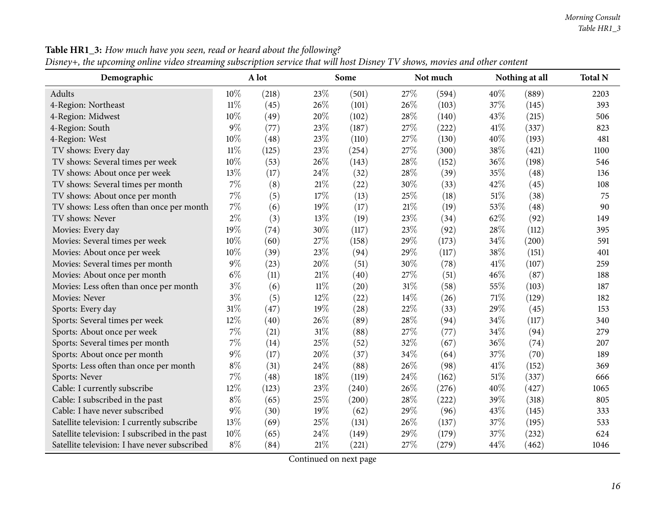| Demographic                                    |        | A lot |        | Some  |        | Not much |      | Nothing at all | <b>Total N</b> |
|------------------------------------------------|--------|-------|--------|-------|--------|----------|------|----------------|----------------|
| Adults                                         | 10%    | (218) | 23%    | (501) | 27\%   | (594)    | 40%  | (889)          | 2203           |
| 4-Region: Northeast                            | $11\%$ | (45)  | 26%    | (101) | 26%    | (103)    | 37%  | (145)          | 393            |
| 4-Region: Midwest                              | 10%    | (49)  | 20%    | (102) | 28%    | (140)    | 43%  | (215)          | 506            |
| 4-Region: South                                | $9\%$  | (77)  | 23%    | (187) | 27%    | (222)    | 41\% | (337)          | 823            |
| 4-Region: West                                 | 10%    | (48)  | 23%    | (110) | 27%    | (130)    | 40%  | (193)          | 481            |
| TV shows: Every day                            | $11\%$ | (125) | 23%    | (254) | 27%    | (300)    | 38%  | (421)          | 1100           |
| TV shows: Several times per week               | 10%    | (53)  | 26%    | (143) | 28%    | (152)    | 36%  | (198)          | 546            |
| TV shows: About once per week                  | 13%    | (17)  | 24%    | (32)  | 28%    | (39)     | 35%  | (48)           | 136            |
| TV shows: Several times per month              | 7%     | (8)   | 21%    | (22)  | 30%    | (33)     | 42%  | (45)           | 108            |
| TV shows: About once per month                 | 7%     | (5)   | 17%    | (13)  | 25%    | (18)     | 51%  | (38)           | 75             |
| TV shows: Less often than once per month       | 7%     | (6)   | 19%    | (17)  | 21\%   | (19)     | 53%  | (48)           | 90             |
| TV shows: Never                                | $2\%$  | (3)   | 13%    | (19)  | 23\%   | (34)     | 62%  | (92)           | 149            |
| Movies: Every day                              | 19%    | (74)  | 30%    | (117) | 23%    | (92)     | 28%  | (112)          | 395            |
| Movies: Several times per week                 | 10%    | (60)  | 27%    | (158) | 29%    | (173)    | 34%  | (200)          | 591            |
| Movies: About once per week                    | 10%    | (39)  | 23%    | (94)  | 29%    | (117)    | 38%  | (151)          | 401            |
| Movies: Several times per month                | $9\%$  | (23)  | 20%    | (51)  | 30%    | (78)     | 41\% | (107)          | 259            |
| Movies: About once per month                   | $6\%$  | (11)  | 21%    | (40)  | 27%    | (51)     | 46%  | (87)           | 188            |
| Movies: Less often than once per month         | $3\%$  | (6)   | $11\%$ | (20)  | $31\%$ | (58)     | 55%  | (103)          | 187            |
| Movies: Never                                  | $3\%$  | (5)   | 12%    | (22)  | 14\%   | (26)     | 71%  | (129)          | 182            |
| Sports: Every day                              | 31%    | (47)  | 19%    | (28)  | 22%    | (33)     | 29%  | (45)           | 153            |
| Sports: Several times per week                 | 12%    | (40)  | 26%    | (89)  | 28%    | (94)     | 34%  | (117)          | 340            |
| Sports: About once per week                    | 7%     | (21)  | 31%    | (88)  | 27%    | (77)     | 34%  | (94)           | 279            |
| Sports: Several times per month                | 7%     | (14)  | 25%    | (52)  | 32%    | (67)     | 36%  | (74)           | 207            |
| Sports: About once per month                   | $9\%$  | (17)  | 20%    | (37)  | 34%    | (64)     | 37%  | (70)           | 189            |
| Sports: Less often than once per month         | $8\%$  | (31)  | 24%    | (88)  | 26%    | (98)     | 41\% | (152)          | 369            |
| Sports: Never                                  | 7%     | (48)  | 18%    | (119) | 24%    | (162)    | 51%  | (337)          | 666            |
| Cable: I currently subscribe                   | 12%    | (123) | 23%    | (240) | 26%    | (276)    | 40%  | (427)          | 1065           |
| Cable: I subscribed in the past                | $8\%$  | (65)  | 25%    | (200) | 28%    | (222)    | 39%  | (318)          | 805            |
| Cable: I have never subscribed                 | 9%     | (30)  | 19%    | (62)  | 29%    | (96)     | 43%  | (145)          | 333            |
| Satellite television: I currently subscribe    | 13%    | (69)  | 25%    | (131) | 26%    | (137)    | 37%  | (195)          | 533            |
| Satellite television: I subscribed in the past | 10%    | (65)  | 24%    | (149) | 29%    | (179)    | 37%  | (232)          | 624            |
| Satellite television: I have never subscribed  | $8\%$  | (84)  | 21%    | (221) | 27%    | (279)    | 44%  | (462)          | 1046           |

**Table HR1\_3:** How much have you seen, read or heard about the following?

Disney+, the upcoming online video streaming subscription service that will host Disney TV shows, movies and other content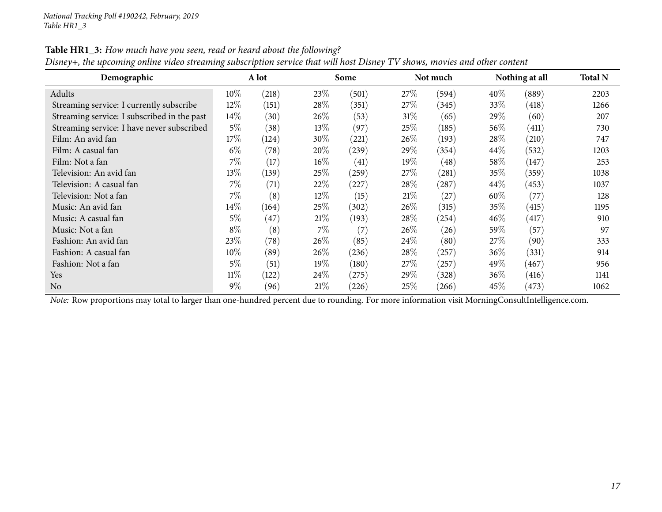| Demographic                                 |        | A lot |        | Some              |         | Not much |        | Nothing at all | <b>Total N</b> |
|---------------------------------------------|--------|-------|--------|-------------------|---------|----------|--------|----------------|----------------|
| Adults                                      | $10\%$ | (218) | 23%    | (501)             | $27\%$  | (594)    | $40\%$ | (889)          | 2203           |
| Streaming service: I currently subscribe    | $12\%$ | (151) | 28\%   | (351)             | $27\%$  | (345)    | 33\%   | (418)          | 1266           |
| Streaming service: I subscribed in the past | 14\%   | (30)  | 26\%   | (53)              | 31%     | (65)     | 29\%   | (60)           | 207            |
| Streaming service: I have never subscribed  | $5\%$  | (38)  | $13\%$ | (97)              | 25%     | (185)    | $56\%$ | (411)          | 730            |
| Film: An avid fan                           | 17%    | (124) | 30%    | (221)             | $26\%$  | (193)    | 28%    | (210)          | 747            |
| Film: A casual fan                          | $6\%$  | (78)  | 20%    | (239)             | 29 $\%$ | (354)    | $44\%$ | (532)          | 1203           |
| Film: Not a fan                             | 7%     | (17)  | $16\%$ | (41)              | $19\%$  | (48)     | $58\%$ | (147)          | 253            |
| Television: An avid fan                     | $13\%$ | (139) | 25%    | (259)             | $27\%$  | (281)    | 35%    | (359)          | 1038           |
| Television: A casual fan                    | $7\%$  | (71)  | 22%    | (227)             | $28\%$  | (287)    | $44\%$ | (453)          | 1037           |
| Television: Not a fan                       | $7\%$  | (8)   | $12\%$ | (15)              | 21%     | (27)     | 60%    | (77)           | 128            |
| Music: An avid fan                          | 14\%   | (164) | 25\%   | (302)             | $26\%$  | (315)    | 35%    | (415)          | 1195           |
| Music: A casual fan                         | 5%     | (47)  | 21%    | (193)             | 28\%    | (254)    | 46\%   | (417)          | 910            |
| Music: Not a fan                            | $8\%$  | (8)   | 7%     | $\left( 7\right)$ | $26\%$  | (26)     | $59\%$ | (57)           | 97             |
| Fashion: An avid fan                        | 23\%   | (78)  | 26\%   | (85)              | 24\%    | (80)     | 27%    | (90)           | 333            |
| Fashion: A casual fan                       | 10%    | (89)  | 26\%   | (236)             | 28\%    | (257)    | $36\%$ | (331)          | 914            |
| Fashion: Not a fan                          | 5%     | (51)  | 19%    | (180)             | $27\%$  | (257)    | 49\%   | (467)          | 956            |
| Yes                                         | $11\%$ | (122) | 24%    | (275)             | $29\%$  | (328)    | $36\%$ | (416)          | 1141           |
| N <sub>o</sub>                              | $9\%$  | (96)  | 21%    | (226)             | $25\%$  | (266)    | $45\%$ | (473)          | 1062           |

Table HR1\_3: How much have you seen, read or heard about the following?

Disney+, the upcoming online video streaming subscription service that will host Disney TV shows, movies and other content

*Note:* Row proportions may total to larger than one-hundred percen<sup>t</sup> due to rounding. For more information visit [MorningConsultIntelligence.com](https://morningconsultintelligence.com).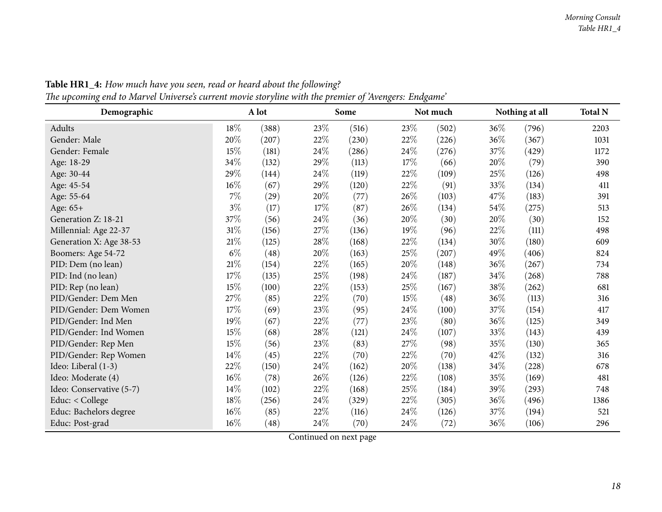<span id="page-17-0"></span>

| Demographic              |        | A lot     |        | Some  |        | Not much |      | Nothing at all | <b>Total N</b> |
|--------------------------|--------|-----------|--------|-------|--------|----------|------|----------------|----------------|
| Adults                   | 18%    | (388)     | 23%    | (516) | 23%    | (502)    | 36%  | (796)          | 2203           |
| Gender: Male             | 20%    | (207)     | $22\%$ | (230) | $22\%$ | (226)    | 36%  | (367)          | 1031           |
| Gender: Female           | 15%    | (181)     | 24%    | (286) | 24\%   | (276)    | 37%  | (429)          | 1172           |
| Age: 18-29               | 34%    | (132)     | 29%    | (113) | 17%    | (66)     | 20%  | (79)           | 390            |
| Age: 30-44               | 29%    | (144)     | 24%    | (119) | 22\%   | (109)    | 25%  | (126)          | 498            |
| Age: 45-54               | $16\%$ | (67)      | 29%    | (120) | 22\%   | (91)     | 33%  | (134)          | 411            |
| Age: 55-64               | $7\%$  | $^{(29)}$ | 20%    | (77)  | 26%    | (103)    | 47%  | (183)          | 391            |
| Age: 65+                 | $3\%$  | (17)      | 17%    | (87)  | 26\%   | (134)    | 54\% | (275)          | 513            |
| Generation Z: 18-21      | 37\%   | (56)      | $24\%$ | (36)  | 20%    | (30)     | 20%  | (30)           | 152            |
| Millennial: Age 22-37    | $31\%$ | (156)     | 27%    | (136) | 19%    | (96)     | 22%  | (111)          | 498            |
| Generation X: Age 38-53  | 21%    | (125)     | 28\%   | (168) | 22%    | (134)    | 30%  | (180)          | 609            |
| Boomers: Age 54-72       | $6\%$  | (48)      | 20%    | (163) | $25\%$ | (207)    | 49%  | (406)          | 824            |
| PID: Dem (no lean)       | $21\%$ | (154)     | $22\%$ | (165) | $20\%$ | (148)    | 36%  | (267)          | 734            |
| PID: Ind (no lean)       | 17%    | (135)     | $25\%$ | (198) | 24\%   | (187)    | 34\% | (268)          | 788            |
| PID: Rep (no lean)       | 15%    | (100)     | 22%    | (153) | 25%    | (167)    | 38%  | (262)          | 681            |
| PID/Gender: Dem Men      | 27%    | (85)      | 22%    | (70)  | 15%    | (48)     | 36%  | (113)          | 316            |
| PID/Gender: Dem Women    | 17%    | (69)      | 23%    | (95)  | 24\%   | (100)    | 37\% | (154)          | 417            |
| PID/Gender: Ind Men      | 19%    | (67)      | $22\%$ | (77)  | $23\%$ | (80)     | 36%  | (125)          | 349            |
| PID/Gender: Ind Women    | 15%    | (68)      | 28\%   | (121) | 24\%   | (107)    | 33%  | (143)          | 439            |
| PID/Gender: Rep Men      | 15%    | (56)      | 23%    | (83)  | 27%    | (98)     | 35%  | (130)          | 365            |
| PID/Gender: Rep Women    | $14\%$ | (45)      | 22%    | (70)  | 22%    | (70)     | 42%  | (132)          | 316            |
| Ideo: Liberal (1-3)      | 22\%   | (150)     | 24\%   | (162) | 20%    | (138)    | 34%  | (228)          | 678            |
| Ideo: Moderate (4)       | $16\%$ | (78)      | 26\%   | (126) | 22\%   | (108)    | 35%  | (169)          | 481            |
| Ideo: Conservative (5-7) | 14\%   | (102)     | 22%    | (168) | 25%    | (184)    | 39%  | (293)          | 748            |
| Educ: < College          | 18%    | (256)     | $24\%$ | (329) | 22\%   | (305)    | 36%  | (496)          | 1386           |
| Educ: Bachelors degree   | 16%    | (85)      | 22%    | (116) | $24\%$ | (126)    | 37%  | (194)          | 521            |
| Educ: Post-grad          | 16%    | (48)      | 24%    | (70)  | 24\%   | (72)     | 36%  | (106)          | 296            |

Table HR1\_4: How much have you seen, read or heard about the following? The upcoming end to Marvel Universe's current movie storyline with the premier of 'Avengers: Endgame'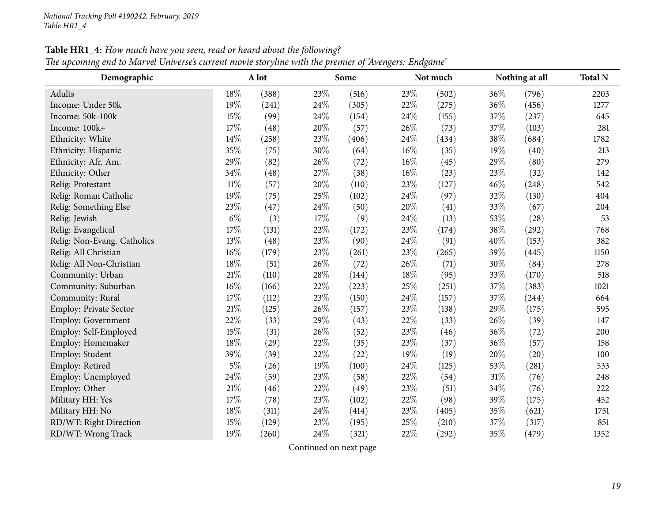### **Table HR1\_4:** How much have you seen, read or heard about the following?

"The upcoming end to Marvel Universe's current movie storyline with the premier of 'Avengers: Endgame

| Demographic                   |        | A lot |     | Some  |        | Not much |        | Nothing at all | <b>Total N</b> |
|-------------------------------|--------|-------|-----|-------|--------|----------|--------|----------------|----------------|
| Adults                        | 18%    | (388) | 23% | (516) | 23%    | (502)    | $36\%$ | (796)          | 2203           |
| Income: Under 50k             | 19%    | (241) | 24% | (305) | 22%    | (275)    | 36%    | (456)          | 1277           |
| Income: 50k-100k              | 15%    | (99)  | 24% | (154) | 24%    | (155)    | 37%    | (237)          | 645            |
| Income: 100k+                 | 17%    | (48)  | 20% | (57)  | 26%    | (73)     | 37%    | (103)          | 281            |
| Ethnicity: White              | 14%    | (258) | 23% | (406) | 24%    | (434)    | 38%    | (684)          | 1782           |
| Ethnicity: Hispanic           | 35%    | (75)  | 30% | (64)  | $16\%$ | (35)     | 19%    | (40)           | 213            |
| Ethnicity: Afr. Am.           | 29%    | (82)  | 26% | (72)  | $16\%$ | (45)     | 29%    | (80)           | 279            |
| Ethnicity: Other              | 34%    | (48)  | 27% | (38)  | 16%    | (23)     | 23%    | (32)           | 142            |
| Relig: Protestant             | $11\%$ | (57)  | 20% | (110) | 23%    | (127)    | 46%    | (248)          | 542            |
| Relig: Roman Catholic         | 19%    | (75)  | 25% | (102) | 24%    | (97)     | 32%    | (130)          | 404            |
| Relig: Something Else         | 23%    | (47)  | 24% | (50)  | 20%    | (41)     | 33%    | (67)           | 204            |
| Relig: Jewish                 | $6\%$  | (3)   | 17% | (9)   | 24%    | (13)     | 53%    | (28)           | 53             |
| Relig: Evangelical            | 17%    | (131) | 22% | (172) | 23%    | (174)    | 38%    | (292)          | 768            |
| Relig: Non-Evang. Catholics   | 13%    | (48)  | 23% | (90)  | 24%    | (91)     | 40%    | (153)          | 382            |
| Relig: All Christian          | $16\%$ | (179) | 23% | (261) | 23%    | (265)    | 39%    | (445)          | 1150           |
| Relig: All Non-Christian      | 18%    | (51)  | 26% | (72)  | 26%    | (71)     | 30%    | (84)           | 278            |
| Community: Urban              | $21\%$ | (110) | 28% | (144) | 18%    | (95)     | 33%    | (170)          | 518            |
| Community: Suburban           | 16%    | (166) | 22% | (223) | 25%    | (251)    | 37%    | (383)          | 1021           |
| Community: Rural              | 17%    | (112) | 23% | (150) | 24%    | (157)    | 37%    | (244)          | 664            |
| <b>Employ: Private Sector</b> | $21\%$ | (125) | 26% | (157) | 23%    | (138)    | 29%    | (175)          | 595            |
| Employ: Government            | 22%    | (33)  | 29% | (43)  | 22%    | (33)     | $26\%$ | (39)           | 147            |
| Employ: Self-Employed         | 15%    | (31)  | 26% | (52)  | 23%    | (46)     | 36%    | (72)           | 200            |
| Employ: Homemaker             | 18%    | (29)  | 22% | (35)  | 23%    | (37)     | 36%    | (57)           | 158            |
| Employ: Student               | 39%    | (39)  | 22% | (22)  | 19%    | (19)     | 20%    | (20)           | 100            |
| Employ: Retired               | $5\%$  | (26)  | 19% | (100) | 24%    | (125)    | 53%    | (281)          | 533            |
| Employ: Unemployed            | 24%    | (59)  | 23% | (58)  | 22%    | (54)     | 31%    | (76)           | 248            |
| Employ: Other                 | $21\%$ | (46)  | 22% | (49)  | 23%    | (51)     | 34%    | (76)           | 222            |
| Military HH: Yes              | 17%    | (78)  | 23% | (102) | 22%    | (98)     | 39%    | (175)          | 452            |
| Military HH: No               | 18%    | (311) | 24% | (414) | 23%    | (405)    | 35%    | (621)          | 1751           |
| RD/WT: Right Direction        | 15%    | (129) | 23% | (195) | 25%    | (210)    | 37%    | (317)          | 851            |
| RD/WT: Wrong Track            | 19%    | (260) | 24% | (321) | 22%    | (292)    | 35%    | (479)          | 1352           |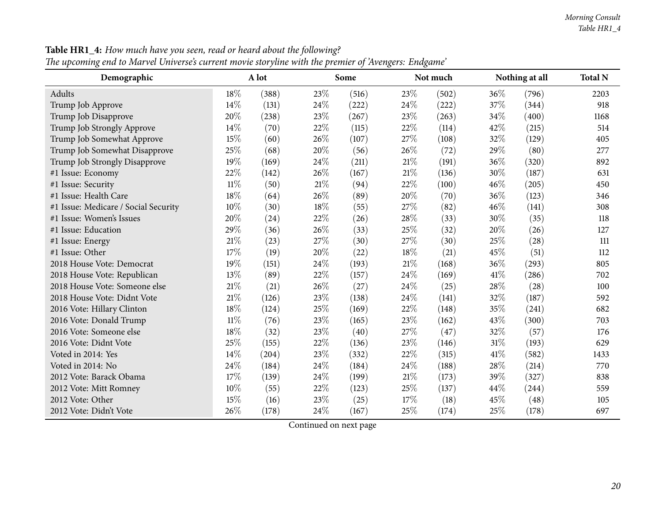| Demographic                          |        | A lot |     | Some  |      | Not much |      | Nothing at all | <b>Total N</b> |
|--------------------------------------|--------|-------|-----|-------|------|----------|------|----------------|----------------|
| Adults                               | 18%    | (388) | 23% | (516) | 23%  | (502)    | 36%  | (796)          | 2203           |
| Trump Job Approve                    | 14%    | (131) | 24% | (222) | 24%  | (222)    | 37%  | (344)          | 918            |
| Trump Job Disapprove                 | 20%    | (238) | 23% | (267) | 23%  | (263)    | 34%  | (400)          | 1168           |
| Trump Job Strongly Approve           | 14%    | (70)  | 22% | (115) | 22%  | (114)    | 42%  | (215)          | 514            |
| Trump Job Somewhat Approve           | 15%    | (60)  | 26% | (107) | 27%  | (108)    | 32%  | (129)          | 405            |
| Trump Job Somewhat Disapprove        | 25%    | (68)  | 20% | (56)  | 26%  | (72)     | 29%  | (80)           | 277            |
| Trump Job Strongly Disapprove        | 19%    | (169) | 24% | (211) | 21%  | (191)    | 36%  | (320)          | 892            |
| #1 Issue: Economy                    | 22%    | (142) | 26% | (167) | 21%  | (136)    | 30%  | (187)          | 631            |
| #1 Issue: Security                   | $11\%$ | (50)  | 21% | (94)  | 22%  | (100)    | 46%  | (205)          | 450            |
| #1 Issue: Health Care                | 18%    | (64)  | 26% | (89)  | 20%  | (70)     | 36%  | (123)          | 346            |
| #1 Issue: Medicare / Social Security | 10%    | (30)  | 18% | (55)  | 27%  | (82)     | 46%  | (141)          | 308            |
| #1 Issue: Women's Issues             | 20%    | (24)  | 22% | (26)  | 28%  | (33)     | 30%  | (35)           | 118            |
| #1 Issue: Education                  | 29%    | (36)  | 26% | (33)  | 25%  | (32)     | 20%  | (26)           | 127            |
| #1 Issue: Energy                     | $21\%$ | (23)  | 27% | (30)  | 27%  | (30)     | 25%  | (28)           | 111            |
| #1 Issue: Other                      | 17%    | (19)  | 20% | (22)  | 18%  | (21)     | 45%  | (51)           | 112            |
| 2018 House Vote: Democrat            | 19%    | (151) | 24% | (193) | 21%  | (168)    | 36%  | (293)          | 805            |
| 2018 House Vote: Republican          | 13\%   | (89)  | 22% | (157) | 24%  | (169)    | 41\% | (286)          | 702            |
| 2018 House Vote: Someone else        | 21%    | (21)  | 26% | (27)  | 24%  | (25)     | 28%  | (28)           | 100            |
| 2018 House Vote: Didnt Vote          | 21%    | (126) | 23% | (138) | 24%  | (141)    | 32%  | (187)          | 592            |
| 2016 Vote: Hillary Clinton           | 18%    | (124) | 25% | (169) | 22%  | (148)    | 35%  | (241)          | 682            |
| 2016 Vote: Donald Trump              | $11\%$ | (76)  | 23% | (165) | 23%  | (162)    | 43%  | (300)          | 703            |
| 2016 Vote: Someone else              | 18%    | (32)  | 23% | (40)  | 27%  | (47)     | 32%  | (57)           | 176            |
| 2016 Vote: Didnt Vote                | 25%    | (155) | 22% | (136) | 23%  | (146)    | 31%  | (193)          | 629            |
| Voted in 2014: Yes                   | 14%    | (204) | 23% | (332) | 22%  | (315)    | 41\% | (582)          | 1433           |
| Voted in 2014: No                    | 24%    | (184) | 24% | (184) | 24\% | (188)    | 28%  | (214)          | 770            |
| 2012 Vote: Barack Obama              | 17%    | (139) | 24% | (199) | 21%  | (173)    | 39%  | (327)          | 838            |
| 2012 Vote: Mitt Romney               | 10%    | (55)  | 22% | (123) | 25%  | (137)    | 44%  | (244)          | 559            |
| 2012 Vote: Other                     | 15%    | (16)  | 23% | (25)  | 17%  | (18)     | 45%  | (48)           | 105            |
| 2012 Vote: Didn't Vote               | 26%    | (178) | 24% | (167) | 25%  | (174)    | 25%  | (178)          | 697            |

**Table HR1\_4:** How much have you seen, read or heard about the following?

"The upcoming end to Marvel Universe's current movie storyline with the premier of 'Avengers: Endgame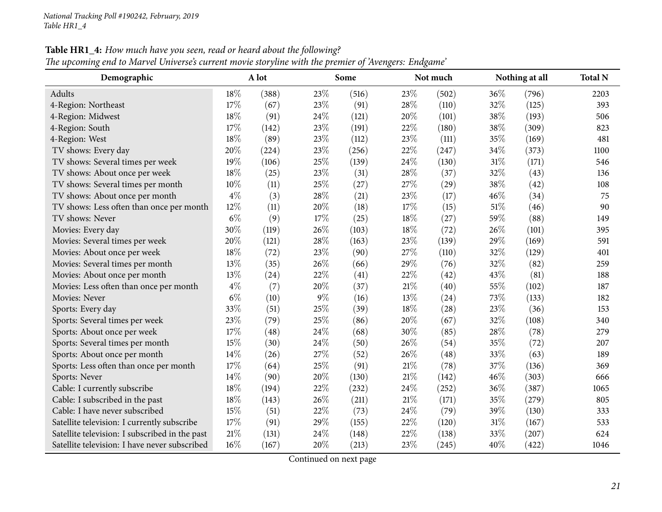| Demographic                                    |       | A lot |        | Some  |        | Not much |      | Nothing at all | <b>Total N</b> |
|------------------------------------------------|-------|-------|--------|-------|--------|----------|------|----------------|----------------|
| Adults                                         | 18%   | (388) | 23%    | (516) | 23%    | (502)    | 36\% | (796)          | 2203           |
| 4-Region: Northeast                            | 17%   | (67)  | 23%    | (91)  | 28%    | (110)    | 32%  | (125)          | 393            |
| 4-Region: Midwest                              | 18%   | (91)  | 24\%   | (121) | 20%    | (101)    | 38%  | (193)          | 506            |
| 4-Region: South                                | 17%   | (142) | 23%    | (191) | 22%    | (180)    | 38%  | (309)          | 823            |
| 4-Region: West                                 | 18%   | (89)  | 23%    | (112) | 23%    | (111)    | 35%  | (169)          | 481            |
| TV shows: Every day                            | 20%   | (224) | 23%    | (256) | 22%    | (247)    | 34%  | (373)          | 1100           |
| TV shows: Several times per week               | 19%   | (106) | $25\%$ | (139) | 24%    | (130)    | 31%  | (171)          | 546            |
| TV shows: About once per week                  | 18%   | (25)  | 23%    | (31)  | 28%    | (37)     | 32%  | (43)           | 136            |
| TV shows: Several times per month              | 10%   | (11)  | $25\%$ | (27)  | 27%    | (29)     | 38%  | (42)           | 108            |
| TV shows: About once per month                 | $4\%$ | (3)   | 28%    | (21)  | 23%    | (17)     | 46%  | (34)           | 75             |
| TV shows: Less often than once per month       | 12%   | (11)  | 20%    | (18)  | 17%    | (15)     | 51%  | (46)           | 90             |
| TV shows: Never                                | $6\%$ | (9)   | 17%    | (25)  | 18%    | (27)     | 59%  | (88)           | 149            |
| Movies: Every day                              | 30%   | (119) | 26%    | (103) | 18%    | (72)     | 26%  | (101)          | 395            |
| Movies: Several times per week                 | 20%   | (121) | 28%    | (163) | 23%    | (139)    | 29%  | (169)          | 591            |
| Movies: About once per week                    | 18%   | (72)  | 23%    | (90)  | 27%    | (110)    | 32%  | (129)          | 401            |
| Movies: Several times per month                | 13%   | (35)  | 26%    | (66)  | 29%    | (76)     | 32%  | (82)           | 259            |
| Movies: About once per month                   | 13%   | (24)  | 22%    | (41)  | 22%    | (42)     | 43%  | (81)           | 188            |
| Movies: Less often than once per month         | $4\%$ | (7)   | 20%    | (37)  | $21\%$ | (40)     | 55%  | (102)          | 187            |
| Movies: Never                                  | $6\%$ | (10)  | $9\%$  | (16)  | 13%    | (24)     | 73%  | (133)          | 182            |
| Sports: Every day                              | 33%   | (51)  | 25%    | (39)  | 18%    | (28)     | 23%  | (36)           | 153            |
| Sports: Several times per week                 | 23%   | (79)  | 25%    | (86)  | 20%    | (67)     | 32%  | (108)          | 340            |
| Sports: About once per week                    | 17%   | (48)  | 24%    | (68)  | 30%    | (85)     | 28%  | (78)           | 279            |
| Sports: Several times per month                | 15%   | (30)  | 24\%   | (50)  | 26%    | (54)     | 35%  | (72)           | 207            |
| Sports: About once per month                   | 14%   | (26)  | 27%    | (52)  | 26%    | (48)     | 33%  | (63)           | 189            |
| Sports: Less often than once per month         | 17\%  | (64)  | 25%    | (91)  | $21\%$ | (78)     | 37%  | (136)          | 369            |
| Sports: Never                                  | 14\%  | (90)  | 20%    | (130) | $21\%$ | (142)    | 46%  | (303)          | 666            |
| Cable: I currently subscribe                   | 18%   | (194) | 22%    | (232) | 24%    | (252)    | 36%  | (387)          | 1065           |
| Cable: I subscribed in the past                | 18%   | (143) | 26\%   | (211) | 21%    | (171)    | 35%  | (279)          | 805            |
| Cable: I have never subscribed                 | 15%   | (51)  | 22%    | (73)  | 24\%   | (79)     | 39%  | (130)          | 333            |
| Satellite television: I currently subscribe    | 17\%  | (91)  | 29%    | (155) | 22%    | (120)    | 31%  | (167)          | 533            |
| Satellite television: I subscribed in the past | 21%   | (131) | 24%    | (148) | 22%    | (138)    | 33%  | (207)          | 624            |
| Satellite television: I have never subscribed  | 16%   | (167) | 20%    | (213) | 23%    | (245)    | 40%  | (422)          | 1046           |

Table HR1\_4: How much have you seen, read or heard about the following?

The upcoming end to Marvel Universe's current movie storyline with the premier of 'Avengers: Endgame'

Continued on next page

d  $16\%$  (167)  $20\%$  (213)  $23\%$  (245)  $40\%$  (422)  $1046$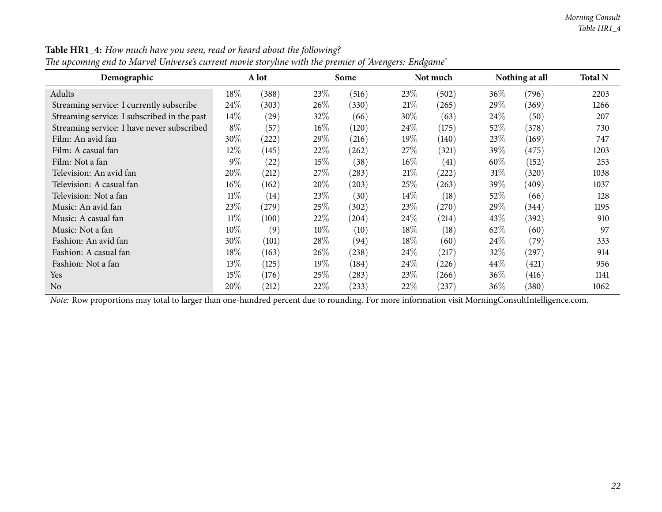| $\bf{I}$<br>$\circ$<br>Demographic          |        | A lot              |        | Some  | $\circ$<br>$\circ$ | Not much |         | Nothing at all | <b>Total N</b> |
|---------------------------------------------|--------|--------------------|--------|-------|--------------------|----------|---------|----------------|----------------|
| Adults                                      | 18\%   | (388)              | 23\%   | (516) | 23\%               | (502)    | $36\%$  | (796)          | 2203           |
| Streaming service: I currently subscribe    | 24\%   | (303)              | 26\%   | (330) | 21%                | (265)    | 29%     | (369)          | 1266           |
| Streaming service: I subscribed in the past | $14\%$ | $\left( 29\right)$ | 32%    | (66)  | 30\%               | (63)     | 24%     | (50)           | 207            |
| Streaming service: I have never subscribed  | $8\%$  | (57)               | $16\%$ | (120) | $24\%$             | (175)    | $52\%$  | (378)          | 730            |
| Film: An avid fan                           | 30%    | (222)              | 29%    | (216) | 19%                | (140)    | 23%     | (169)          | 747            |
| Film: A casual fan                          | 12%    | (145)              | 22\%   | (262) | 27%                | (321)    | 39 $\%$ | (475)          | 1203           |
| Film: Not a fan                             | $9\%$  | (22)               | 15%    | (38)  | $16\%$             | (41)     | 60\%    | (152)          | 253            |
| Television: An avid fan                     | 20%    | (212)              | 27\%   | (283) | 21%                | (222)    | 31%     | (320)          | 1038           |
| Television: A casual fan                    | $16\%$ | (162)              | $20\%$ | (203) | 25%                | (263)    | 39 $\%$ | (409)          | 1037           |
| Television: Not a fan                       | $11\%$ | (14)               | 23\%   | (30)  | $14\%$             | (18)     | $52\%$  | (66)           | 128            |
| Music: An avid fan                          | 23%    | (279)              | 25\%   | (302) | 23\%               | (270)    | 29%     | (344)          | 1195           |
| Music: A casual fan                         | $11\%$ | (100)              | 22%    | (204) | $24\%$             | (214)    | $43\%$  | (392)          | 910            |
| Music: Not a fan                            | $10\%$ | (9)                | 10%    | (10)  | 18\%               | (18)     | 62\%    | (60)           | 97             |
| Fashion: An avid fan                        | 30%    | (101)              | 28\%   | (94)  | 18\%               | (60)     | 24\%    | (79)           | 333            |
| Fashion: A casual fan                       | 18%    | (163)              | $26\%$ | (238) | $24\%$             | (217)    | 32\%    | (297)          | 914            |
| Fashion: Not a fan                          | 13\%   | (125)              | 19%    | (184) | $24\%$             | (226)    | 44\%    | (421)          | 956            |
| Yes                                         | 15%    | (176)              | $25\%$ | (283) | 23\%               | (266)    | $36\%$  | (416)          | 1141           |
| N <sub>0</sub>                              | 20%    | (212)              | $22\%$ | (233) | 22%                | (237)    | $36\%$  | (380)          | 1062           |

Table HR1\_4: How much have you seen, read or heard about the following?

The upcoming end to Marvel Universe's current movie storyline with the premier of 'Avengers: Endgame'

*Note:* Row proportions may total to larger than one-hundred percen<sup>t</sup> due to rounding. For more information visit [MorningConsultIntelligence.com](https://morningconsultintelligence.com).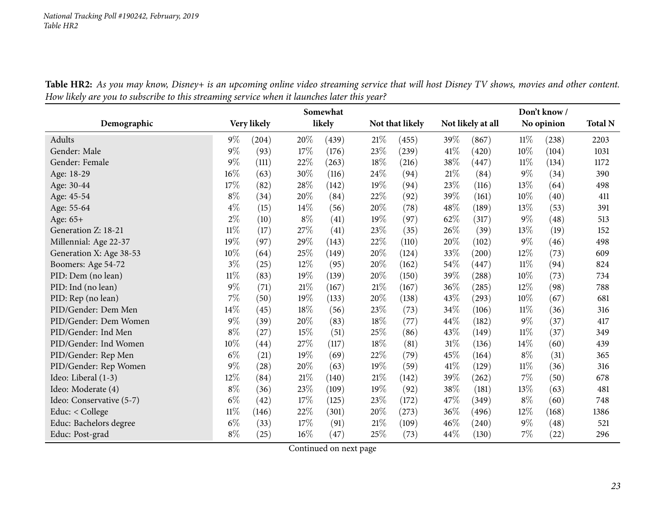| Table HR2: As you may know, Disney+ is an upcoming online video streaming service that will host Disney TV shows, movies and other content. |  |
|---------------------------------------------------------------------------------------------------------------------------------------------|--|
| How likely are you to subscribe to this streaming service when it launches later this year?                                                 |  |

<span id="page-22-0"></span>

|                          | Somewhat |             |        |        |     |                 |        |                   | Don't know/ |            |                |  |  |
|--------------------------|----------|-------------|--------|--------|-----|-----------------|--------|-------------------|-------------|------------|----------------|--|--|
| Demographic              |          | Very likely |        | likely |     | Not that likely |        | Not likely at all |             | No opinion | <b>Total N</b> |  |  |
| Adults                   | $9\%$    | (204)       | 20%    | (439)  | 21% | (455)           | 39%    | (867)             | 11%         | (238)      | 2203           |  |  |
| Gender: Male             | $9\%$    | (93)        | 17%    | (176)  | 23% | (239)           | 41\%   | (420)             | 10%         | (104)      | 1031           |  |  |
| Gender: Female           | $9\%$    | (111)       | 22%    | (263)  | 18% | (216)           | 38%    | (447)             | $11\%$      | (134)      | 1172           |  |  |
| Age: 18-29               | $16\%$   | (63)        | 30%    | (116)  | 24% | (94)            | 21%    | (84)              | $9\%$       | (34)       | 390            |  |  |
| Age: 30-44               | $17\%$   | (82)        | 28\%   | (142)  | 19% | (94)            | 23%    | (116)             | 13%         | (64)       | 498            |  |  |
| Age: 45-54               | $8\%$    | (34)        | 20%    | (84)   | 22% | (92)            | 39%    | (161)             | 10%         | (40)       | 411            |  |  |
| Age: 55-64               | $4\%$    | (15)        | 14%    | (56)   | 20% | (78)            | 48%    | (189)             | 13%         | (53)       | 391            |  |  |
| Age: 65+                 | $2\%$    | (10)        | $8\%$  | (41)   | 19% | (97)            | 62%    | (317)             | $9\%$       | (48)       | 513            |  |  |
| Generation Z: 18-21      | $11\%$   | (17)        | 27%    | (41)   | 23% | (35)            | 26%    | (39)              | 13%         | (19)       | 152            |  |  |
| Millennial: Age 22-37    | 19%      | (97)        | 29%    | (143)  | 22% | (110)           | 20%    | (102)             | $9\%$       | (46)       | 498            |  |  |
| Generation X: Age 38-53  | 10%      | (64)        | 25%    | (149)  | 20% | (124)           | 33%    | (200)             | 12%         | (73)       | 609            |  |  |
| Boomers: Age 54-72       | $3\%$    | (25)        | 12%    | (95)   | 20% | (162)           | 54\%   | (447)             | $11\%$      | (94)       | 824            |  |  |
| PID: Dem (no lean)       | $11\%$   | (83)        | 19%    | (139)  | 20% | (150)           | 39%    | (288)             | 10%         | (73)       | 734            |  |  |
| PID: Ind (no lean)       | $9\%$    | (71)        | $21\%$ | (167)  | 21% | (167)           | 36\%   | (285)             | 12%         | (98)       | 788            |  |  |
| PID: Rep (no lean)       | $7\%$    | (50)        | 19%    | (133)  | 20% | (138)           | 43%    | (293)             | 10%         | (67)       | 681            |  |  |
| PID/Gender: Dem Men      | 14%      | (45)        | 18%    | (56)   | 23% | (73)            | 34\%   | (106)             | $11\%$      | (36)       | 316            |  |  |
| PID/Gender: Dem Women    | $9\%$    | (39)        | 20%    | (83)   | 18% | (77)            | 44\%   | (182)             | $9\%$       | (37)       | 417            |  |  |
| PID/Gender: Ind Men      | $8\%$    | (27)        | 15%    | (51)   | 25% | (86)            | 43%    | (149)             | $11\%$      | (37)       | 349            |  |  |
| PID/Gender: Ind Women    | $10\%$   | (44)        | 27%    | (117)  | 18% | (81)            | $31\%$ | (136)             | 14%         | (60)       | 439            |  |  |
| PID/Gender: Rep Men      | $6\%$    | (21)        | 19%    | (69)   | 22% | (79)            | 45%    | (164)             | $8\%$       | (31)       | 365            |  |  |
| PID/Gender: Rep Women    | $9\%$    | (28)        | 20%    | (63)   | 19% | (59)            | 41\%   | (129)             | $11\%$      | (36)       | 316            |  |  |
| Ideo: Liberal (1-3)      | $12\%$   | (84)        | $21\%$ | (140)  | 21% | (142)           | 39%    | (262)             | 7%          | (50)       | 678            |  |  |
| Ideo: Moderate (4)       | $8\%$    | (36)        | 23%    | (109)  | 19% | (92)            | 38%    | (181)             | 13%         | (63)       | 481            |  |  |
| Ideo: Conservative (5-7) | $6\%$    | (42)        | 17%    | (125)  | 23% | (172)           | 47\%   | (349)             | $8\%$       | (60)       | 748            |  |  |
| Educ: < College          | $11\%$   | (146)       | 22%    | (301)  | 20% | (273)           | 36%    | (496)             | $12\%$      | (168)      | 1386           |  |  |
| Educ: Bachelors degree   | $6\%$    | (33)        | 17%    | (91)   | 21% | (109)           | 46\%   | (240)             | $9\%$       | (48)       | 521            |  |  |
| Educ: Post-grad          | $8\%$    | (25)        | $16\%$ | (47)   | 25% | (73)            | 44%    | (130)             | 7%          | (22)       | 296            |  |  |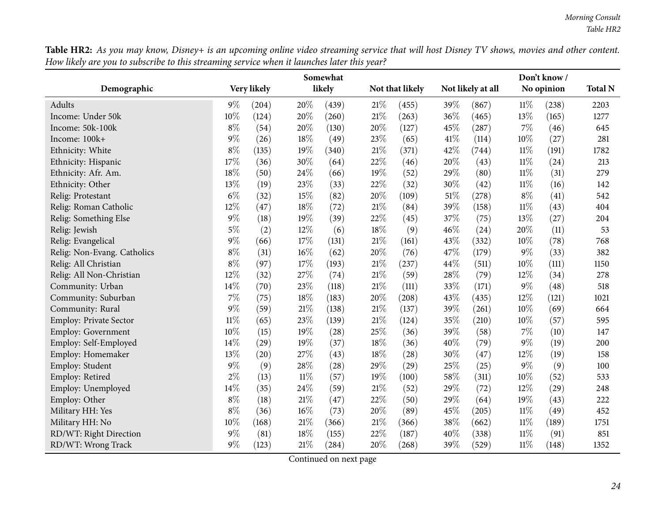Table HR2: As you may know, Disney+ is an upcoming online video streaming service that will host Disney TV shows, movies and other content. How likely are you to subscribe to this streaming service when it launches later this year?  $\overline{\phantom{0}}$ 

|                             | Somewhat |             |        |        |        |                 |      | Don't know /      |        |            |                |  |
|-----------------------------|----------|-------------|--------|--------|--------|-----------------|------|-------------------|--------|------------|----------------|--|
| Demographic                 |          | Very likely |        | likely |        | Not that likely |      | Not likely at all |        | No opinion | <b>Total N</b> |  |
| Adults                      | $9\%$    | (204)       | 20%    | (439)  | 21%    | (455)           | 39%  | (867)             | $11\%$ | (238)      | 2203           |  |
| Income: Under 50k           | 10%      | (124)       | 20%    | (260)  | 21%    | (263)           | 36%  | (465)             | 13%    | (165)      | 1277           |  |
| Income: 50k-100k            | $8\%$    | (54)        | 20%    | (130)  | 20%    | (127)           | 45%  | (287)             | 7%     | (46)       | 645            |  |
| Income: 100k+               | $9\%$    | (26)        | 18%    | (49)   | 23%    | (65)            | 41\% | (114)             | 10%    | (27)       | 281            |  |
| Ethnicity: White            | $8\%$    | (135)       | 19%    | (340)  | 21%    | (371)           | 42%  | (744)             | 11%    | (191)      | 1782           |  |
| Ethnicity: Hispanic         | 17%      | (36)        | 30%    | (64)   | 22%    | (46)            | 20%  | (43)              | 11%    | (24)       | 213            |  |
| Ethnicity: Afr. Am.         | 18%      | (50)        | 24%    | (66)   | 19%    | (52)            | 29%  | (80)              | $11\%$ | (31)       | 279            |  |
| Ethnicity: Other            | 13%      | (19)        | 23%    | (33)   | 22%    | (32)            | 30%  | (42)              | 11%    | (16)       | 142            |  |
| Relig: Protestant           | $6\%$    | (32)        | 15%    | (82)   | 20%    | (109)           | 51%  | (278)             | $8\%$  | (41)       | 542            |  |
| Relig: Roman Catholic       | 12%      | (47)        | 18%    | (72)   | 21%    | (84)            | 39%  | (158)             | $11\%$ | (43)       | 404            |  |
| Relig: Something Else       | $9\%$    | (18)        | 19%    | (39)   | 22%    | (45)            | 37%  | (75)              | 13%    | (27)       | 204            |  |
| Relig: Jewish               | $5\%$    | (2)         | 12%    | (6)    | 18%    | (9)             | 46%  | (24)              | 20%    | (11)       | 53             |  |
| Relig: Evangelical          | $9\%$    | (66)        | 17%    | (131)  | 21%    | (161)           | 43%  | (332)             | 10%    | (78)       | 768            |  |
| Relig: Non-Evang. Catholics | $8\%$    | (31)        | 16%    | (62)   | 20%    | (76)            | 47%  | (179)             | $9\%$  | (33)       | 382            |  |
| Relig: All Christian        | $8\%$    | (97)        | 17%    | (193)  | 21%    | (237)           | 44%  | (511)             | 10%    | (111)      | 1150           |  |
| Relig: All Non-Christian    | 12%      | (32)        | 27%    | (74)   | 21%    | (59)            | 28%  | (79)              | 12%    | (34)       | 278            |  |
| Community: Urban            | 14%      | (70)        | 23%    | (118)  | 21\%   | (111)           | 33%  | (171)             | $9\%$  | (48)       | 518            |  |
| Community: Suburban         | 7%       | (75)        | 18%    | (183)  | 20%    | (208)           | 43%  | (435)             | 12%    | (121)      | 1021           |  |
| Community: Rural            | $9\%$    | (59)        | 21\%   | (138)  | 21%    | (137)           | 39%  | (261)             | 10%    | (69)       | 664            |  |
| Employ: Private Sector      | $11\%$   | (65)        | 23%    | (139)  | 21%    | (124)           | 35%  | (210)             | 10%    | (57)       | 595            |  |
| <b>Employ: Government</b>   | 10%      | (15)        | 19%    | (28)   | 25%    | (36)            | 39%  | (58)              | $7\%$  | (10)       | 147            |  |
| Employ: Self-Employed       | 14%      | (29)        | 19%    | (37)   | 18%    | (36)            | 40%  | (79)              | 9%     | (19)       | 200            |  |
| Employ: Homemaker           | 13%      | (20)        | 27%    | (43)   | 18%    | (28)            | 30%  | (47)              | 12%    | (19)       | 158            |  |
| Employ: Student             | $9\%$    | (9)         | 28%    | (28)   | 29%    | (29)            | 25%  | (25)              | $9\%$  | (9)        | 100            |  |
| Employ: Retired             | $2\%$    | (13)        | $11\%$ | (57)   | 19%    | (100)           | 58%  | (311)             | 10%    | (52)       | 533            |  |
| Employ: Unemployed          | 14%      | (35)        | 24%    | (59)   | 21%    | (52)            | 29%  | (72)              | 12%    | (29)       | 248            |  |
| Employ: Other               | $8\%$    | (18)        | 21%    | (47)   | 22%    | (50)            | 29%  | (64)              | 19%    | (43)       | 222            |  |
| Military HH: Yes            | $8\%$    | (36)        | 16%    | (73)   | 20%    | (89)            | 45%  | (205)             | $11\%$ | (49)       | 452            |  |
| Military HH: No             | 10%      | (168)       | 21%    | (366)  | $21\%$ | (366)           | 38%  | (662)             | 11%    | (189)      | 1751           |  |
| RD/WT: Right Direction      | $9\%$    | (81)        | 18%    | (155)  | 22%    | (187)           | 40%  | (338)             | 11%    | (91)       | 851            |  |
| RD/WT: Wrong Track          | $9\%$    | (123)       | 21%    | (284)  | 20%    | (268)           | 39%  | (529)             | $11\%$ | (148)      | 1352           |  |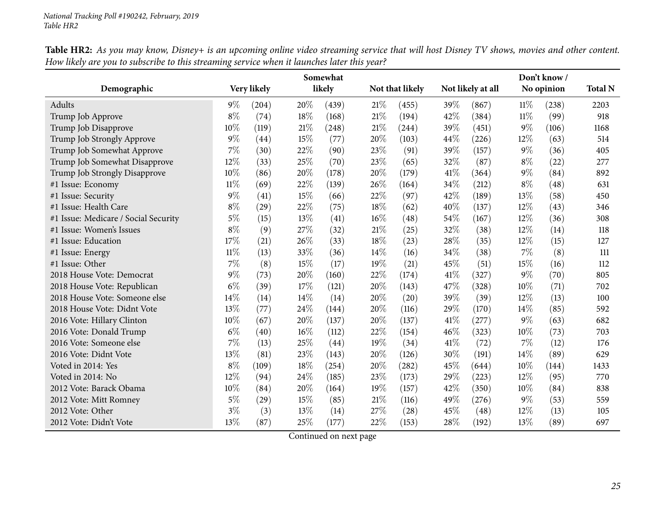|                                      | Somewhat |             |     |        |     |                     |      |                   |        | Don't know/ |                |  |  |  |
|--------------------------------------|----------|-------------|-----|--------|-----|---------------------|------|-------------------|--------|-------------|----------------|--|--|--|
| Demographic                          |          | Very likely |     | likely |     | Not that likely     |      | Not likely at all |        | No opinion  | <b>Total N</b> |  |  |  |
| Adults                               | $9\%$    | (204)       | 20% | (439)  | 21% | (455)               | 39%  | (867)             | $11\%$ | (238)       | 2203           |  |  |  |
| Trump Job Approve                    | $8\%$    | (74)        | 18% | (168)  | 21% | (194)               | 42%  | (384)             | 11%    | (99)        | 918            |  |  |  |
| Trump Job Disapprove                 | 10\%     | (119)       | 21% | (248)  | 21% | (244)               | 39%  | (451)             | $9\%$  | (106)       | 1168           |  |  |  |
| Trump Job Strongly Approve           | $9\%$    | (44)        | 15% | (77)   | 20% | (103)               | 44\% | (226)             | 12%    | (63)        | 514            |  |  |  |
| Trump Job Somewhat Approve           | 7%       | (30)        | 22% | (90)   | 23% | (91)                | 39%  | (157)             | $9\%$  | (36)        | 405            |  |  |  |
| Trump Job Somewhat Disapprove        | 12%      | (33)        | 25% | (70)   | 23% | (65)                | 32%  | (87)              | $8\%$  | (22)        | 277            |  |  |  |
| Trump Job Strongly Disapprove        | 10%      | (86)        | 20% | (178)  | 20% | (179)               | 41\% | (364)             | $9\%$  | (84)        | 892            |  |  |  |
| #1 Issue: Economy                    | $11\%$   | (69)        | 22% | (139)  | 26% | (164)               | 34%  | (212)             | $8\%$  | (48)        | 631            |  |  |  |
| #1 Issue: Security                   | $9\%$    | (41)        | 15% | (66)   | 22% | (97)                | 42%  | (189)             | 13%    | (58)        | 450            |  |  |  |
| #1 Issue: Health Care                | $8\%$    | (29)        | 22% | (75)   | 18% | (62)                | 40%  | (137)             | 12%    | (43)        | 346            |  |  |  |
| #1 Issue: Medicare / Social Security | $5\%$    | (15)        | 13% | (41)   | 16% | (48)                | 54%  | (167)             | 12%    | (36)        | 308            |  |  |  |
| #1 Issue: Women's Issues             | $8\%$    | (9)         | 27% | (32)   | 21% | (25)                | 32%  | (38)              | 12%    | (14)        | 118            |  |  |  |
| #1 Issue: Education                  | 17%      | (21)        | 26% | (33)   | 18% | (23)                | 28%  | (35)              | 12%    | (15)        | 127            |  |  |  |
| #1 Issue: Energy                     | $11\%$   | (13)        | 33% | (36)   | 14% | (16)                | 34%  | (38)              | 7%     | (8)         | 111            |  |  |  |
| #1 Issue: Other                      | $7\%$    | (8)         | 15% | (17)   | 19% | (21)                | 45%  | (51)              | 15%    | (16)        | 112            |  |  |  |
| 2018 House Vote: Democrat            | $9\%$    | (73)        | 20% | (160)  | 22% | (174)               | 41%  | (327)             | $9\%$  | (70)        | 805            |  |  |  |
| 2018 House Vote: Republican          | $6\%$    | (39)        | 17% | (121)  | 20% | (143)               | 47%  | (328)             | 10%    | (71)        | 702            |  |  |  |
| 2018 House Vote: Someone else        | 14%      | (14)        | 14% | (14)   | 20% | (20)                | 39%  | (39)              | 12%    | (13)        | 100            |  |  |  |
| 2018 House Vote: Didnt Vote          | $13\%$   | (77)        | 24% | (144)  | 20% | (116)               | 29%  | (170)             | 14%    | (85)        | 592            |  |  |  |
| 2016 Vote: Hillary Clinton           | 10%      | (67)        | 20% | (137)  | 20% | (137)               | 41%  | (277)             | $9\%$  | (63)        | 682            |  |  |  |
| 2016 Vote: Donald Trump              | $6\%$    | (40)        | 16% | (112)  | 22% | (154)               | 46%  | (323)             | 10%    | (73)        | 703            |  |  |  |
| 2016 Vote: Someone else              | $7\%$    | (13)        | 25% | (44)   | 19% | (34)                | 41\% | (72)              | 7%     | (12)        | 176            |  |  |  |
| 2016 Vote: Didnt Vote                | 13%      | (81)        | 23% | (143)  | 20% | (126)               | 30%  | (191)             | 14%    | (89)        | 629            |  |  |  |
| Voted in 2014: Yes                   | $8\%$    | (109)       | 18% | (254)  | 20% | $\left( 282\right)$ | 45%  | (644)             | 10%    | (144)       | 1433           |  |  |  |
| Voted in 2014: No                    | 12%      | (94)        | 24% | (185)  | 23% | (173)               | 29%  | (223)             | 12%    | (95)        | 770            |  |  |  |
| 2012 Vote: Barack Obama              | $10\%$   | (84)        | 20% | (164)  | 19% | (157)               | 42%  | (350)             | 10%    | (84)        | 838            |  |  |  |
| 2012 Vote: Mitt Romney               | $5\%$    | (29)        | 15% | (85)   | 21% | (116)               | 49%  | (276)             | $9\%$  | (53)        | 559            |  |  |  |
| 2012 Vote: Other                     | $3\%$    | (3)         | 13% | (14)   | 27% | (28)                | 45%  | (48)              | 12%    | (13)        | 105            |  |  |  |
| 2012 Vote: Didn't Vote               | 13%      | (87)        | 25% | (177)  | 22% | (153)               | 28%  | (192)             | 13%    | (89)        | 697            |  |  |  |

Table HR2: As you may know, Disney+ is an upcoming online video streaming service that will host Disney TV shows, movies and other content. How likely are you to subscribe to this streaming service when it launches later this year?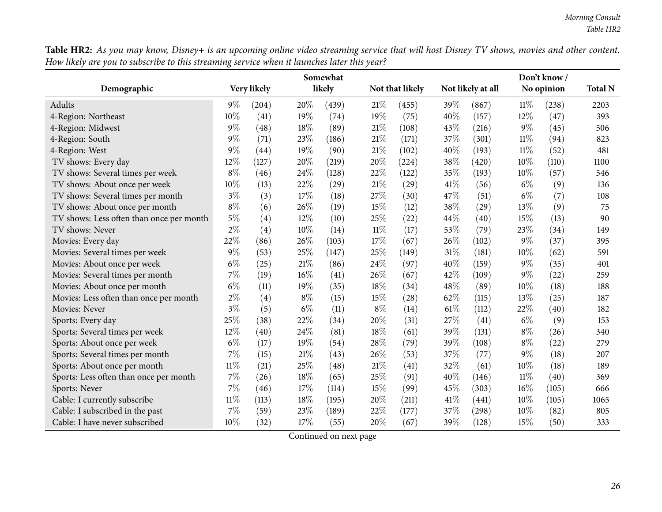Table HR2: As you may know, Disney+ is an upcoming online video streaming service that will host Disney TV shows, movies and other content. How likely are you to subscribe to this streaming service when it launches later this year?

|                                          | Somewhat |             |       |        |        |                 |      | Don't know /      |        |            |                |  |
|------------------------------------------|----------|-------------|-------|--------|--------|-----------------|------|-------------------|--------|------------|----------------|--|
| Demographic                              |          | Very likely |       | likely |        | Not that likely |      | Not likely at all |        | No opinion | <b>Total N</b> |  |
| Adults                                   | $9\%$    | (204)       | 20%   | (439)  | 21%    | (455)           | 39%  | (867)             | 11%    | (238)      | 2203           |  |
| 4-Region: Northeast                      | 10%      | (41)        | 19%   | (74)   | 19%    | (75)            | 40%  | (157)             | 12%    | (47)       | 393            |  |
| 4-Region: Midwest                        | $9\%$    | (48)        | 18%   | (89)   | 21%    | (108)           | 43%  | (216)             | $9\%$  | (45)       | 506            |  |
| 4-Region: South                          | $9\%$    | (71)        | 23%   | (186)  | 21\%   | (171)           | 37%  | (301)             | $11\%$ | (94)       | 823            |  |
| 4-Region: West                           | $9\%$    | (44)        | 19%   | (90)   | 21\%   | (102)           | 40%  | (193)             | $11\%$ | (52)       | 481            |  |
| TV shows: Every day                      | 12%      | (127)       | 20%   | (219)  | 20%    | (224)           | 38%  | (420)             | 10%    | (110)      | 1100           |  |
| TV shows: Several times per week         | $8\%$    | (46)        | 24%   | (128)  | 22%    | (122)           | 35%  | (193)             | 10%    | (57)       | 546            |  |
| TV shows: About once per week            | 10%      | (13)        | 22%   | (29)   | 21\%   | (29)            | 41%  | (56)              | $6\%$  | (9)        | 136            |  |
| TV shows: Several times per month        | $3\%$    | (3)         | 17%   | (18)   | 27%    | (30)            | 47%  | (51)              | $6\%$  | (7)        | 108            |  |
| TV shows: About once per month           | $8\%$    | (6)         | 26%   | (19)   | 15%    | (12)            | 38%  | (29)              | 13%    | (9)        | 75             |  |
| TV shows: Less often than once per month | $5\%$    | (4)         | 12%   | (10)   | 25%    | (22)            | 44%  | (40)              | 15%    | (13)       | 90             |  |
| TV shows: Never                          | $2\%$    | (4)         | 10%   | (14)   | $11\%$ | (17)            | 53%  | (79)              | 23%    | (34)       | 149            |  |
| Movies: Every day                        | 22%      | (86)        | 26%   | (103)  | 17%    | (67)            | 26%  | (102)             | $9\%$  | (37)       | 395            |  |
| Movies: Several times per week           | $9\%$    | (53)        | 25%   | (147)  | 25%    | (149)           | 31\% | (181)             | 10%    | (62)       | 591            |  |
| Movies: About once per week              | $6\%$    | (25)        | 21%   | (86)   | 24%    | (97)            | 40%  | (159)             | $9\%$  | (35)       | 401            |  |
| Movies: Several times per month          | $7\%$    | (19)        | 16%   | (41)   | 26%    | (67)            | 42%  | (109)             | $9\%$  | (22)       | 259            |  |
| Movies: About once per month             | $6\%$    | (11)        | 19%   | (35)   | 18%    | (34)            | 48%  | (89)              | 10%    | (18)       | 188            |  |
| Movies: Less often than once per month   | $2\%$    | (4)         | $8\%$ | (15)   | 15%    | (28)            | 62%  | (115)             | 13%    | (25)       | 187            |  |
| Movies: Never                            | $3\%$    | (5)         | $6\%$ | (11)   | $8\%$  | (14)            | 61%  | (112)             | 22%    | (40)       | 182            |  |
| Sports: Every day                        | 25%      | (38)        | 22%   | (34)   | 20%    | (31)            | 27%  | (41)              | $6\%$  | (9)        | 153            |  |
| Sports: Several times per week           | 12%      | (40)        | 24%   | (81)   | 18%    | (61)            | 39%  | (131)             | $8\%$  | (26)       | 340            |  |
| Sports: About once per week              | $6\%$    | (17)        | 19%   | (54)   | 28%    | (79)            | 39%  | (108)             | $8\%$  | (22)       | 279            |  |
| Sports: Several times per month          | 7%       | (15)        | 21%   | (43)   | 26%    | (53)            | 37%  | (77)              | $9\%$  | (18)       | 207            |  |
| Sports: About once per month             | $11\%$   | (21)        | 25%   | (48)   | 21\%   | (41)            | 32%  | (61)              | 10%    | (18)       | 189            |  |
| Sports: Less often than once per month   | 7%       | (26)        | 18%   | (65)   | 25%    | (91)            | 40%  | (146)             | $11\%$ | (40)       | 369            |  |
| Sports: Never                            | $7\%$    | (46)        | 17%   | (114)  | 15%    | (99)            | 45%  | (303)             | $16\%$ | (105)      | 666            |  |
| Cable: I currently subscribe             | $11\%$   | (113)       | 18%   | (195)  | 20%    | (211)           | 41\% | (441)             | 10%    | (105)      | 1065           |  |
| Cable: I subscribed in the past          | 7%       | (59)        | 23%   | (189)  | 22%    | (177)           | 37%  | (298)             | 10%    | (82)       | 805            |  |
| Cable: I have never subscribed           | 10%      | (32)        | 17%   | (55)   | 20%    | (67)            | 39%  | (128)             | 15%    | (50)       | 333            |  |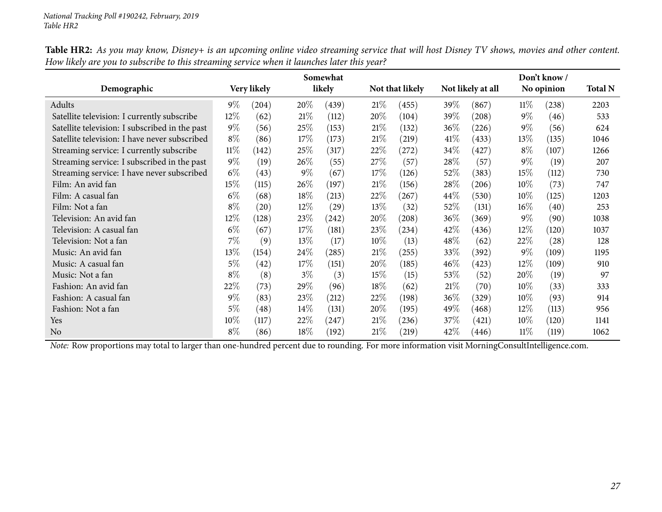|                                                | Somewhat |                    |        |                     |        |                 |        |                   |            | Don't know /       |      |  |  |
|------------------------------------------------|----------|--------------------|--------|---------------------|--------|-----------------|--------|-------------------|------------|--------------------|------|--|--|
| Demographic                                    |          | Very likely        |        | likely              |        | Not that likely |        | Not likely at all | No opinion | <b>Total N</b>     |      |  |  |
| Adults                                         | $9\%$    | (204)              | 20%    | (439)               | 21%    | (455)           | 39\%   | (867)             | $11\%$     | (238)              | 2203 |  |  |
| Satellite television: I currently subscribe    | $12\%$   | (62)               | 21%    | (112)               | 20%    | (104)           | 39\%   | (208)             | $9\%$      | (46)               | 533  |  |  |
| Satellite television: I subscribed in the past | $9\%$    | (56)               | 25\%   | (153)               | 21%    | (132)           | $36\%$ | (226)             | $9\%$      | (56)               | 624  |  |  |
| Satellite television: I have never subscribed  | $8\%$    | (86)               | 17%    | (173)               | 21%    | (219)           | 41\%   | (433)             | 13%        | (135)              | 1046 |  |  |
| Streaming service: I currently subscribe       | $11\%$   | (142)              | 25\%   | (317)               | 22\%   | (272)           | 34\%   | (427)             | $8\%$      | (107)              | 1266 |  |  |
| Streaming service: I subscribed in the past    | $9\%$    | (19)               | 26\%   | (55)                | 27\%   | (57)            | 28\%   | (57)              | $9\%$      | (19)               | 207  |  |  |
| Streaming service: I have never subscribed     | $6\%$    | (43)               | $9\%$  | (67)                | 17%    | (126)           | 52\%   | (383)             | 15\%       | (112)              | 730  |  |  |
| Film: An avid fan                              | $15\%$   | (115)              | 26\%   | (197)               | 21%    | (156)           | 28\%   | (206)             | $10\%$     | (73)               | 747  |  |  |
| Film: A casual fan                             | $6\%$    | (68)               | 18%    | (213)               | 22%    | (267)           | $44\%$ | (530)             | $10\%$     | (125)              | 1203 |  |  |
| Film: Not a fan                                | $8\%$    | $\left( 20\right)$ | $12\%$ | (29)                | 13%    | (32)            | 52\%   | (131)             | $16\%$     | (40)               | 253  |  |  |
| Television: An avid fan                        | 12%      | (128)              | 23\%   | $\left( 242\right)$ | 20%    | (208)           | $36\%$ | (369)             | $9\%$      | (90)               | 1038 |  |  |
| Television: A casual fan                       | $6\%$    | (67)               | 17%    | (181)               | 23\%   | (234)           | 42\%   | (436)             | 12\%       | (120)              | 1037 |  |  |
| Television: Not a fan                          | 7%       | (9)                | 13\%   | (17)                | $10\%$ | (13)            | $48\%$ | (62)              | $22\%$     | $\left( 28\right)$ | 128  |  |  |
| Music: An avid fan                             | 13%      | (154)              | 24\%   | (285)               | 21%    | (255)           | 33\%   | (392)             | $9\%$      | (109)              | 1195 |  |  |
| Music: A casual fan                            | $5\%$    | (42)               | 17%    | (151)               | 20%    | (185)           | $46\%$ | (423)             | $12\%$     | (109)              | 910  |  |  |
| Music: Not a fan                               | $8\%$    | (8)                | $3\%$  | (3)                 | 15%    | (15)            | 53\%   | (52)              | $20\%$     | (19)               | 97   |  |  |
| Fashion: An avid fan                           | 22%      | (73)               | 29%    | (96)                | 18%    | (62)            | 21%    | (70)              | $10\%$     | (33)               | 333  |  |  |
| Fashion: A casual fan                          | $9\%$    | (83)               | 23\%   | (212)               | 22\%   | (198)           | $36\%$ | (329)             | $10\%$     | (93)               | 914  |  |  |
| Fashion: Not a fan                             | $5\%$    | (48)               | $14\%$ | (131)               | 20%    | (195)           | 49\%   | (468)             | 12\%       | (113)              | 956  |  |  |
| Yes                                            | $10\%$   | (117)              | 22%    | (247)               | 21%    | (236)           | 37%    | (421)             | $10\%$     | (120)              | 1141 |  |  |
| No                                             | $8\%$    | (86)               | $18\%$ | (192)               | 21%    | (219)           | 42\%   | (446)             | 11%        | (119)              | 1062 |  |  |

Table HR2: As you may know, Disney+ is an upcoming online video streaming service that will host Disney TV shows, movies and other content. How likely are you to subscribe to this streaming service when it launches later this year?

*Note:* Row proportions may total to larger than one-hundred percen<sup>t</sup> due to rounding. For more information visit [MorningConsultIntelligence.com](https://morningconsultintelligence.com).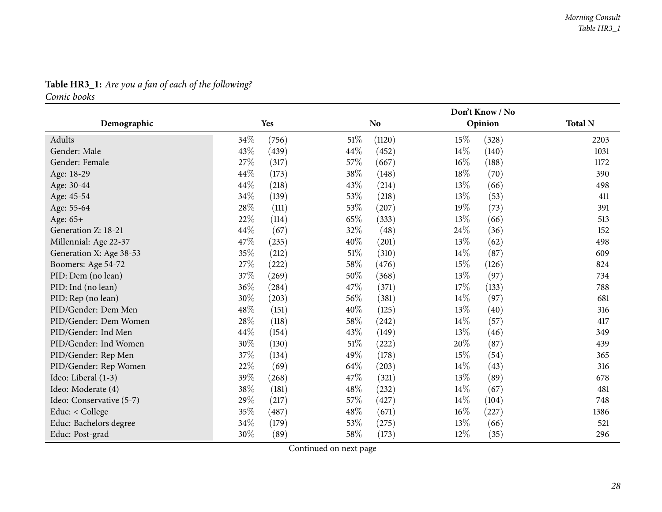## **Table HR3\_1:** *Are you <sup>a</sup> fan of each of the following?*

*Comic books*

<span id="page-27-0"></span>

|                          |                 |                 | Don't Know / No |                |  |  |  |  |
|--------------------------|-----------------|-----------------|-----------------|----------------|--|--|--|--|
| Demographic              | Yes             | N <sub>o</sub>  | Opinion         | <b>Total N</b> |  |  |  |  |
| Adults                   | 34%<br>(756)    | 51%<br>(1120)   | 15\%<br>(328)   | 2203           |  |  |  |  |
| Gender: Male             | 43\%<br>(439)   | 44\%<br>(452)   | $14\%$<br>(140) | 1031           |  |  |  |  |
| Gender: Female           | 27\%<br>(317)   | 57%<br>(667)    | $16\%$<br>(188) | 1172           |  |  |  |  |
| Age: 18-29               | 44\%<br>(173)   | 38\%<br>(148)   | 18%<br>(70)     | 390            |  |  |  |  |
| Age: 30-44               | 44%<br>(218)    | 43%<br>(214)    | 13\%<br>(66)    | 498            |  |  |  |  |
| Age: 45-54               | 34\%<br>(139)   | 53%<br>(218)    | 13%<br>(53)     | 411            |  |  |  |  |
| Age: 55-64               | 28%<br>(111)    | 53%<br>(207)    | 19%<br>(73)     | 391            |  |  |  |  |
| Age: 65+                 | 22\%<br>(114)   | 65%<br>(333)    | $13\%$<br>(66)  | 513            |  |  |  |  |
| Generation Z: 18-21      | 44%<br>(67)     | 32%<br>(48)     | 24%<br>(36)     | 152            |  |  |  |  |
| Millennial: Age 22-37    | 47\%<br>(235)   | 40\%<br>(201)   | 13%<br>(62)     | 498            |  |  |  |  |
| Generation X: Age 38-53  | 35%<br>(212)    | 51\%<br>(310)   | 14\%<br>(87)    | 609            |  |  |  |  |
| Boomers: Age 54-72       | 27%<br>(222)    | 58\%<br>(476)   | 15\%<br>(126)   | 824            |  |  |  |  |
| PID: Dem (no lean)       | 37%<br>(269)    | 50%<br>(368)    | 13%<br>(97)     | 734            |  |  |  |  |
| PID: Ind (no lean)       | 36\%<br>(284)   | 47%<br>(371)    | 17\%<br>(133)   | 788            |  |  |  |  |
| PID: Rep (no lean)       | 30%<br>(203)    | 56\%<br>(381)   | $14\%$<br>(97)  | 681            |  |  |  |  |
| PID/Gender: Dem Men      | 48\%<br>(151)   | 40\%<br>(125)   | 13\%<br>(40)    | 316            |  |  |  |  |
| PID/Gender: Dem Women    | $28\%$<br>(118) | 58\%<br>(242)   | $14\%$<br>(57)  | 417            |  |  |  |  |
| PID/Gender: Ind Men      | 44\%<br>(154)   | 43%<br>(149)    | 13\%<br>(46)    | 349            |  |  |  |  |
| PID/Gender: Ind Women    | 30%<br>(130)    | $51\%$<br>(222) | 20%<br>(87)     | 439            |  |  |  |  |
| PID/Gender: Rep Men      | 37%<br>(134)    | 49%<br>(178)    | 15%<br>(54)     | 365            |  |  |  |  |
| PID/Gender: Rep Women    | 22%<br>(69)     | 64%<br>(203)    | $14\%$<br>(43)  | 316            |  |  |  |  |
| Ideo: Liberal (1-3)      | 39%<br>(268)    | 47%<br>(321)    | 13\%<br>(89)    | 678            |  |  |  |  |
| Ideo: Moderate (4)       | $38\%$<br>(181) | 48\%<br>(232)   | $14\%$<br>(67)  | 481            |  |  |  |  |
| Ideo: Conservative (5-7) | 29%<br>(217)    | 57\%<br>(427)   | $14\%$<br>(104) | 748            |  |  |  |  |
| Educ: < College          | 35%<br>(487)    | $48\%$<br>(671) | $16\%$<br>(227) | 1386           |  |  |  |  |
| Educ: Bachelors degree   | $34\%$<br>(179) | 53%<br>(275)    | 13\%<br>(66)    | 521            |  |  |  |  |
| Educ: Post-grad          | 30%<br>(89)     | 58%<br>(173)    | 12%<br>(35)     | 296            |  |  |  |  |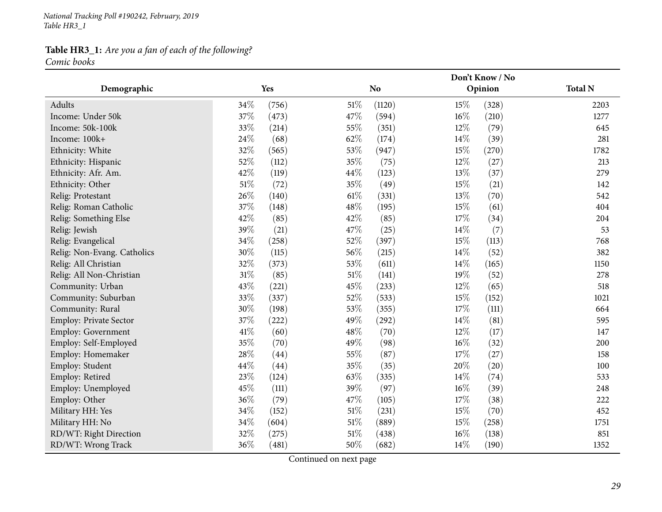*National Tracking Poll #190242, February, <sup>2019</sup> Table HR3\_1*

#### **Table HR3\_1:** *Are you <sup>a</sup> fan of each of the following? Comic books*

**Demographic Yes NoDon't Know / NoOpinion Total <sup>N</sup>**Adults $34\%$  (756)  $51\%$  (1120)  $15\%$  (328) 2203 1277 Income: Under 50kk  $37\%$  (473)  $47\%$  (594)  $16\%$  (210)  $1277$ Income: 50k-100kk  $33\%$  (214)  $55\%$  (351)  $12\%$  (79) 645 Income: 100k+<br>Ethnicity: White  $+$  24% (68) 62% (174)  $14\%$  (39) 281 Ethnicity: White  $32\%$   $(565)$   $53\%$   $(947)$   $15\%$   $(270)$   $1782$ Ethnicity: Hispanic  $52\%$   $(112)$   $35\%$   $(75)$   $12\%$   $(27)$   $213$ Ethnicity: Afr. Am.  $42\%$  (119)  $44\%$  (123)  $13\%$  (37)  $279$ 142 Ethnicity: Other 51% (72) 35% (49) 51% (21) 542 Relig: Protestant 26% (140)  $26\%$  (140) 61% (331)  $13\%$  (70) 542 Relig: Roman Catholic  $37\%$   $(148)$   $48\%$   $(195)$   $15\%$   $(61)$   $404$ 204 Relig: Something Else  $42\%$   $(85)$   $42\%$   $(85)$   $(85)$   $17\%$   $(34)$   $204$ 53 Relig: Jewish<br>Relig: Evangelical h  $39\%$  (21)  $47\%$  (25)  $14\%$  (7) 53 Relig: Evangelical  $34\%$   $(258)$   $52\%$   $(397)$   $15\%$   $(113)$   $768$ Relig: Non-Evang. Catholics <sup>30</sup>% (5) <sup>56</sup>% (25) 4% (52) <sup>382</sup> Relig: All Christiann 32% (373) 53% (611)  $14\%$  (165) 1150 Relig: All Non-Christiann 31% (85) 51% (141) 19% (52) 278 Community: Urbann  $43\%$  (221)  $45\%$  (233)  $12\%$  (65) 518 Community: Suburban**n** 33% (337) 52% (533)  $15\%$  (152) 1021 Community: Rural  $30\%$  (198)  $53\%$  (355)  $17\%$  (111) 664 595 Employ: Private Sector  $37\%$  (222)  $49\%$  (292)  $14\%$  (81) 595<br>Employ: Government  $41\%$  (60)  $48\%$  (70)  $12\%$  (17) 147 Employ: Government 41% (60) 48% (70) 48% (70) 48% (17) 47<br>
Employ: Self-Employed 35% (70) 49% (98) 46% (32) 200 Employ: Self-Employedd 35% (70)  $49\%$  (98)  $16\%$  (32) 200 Employ: Homemaker 28% (44) 55% (87) 57% (27) 58 Employ: Student  $44\%$   $(44)$   $35\%$   $(35)$   $20\%$   $(20)$   $100$ 533 Employ: Retiredd  $23\%$   $(124)$   $63\%$   $(335)$   $14\%$   $(74)$  533 Employ: Unemployedd  $45\%$  (111)  $39\%$  (97)  $16\%$  (39) 248 Employ: Other 36% (79)  $47\%$  (105)  $17\%$  (38) 222 Military HH: Yes  $34\%$   $(152)$   $51\%$   $(231)$   $15\%$   $(70)$   $(70)$ Military HH: No**o** 34% (604) 51% (889) 51% (258) 53 (258) 51% (258) RD/WT: Right Directionn 32% (275) 51% (438)  $16\%$  (138) 851 RD/WT: Wrong Trackk 36% (481) 50% (682)  $14\%$  (190)  $1352$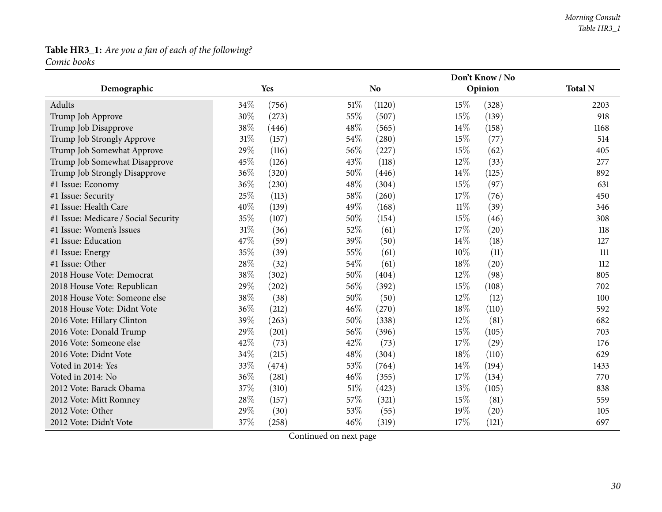### **Table HR3\_1:** *Are you <sup>a</sup> fan of each of the following? Comic books*

|                                      |     |       | Don't Know / No |                |        |         |                |  |
|--------------------------------------|-----|-------|-----------------|----------------|--------|---------|----------------|--|
| Demographic                          |     | Yes   |                 | N <sub>o</sub> |        | Opinion | <b>Total N</b> |  |
| Adults                               | 34% | (756) | 51%             | (1120)         | 15\%   | (328)   | 2203           |  |
| Trump Job Approve                    | 30% | (273) | 55%             | (507)          | 15%    | (139)   | 918            |  |
| Trump Job Disapprove                 | 38% | (446) | 48%             | (565)          | 14%    | (158)   | 1168           |  |
| Trump Job Strongly Approve           | 31% | (157) | 54%             | (280)          | 15%    | (77)    | 514            |  |
| Trump Job Somewhat Approve           | 29% | (116) | 56%             | (227)          | 15%    | (62)    | 405            |  |
| Trump Job Somewhat Disapprove        | 45% | (126) | 43%             | (118)          | 12%    | (33)    | 277            |  |
| Trump Job Strongly Disapprove        | 36% | (320) | 50%             | (446)          | 14%    | (125)   | 892            |  |
| #1 Issue: Economy                    | 36% | (230) | 48%             | (304)          | $15\%$ | (97)    | 631            |  |
| #1 Issue: Security                   | 25% | (113) | 58%             | (260)          | 17%    | (76)    | 450            |  |
| #1 Issue: Health Care                | 40% | (139) | 49%             | (168)          | $11\%$ | (39)    | 346            |  |
| #1 Issue: Medicare / Social Security | 35% | (107) | 50%             | (154)          | 15%    | (46)    | 308            |  |
| #1 Issue: Women's Issues             | 31% | (36)  | 52%             | (61)           | 17%    | (20)    | 118            |  |
| #1 Issue: Education                  | 47% | (59)  | 39%             | (50)           | 14%    | (18)    | 127            |  |
| #1 Issue: Energy                     | 35% | (39)  | 55%             | (61)           | 10%    | (11)    | 111            |  |
| #1 Issue: Other                      | 28% | (32)  | 54%             | (61)           | 18%    | (20)    | 112            |  |
| 2018 House Vote: Democrat            | 38% | (302) | 50%             | (404)          | 12%    | (98)    | 805            |  |
| 2018 House Vote: Republican          | 29% | (202) | 56%             | (392)          | 15%    | (108)   | 702            |  |
| 2018 House Vote: Someone else        | 38% | (38)  | 50%             | (50)           | 12%    | (12)    | 100            |  |
| 2018 House Vote: Didnt Vote          | 36% | (212) | 46%             | (270)          | 18%    | (110)   | 592            |  |
| 2016 Vote: Hillary Clinton           | 39% | (263) | 50%             | (338)          | 12%    | (81)    | 682            |  |
| 2016 Vote: Donald Trump              | 29% | (201) | 56%             | (396)          | 15%    | (105)   | 703            |  |
| 2016 Vote: Someone else              | 42% | (73)  | 42%             | (73)           | 17%    | (29)    | 176            |  |
| 2016 Vote: Didnt Vote                | 34% | (215) | 48%             | (304)          | 18%    | (110)   | 629            |  |
| Voted in 2014: Yes                   | 33% | (474) | 53%             | (764)          | 14\%   | (194)   | 1433           |  |
| Voted in 2014: No                    | 36% | (281) | 46%             | (355)          | 17%    | (134)   | 770            |  |
| 2012 Vote: Barack Obama              | 37% | (310) | 51%             | (423)          | 13%    | (105)   | 838            |  |
| 2012 Vote: Mitt Romney               | 28% | (157) | 57%             | (321)          | 15%    | (81)    | 559            |  |
| 2012 Vote: Other                     | 29% | (30)  | 53%             | (55)           | 19%    | (20)    | 105            |  |
| 2012 Vote: Didn't Vote               | 37% | (258) | 46%             | (319)          | 17%    | (121)   | 697            |  |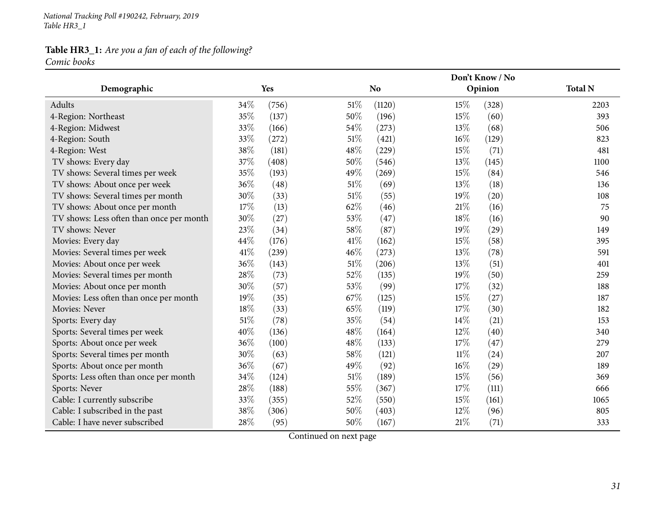*National Tracking Poll #190242, February, <sup>2019</sup> Table HR3\_1*

#### **Table HR3\_1:** *Are you <sup>a</sup> fan of each of the following? Comic books*

|                                          |     |       | Don't Know / No |                |        |         |                |  |  |
|------------------------------------------|-----|-------|-----------------|----------------|--------|---------|----------------|--|--|
| Demographic                              |     | Yes   |                 | N <sub>o</sub> |        | Opinion | <b>Total N</b> |  |  |
| Adults                                   | 34% | (756) | $51\%$          | (1120)         | 15%    | (328)   | 2203           |  |  |
| 4-Region: Northeast                      | 35% | (137) | 50%             | (196)          | 15%    | (60)    | 393            |  |  |
| 4-Region: Midwest                        | 33% | (166) | 54%             | (273)          | 13%    | (68)    | 506            |  |  |
| 4-Region: South                          | 33% | (272) | 51%             | (421)          | 16%    | (129)   | 823            |  |  |
| 4-Region: West                           | 38% | (181) | 48%             | (229)          | 15%    | (71)    | 481            |  |  |
| TV shows: Every day                      | 37% | (408) | 50%             | (546)          | 13%    | (145)   | 1100           |  |  |
| TV shows: Several times per week         | 35% | (193) | 49%             | (269)          | 15%    | (84)    | 546            |  |  |
| TV shows: About once per week            | 36% | (48)  | 51%             | (69)           | 13%    | (18)    | 136            |  |  |
| TV shows: Several times per month        | 30% | (33)  | 51%             | (55)           | 19%    | (20)    | 108            |  |  |
| TV shows: About once per month           | 17% | (13)  | 62%             | (46)           | 21%    | (16)    | 75             |  |  |
| TV shows: Less often than once per month | 30% | (27)  | 53%             | (47)           | 18%    | (16)    | 90             |  |  |
| TV shows: Never                          | 23% | (34)  | 58%             | (87)           | 19%    | (29)    | 149            |  |  |
| Movies: Every day                        | 44% | (176) | 41\%            | (162)          | 15%    | (58)    | 395            |  |  |
| Movies: Several times per week           | 41% | (239) | 46%             | (273)          | 13%    | (78)    | 591            |  |  |
| Movies: About once per week              | 36% | (143) | 51%             | (206)          | 13%    | (51)    | 401            |  |  |
| Movies: Several times per month          | 28% | (73)  | 52%             | (135)          | 19%    | (50)    | 259            |  |  |
| Movies: About once per month             | 30% | (57)  | 53%             | (99)           | 17%    | (32)    | 188            |  |  |
| Movies: Less often than once per month   | 19% | (35)  | 67%             | (125)          | 15%    | (27)    | 187            |  |  |
| Movies: Never                            | 18% | (33)  | 65%             | (119)          | 17%    | (30)    | 182            |  |  |
| Sports: Every day                        | 51% | (78)  | 35%             | (54)           | 14%    | (21)    | 153            |  |  |
| Sports: Several times per week           | 40% | (136) | 48%             | (164)          | 12%    | (40)    | 340            |  |  |
| Sports: About once per week              | 36% | (100) | 48%             | (133)          | 17%    | (47)    | 279            |  |  |
| Sports: Several times per month          | 30% | (63)  | 58%             | (121)          | $11\%$ | (24)    | 207            |  |  |
| Sports: About once per month             | 36% | (67)  | 49%             | (92)           | 16%    | (29)    | 189            |  |  |
| Sports: Less often than once per month   | 34% | (124) | 51%             | (189)          | 15%    | (56)    | 369            |  |  |
| Sports: Never                            | 28% | (188) | 55%             | (367)          | 17%    | (111)   | 666            |  |  |
| Cable: I currently subscribe             | 33% | (355) | 52%             | (550)          | 15%    | (161)   | 1065           |  |  |
| Cable: I subscribed in the past          | 38% | (306) | 50%             | (403)          | 12%    | (96)    | 805            |  |  |
| Cable: I have never subscribed           | 28% | (95)  | 50%             | (167)          | 21%    | (71)    | 333            |  |  |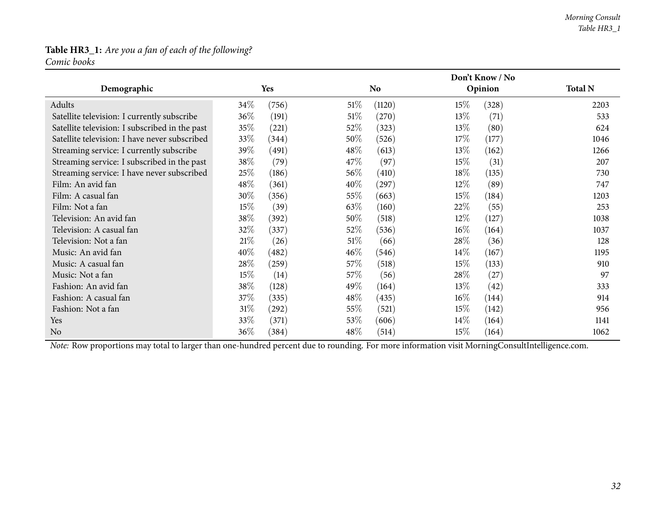#### **Table HR3\_1:** *Are you <sup>a</sup> fan of each of the following? Comic books*

|                                                |        |                     |        | Don't Know / No |        |         |                |  |  |
|------------------------------------------------|--------|---------------------|--------|-----------------|--------|---------|----------------|--|--|
| Demographic                                    |        | <b>Yes</b>          |        | <b>No</b>       |        | Opinion | <b>Total N</b> |  |  |
| Adults                                         | 34\%   | (756)               | $51\%$ | (1120)          | 15\%   | (328)   | 2203           |  |  |
| Satellite television: I currently subscribe    | 36%    | (191)               | 51%    | (270)           | 13\%   | (71)    | 533            |  |  |
| Satellite television: I subscribed in the past | 35%    | (221)               | 52\%   | (323)           | 13%    | (80)    | 624            |  |  |
| Satellite television: I have never subscribed  | 33\%   | (344)               | 50\%   | (526)           | 17\%   | (177)   | 1046           |  |  |
| Streaming service: I currently subscribe       | 39\%   | (491)               | 48\%   | (613)           | 13\%   | (162)   | 1266           |  |  |
| Streaming service: I subscribed in the past    | 38\%   | (79)                | 47\%   | (97)            | 15%    | (31)    | 207            |  |  |
| Streaming service: I have never subscribed     | 25\%   | (186)               | 56\%   | (410)           | 18%    | (135)   | 730            |  |  |
| Film: An avid fan                              | 48\%   | (361)               | $40\%$ | (297)           | 12\%   | (89)    | 747            |  |  |
| Film: A casual fan                             | 30%    | (356)               | 55\%   | (663)           | 15%    | (184)   | 1203           |  |  |
| Film: Not a fan                                | 15%    | (39)                | $63\%$ | (160)           | 22%    | (55)    | 253            |  |  |
| Television: An avid fan                        | 38\%   | (392)               | 50\%   | (518)           | $12\%$ | (127)   | 1038           |  |  |
| Television: A casual fan                       | 32\%   | (337)               | 52\%   | (536)           | $16\%$ | (164)   | 1037           |  |  |
| Television: Not a fan                          | 21%    | (26)                | 51%    | (66)            | 28\%   | (36)    | 128            |  |  |
| Music: An avid fan                             | 40%    | (482)               | $46\%$ | (546)           | $14\%$ | (167)   | 1195           |  |  |
| Music: A casual fan                            | 28\%   | (259)               | 57\%   | (518)           | 15\%   | (133)   | 910            |  |  |
| Music: Not a fan                               | $15\%$ | (14)                | 57\%   | (56)            | 28\%   | (27)    | 97             |  |  |
| Fashion: An avid fan                           | 38\%   | (128)               | 49\%   | (164)           | 13\%   | (42)    | 333            |  |  |
| Fashion: A casual fan                          | 37\%   | (335)               | $48\%$ | (435)           | $16\%$ | (144)   | 914            |  |  |
| Fashion: Not a fan                             | $31\%$ | $\left( 292\right)$ | 55\%   | (521)           | 15%    | (142)   | 956            |  |  |
| Yes                                            | 33\%   | (371)               | 53\%   | (606)           | $14\%$ | (164)   | 1141           |  |  |
| N <sub>0</sub>                                 | 36\%   | (384)               | 48\%   | (514)           | 15%    | (164)   | 1062           |  |  |

*Note:* Row proportions may total to larger than one-hundred percen<sup>t</sup> due to rounding. For more information visit [MorningConsultIntelligence.com](https://morningconsultintelligence.com).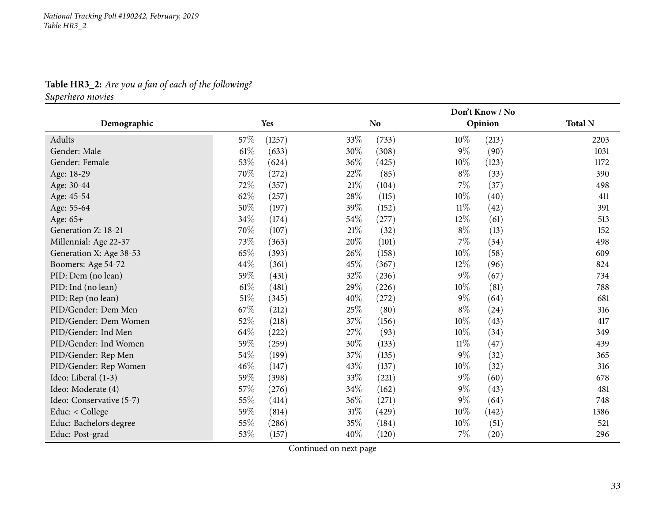**Table HR3\_2:** *Are you <sup>a</sup> fan of each of the following? Superhero movies*

<span id="page-32-0"></span>

|                          |        |        |        | Don't Know / No |        |         |                |  |
|--------------------------|--------|--------|--------|-----------------|--------|---------|----------------|--|
| Demographic              |        | Yes    |        | N <sub>o</sub>  |        | Opinion | <b>Total N</b> |  |
| Adults                   | 57%    | (1257) | 33%    | (733)           | $10\%$ | (213)   | 2203           |  |
| Gender: Male             | $61\%$ | (633)  | 30%    | (308)           | $9\%$  | (90)    | 1031           |  |
| Gender: Female           | 53%    | (624)  | 36\%   | (425)           | $10\%$ | (123)   | 1172           |  |
| Age: 18-29               | 70%    | (272)  | 22\%   | (85)            | $8\%$  | (33)    | 390            |  |
| Age: 30-44               | 72%    | (357)  | $21\%$ | (104)           | $7\%$  | (37)    | 498            |  |
| Age: 45-54               | 62%    | (257)  | 28\%   | (115)           | $10\%$ | (40)    | 411            |  |
| Age: 55-64               | $50\%$ | (197)  | 39%    | (152)           | $11\%$ | (42)    | 391            |  |
| Age: 65+                 | 34%    | (174)  | $54\%$ | (277)           | 12%    | (61)    | 513            |  |
| Generation Z: 18-21      | 70%    | (107)  | $21\%$ | (32)            | $8\%$  | (13)    | 152            |  |
| Millennial: Age 22-37    | 73%    | (363)  | 20%    | (101)           | $7\%$  | (34)    | 498            |  |
| Generation X: Age 38-53  | 65%    | (393)  | 26\%   | (158)           | 10%    | (58)    | 609            |  |
| Boomers: Age 54-72       | 44\%   | (361)  | 45\%   | (367)           | $12\%$ | (96)    | 824            |  |
| PID: Dem (no lean)       | 59%    | (431)  | 32%    | (236)           | $9\%$  | (67)    | 734            |  |
| PID: Ind (no lean)       | $61\%$ | (481)  | 29%    | (226)           | $10\%$ | (81)    | 788            |  |
| PID: Rep (no lean)       | $51\%$ | (345)  | 40%    | (272)           | $9\%$  | (64)    | 681            |  |
| PID/Gender: Dem Men      | 67%    | (212)  | 25%    | (80)            | $8\%$  | (24)    | 316            |  |
| PID/Gender: Dem Women    | 52%    | (218)  | 37%    | (156)           | 10%    | (43)    | 417            |  |
| PID/Gender: Ind Men      | 64%    | (222)  | 27%    | (93)            | 10%    | (34)    | 349            |  |
| PID/Gender: Ind Women    | 59%    | (259)  | 30%    | (133)           | $11\%$ | (47)    | 439            |  |
| PID/Gender: Rep Men      | 54%    | (199)  | 37%    | (135)           | $9\%$  | (32)    | 365            |  |
| PID/Gender: Rep Women    | $46\%$ | (147)  | 43%    | (137)           | $10\%$ | (32)    | 316            |  |
| Ideo: Liberal (1-3)      | 59%    | (398)  | 33%    | (221)           | $9\%$  | (60)    | 678            |  |
| Ideo: Moderate (4)       | 57%    | (276)  | 34%    | (162)           | $9\%$  | (43)    | 481            |  |
| Ideo: Conservative (5-7) | 55%    | (414)  | 36%    | (271)           | $9\%$  | (64)    | 748            |  |
| Educ: < College          | 59%    | (814)  | $31\%$ | (429)           | $10\%$ | (142)   | 1386           |  |
| Educ: Bachelors degree   | 55%    | (286)  | $35\%$ | (184)           | $10\%$ | (51)    | 521            |  |
| Educ: Post-grad          | 53%    | (157)  | 40%    | (120)           | $7\%$  | (20)    | 296            |  |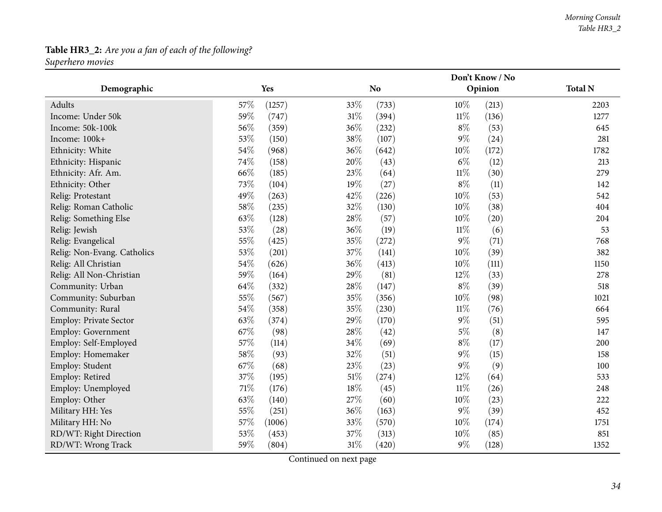# **Table HR3\_2:** *Are you <sup>a</sup> fan of each of the following?*

*Superhero movies*

|                             |                 | Don't Know / No |                 |                |  |
|-----------------------------|-----------------|-----------------|-----------------|----------------|--|
| Demographic                 | Yes             | N <sub>o</sub>  | Opinion         | <b>Total N</b> |  |
| Adults                      | 57\%<br>(1257)  | 33\%<br>(733)   | $10\%$<br>(213) | 2203           |  |
| Income: Under 50k           | 59%<br>(747)    | $31\%$<br>(394) | $11\%$<br>(136) | 1277           |  |
| Income: 50k-100k            | 56%<br>(359)    | $36\%$<br>(232) | $8\%$<br>(53)   | 645            |  |
| Income: 100k+               | 53%<br>(150)    | 38%<br>(107)    | $9\%$<br>(24)   | 281            |  |
| Ethnicity: White            | 54\%<br>(968)   | 36%<br>(642)    | 10%<br>(172)    | 1782           |  |
| Ethnicity: Hispanic         | $74\%$<br>(158) | $20\%$<br>(43)  | $6\%$<br>(12)   | 213            |  |
| Ethnicity: Afr. Am.         | 66%<br>(185)    | 23%<br>(64)     | $11\%$<br>(30)  | 279            |  |
| Ethnicity: Other            | 73%<br>(104)    | 19%<br>(27)     | $8\%$<br>(11)   | 142            |  |
| Relig: Protestant           | 49%<br>(263)    | $42\%$<br>(226) | $10\%$<br>(53)  | 542            |  |
| Relig: Roman Catholic       | 58\%<br>(235)   | 32%<br>(130)    | $10\%$<br>(38)  | 404            |  |
| Relig: Something Else       | 63%<br>(128)    | 28%<br>(57)     | 10%<br>(20)     | 204            |  |
| Relig: Jewish               | 53%<br>(28)     | 36\%<br>(19)    | $11\%$<br>(6)   | 53             |  |
| Relig: Evangelical          | 55%<br>(425)    | 35%<br>(272)    | $9\%$<br>(71)   | 768            |  |
| Relig: Non-Evang. Catholics | $53\%$<br>(201) | $37\%$<br>(141) | $10\%$<br>(39)  | 382            |  |
| Relig: All Christian        | 54\%<br>(626)   | 36%<br>(413)    | $10\%$<br>(111) | 1150           |  |
| Relig: All Non-Christian    | 59%<br>(164)    | 29%<br>(81)     | 12%<br>(33)     | 278            |  |
| Community: Urban            | 64%<br>(332)    | $28\%$<br>(147) | $8\%$<br>(39)   | 518            |  |
| Community: Suburban         | $55\%$<br>(567) | $35\%$<br>(356) | $10\%$<br>(98)  | 1021           |  |
| Community: Rural            | 54\%<br>(358)   | 35%<br>(230)    | $11\%$<br>(76)  | 664            |  |
| Employ: Private Sector      | 63%<br>(374)    | 29%<br>(170)    | $9\%$<br>(51)   | 595            |  |
| <b>Employ: Government</b>   | 67%<br>(98)     | $28\%$<br>(42)  | $5\%$<br>(8)    | 147            |  |
| Employ: Self-Employed       | 57%<br>(114)    | 34%<br>(69)     | $8\%$<br>(17)   | 200            |  |
| Employ: Homemaker           | 58%<br>(93)     | 32%<br>(51)     | $9\%$<br>(15)   | 158            |  |
| Employ: Student             | 67%<br>(68)     | 23%<br>(23)     | $9\%$<br>(9)    | 100            |  |
| Employ: Retired             | 37%<br>(195)    | $51\%$<br>(274) | 12%<br>(64)     | 533            |  |
| Employ: Unemployed          | $71\%$<br>(176) | 18%<br>(45)     | $11\%$<br>(26)  | 248            |  |
| Employ: Other               | 63%<br>(140)    | 27%<br>(60)     | $10\%$<br>(23)  | 222            |  |
| Military HH: Yes            | 55%<br>(251)    | $36\%$<br>(163) | $9\%$<br>(39)   | 452            |  |
| Military HH: No             | 57%<br>(1006)   | 33%<br>(570)    | $10\%$<br>(174) | 1751           |  |
| RD/WT: Right Direction      | 53%<br>(453)    | 37%<br>(313)    | 10%<br>(85)     | 851            |  |
| RD/WT: Wrong Track          | 59%<br>(804)    | $31\%$<br>(420) | $9\%$<br>(128)  | 1352           |  |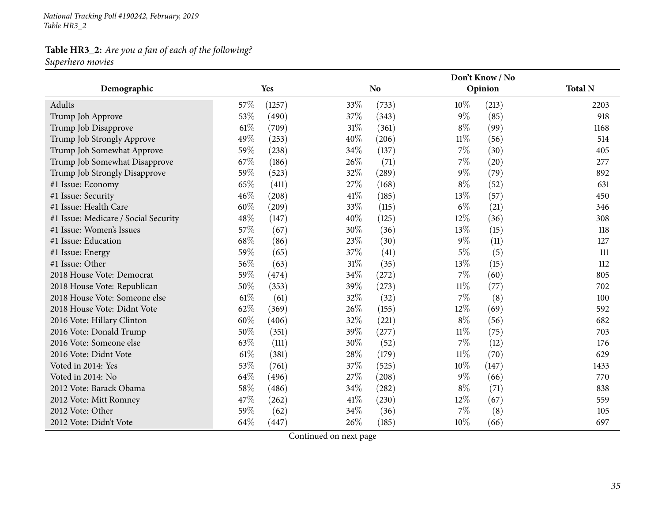*National Tracking Poll #190242, February, <sup>2019</sup> Table HR3\_2*

### **Table HR3\_2:** *Are you <sup>a</sup> fan of each of the following?*

*Superhero movies*

|                                      |                 | Don't Know / No |                |                |  |
|--------------------------------------|-----------------|-----------------|----------------|----------------|--|
| Demographic                          | Yes             | No              | Opinion        | <b>Total N</b> |  |
| Adults                               | 57\%<br>(1257)  | 33\%<br>(733)   | 10\%<br>(213)  | 2203           |  |
| Trump Job Approve                    | 53%<br>(490)    | 37%<br>(343)    | $9\%$<br>(85)  | 918            |  |
| Trump Job Disapprove                 | $61\%$<br>(709) | $31\%$<br>(361) | $8\%$<br>(99)  | 1168           |  |
| Trump Job Strongly Approve           | 49%<br>(253)    | 40%<br>(206)    | $11\%$<br>(56) | 514            |  |
| Trump Job Somewhat Approve           | 59%<br>(238)    | 34%<br>(137)    | $7\%$<br>(30)  | 405            |  |
| Trump Job Somewhat Disapprove        | 67%<br>(186)    | 26\%<br>(71)    | $7\%$<br>(20)  | 277            |  |
| Trump Job Strongly Disapprove        | 59%<br>(523)    | 32%<br>(289)    | $9\%$<br>(79)  | 892            |  |
| #1 Issue: Economy                    | 65%<br>(411)    | 27%<br>(168)    | $8\%$<br>(52)  | 631            |  |
| #1 Issue: Security                   | 46%<br>(208)    | 41\%<br>(185)   | 13\%<br>(57)   | 450            |  |
| #1 Issue: Health Care                | 60%<br>(209)    | 33%<br>(115)    | $6\%$<br>(21)  | 346            |  |
| #1 Issue: Medicare / Social Security | 48%<br>(147)    | 40%<br>(125)    | 12%<br>(36)    | 308            |  |
| #1 Issue: Women's Issues             | 57%<br>(67)     | 30%<br>(36)     | 13%<br>(15)    | 118            |  |
| #1 Issue: Education                  | 68%<br>(86)     | 23\%<br>(30)    | $9\%$<br>(11)  | 127            |  |
| #1 Issue: Energy                     | 59%<br>(65)     | 37%<br>(41)     | $5\%$<br>(5)   | 111            |  |
| #1 Issue: Other                      | 56%<br>(63)     | $31\%$<br>(35)  | 13%<br>(15)    | 112            |  |
| 2018 House Vote: Democrat            | 59%<br>(474)    | 34%<br>(272)    | 7%<br>(60)     | 805            |  |
| 2018 House Vote: Republican          | 50%<br>(353)    | 39%<br>(273)    | $11\%$<br>(77) | 702            |  |
| 2018 House Vote: Someone else        | 61%<br>(61)     | 32%<br>(32)     | 7%<br>(8)      | 100            |  |
| 2018 House Vote: Didnt Vote          | 62%<br>(369)    | 26\%<br>(155)   | 12%<br>(69)    | 592            |  |
| 2016 Vote: Hillary Clinton           | 60%<br>(406)    | 32%<br>(221)    | $8\%$<br>(56)  | 682            |  |
| 2016 Vote: Donald Trump              | 50%<br>(351)    | 39%<br>(277)    | $11\%$<br>(75) | 703            |  |
| 2016 Vote: Someone else              | 63%<br>(111)    | 30%<br>(52)     | 7%<br>(12)     | 176            |  |
| 2016 Vote: Didnt Vote                | 61\%<br>(381)   | 28%<br>(179)    | $11\%$<br>(70) | 629            |  |
| Voted in 2014: Yes                   | 53%<br>(761)    | 37%<br>(525)    | 10%<br>(147)   | 1433           |  |
| Voted in 2014: No                    | 64%<br>(496)    | 27%<br>(208)    | $9\%$<br>(66)  | 770            |  |
| 2012 Vote: Barack Obama              | 58%<br>(486)    | 34%<br>(282)    | $8\%$<br>(71)  | 838            |  |
| 2012 Vote: Mitt Romney               | 47%<br>(262)    | 41\%<br>(230)   | 12%<br>(67)    | 559            |  |
| 2012 Vote: Other                     | 59%<br>(62)     | 34\%<br>(36)    | 7%<br>(8)      | 105            |  |
| 2012 Vote: Didn't Vote               | 64%<br>(447)    | 26%<br>(185)    | 10%<br>(66)    | 697            |  |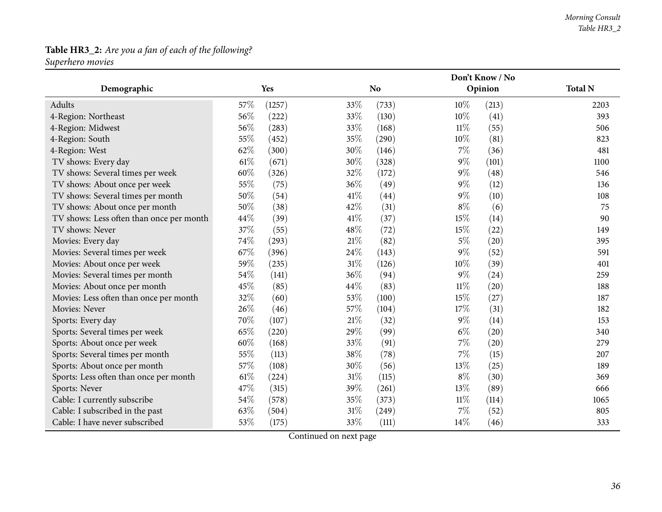# **Table HR3\_2:** *Are you <sup>a</sup> fan of each of the following?*

*Superhero movies*

|                                          |        |        |        | Don't Know / No |        |         |                |
|------------------------------------------|--------|--------|--------|-----------------|--------|---------|----------------|
| Demographic                              |        | Yes    |        | No.             |        | Opinion | <b>Total N</b> |
| Adults                                   | 57\%   | (1257) | 33%    | (733)           | $10\%$ | (213)   | 2203           |
| 4-Region: Northeast                      | 56%    | (222)  | 33%    | (130)           | $10\%$ | (41)    | 393            |
| 4-Region: Midwest                        | 56%    | (283)  | 33%    | (168)           | $11\%$ | (55)    | 506            |
| 4-Region: South                          | 55%    | (452)  | 35%    | (290)           | 10%    | (81)    | 823            |
| 4-Region: West                           | 62%    | (300)  | 30%    | (146)           | $7\%$  | (36)    | 481            |
| TV shows: Every day                      | $61\%$ | (671)  | 30%    | (328)           | $9\%$  | (101)   | 1100           |
| TV shows: Several times per week         | 60%    | (326)  | 32%    | (172)           | $9\%$  | (48)    | 546            |
| TV shows: About once per week            | 55%    | (75)   | 36%    | (49)            | $9\%$  | (12)    | 136            |
| TV shows: Several times per month        | 50%    | (54)   | 41\%   | (44)            | $9\%$  | (10)    | 108            |
| TV shows: About once per month           | 50%    | (38)   | 42%    | (31)            | $8\%$  | (6)     | 75             |
| TV shows: Less often than once per month | 44%    | (39)   | 41\%   | (37)            | 15%    | (14)    | 90             |
| TV shows: Never                          | 37%    | (55)   | 48%    | (72)            | 15%    | (22)    | 149            |
| Movies: Every day                        | 74%    | (293)  | 21%    | (82)            | $5\%$  | (20)    | 395            |
| Movies: Several times per week           | 67%    | (396)  | 24\%   | (143)           | $9\%$  | (52)    | 591            |
| Movies: About once per week              | 59%    | (235)  | $31\%$ | (126)           | $10\%$ | (39)    | 401            |
| Movies: Several times per month          | 54%    | (141)  | 36%    | (94)            | $9\%$  | (24)    | 259            |
| Movies: About once per month             | 45%    | (85)   | 44%    | (83)            | $11\%$ | (20)    | 188            |
| Movies: Less often than once per month   | 32%    | (60)   | 53%    | (100)           | 15%    | (27)    | 187            |
| Movies: Never                            | 26%    | (46)   | 57%    | (104)           | 17%    | (31)    | 182            |
| Sports: Every day                        | 70%    | (107)  | 21%    | (32)            | $9\%$  | (14)    | 153            |
| Sports: Several times per week           | 65%    | (220)  | 29%    | (99)            | $6\%$  | (20)    | 340            |
| Sports: About once per week              | 60%    | (168)  | 33%    | (91)            | 7%     | (20)    | 279            |
| Sports: Several times per month          | 55%    | (113)  | 38%    | (78)            | $7\%$  | (15)    | 207            |
| Sports: About once per month             | 57%    | (108)  | 30%    | (56)            | 13%    | (25)    | 189            |
| Sports: Less often than once per month   | $61\%$ | (224)  | $31\%$ | (115)           | $8\%$  | (30)    | 369            |
| Sports: Never                            | 47%    | (315)  | 39%    | (261)           | 13%    | (89)    | 666            |
| Cable: I currently subscribe             | 54%    | (578)  | 35%    | (373)           | $11\%$ | (114)   | 1065           |
| Cable: I subscribed in the past          | 63%    | (504)  | $31\%$ | (249)           | $7\%$  | (52)    | 805            |
| Cable: I have never subscribed           | 53%    | (175)  | 33%    | (111)           | 14%    | (46)    | 333            |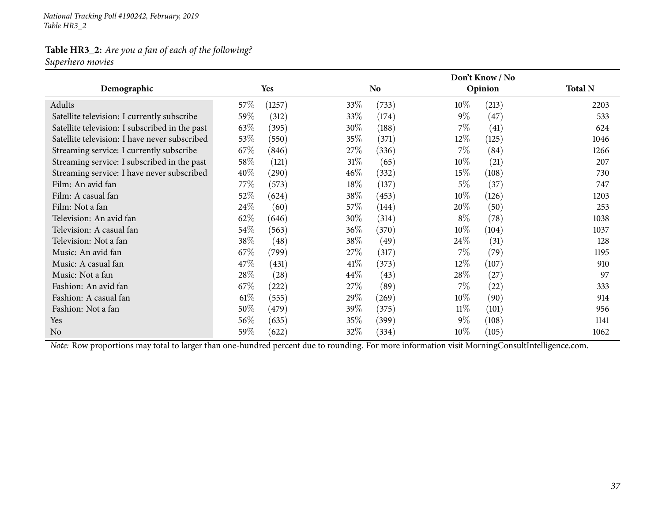*National Tracking Poll #190242, February, <sup>2019</sup> Table HR3\_2*

### **Table HR3\_2:** *Are you <sup>a</sup> fan of each of the following? Superhero movies*

|                                                |        |                     |        | Don't Know / No |        |                    |                |
|------------------------------------------------|--------|---------------------|--------|-----------------|--------|--------------------|----------------|
| Demographic                                    |        | Yes                 |        | N <sub>0</sub>  |        | Opinion            | <b>Total N</b> |
| Adults                                         | $57\%$ | (1257)              | $33\%$ | (733)           | $10\%$ | (213)              | 2203           |
| Satellite television: I currently subscribe    | 59\%   | (312)               | 33\%   | (174)           | $9\%$  | (47)               | 533            |
| Satellite television: I subscribed in the past | 63\%   | (395)               | 30\%   | (188)           | $7\%$  | (41)               | 624            |
| Satellite television: I have never subscribed  | 53\%   | (550)               | 35\%   | (371)           | 12%    | (125)              | 1046           |
| Streaming service: I currently subscribe       | 67%    | (846)               | 27\%   | (336)           | $7\%$  | (84)               | 1266           |
| Streaming service: I subscribed in the past    | 58\%   | (121)               | $31\%$ | (65)            | $10\%$ | (21)               | 207            |
| Streaming service: I have never subscribed     | 40\%   | (290)               | $46\%$ | (332)           | 15%    | (108)              | 730            |
| Film: An avid fan                              | 77\%   | (573)               | $18\%$ | (137)           | $5\%$  | (37)               | 747            |
| Film: A casual fan                             | 52\%   | (624)               | 38\%   | (453)           | $10\%$ | (126)              | 1203           |
| Film: Not a fan                                | 24\%   | (60)                | 57\%   | (144)           | 20%    | (50)               | 253            |
| Television: An avid fan                        | 62\%   | (646)               | $30\%$ | (314)           | $8\%$  | (78)               | 1038           |
| Television: A casual fan                       | 54\%   | (563)               | $36\%$ | (370)           | $10\%$ | (104)              | 1037           |
| Television: Not a fan                          | 38\%   | (48)                | 38\%   | (49)            | 24\%   | (31)               | 128            |
| Music: An avid fan                             | 67%    | (799)               | 27\%   | (317)           | $7\%$  | (79)               | 1195           |
| Music: A casual fan                            | 47\%   | (431)               | $41\%$ | (373)           | $12\%$ | (107)              | 910            |
| Music: Not a fan                               | 28\%   | (28)                | 44\%   | (43)            | 28\%   | (27)               | 97             |
| Fashion: An avid fan                           | 67\%   | $\left( 222\right)$ | 27\%   | (89)            | $7\%$  | $\left( 22\right)$ | 333            |
| Fashion: A casual fan                          | $61\%$ | (555)               | 29%    | (269)           | $10\%$ | (90)               | 914            |
| Fashion: Not a fan                             | 50\%   | (479)               | 39%    | (375)           | $11\%$ | (101)              | 956            |
| Yes                                            | 56\%   | (635)               | 35\%   | (399)           | $9\%$  | (108)              | 1141           |
| N <sub>o</sub>                                 | 59%    | (622)               | 32\%   | (334)           | $10\%$ | (105)              | 1062           |

*Note:* Row proportions may total to larger than one-hundred percen<sup>t</sup> due to rounding. For more information visit [MorningConsultIntelligence.com](https://morningconsultintelligence.com).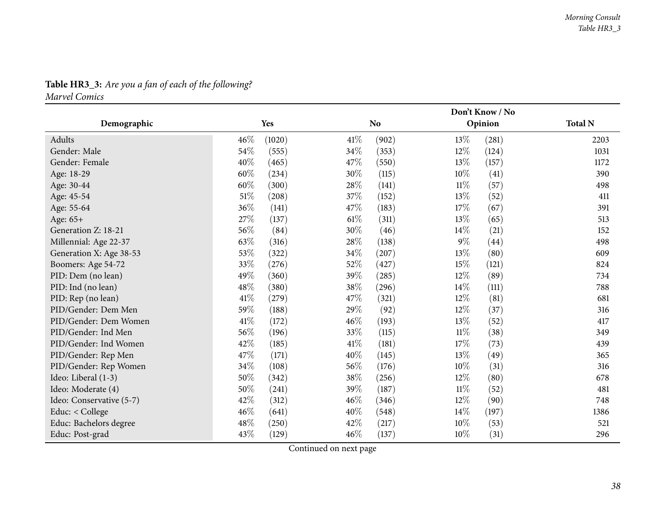# **Table HR3\_3:** *Are you <sup>a</sup> fan of each of the following? Marvel Comics*

|                          |                 |        | Don't Know / No |        |         |                |
|--------------------------|-----------------|--------|-----------------|--------|---------|----------------|
| Demographic              | Yes             |        | N <sub>o</sub>  |        | Opinion | <b>Total N</b> |
| Adults                   | 46%<br>(1020)   | 41%    | (902)           | 13\%   | (281)   | 2203           |
| Gender: Male             | 54%<br>(555)    | 34\%   | (353)           | 12%    | (124)   | 1031           |
| Gender: Female           | 40%<br>(465)    | 47\%   | (550)           | 13\%   | (157)   | 1172           |
| Age: 18-29               | 60%<br>(234)    | 30%    | (115)           | $10\%$ | (41)    | 390            |
| Age: 30-44               | $60\%$<br>(300) | $28\%$ | (141)           | $11\%$ | (57)    | 498            |
| Age: 45-54               | $51\%$<br>(208) | 37\%   | (152)           | $13\%$ | (52)    | 411            |
| Age: 55-64               | 36%<br>(141)    | 47%    | (183)           | 17%    | (67)    | 391            |
| Age: 65+                 | 27\%<br>(137)   | $61\%$ | (311)           | 13%    | (65)    | 513            |
| Generation Z: 18-21      | 56%<br>(84)     | 30%    | (46)            | $14\%$ | (21)    | 152            |
| Millennial: Age 22-37    | 63\%<br>(316)   | 28\%   | (138)           | $9\%$  | (44)    | 498            |
| Generation X: Age 38-53  | 53%<br>(322)    | 34\%   | (207)           | $13\%$ | (80)    | 609            |
| Boomers: Age 54-72       | 33%<br>(276)    | 52\%   | (427)           | 15%    | (121)   | 824            |
| PID: Dem (no lean)       | 49%<br>(360)    | 39%    | (285)           | 12%    | (89)    | 734            |
| PID: Ind (no lean)       | 48\%<br>(380)   | 38\%   | (296)           | $14\%$ | (111)   | 788            |
| PID: Rep (no lean)       | 41\%<br>(279)   | 47\%   | (321)           | $12\%$ | (81)    | 681            |
| PID/Gender: Dem Men      | 59%<br>(188)    | 29%    | (92)            | $12\%$ | (37)    | 316            |
| PID/Gender: Dem Women    | $41\%$<br>(172) | 46%    | (193)           | 13%    | (52)    | 417            |
| PID/Gender: Ind Men      | 56%<br>(196)    | 33%    | (115)           | $11\%$ | (38)    | 349            |
| PID/Gender: Ind Women    | 42%<br>(185)    | 41\%   | (181)           | 17%    | (73)    | 439            |
| PID/Gender: Rep Men      | 47%<br>(171)    | 40%    | (145)           | 13%    | (49)    | 365            |
| PID/Gender: Rep Women    | 34%<br>(108)    | 56\%   | (176)           | $10\%$ | (31)    | 316            |
| Ideo: Liberal (1-3)      | 50%<br>(342)    | 38\%   | (256)           | 12%    | (80)    | 678            |
| Ideo: Moderate (4)       | 50%<br>(241)    | 39%    | (187)           | $11\%$ | (52)    | 481            |
| Ideo: Conservative (5-7) | 42%<br>(312)    | 46%    | (346)           | $12\%$ | (90)    | 748            |
| Educ: < College          | 46%<br>(641)    | 40\%   | (548)           | $14\%$ | (197)   | 1386           |
| Educ: Bachelors degree   | 48%<br>(250)    | 42\%   | (217)           | $10\%$ | (53)    | 521            |
| Educ: Post-grad          | 43%<br>(129)    | 46\%   | (137)           | $10\%$ | (31)    | 296            |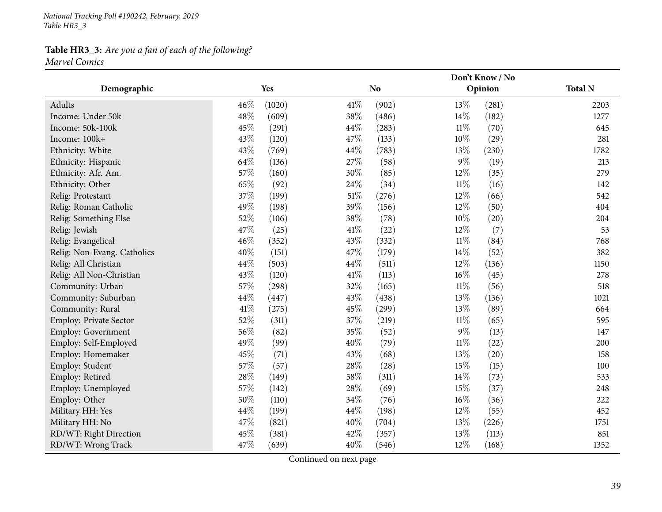*National Tracking Poll #190242, February, <sup>2019</sup> Table HR3\_3*

### **Table HR3\_3:** *Are you <sup>a</sup> fan of each of the following? Marvel Comics*

|                             |      |                 | Don't Know / No |        |         |                |  |
|-----------------------------|------|-----------------|-----------------|--------|---------|----------------|--|
| Demographic                 | Yes  |                 | <b>No</b>       |        | Opinion | <b>Total N</b> |  |
| Adults                      | 46%  | (1020)<br>41\%  | (902)           | 13%    | (281)   | 2203           |  |
| Income: Under 50k           | 48\% | 38%<br>(609)    | (486)           | 14\%   | (182)   | 1277           |  |
| Income: 50k-100k            | 45%  | 44\%<br>(291)   | (283)           | $11\%$ | (70)    | 645            |  |
| Income: 100k+               | 43%  | 47%<br>(120)    | (133)           | $10\%$ | (29)    | 281            |  |
| Ethnicity: White            | 43%  | 44\%<br>(769)   | (783)           | 13%    | (230)   | 1782           |  |
| Ethnicity: Hispanic         | 64\% | 27\%<br>(136)   | (58)            | $9\%$  | (19)    | 213            |  |
| Ethnicity: Afr. Am.         | 57%  | 30%<br>(160)    | (85)            | $12\%$ | (35)    | 279            |  |
| Ethnicity: Other            | 65%  | 24\%<br>(92)    | (34)            | $11\%$ | (16)    | 142            |  |
| Relig: Protestant           | 37%  | $51\%$<br>(199) | (276)           | $12\%$ | (66)    | 542            |  |
| Relig: Roman Catholic       | 49%  | 39%<br>(198)    | (156)           | $12\%$ | (50)    | 404            |  |
| Relig: Something Else       | 52%  | 38%<br>(106)    | (78)            | $10\%$ | (20)    | 204            |  |
| Relig: Jewish               | 47%  | 41\%<br>(25)    | (22)            | $12\%$ | (7)     | 53             |  |
| Relig: Evangelical          | 46%  | 43%<br>(352)    | (332)           | $11\%$ | (84)    | 768            |  |
| Relig: Non-Evang. Catholics | 40%  | 47\%<br>(151)   | (179)           | 14\%   | (52)    | 382            |  |
| Relig: All Christian        | 44%  | 44%<br>(503)    | (511)           | $12\%$ | (136)   | 1150           |  |
| Relig: All Non-Christian    | 43%  | $41\%$<br>(120) | (113)           | $16\%$ | (45)    | 278            |  |
| Community: Urban            | 57%  | 32%<br>(298)    | (165)           | $11\%$ | (56)    | 518            |  |
| Community: Suburban         | 44%  | 43%<br>(447)    | (438)           | 13%    | (136)   | 1021           |  |
| Community: Rural            | 41\% | 45%<br>(275)    | (299)           | 13%    | (89)    | 664            |  |
| Employ: Private Sector      | 52%  | 37%<br>(311)    | (219)           | $11\%$ | (65)    | 595            |  |
| Employ: Government          | 56%  | 35%<br>(82)     | (52)            | $9\%$  | (13)    | 147            |  |
| Employ: Self-Employed       | 49%  | 40%<br>(99)     | (79)            | $11\%$ | (22)    | 200            |  |
| Employ: Homemaker           | 45%  | 43%<br>(71)     | (68)            | 13\%   | (20)    | 158            |  |
| Employ: Student             | 57%  | 28%<br>(57)     | (28)            | 15%    | (15)    | 100            |  |
| Employ: Retired             | 28\% | 58\%<br>(149)   | (311)           | 14\%   | (73)    | 533            |  |
| Employ: Unemployed          | 57%  | 28\%<br>(142)   | (69)            | 15%    | (37)    | 248            |  |
| Employ: Other               | 50%  | 34%<br>(110)    | (76)            | $16\%$ | (36)    | 222            |  |
| Military HH: Yes            | 44\% | 44\%<br>(199)   | (198)           | $12\%$ | (55)    | 452            |  |
| Military HH: No             | 47%  | 40%<br>(821)    | (704)           | 13%    | (226)   | 1751           |  |
| RD/WT: Right Direction      | 45%  | 42%<br>(381)    | (357)           | 13%    | (113)   | 851            |  |
| RD/WT: Wrong Track          | 47%  | 40%<br>(639)    | (546)           | 12%    | (168)   | 1352           |  |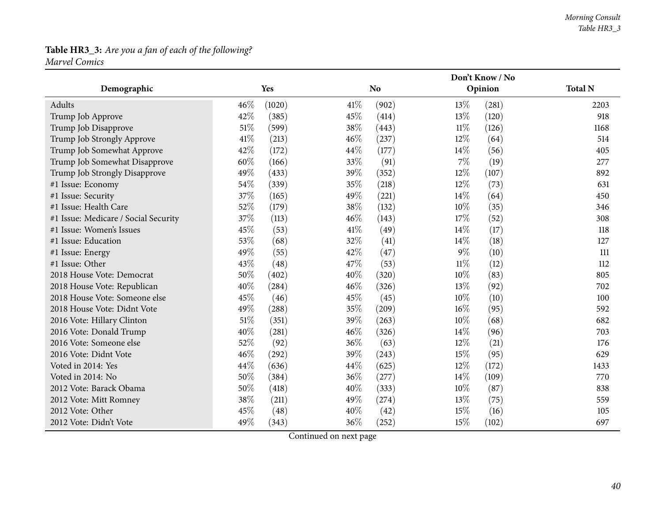# **Table HR3\_3:** *Are you <sup>a</sup> fan of each of the following? Marvel Comics*

|                                      |               |               | Don't Know / No |        |         |                |  |
|--------------------------------------|---------------|---------------|-----------------|--------|---------|----------------|--|
| Demographic                          | Yes           |               | <b>No</b>       |        | Opinion | <b>Total N</b> |  |
| Adults                               | 46%<br>(1020) | 41\%          | (902)           | 13\%   | (281)   | 2203           |  |
| Trump Job Approve                    | 42%           | 45%<br>(385)  | (414)           | 13%    | (120)   | 918            |  |
| Trump Job Disapprove                 | 51%           | 38%<br>(599)  | (443)           | $11\%$ | (126)   | 1168           |  |
| Trump Job Strongly Approve           | 41\%          | 46%<br>(213)  | (237)           | 12%    | (64)    | 514            |  |
| Trump Job Somewhat Approve           | 42%           | 44%<br>(172)  | (177)           | 14\%   | (56)    | 405            |  |
| Trump Job Somewhat Disapprove        | 60%           | 33%<br>(166)  | (91)            | $7\%$  | (19)    | 277            |  |
| Trump Job Strongly Disapprove        | 49%           | 39%<br>(433)  | (352)           | 12%    | (107)   | 892            |  |
| #1 Issue: Economy                    | 54%           | 35%<br>(339)  | (218)           | $12\%$ | (73)    | 631            |  |
| #1 Issue: Security                   | 37%           | 49%<br>(165)  | (221)           | 14%    | (64)    | 450            |  |
| #1 Issue: Health Care                | 52%           | 38%<br>(179)  | (132)           | 10%    | (35)    | 346            |  |
| #1 Issue: Medicare / Social Security | 37%           | 46%<br>(113)  | (143)           | 17%    | (52)    | 308            |  |
| #1 Issue: Women's Issues             | 45%           | 41\%<br>(53)  | (49)            | 14%    | (17)    | 118            |  |
| #1 Issue: Education                  | 53%           | 32%<br>(68)   | (41)            | 14\%   | (18)    | 127            |  |
| #1 Issue: Energy                     | 49%           | 42%<br>(55)   | (47)            | $9\%$  | (10)    | 111            |  |
| #1 Issue: Other                      | 43%           | 47%<br>(48)   | (53)            | $11\%$ | (12)    | 112            |  |
| 2018 House Vote: Democrat            | 50%           | 40%<br>(402)  | (320)           | 10%    | (83)    | 805            |  |
| 2018 House Vote: Republican          | 40%           | 46%<br>(284)  | (326)           | 13%    | (92)    | 702            |  |
| 2018 House Vote: Someone else        | 45%           | 45%<br>(46)   | (45)            | $10\%$ | (10)    | 100            |  |
| 2018 House Vote: Didnt Vote          | 49%           | 35%<br>(288)  | (209)           | 16%    | (95)    | 592            |  |
| 2016 Vote: Hillary Clinton           | 51%           | 39%<br>(351)  | (263)           | $10\%$ | (68)    | 682            |  |
| 2016 Vote: Donald Trump              | 40%           | 46%<br>(281)  | (326)           | 14%    | (96)    | 703            |  |
| 2016 Vote: Someone else              | 52%           | 36%<br>(92)   | (63)            | 12%    | (21)    | 176            |  |
| 2016 Vote: Didnt Vote                | 46%           | 39%<br>(292)  | (243)           | 15%    | (95)    | 629            |  |
| Voted in 2014: Yes                   | 44%           | 44\%<br>(636) | (625)           | $12\%$ | (172)   | 1433           |  |
| Voted in 2014: No                    | 50%           | 36%<br>(384)  | (277)           | $14\%$ | (109)   | 770            |  |
| 2012 Vote: Barack Obama              | 50%           | 40%<br>(418)  | (333)           | 10%    | (87)    | 838            |  |
| 2012 Vote: Mitt Romney               | 38%           | 49%<br>(211)  | (274)           | 13\%   | (75)    | 559            |  |
| 2012 Vote: Other                     | 45%           | 40%<br>(48)   | (42)            | 15%    | (16)    | 105            |  |
| 2012 Vote: Didn't Vote               | 49%           | 36%<br>(343)  | (252)           | 15%    | (102)   | 697            |  |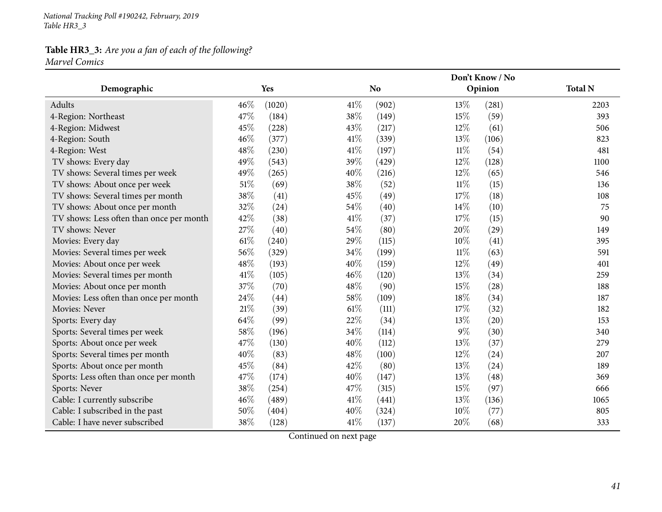*National Tracking Poll #190242, February, <sup>2019</sup> Table HR3\_3*

### **Table HR3\_3:** *Are you <sup>a</sup> fan of each of the following? Marvel Comics*

|                                          |        |        |      |           |        | Don't Know / No |                |
|------------------------------------------|--------|--------|------|-----------|--------|-----------------|----------------|
| Demographic                              |        | Yes    |      | <b>No</b> |        | Opinion         | <b>Total N</b> |
| Adults                                   | $46\%$ | (1020) | 41\% | (902)     | 13\%   | (281)           | 2203           |
| 4-Region: Northeast                      | 47%    | (184)  | 38%  | (149)     | 15%    | (59)            | 393            |
| 4-Region: Midwest                        | 45%    | (228)  | 43%  | (217)     | 12%    | (61)            | 506            |
| 4-Region: South                          | 46%    | (377)  | 41\% | (339)     | 13\%   | (106)           | 823            |
| 4-Region: West                           | 48%    | (230)  | 41\% | (197)     | $11\%$ | (54)            | 481            |
| TV shows: Every day                      | 49%    | (543)  | 39%  | (429)     | 12%    | (128)           | 1100           |
| TV shows: Several times per week         | 49%    | (265)  | 40%  | (216)     | $12\%$ | (65)            | 546            |
| TV shows: About once per week            | $51\%$ | (69)   | 38%  | (52)      | $11\%$ | (15)            | 136            |
| TV shows: Several times per month        | 38%    | (41)   | 45%  | (49)      | 17%    | (18)            | 108            |
| TV shows: About once per month           | 32%    | (24)   | 54%  | (40)      | 14%    | (10)            | 75             |
| TV shows: Less often than once per month | 42%    | (38)   | 41\% | (37)      | 17\%   | (15)            | 90             |
| TV shows: Never                          | 27%    | (40)   | 54%  | (80)      | 20%    | (29)            | 149            |
| Movies: Every day                        | $61\%$ | (240)  | 29%  | (115)     | 10%    | (41)            | 395            |
| Movies: Several times per week           | 56%    | (329)  | 34%  | (199)     | 11%    | (63)            | 591            |
| Movies: About once per week              | 48%    | (193)  | 40%  | (159)     | 12%    | (49)            | 401            |
| Movies: Several times per month          | 41\%   | (105)  | 46%  | (120)     | 13%    | (34)            | 259            |
| Movies: About once per month             | 37%    | (70)   | 48%  | (90)      | 15%    | (28)            | 188            |
| Movies: Less often than once per month   | 24%    | (44)   | 58%  | (109)     | 18%    | (34)            | 187            |
| Movies: Never                            | $21\%$ | (39)   | 61\% | (111)     | 17%    | (32)            | 182            |
| Sports: Every day                        | 64%    | (99)   | 22%  | (34)      | 13\%   | (20)            | 153            |
| Sports: Several times per week           | 58\%   | (196)  | 34%  | (114)     | $9\%$  | (30)            | 340            |
| Sports: About once per week              | 47%    | (130)  | 40%  | (112)     | 13%    | (37)            | 279            |
| Sports: Several times per month          | 40%    | (83)   | 48%  | (100)     | $12\%$ | (24)            | 207            |
| Sports: About once per month             | 45%    | (84)   | 42%  | (80)      | 13%    | (24)            | 189            |
| Sports: Less often than once per month   | 47%    | (174)  | 40%  | (147)     | 13%    | (48)            | 369            |
| Sports: Never                            | 38%    | (254)  | 47%  | (315)     | 15%    | (97)            | 666            |
| Cable: I currently subscribe             | 46%    | (489)  | 41\% | (441)     | 13%    | (136)           | 1065           |
| Cable: I subscribed in the past          | 50%    | (404)  | 40%  | (324)     | 10%    | (77)            | 805            |
| Cable: I have never subscribed           | 38%    | (128)  | 41\% | (137)     | 20%    | (68)            | 333            |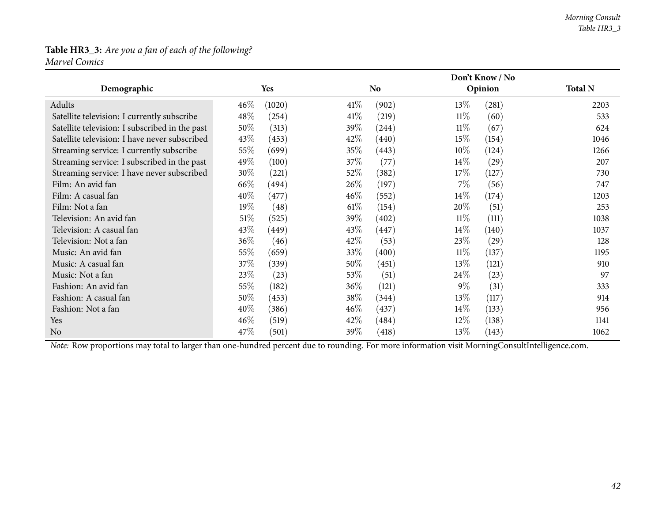#### **Table HR3\_3:** *Are you <sup>a</sup> fan of each of the following? Marvel Comics*

|                                                |        |        |        |                     |        | Don't Know / No |                |
|------------------------------------------------|--------|--------|--------|---------------------|--------|-----------------|----------------|
| Demographic                                    |        | Yes    |        | <b>No</b>           |        | Opinion         | <b>Total N</b> |
| Adults                                         | $46\%$ | (1020) | 41%    | (902)               | $13\%$ | (281)           | 2203           |
| Satellite television: I currently subscribe    | 48\%   | (254)  | 41%    | (219)               | $11\%$ | (60)            | 533            |
| Satellite television: I subscribed in the past | 50%    | (313)  | 39%    | $\left( 244\right)$ | 11%    | (67)            | 624            |
| Satellite television: I have never subscribed  | 43\%   | (453)  | 42\%   | (440)               | $15\%$ | (154)           | 1046           |
| Streaming service: I currently subscribe       | $55\%$ | (699)  | 35%    | (443)               | $10\%$ | (124)           | 1266           |
| Streaming service: I subscribed in the past    | 49\%   | (100)  | $37\%$ | (77)                | $14\%$ | (29)            | 207            |
| Streaming service: I have never subscribed     | 30\%   | (221)  | 52\%   | (382)               | 17\%   | (127)           | 730            |
| Film: An avid fan                              | 66\%   | (494)  | 26\%   | (197)               | 7%     | (56)            | 747            |
| Film: A casual fan                             | 40\%   | (477)  | $46\%$ | (552)               | $14\%$ | (174)           | 1203           |
| Film: Not a fan                                | $19\%$ | (48)   | $61\%$ | (154)               | 20%    | (51)            | 253            |
| Television: An avid fan                        | $51\%$ | (525)  | 39%    | (402)               | $11\%$ | (111)           | 1038           |
| Television: A casual fan                       | 43\%   | (449)  | 43\%   | (447)               | $14\%$ | (140)           | 1037           |
| Television: Not a fan                          | 36\%   | (46)   | 42\%   | (53)                | 23\%   | (29)            | 128            |
| Music: An avid fan                             | $55\%$ | (659)  | 33\%   | (400)               | $11\%$ | (137)           | 1195           |
| Music: A casual fan                            | 37\%   | (339)  | $50\%$ | (451)               | 13\%   | (121)           | 910            |
| Music: Not a fan                               | 23\%   | (23)   | 53%    | (51)                | 24\%   | (23)            | 97             |
| Fashion: An avid fan                           | $55\%$ | (182)  | 36\%   | (121)               | $9\%$  | (31)            | 333            |
| Fashion: A casual fan                          | 50\%   | (453)  | 38\%   | (344)               | $13\%$ | (117)           | 914            |
| Fashion: Not a fan                             | $40\%$ | (386)  | $46\%$ | (437)               | $14\%$ | (133)           | 956            |
| Yes                                            | $46\%$ | (519)  | 42\%   | (484)               | $12\%$ | (138)           | 1141           |
| N <sub>0</sub>                                 | 47\%   | (501)  | 39\%   | (418)               | 13%    | (143)           | 1062           |

*Note:* Row proportions may total to larger than one-hundred percen<sup>t</sup> due to rounding. For more information visit [MorningConsultIntelligence.com](https://morningconsultintelligence.com).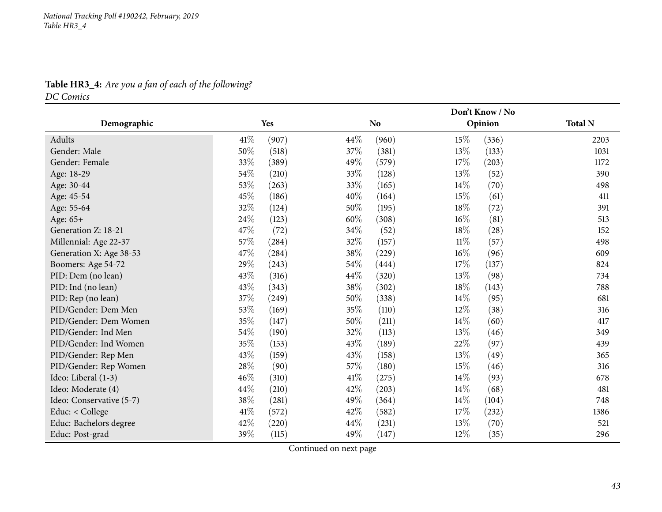# **Table HR3\_4:** *Are you <sup>a</sup> fan of each of the following?*

*DC Comics*

|                          |                 | Don't Know / No |                 |                |  |  |
|--------------------------|-----------------|-----------------|-----------------|----------------|--|--|
| Demographic              | Yes             | No.             | Opinion         | <b>Total N</b> |  |  |
| Adults                   | 41\%<br>(907)   | 44\%<br>(960)   | 15\%<br>(336)   | 2203           |  |  |
| Gender: Male             | 50%<br>(518)    | 37%<br>(381)    | 13\%<br>(133)   | 1031           |  |  |
| Gender: Female           | 33%<br>(389)    | 49%<br>(579)    | 17%<br>(203)    | 1172           |  |  |
| Age: 18-29               | 54\%<br>(210)   | 33%<br>(128)    | 13%<br>(52)     | 390            |  |  |
| Age: 30-44               | 53%<br>(263)    | 33%<br>(165)    | 14\%<br>(70)    | 498            |  |  |
| Age: 45-54               | 45\%<br>(186)   | 40%<br>(164)    | 15\%<br>(61)    | 411            |  |  |
| Age: 55-64               | 32\%<br>(124)   | 50%<br>(195)    | 18%<br>(72)     | 391            |  |  |
| Age: 65+                 | 24\%<br>(123)   | 60%<br>(308)    | $16\%$<br>(81)  | 513            |  |  |
| Generation Z: 18-21      | 47\%<br>(72)    | 34%<br>(52)     | $18\%$<br>(28)  | 152            |  |  |
| Millennial: Age 22-37    | $57\%$<br>(284) | 32%<br>(157)    | $11\%$<br>(57)  | 498            |  |  |
| Generation X: Age 38-53  | 47\%<br>(284)   | $38\%$<br>(229) | 16%<br>(96)     | 609            |  |  |
| Boomers: Age 54-72       | 29%<br>(243)    | 54\%<br>(444)   | 17%<br>(137)    | 824            |  |  |
| PID: Dem (no lean)       | 43\%<br>(316)   | 44%<br>(320)    | 13%<br>(98)     | 734            |  |  |
| PID: Ind (no lean)       | 43\%<br>(343)   | 38\%<br>(302)   | 18%<br>(143)    | 788            |  |  |
| PID: Rep (no lean)       | $37\%$<br>(249) | 50%<br>(338)    | 14\%<br>(95)    | 681            |  |  |
| PID/Gender: Dem Men      | 53\%<br>(169)   | 35\%<br>(110)   | 12%<br>(38)     | 316            |  |  |
| PID/Gender: Dem Women    | 35%<br>(147)    | 50%<br>(211)    | $14\%$<br>(60)  | 417            |  |  |
| PID/Gender: Ind Men      | $54\%$<br>(190) | 32%<br>(113)    | 13%<br>(46)     | 349            |  |  |
| PID/Gender: Ind Women    | 35%<br>(153)    | 43%<br>(189)    | 22%<br>(97)     | 439            |  |  |
| PID/Gender: Rep Men      | 43%<br>(159)    | 43%<br>(158)    | 13%<br>(49)     | 365            |  |  |
| PID/Gender: Rep Women    | 28\%<br>(90)    | 57\%<br>(180)   | $15\%$<br>(46)  | 316            |  |  |
| Ideo: Liberal (1-3)      | 46%<br>(310)    | 41\%<br>(275)   | $14\%$<br>(93)  | 678            |  |  |
| Ideo: Moderate (4)       | 44%<br>(210)    | 42%<br>(203)    | $14\%$<br>(68)  | 481            |  |  |
| Ideo: Conservative (5-7) | 38%<br>(281)    | 49%<br>(364)    | $14\%$<br>(104) | 748            |  |  |
| Educ: < College          | 41\%<br>(572)   | 42\%<br>(582)   | $17\%$<br>(232) | 1386           |  |  |
| Educ: Bachelors degree   | 42%<br>(220)    | 44%<br>(231)    | 13\%<br>(70)    | 521            |  |  |
| Educ: Post-grad          | 39%<br>(115)    | 49%<br>(147)    | $12\%$<br>(35)  | 296            |  |  |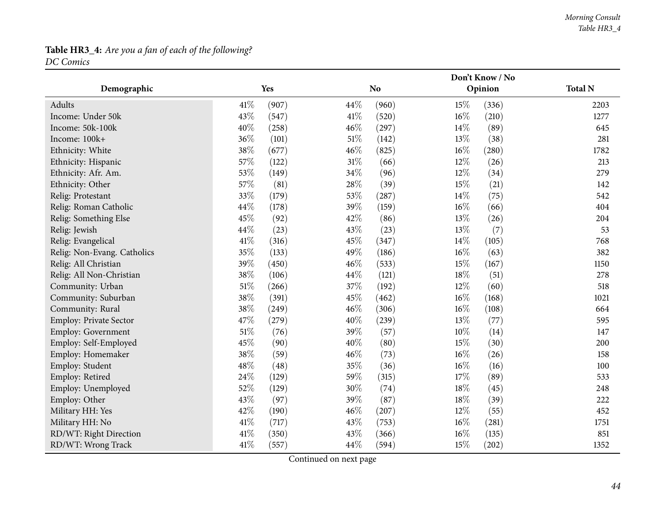### **Table HR3\_4:** *Are you <sup>a</sup> fan of each of the following? DC Comics*

|                             |        |       |        |           |        | Don't Know / No |                |
|-----------------------------|--------|-------|--------|-----------|--------|-----------------|----------------|
| Demographic                 |        | Yes   |        | <b>No</b> |        | Opinion         | <b>Total N</b> |
| Adults                      | 41\%   | (907) | 44%    | (960)     | 15%    | (336)           | 2203           |
| Income: Under 50k           | 43%    | (547) | 41\%   | (520)     | 16%    | (210)           | 1277           |
| Income: 50k-100k            | 40%    | (258) | 46%    | (297)     | 14%    | (89)            | 645            |
| Income: 100k+               | 36%    | (101) | 51%    | (142)     | 13%    | (38)            | 281            |
| Ethnicity: White            | 38%    | (677) | 46%    | (825)     | 16%    | (280)           | 1782           |
| Ethnicity: Hispanic         | 57%    | (122) | $31\%$ | (66)      | 12%    | (26)            | 213            |
| Ethnicity: Afr. Am.         | 53%    | (149) | 34%    | (96)      | 12%    | (34)            | 279            |
| Ethnicity: Other            | 57%    | (81)  | 28%    | (39)      | 15%    | (21)            | 142            |
| Relig: Protestant           | 33%    | (179) | 53%    | (287)     | 14%    | (75)            | 542            |
| Relig: Roman Catholic       | 44%    | (178) | 39%    | (159)     | 16%    | (66)            | 404            |
| Relig: Something Else       | 45%    | (92)  | 42%    | (86)      | 13%    | (26)            | 204            |
| Relig: Jewish               | 44%    | (23)  | 43%    | (23)      | 13%    | (7)             | 53             |
| Relig: Evangelical          | 41\%   | (316) | 45%    | (347)     | 14%    | (105)           | 768            |
| Relig: Non-Evang. Catholics | 35%    | (133) | 49%    | (186)     | 16%    | (63)            | 382            |
| Relig: All Christian        | 39%    | (450) | 46%    | (533)     | 15%    | (167)           | 1150           |
| Relig: All Non-Christian    | 38%    | (106) | 44%    | (121)     | 18%    | (51)            | 278            |
| Community: Urban            | 51%    | (266) | 37%    | (192)     | $12\%$ | (60)            | 518            |
| Community: Suburban         | 38%    | (391) | 45%    | (462)     | 16%    | (168)           | 1021           |
| Community: Rural            | 38%    | (249) | 46%    | (306)     | 16%    | (108)           | 664            |
| Employ: Private Sector      | 47%    | (279) | 40%    | (239)     | 13%    | (77)            | 595            |
| Employ: Government          | $51\%$ | (76)  | 39%    | (57)      | 10%    | (14)            | 147            |
| Employ: Self-Employed       | 45%    | (90)  | 40%    | (80)      | 15%    | (30)            | 200            |
| Employ: Homemaker           | 38%    | (59)  | 46%    | (73)      | 16%    | (26)            | 158            |
| Employ: Student             | 48%    | (48)  | 35%    | (36)      | 16%    | (16)            | 100            |
| Employ: Retired             | 24%    | (129) | 59%    | (315)     | 17%    | (89)            | 533            |
| Employ: Unemployed          | 52%    | (129) | 30%    | (74)      | $18\%$ | (45)            | 248            |
| Employ: Other               | 43%    | (97)  | 39%    | (87)      | 18%    | (39)            | 222            |
| Military HH: Yes            | 42%    | (190) | 46%    | (207)     | 12%    | (55)            | 452            |
| Military HH: No             | 41\%   | (717) | 43%    | (753)     | 16%    | (281)           | 1751           |
| RD/WT: Right Direction      | 41%    | (350) | 43%    | (366)     | 16%    | (135)           | 851            |
| RD/WT: Wrong Track          | 41%    | (557) | 44%    | (594)     | 15%    | (202)           | 1352           |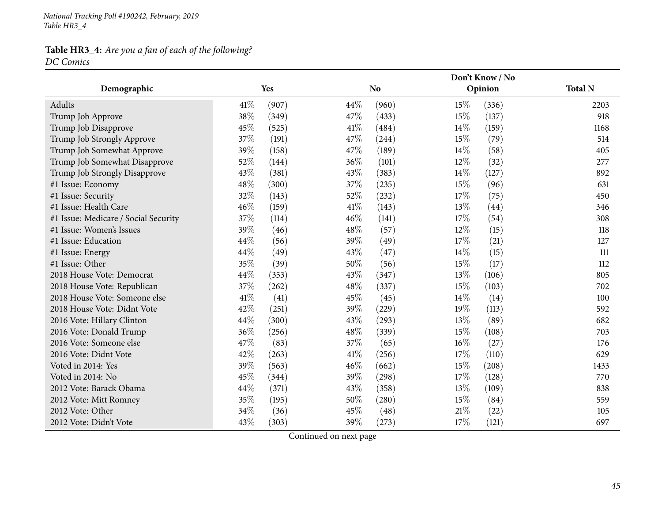*National Tracking Poll #190242, February, <sup>2019</sup> Table HR3\_4*

# **Table HR3\_4:** *Are you <sup>a</sup> fan of each of the following?*

*DC Comics*

|                                      |               | Don't Know / No |              |                |  |  |
|--------------------------------------|---------------|-----------------|--------------|----------------|--|--|
| Demographic                          | Yes           | <b>No</b>       | Opinion      | <b>Total N</b> |  |  |
| Adults                               | 41\%<br>(907) | 44\%<br>(960)   | 15%<br>(336) | 2203           |  |  |
| Trump Job Approve                    | 38%<br>(349)  | 47%<br>(433)    | 15%<br>(137) | 918            |  |  |
| Trump Job Disapprove                 | 45%<br>(525)  | 41\%<br>(484)   | 14%<br>(159) | 1168           |  |  |
| Trump Job Strongly Approve           | 37%<br>(191)  | 47%<br>(244)    | 15%<br>(79)  | 514            |  |  |
| Trump Job Somewhat Approve           | 39%<br>(158)  | 47%<br>(189)    | 14%<br>(58)  | 405            |  |  |
| Trump Job Somewhat Disapprove        | 52%<br>(144)  | 36%<br>(101)    | 12%<br>(32)  | 277            |  |  |
| Trump Job Strongly Disapprove        | 43%<br>(381)  | 43%<br>(383)    | 14%<br>(127) | 892            |  |  |
| #1 Issue: Economy                    | 48%<br>(300)  | 37%<br>(235)    | 15%<br>(96)  | 631            |  |  |
| #1 Issue: Security                   | 32%<br>(143)  | 52%<br>(232)    | 17%<br>(75)  | 450            |  |  |
| #1 Issue: Health Care                | 46%<br>(159)  | $41\%$<br>(143) | 13%<br>(44)  | 346            |  |  |
| #1 Issue: Medicare / Social Security | 37%<br>(114)  | 46%<br>(141)    | 17%<br>(54)  | 308            |  |  |
| #1 Issue: Women's Issues             | 39%<br>(46)   | 48%<br>(57)     | 12%<br>(15)  | 118            |  |  |
| #1 Issue: Education                  | 44%<br>(56)   | 39%<br>(49)     | 17%<br>(21)  | 127            |  |  |
| #1 Issue: Energy                     | 44%<br>(49)   | 43%<br>(47)     | 14%<br>(15)  | 111            |  |  |
| #1 Issue: Other                      | 35%<br>(39)   | 50%<br>(56)     | 15%<br>(17)  | 112            |  |  |
| 2018 House Vote: Democrat            | 44%<br>(353)  | 43%<br>(347)    | 13%<br>(106) | 805            |  |  |
| 2018 House Vote: Republican          | 37%<br>(262)  | 48%<br>(337)    | 15%<br>(103) | 702            |  |  |
| 2018 House Vote: Someone else        | 41\%<br>(41)  | 45%<br>(45)     | 14%<br>(14)  | 100            |  |  |
| 2018 House Vote: Didnt Vote          | 42%<br>(251)  | 39%<br>(229)    | 19%<br>(113) | 592            |  |  |
| 2016 Vote: Hillary Clinton           | 44%<br>(300)  | 43%<br>(293)    | 13%<br>(89)  | 682            |  |  |
| 2016 Vote: Donald Trump              | 36%<br>(256)  | 48%<br>(339)    | 15%<br>(108) | 703            |  |  |
| 2016 Vote: Someone else              | 47%<br>(83)   | 37%<br>(65)     | 16%<br>(27)  | 176            |  |  |
| 2016 Vote: Didnt Vote                | 42%<br>(263)  | 41\%<br>(256)   | 17%<br>(110) | 629            |  |  |
| Voted in 2014: Yes                   | 39%<br>(563)  | 46%<br>(662)    | 15%<br>(208) | 1433           |  |  |
| Voted in 2014: No                    | 45%<br>(344)  | 39%<br>(298)    | 17%<br>(128) | 770            |  |  |
| 2012 Vote: Barack Obama              | 44%<br>(371)  | 43%<br>(358)    | 13%<br>(109) | 838            |  |  |
| 2012 Vote: Mitt Romney               | 35%<br>(195)  | 50%<br>(280)    | 15%<br>(84)  | 559            |  |  |
| 2012 Vote: Other                     | 34%<br>(36)   | 45%<br>(48)     | 21%<br>(22)  | 105            |  |  |
| 2012 Vote: Didn't Vote               | 43%<br>(303)  | 39%<br>(273)    | 17%<br>(121) | 697            |  |  |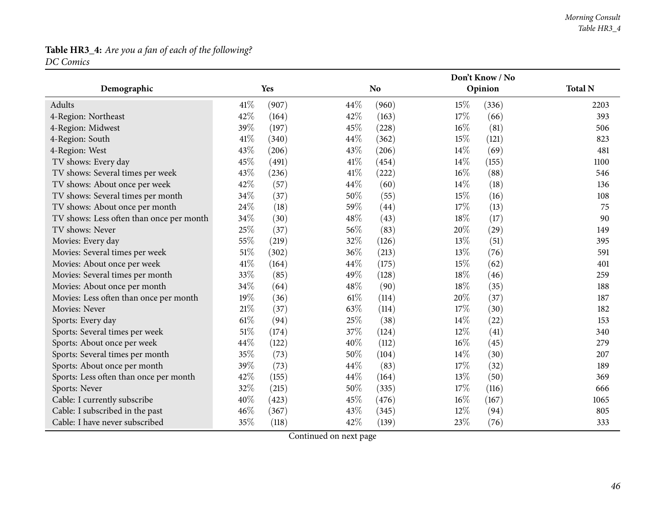# **Table HR3\_4:** *Are you <sup>a</sup> fan of each of the following?*

*DC Comics*

|                                          |                 | Don't Know / No |                 |                |  |  |
|------------------------------------------|-----------------|-----------------|-----------------|----------------|--|--|
| Demographic                              | Yes             | <b>No</b>       | Opinion         | <b>Total N</b> |  |  |
| Adults                                   | 41\%<br>(907)   | 44\%<br>(960)   | 15%<br>(336)    | 2203           |  |  |
| 4-Region: Northeast                      | 42%<br>(164)    | 42%<br>(163)    | 17%<br>(66)     | 393            |  |  |
| 4-Region: Midwest                        | 39%<br>(197)    | 45%<br>(228)    | $16\%$<br>(81)  | 506            |  |  |
| 4-Region: South                          | 41\%<br>(340)   | 44\%<br>(362)   | 15%<br>(121)    | 823            |  |  |
| 4-Region: West                           | 43%<br>(206)    | 43%<br>(206)    | 14%<br>(69)     | 481            |  |  |
| TV shows: Every day                      | 45%<br>(491)    | 41\%<br>(454)   | 14\%<br>(155)   | 1100           |  |  |
| TV shows: Several times per week         | 43%<br>(236)    | 41%<br>(222)    | $16\%$<br>(88)  | 546            |  |  |
| TV shows: About once per week            | 42%<br>(57)     | 44\%<br>(60)    | 14\%<br>(18)    | 136            |  |  |
| TV shows: Several times per month        | 34%<br>(37)     | 50%<br>(55)     | 15%<br>(16)     | 108            |  |  |
| TV shows: About once per month           | 24%<br>(18)     | 59%<br>(44)     | 17%<br>(13)     | 75             |  |  |
| TV shows: Less often than once per month | 34%<br>(30)     | 48%<br>(43)     | $18\%$<br>(17)  | 90             |  |  |
| TV shows: Never                          | 25%<br>(37)     | 56\%<br>(83)    | 20%<br>(29)     | 149            |  |  |
| Movies: Every day                        | 55%<br>(219)    | 32%<br>(126)    | 13%<br>(51)     | 395            |  |  |
| Movies: Several times per week           | $51\%$<br>(302) | 36%<br>(213)    | 13%<br>(76)     | 591            |  |  |
| Movies: About once per week              | $41\%$<br>(164) | 44\%<br>(175)   | 15%<br>(62)     | 401            |  |  |
| Movies: Several times per month          | 33%<br>(85)     | 49%<br>(128)    | 18%<br>(46)     | 259            |  |  |
| Movies: About once per month             | 34%<br>(64)     | 48%<br>(90)     | 18%<br>(35)     | 188            |  |  |
| Movies: Less often than once per month   | 19%<br>(36)     | 61\%<br>(114)   | 20%<br>(37)     | 187            |  |  |
| Movies: Never                            | $21\%$<br>(37)  | 63%<br>(114)    | 17%<br>(30)     | 182            |  |  |
| Sports: Every day                        | $61\%$<br>(94)  | 25%<br>(38)     | 14%<br>(22)     | 153            |  |  |
| Sports: Several times per week           | 51\%<br>(174)   | 37%<br>(124)    | 12%<br>(41)     | 340            |  |  |
| Sports: About once per week              | 44%<br>(122)    | 40%<br>(112)    | 16%<br>(45)     | 279            |  |  |
| Sports: Several times per month          | 35%<br>(73)     | 50%<br>(104)    | 14\%<br>(30)    | 207            |  |  |
| Sports: About once per month             | 39%<br>(73)     | 44\%<br>(83)    | 17%<br>(32)     | 189            |  |  |
| Sports: Less often than once per month   | 42%<br>(155)    | 44\%<br>(164)   | 13%<br>(50)     | 369            |  |  |
| Sports: Never                            | 32%<br>(215)    | 50%<br>(335)    | 17%<br>(116)    | 666            |  |  |
| Cable: I currently subscribe             | 40%<br>(423)    | 45%<br>(476)    | $16\%$<br>(167) | 1065           |  |  |
| Cable: I subscribed in the past          | 46%<br>(367)    | 43\%<br>(345)   | 12%<br>(94)     | 805            |  |  |
| Cable: I have never subscribed           | 35%<br>(118)    | 42%<br>(139)    | 23%<br>(76)     | 333            |  |  |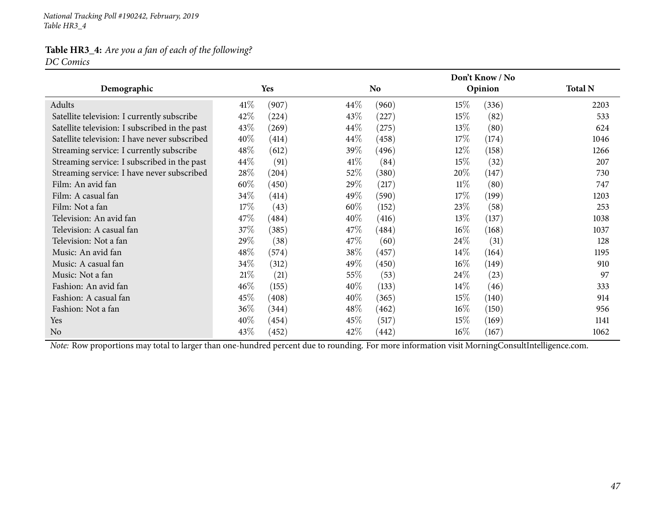*National Tracking Poll #190242, February, <sup>2019</sup> Table HR3\_4*

# **Table HR3\_4:** *Are you <sup>a</sup> fan of each of the following?*

*DC Comics*

|                                                |        |       |        |           |        | Don't Know / No |                |
|------------------------------------------------|--------|-------|--------|-----------|--------|-----------------|----------------|
| Demographic                                    |        | Yes   |        | <b>No</b> |        | Opinion         | <b>Total N</b> |
| Adults                                         | $41\%$ | (907) | $44\%$ | (960)     | 15\%   | (336)           | 2203           |
| Satellite television: I currently subscribe    | 42\%   | (224) | 43\%   | (227)     | 15\%   | (82)            | 533            |
| Satellite television: I subscribed in the past | 43\%   | (269) | $44\%$ | (275)     | 13\%   | (80)            | 624            |
| Satellite television: I have never subscribed  | 40%    | (414) | $44\%$ | (458)     | 17\%   | (174)           | 1046           |
| Streaming service: I currently subscribe       | 48\%   | (612) | 39%    | (496)     | 12\%   | (158)           | 1266           |
| Streaming service: I subscribed in the past    | 44\%   | (91)  | 41\%   | (84)      | 15\%   | (32)            | 207            |
| Streaming service: I have never subscribed     | 28\%   | (204) | 52%    | (380)     | 20%    | (147)           | 730            |
| Film: An avid fan                              | 60\%   | (450) | 29%    | (217)     | $11\%$ | (80)            | 747            |
| Film: A casual fan                             | $34\%$ | (414) | 49\%   | (590)     | 17\%   | (199)           | 1203           |
| Film: Not a fan                                | 17%    | (43)  | 60%    | (152)     | 23\%   | (58)            | 253            |
| Television: An avid fan                        | 47\%   | (484) | 40\%   | (416)     | 13\%   | (137)           | 1038           |
| Television: A casual fan                       | 37\%   | (385) | 47\%   | (484)     | $16\%$ | (168)           | 1037           |
| Television: Not a fan                          | 29\%   | (38)  | 47\%   | (60)      | 24\%   | (31)            | 128            |
| Music: An avid fan                             | 48\%   | (574) | 38\%   | (457)     | $14\%$ | (164)           | 1195           |
| Music: A casual fan                            | 34\%   | (312) | 49%    | (450)     | $16\%$ | (149)           | 910            |
| Music: Not a fan                               | 21%    | (21)  | 55%    | (53)      | 24\%   | (23)            | 97             |
| Fashion: An avid fan                           | 46%    | (155) | $40\%$ | (133)     | $14\%$ | (46)            | 333            |
| Fashion: A casual fan                          | 45\%   | (408) | 40%    | (365)     | 15\%   | (140)           | 914            |
| Fashion: Not a fan                             | 36\%   | (344) | $48\%$ | (462)     | $16\%$ | (150)           | 956            |
| Yes                                            | 40%    | (454) | 45\%   | (517)     | 15\%   | (169)           | 1141           |
| N <sub>0</sub>                                 | 43\%   | (452) | 42\%   | (442)     | $16\%$ | (167)           | 1062           |

*Note:* Row proportions may total to larger than one-hundred percen<sup>t</sup> due to rounding. For more information visit [MorningConsultIntelligence.com](https://morningconsultintelligence.com).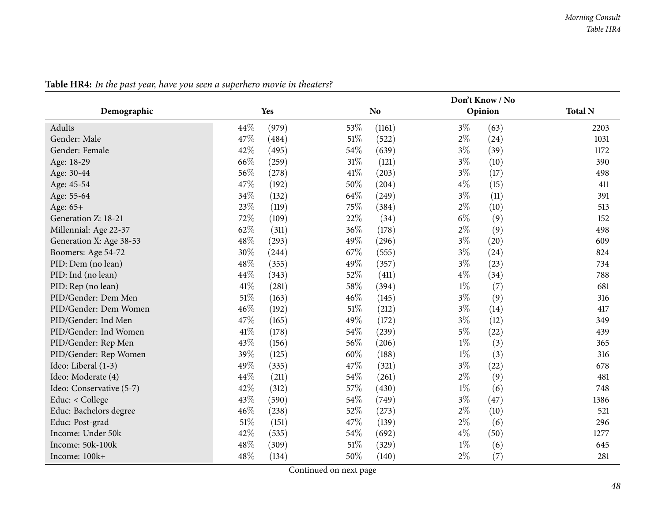|                          |                 |                 | Don't Know / No |                |
|--------------------------|-----------------|-----------------|-----------------|----------------|
| Demographic              | Yes             | N <sub>o</sub>  | Opinion         | <b>Total N</b> |
| Adults                   | 44%<br>(979)    | 53%<br>(1161)   | $3\%$<br>(63)   | 2203           |
| Gender: Male             | 47%<br>(484)    | $51\%$<br>(522) | $2\%$<br>(24)   | 1031           |
| Gender: Female           | 42%<br>(495)    | 54%<br>(639)    | $3\%$<br>(39)   | 1172           |
| Age: 18-29               | 66%<br>(259)    | $31\%$<br>(121) | $3\%$<br>(10)   | 390            |
| Age: 30-44               | 56%<br>(278)    | 41\%<br>(203)   | $3\%$<br>(17)   | 498            |
| Age: 45-54               | 47%<br>(192)    | 50%<br>(204)    | $4\%$<br>(15)   | 411            |
| Age: 55-64               | 34%<br>(132)    | 64%<br>(249)    | $3\%$<br>(11)   | 391            |
| Age: 65+                 | 23%<br>(119)    | 75%<br>(384)    | $2\%$<br>(10)   | 513            |
| Generation Z: 18-21      | 72%<br>(109)    | 22%<br>(34)     | $6\%$<br>(9)    | 152            |
| Millennial: Age 22-37    | 62%<br>(311)    | 36%<br>(178)    | $2\%$<br>(9)    | 498            |
| Generation X: Age 38-53  | 48%<br>(293)    | 49%<br>(296)    | $3\%$<br>(20)   | 609            |
| Boomers: Age 54-72       | 30%<br>(244)    | 67%<br>(555)    | $3\%$<br>(24)   | 824            |
| PID: Dem (no lean)       | 48%<br>(355)    | 49%<br>(357)    | $3\%$<br>(23)   | 734            |
| PID: Ind (no lean)       | 44%<br>(343)    | 52%<br>(411)    | $4\%$<br>(34)   | 788            |
| PID: Rep (no lean)       | 41\%<br>(281)   | 58%<br>(394)    | $1\%$<br>(7)    | 681            |
| PID/Gender: Dem Men      | $51\%$<br>(163) | 46%<br>(145)    | $3\%$<br>(9)    | 316            |
| PID/Gender: Dem Women    | 46%<br>(192)    | $51\%$<br>(212) | $3\%$<br>(14)   | 417            |
| PID/Gender: Ind Men      | 47%<br>(165)    | 49%<br>(172)    | $3\%$<br>(12)   | 349            |
| PID/Gender: Ind Women    | 41\%<br>(178)   | 54%<br>(239)    | $5\%$<br>(22)   | 439            |
| PID/Gender: Rep Men      | 43%<br>(156)    | 56%<br>(206)    | $1\%$<br>(3)    | 365            |
| PID/Gender: Rep Women    | 39%<br>(125)    | 60%<br>(188)    | $1\%$<br>(3)    | 316            |
| Ideo: Liberal (1-3)      | 49%<br>(335)    | 47%<br>(321)    | $3\%$<br>(22)   | 678            |
| Ideo: Moderate (4)       | 44%<br>(211)    | 54%<br>(261)    | $2\%$<br>(9)    | 481            |
| Ideo: Conservative (5-7) | 42%<br>(312)    | 57%<br>(430)    | $1\%$<br>(6)    | 748            |
| Educ: < College          | 43%<br>(590)    | 54%<br>(749)    | $3\%$<br>(47)   | 1386           |
| Educ: Bachelors degree   | 46%<br>(238)    | 52%<br>(273)    | $2\%$<br>(10)   | 521            |
| Educ: Post-grad          | $51\%$<br>(151) | 47%<br>(139)    | $2\%$<br>(6)    | 296            |
| Income: Under 50k        | 42%<br>(535)    | 54%<br>(692)    | $4\%$<br>(50)   | 1277           |
| Income: 50k-100k         | 48%<br>(309)    | $51\%$<br>(329) | $1\%$<br>(6)    | 645            |
| Income: 100k+            | 48%<br>(134)    | 50%<br>(140)    | $2\%$<br>(7)    | 281            |

Table HR4: In the past year, have you seen a superhero movie in theaters?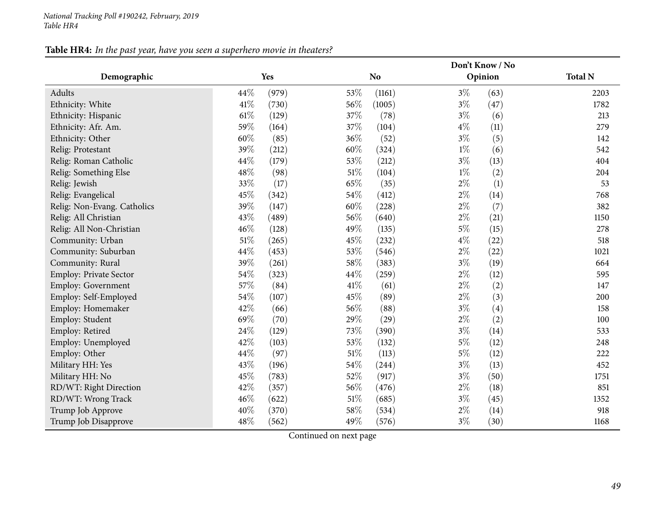### Table HR4: In the past year, have you seen a superhero movie in theaters?

|                             |                 |                 | Don't Know / No |                |
|-----------------------------|-----------------|-----------------|-----------------|----------------|
| Demographic                 | Yes             | N <sub>o</sub>  | Opinion         | <b>Total N</b> |
| Adults                      | 44%<br>(979)    | 53%<br>(1161)   | $3\%$<br>(63)   | 2203           |
| Ethnicity: White            | $41\%$<br>(730) | 56%<br>(1005)   | $3\%$<br>(47)   | 1782           |
| Ethnicity: Hispanic         | $61\%$<br>(129) | 37%<br>(78)     | $3\%$<br>(6)    | 213            |
| Ethnicity: Afr. Am.         | 59%<br>(164)    | 37%<br>(104)    | $4\%$<br>(11)   | 279            |
| Ethnicity: Other            | 60%<br>(85)     | 36%<br>(52)     | $3\%$<br>(5)    | 142            |
| Relig: Protestant           | 39%<br>(212)    | 60%<br>(324)    | $1\%$<br>(6)    | 542            |
| Relig: Roman Catholic       | 44%<br>(179)    | 53%<br>(212)    | $3\%$<br>(13)   | 404            |
| Relig: Something Else       | 48%<br>(98)     | 51%<br>(104)    | $1\%$<br>(2)    | 204            |
| Relig: Jewish               | 33%<br>(17)     | 65%<br>(35)     | $2\%$<br>(1)    | 53             |
| Relig: Evangelical          | 45%<br>(342)    | 54%<br>(412)    | $2\%$<br>(14)   | 768            |
| Relig: Non-Evang. Catholics | 39%<br>(147)    | 60%<br>(228)    | $2\%$<br>(7)    | 382            |
| Relig: All Christian        | 43%<br>(489)    | 56%<br>(640)    | $2\%$<br>(21)   | 1150           |
| Relig: All Non-Christian    | 46%<br>(128)    | 49%<br>(135)    | $5\%$<br>(15)   | 278            |
| Community: Urban            | $51\%$<br>(265) | 45%<br>(232)    | $4\%$<br>(22)   | 518            |
| Community: Suburban         | 44%<br>(453)    | 53%<br>(546)    | $2\%$<br>(22)   | 1021           |
| Community: Rural            | 39%<br>(261)    | 58\%<br>(383)   | $3\%$<br>(19)   | 664            |
| Employ: Private Sector      | 54%<br>(323)    | 44\%<br>(259)   | $2\%$<br>(12)   | 595            |
| Employ: Government          | 57%<br>(84)     | 41\%<br>(61)    | $2\%$<br>(2)    | 147            |
| Employ: Self-Employed       | 54%<br>(107)    | 45%<br>(89)     | $2\%$<br>(3)    | 200            |
| Employ: Homemaker           | 42%<br>(66)     | 56%<br>(88)     | $3\%$<br>(4)    | 158            |
| Employ: Student             | 69%<br>(70)     | 29%<br>(29)     | $2\%$<br>(2)    | 100            |
| Employ: Retired             | 24%<br>(129)    | 73%<br>(390)    | $3\%$<br>(14)   | 533            |
| Employ: Unemployed          | 42%<br>(103)    | 53%<br>(132)    | $5\%$<br>(12)   | 248            |
| Employ: Other               | 44%<br>(97)     | $51\%$<br>(113) | $5\%$<br>(12)   | 222            |
| Military HH: Yes            | 43%<br>(196)    | 54%<br>(244)    | $3\%$<br>(13)   | 452            |
| Military HH: No             | 45%<br>(783)    | 52%<br>(917)    | $3\%$<br>(50)   | 1751           |
| RD/WT: Right Direction      | 42%<br>(357)    | 56%<br>(476)    | $2\%$<br>(18)   | 851            |
| RD/WT: Wrong Track          | 46%<br>(622)    | $51\%$<br>(685) | $3\%$<br>(45)   | 1352           |
| Trump Job Approve           | 40%<br>(370)    | 58%<br>(534)    | $2\%$<br>(14)   | 918            |
| Trump Job Disapprove        | 48%<br>(562)    | 49%<br>(576)    | $3\%$<br>(30)   | 1168           |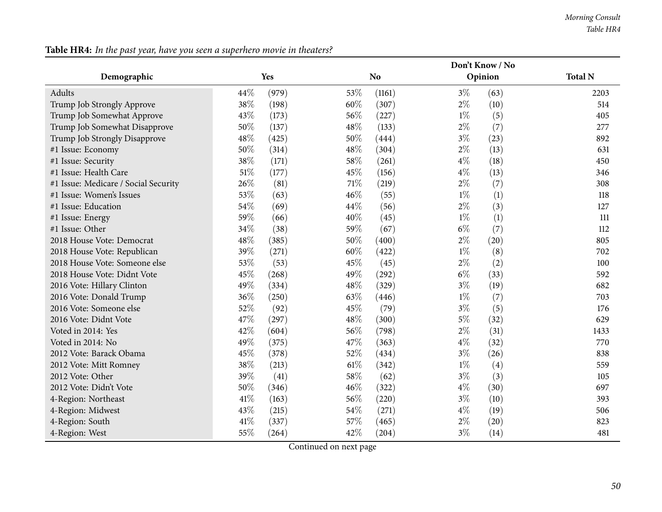|                                      |      |       |        | Don't Know / No |               |                |  |  |  |  |
|--------------------------------------|------|-------|--------|-----------------|---------------|----------------|--|--|--|--|
| Demographic                          |      | Yes   |        | N <sub>o</sub>  | Opinion       | <b>Total N</b> |  |  |  |  |
| Adults                               | 44%  | (979) | 53%    | (1161)          | $3\%$         | (63)<br>2203   |  |  |  |  |
| Trump Job Strongly Approve           | 38%  | (198) | 60%    | (307)           | $2\%$<br>(10) | 514            |  |  |  |  |
| Trump Job Somewhat Approve           | 43%  | (173) | 56%    | (227)           | $1\%$         | (5)<br>405     |  |  |  |  |
| Trump Job Somewhat Disapprove        | 50%  | (137) | 48%    | (133)           | $2\%$         | (7)<br>277     |  |  |  |  |
| Trump Job Strongly Disapprove        | 48%  | (425) | 50%    | (444)           | $3\%$<br>(23) | 892            |  |  |  |  |
| #1 Issue: Economy                    | 50%  | (314) | 48%    | (304)           | $2\%$<br>(13) | 631            |  |  |  |  |
| #1 Issue: Security                   | 38%  | (171) | 58%    | (261)           | $4\%$<br>(18) | 450            |  |  |  |  |
| #1 Issue: Health Care                | 51%  | (177) | 45%    | (156)           | $4\%$         | (13)<br>346    |  |  |  |  |
| #1 Issue: Medicare / Social Security | 26%  | (81)  | $71\%$ | (219)           | $2\%$         | (7)<br>308     |  |  |  |  |
| #1 Issue: Women's Issues             | 53%  | (63)  | 46%    | (55)            | $1\%$         | (1)<br>118     |  |  |  |  |
| #1 Issue: Education                  | 54%  | (69)  | 44%    | (56)            | $2\%$         | (3)<br>127     |  |  |  |  |
| #1 Issue: Energy                     | 59%  | (66)  | 40%    | (45)            | $1\%$         | (1)<br>111     |  |  |  |  |
| #1 Issue: Other                      | 34%  | (38)  | 59%    | (67)            | $6\%$         | (7)<br>112     |  |  |  |  |
| 2018 House Vote: Democrat            | 48%  | (385) | 50%    | (400)           | $2\%$<br>(20) | 805            |  |  |  |  |
| 2018 House Vote: Republican          | 39%  | (271) | 60%    | (422)           | $1\%$         | (8)<br>702     |  |  |  |  |
| 2018 House Vote: Someone else        | 53%  | (53)  | 45%    | (45)            | $2\%$         | (2)<br>100     |  |  |  |  |
| 2018 House Vote: Didnt Vote          | 45%  | (268) | 49%    | (292)           | $6\%$         | (33)<br>592    |  |  |  |  |
| 2016 Vote: Hillary Clinton           | 49%  | (334) | 48%    | (329)           | $3\%$<br>(19) | 682            |  |  |  |  |
| 2016 Vote: Donald Trump              | 36%  | (250) | 63%    | (446)           | $1\%$         | (7)<br>703     |  |  |  |  |
| 2016 Vote: Someone else              | 52%  | (92)  | 45%    | (79)            | $3\%$         | (5)<br>176     |  |  |  |  |
| 2016 Vote: Didnt Vote                | 47%  | (297) | 48%    | (300)           | $5\%$<br>(32) | 629            |  |  |  |  |
| Voted in 2014: Yes                   | 42%  | (604) | 56%    | (798)           | $2\%$         | (31)<br>1433   |  |  |  |  |
| Voted in 2014: No                    | 49%  | (375) | 47%    | (363)           | $4\%$<br>(32) | 770            |  |  |  |  |
| 2012 Vote: Barack Obama              | 45%  | (378) | 52%    | (434)           | $3\%$<br>(26) | 838            |  |  |  |  |
| 2012 Vote: Mitt Romney               | 38%  | (213) | $61\%$ | (342)           | $1\%$         | (4)<br>559     |  |  |  |  |
| 2012 Vote: Other                     | 39%  | (41)  | 58%    | (62)            | $3\%$         | (3)<br>105     |  |  |  |  |
| 2012 Vote: Didn't Vote               | 50%  | (346) | 46%    | (322)           | $4\%$<br>(30) | 697            |  |  |  |  |
| 4-Region: Northeast                  | 41%  | (163) | 56%    | (220)           | $3\%$<br>(10) | 393            |  |  |  |  |
| 4-Region: Midwest                    | 43%  | (215) | 54%    | (271)           | $4\%$<br>(19) | 506            |  |  |  |  |
| 4-Region: South                      | 41\% | (337) | 57%    | (465)           | $2\%$<br>(20) | 823            |  |  |  |  |
| 4-Region: West                       | 55%  | (264) | 42%    | (204)           | $3\%$         | (14)<br>481    |  |  |  |  |

Table HR4: In the past year, have you seen a superhero movie in theaters?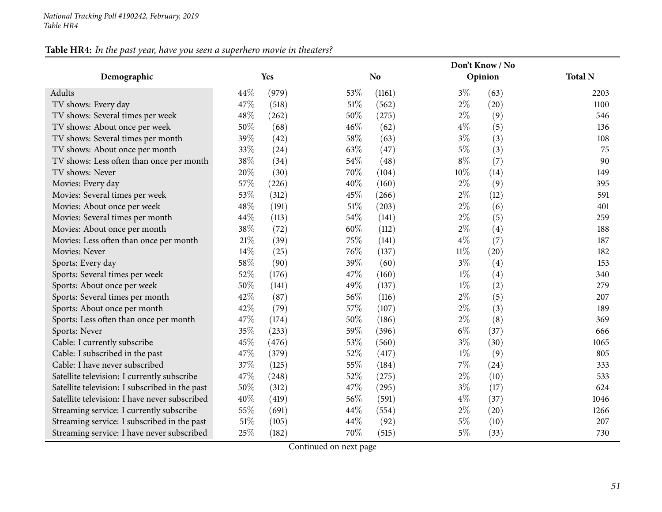### Table HR4: In the past year, have you seen a superhero movie in theaters?

|                                                |        |       |        |                |        | Don't Know / No |                |
|------------------------------------------------|--------|-------|--------|----------------|--------|-----------------|----------------|
| Demographic                                    |        | Yes   |        | N <sub>o</sub> |        | Opinion         | <b>Total N</b> |
| Adults                                         | 44\%   | (979) | 53%    | (1161)         | $3\%$  | (63)            | 2203           |
| TV shows: Every day                            | 47%    | (518) | $51\%$ | (562)          | $2\%$  | (20)            | 1100           |
| TV shows: Several times per week               | 48%    | (262) | 50%    | (275)          | $2\%$  | (9)             | 546            |
| TV shows: About once per week                  | 50%    | (68)  | 46%    | (62)           | $4\%$  | (5)             | 136            |
| TV shows: Several times per month              | 39%    | (42)  | 58%    | (63)           | $3\%$  | (3)             | 108            |
| TV shows: About once per month                 | 33%    | (24)  | 63%    | (47)           | $5\%$  | (3)             | 75             |
| TV shows: Less often than once per month       | $38\%$ | (34)  | 54%    | (48)           | $8\%$  | (7)             | 90             |
| TV shows: Never                                | 20%    | (30)  | 70%    | (104)          | 10%    | (14)            | 149            |
| Movies: Every day                              | 57%    | (226) | 40%    | (160)          | $2\%$  | (9)             | 395            |
| Movies: Several times per week                 | 53%    | (312) | 45%    | (266)          | $2\%$  | (12)            | 591            |
| Movies: About once per week                    | 48%    | (191) | 51%    | (203)          | $2\%$  | (6)             | 401            |
| Movies: Several times per month                | 44%    | (113) | 54%    | (141)          | $2\%$  | (5)             | 259            |
| Movies: About once per month                   | 38%    | (72)  | 60%    | (112)          | $2\%$  | (4)             | 188            |
| Movies: Less often than once per month         | $21\%$ | (39)  | 75%    | (141)          | $4\%$  | (7)             | 187            |
| Movies: Never                                  | 14\%   | (25)  | 76%    | (137)          | $11\%$ | (20)            | 182            |
| Sports: Every day                              | 58\%   | (90)  | 39%    | (60)           | $3\%$  | (4)             | 153            |
| Sports: Several times per week                 | 52%    | (176) | 47%    | (160)          | $1\%$  | (4)             | 340            |
| Sports: About once per week                    | $50\%$ | (141) | 49%    | (137)          | $1\%$  | (2)             | 279            |
| Sports: Several times per month                | 42%    | (87)  | 56%    | (116)          | $2\%$  | (5)             | 207            |
| Sports: About once per month                   | 42%    | (79)  | 57%    | (107)          | $2\%$  | (3)             | 189            |
| Sports: Less often than once per month         | 47%    | (174) | 50%    | (186)          | $2\%$  | (8)             | 369            |
| Sports: Never                                  | 35%    | (233) | 59%    | (396)          | $6\%$  | (37)            | 666            |
| Cable: I currently subscribe                   | 45%    | (476) | 53%    | (560)          | $3\%$  | (30)            | 1065           |
| Cable: I subscribed in the past                | 47%    | (379) | 52%    | (417)          | $1\%$  | (9)             | 805            |
| Cable: I have never subscribed                 | 37%    | (125) | 55%    | (184)          | $7\%$  | (24)            | 333            |
| Satellite television: I currently subscribe    | 47%    | (248) | 52%    | (275)          | $2\%$  | (10)            | 533            |
| Satellite television: I subscribed in the past | 50%    | (312) | 47%    | (295)          | $3\%$  | (17)            | 624            |
| Satellite television: I have never subscribed  | 40%    | (419) | 56%    | (591)          | $4\%$  | (37)            | 1046           |
| Streaming service: I currently subscribe       | 55%    | (691) | 44%    | (554)          | $2\%$  | (20)            | 1266           |
| Streaming service: I subscribed in the past    | 51%    | (105) | 44%    | (92)           | $5\%$  | (10)            | 207            |
| Streaming service: I have never subscribed     | 25%    | (182) | 70%    | (515)          | $5\%$  | (33)            | 730            |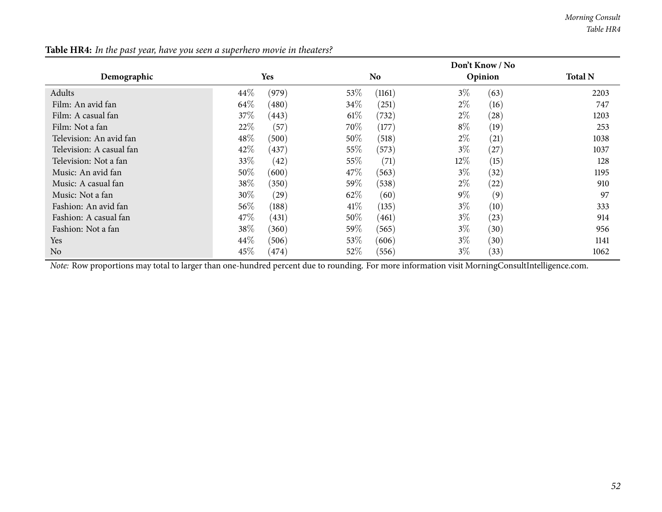|                          |                            |                 | Don't Know / No             |                |
|--------------------------|----------------------------|-----------------|-----------------------------|----------------|
| Demographic              | Yes                        | <b>No</b>       | Opinion                     | <b>Total N</b> |
| Adults                   | (979)<br>44%               | 53\%<br>(1161)  | $3\%$<br>(63)               | 2203           |
| Film: An avid fan        | 64\%<br>(480)              | $34\%$<br>(251) | $2\%$<br>(16)               | 747            |
| Film: A casual fan       | $37\%$<br>(443)            | $61\%$<br>(732) | $2\%$<br>$\left( 28\right)$ | 1203           |
| Film: Not a fan          | 22%<br>(57)                | 70%<br>(177)    | $8\%$<br>(19)               | 253            |
| Television: An avid fan  | 48\%<br>(500)              | 50\%<br>(518)   | $2\%$<br>(21)               | 1038           |
| Television: A casual fan | 42%<br>(437)               | 55\%<br>(573)   | $3\%$<br>(27)               | 1037           |
| Television: Not a fan    | 33\%<br>(42)               | 55\%<br>(71)    | 12\%<br>(15)                | 128            |
| Music: An avid fan       | $50\%$<br>(600)            | $47\%$<br>(563) | $3\%$<br>(32)               | 1195           |
| Music: A casual fan      | 38\%<br>(350)              | 59%<br>(538)    | $2\%$<br>$\left( 22\right)$ | 910            |
| Music: Not a fan         | 30\%<br>$\left( 29\right)$ | 62\%<br>(60)    | $9\%$<br>(9)                | 97             |
| Fashion: An avid fan     | $56\%$<br>(188)            | 41%<br>(135)    | $3\%$<br>(10)               | 333            |
| Fashion: A casual fan    | 47\%<br>(431)              | $50\%$<br>(461) | $3\%$<br>(23)               | 914            |
| Fashion: Not a fan       | 38\%<br>(360)              | 59%<br>(565)    | $3\%$<br>(30)               | 956            |
| <b>Yes</b>               | 44\%<br>(506)              | 53\%<br>(606)   | $3\%$<br>(30)               | 1141           |
| No                       | 45%<br>(474)               | 52\%<br>(556)   | $3\%$<br>(33)               | 1062           |

Table HR4: In the past year, have you seen a superhero movie in theaters?

*Note:* Row proportions may total to larger than one-hundred percen<sup>t</sup> due to rounding. For more information visit [MorningConsultIntelligence.com](https://morningconsultintelligence.com).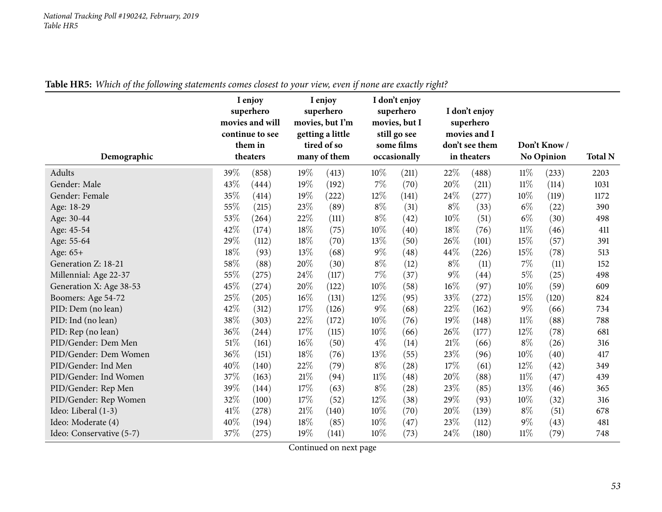| Demographic              | I enjoy<br>superhero<br>movies and will<br>continue to see<br>them in<br>theaters |       | I enjoy<br>superhero<br>movies, but I'm<br>getting a little<br>tired of so<br>many of them |       | I don't enjoy<br>superhero<br>movies, but I<br>still go see<br>some films<br>occasionally |       | I don't enjoy<br>superhero<br>movies and I<br>don't see them<br>in theaters |       | Don't Know/<br><b>No Opinion</b> |       | <b>Total N</b> |
|--------------------------|-----------------------------------------------------------------------------------|-------|--------------------------------------------------------------------------------------------|-------|-------------------------------------------------------------------------------------------|-------|-----------------------------------------------------------------------------|-------|----------------------------------|-------|----------------|
| Adults                   | 39%                                                                               | (858) | 19%                                                                                        | (413) | $10\%$                                                                                    | (211) | 22%                                                                         | (488) | 11%                              | (233) | 2203           |
| Gender: Male             | 43%                                                                               | (444) | 19%                                                                                        | (192) | $7\%$                                                                                     | (70)  | 20%                                                                         | (211) | $11\%$                           | (114) | 1031           |
| Gender: Female           | 35%                                                                               | (414) | 19%                                                                                        | (222) | 12%                                                                                       | (141) | 24%                                                                         | (277) | 10%                              | (119) | 1172           |
| Age: 18-29               | 55%                                                                               | (215) | 23%                                                                                        | (89)  | $8\%$                                                                                     | (31)  | $8\%$                                                                       | (33)  | $6\%$                            | (22)  | 390            |
| Age: 30-44               | 53%                                                                               | (264) | 22%                                                                                        | (111) | $8\%$                                                                                     | (42)  | 10%                                                                         | (51)  | $6\%$                            | (30)  | 498            |
| Age: 45-54               | 42%                                                                               | (174) | 18%                                                                                        | (75)  | 10%                                                                                       | (40)  | 18%                                                                         | (76)  | $11\%$                           | (46)  | 411            |
| Age: 55-64               | 29%                                                                               | (112) | 18%                                                                                        | (70)  | 13%                                                                                       | (50)  | 26%                                                                         | (101) | 15%                              | (57)  | 391            |
| Age: 65+                 | 18%                                                                               | (93)  | 13%                                                                                        | (68)  | $9\%$                                                                                     | (48)  | 44%                                                                         | (226) | 15%                              | (78)  | 513            |
| Generation Z: 18-21      | 58%                                                                               | (88)  | $20\%$                                                                                     | (30)  | $8\%$                                                                                     | (12)  | $8\%$                                                                       | (11)  | $7\%$                            | (11)  | 152            |
| Millennial: Age 22-37    | 55%                                                                               | (275) | 24%                                                                                        | (117) | $7\%$                                                                                     | (37)  | $9\%$                                                                       | (44)  | $5\%$                            | (25)  | 498            |
| Generation X: Age 38-53  | 45%                                                                               | (274) | 20%                                                                                        | (122) | 10%                                                                                       | (58)  | 16%                                                                         | (97)  | 10%                              | (59)  | 609            |
| Boomers: Age 54-72       | 25%                                                                               | (205) | 16%                                                                                        | (131) | 12%                                                                                       | (95)  | 33%                                                                         | (272) | 15%                              | (120) | 824            |
| PID: Dem (no lean)       | 42%                                                                               | (312) | 17%                                                                                        | (126) | $9\%$                                                                                     | (68)  | 22%                                                                         | (162) | $9\%$                            | (66)  | 734            |
| PID: Ind (no lean)       | 38%                                                                               | (303) | 22%                                                                                        | (172) | 10%                                                                                       | (76)  | 19%                                                                         | (148) | $11\%$                           | (88)  | 788            |
| PID: Rep (no lean)       | 36%                                                                               | (244) | 17%                                                                                        | (115) | 10%                                                                                       | (66)  | 26%                                                                         | (177) | 12%                              | (78)  | 681            |
| PID/Gender: Dem Men      | $51\%$                                                                            | (161) | 16%                                                                                        | (50)  | $4\%$                                                                                     | (14)  | 21%                                                                         | (66)  | $8\%$                            | (26)  | 316            |
| PID/Gender: Dem Women    | $36\%$                                                                            | (151) | 18%                                                                                        | (76)  | 13%                                                                                       | (55)  | 23%                                                                         | (96)  | 10%                              | (40)  | 417            |
| PID/Gender: Ind Men      | 40%                                                                               | (140) | 22%                                                                                        | (79)  | $8\%$                                                                                     | (28)  | 17%                                                                         | (61)  | 12%                              | (42)  | 349            |
| PID/Gender: Ind Women    | 37%                                                                               | (163) | 21%                                                                                        | (94)  | $11\%$                                                                                    | (48)  | 20%                                                                         | (88)  | $11\%$                           | (47)  | 439            |
| PID/Gender: Rep Men      | 39%                                                                               | (144) | 17%                                                                                        | (63)  | $8\%$                                                                                     | (28)  | 23%                                                                         | (85)  | 13%                              | (46)  | 365            |
| PID/Gender: Rep Women    | 32%                                                                               | (100) | 17%                                                                                        | (52)  | 12%                                                                                       | (38)  | 29%                                                                         | (93)  | 10%                              | (32)  | 316            |
| Ideo: Liberal (1-3)      | $41\%$                                                                            | (278) | 21%                                                                                        | (140) | 10%                                                                                       | (70)  | 20%                                                                         | (139) | $8\%$                            | (51)  | 678            |
| Ideo: Moderate (4)       | 40%                                                                               | (194) | 18%                                                                                        | (85)  | 10%                                                                                       | (47)  | 23%                                                                         | (112) | $9\%$                            | (43)  | 481            |
| Ideo: Conservative (5-7) | 37%                                                                               | (275) | 19%                                                                                        | (141) | 10%                                                                                       | (73)  | 24%                                                                         | (180) | $11\%$                           | (79)  | 748            |

Table HR5: Which of the following statements comes closest to your view, even if none are exactly right?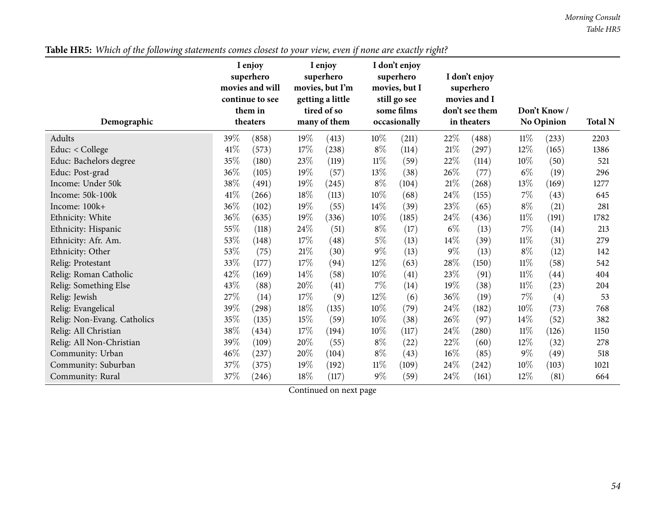*Morning Consult Table HR5*

| Demographic                 |        | I enjoy<br>superhero<br>movies and will<br>continue to see<br>them in<br>theaters |        | I enjoy<br>superhero<br>movies, but I'm<br>getting a little<br>tired of so<br>many of them |        | I don't enjoy<br>superhero<br>movies, but I<br>still go see<br>some films<br>occasionally |        | I don't enjoy<br>superhero<br>movies and I<br>don't see them<br>in theaters |        | Don't Know/<br>No Opinion | <b>Total N</b> |
|-----------------------------|--------|-----------------------------------------------------------------------------------|--------|--------------------------------------------------------------------------------------------|--------|-------------------------------------------------------------------------------------------|--------|-----------------------------------------------------------------------------|--------|---------------------------|----------------|
| Adults                      | 39%    | (858)                                                                             | 19%    | (413)                                                                                      | $10\%$ | (211)                                                                                     | 22\%   | (488)                                                                       | 11%    | (233)                     | 2203           |
| Educ: < College             | 41\%   | (573)                                                                             | 17%    | (238)                                                                                      | $8\%$  | (114)                                                                                     | $21\%$ | (297)                                                                       | $12\%$ | (165)                     | 1386           |
| Educ: Bachelors degree      | 35%    | (180)                                                                             | 23%    | (119)                                                                                      | $11\%$ | (59)                                                                                      | 22%    | (114)                                                                       | 10%    | (50)                      | 521            |
| Educ: Post-grad             | 36%    | (105)                                                                             | 19%    | (57)                                                                                       | 13%    | (38)                                                                                      | $26\%$ | (77)                                                                        | $6\%$  | (19)                      | 296            |
| Income: Under 50k           | 38%    | (491)                                                                             | 19%    | (245)                                                                                      | $8\%$  | (104)                                                                                     | $21\%$ | (268)                                                                       | 13\%   | (169)                     | 1277           |
| Income: 50k-100k            | 41\%   | (266)                                                                             | 18%    | (113)                                                                                      | $10\%$ | (68)                                                                                      | 24%    | (155)                                                                       | $7\%$  | (43)                      | 645            |
| Income: 100k+               | 36\%   | (102)                                                                             | 19%    | (55)                                                                                       | $14\%$ | (39)                                                                                      | 23%    | (65)                                                                        | $8\%$  | (21)                      | 281            |
| Ethnicity: White            | 36%    | (635)                                                                             | 19%    | (336)                                                                                      | $10\%$ | (185)                                                                                     | $24\%$ | (436)                                                                       | $11\%$ | (191)                     | 1782           |
| Ethnicity: Hispanic         | 55%    | (118)                                                                             | 24\%   | (51)                                                                                       | $8\%$  | (17)                                                                                      | $6\%$  | (13)                                                                        | $7\%$  | (14)                      | 213            |
| Ethnicity: Afr. Am.         | 53\%   | (148)                                                                             | 17\%   | (48)                                                                                       | $5\%$  | (13)                                                                                      | $14\%$ | (39)                                                                        | $11\%$ | (31)                      | 279            |
| Ethnicity: Other            | 53\%   | (75)                                                                              | $21\%$ | (30)                                                                                       | $9\%$  | (13)                                                                                      | $9\%$  | (13)                                                                        | $8\%$  | (12)                      | 142            |
| Relig: Protestant           | 33%    | (177)                                                                             | 17%    | (94)                                                                                       | 12\%   | (63)                                                                                      | 28\%   | (150)                                                                       | $11\%$ | (58)                      | 542            |
| Relig: Roman Catholic       | 42%    | (169)                                                                             | 14%    | (58)                                                                                       | 10%    | (41)                                                                                      | 23%    | (91)                                                                        | 11%    | (44)                      | 404            |
| Relig: Something Else       | 43%    | (88)                                                                              | 20%    | (41)                                                                                       | $7\%$  | (14)                                                                                      | 19%    | (38)                                                                        | $11\%$ | (23)                      | 204            |
| Relig: Jewish               | 27%    | (14)                                                                              | 17\%   | (9)                                                                                        | 12\%   | (6)                                                                                       | 36\%   | (19)                                                                        | $7\%$  | (4)                       | 53             |
| Relig: Evangelical          | 39%    | (298)                                                                             | 18%    | (135)                                                                                      | $10\%$ | (79)                                                                                      | $24\%$ | (182)                                                                       | 10%    | (73)                      | 768            |
| Relig: Non-Evang. Catholics | $35\%$ | (135)                                                                             | 15%    | (59)                                                                                       | $10\%$ | (38)                                                                                      | $26\%$ | (97)                                                                        | 14%    | (52)                      | 382            |
| Relig: All Christian        | 38%    | (434)                                                                             | 17%    | (194)                                                                                      | $10\%$ | (117)                                                                                     | 24\%   | (280)                                                                       | 11%    | (126)                     | 1150           |
| Relig: All Non-Christian    | 39%    | (109)                                                                             | 20%    | (55)                                                                                       | $8\%$  | (22)                                                                                      | 22%    | (60)                                                                        | 12%    | (32)                      | 278            |
| Community: Urban            | 46%    | (237)                                                                             | 20%    | (104)                                                                                      | $8\%$  | (43)                                                                                      | $16\%$ | (85)                                                                        | $9\%$  | (49)                      | 518            |
| Community: Suburban         | 37%    | (375)                                                                             | 19%    | (192)                                                                                      | $11\%$ | (109)                                                                                     | $24\%$ | (242)                                                                       | $10\%$ | (103)                     | 1021           |
| Community: Rural            | 37%    | (246)                                                                             | $18\%$ | (117)                                                                                      | $9\%$  | (59)                                                                                      | $24\%$ | (161)                                                                       | $12\%$ | (81)                      | 664            |

Table HR5: Which of the following statements comes closest to your view, even if none are exactly right?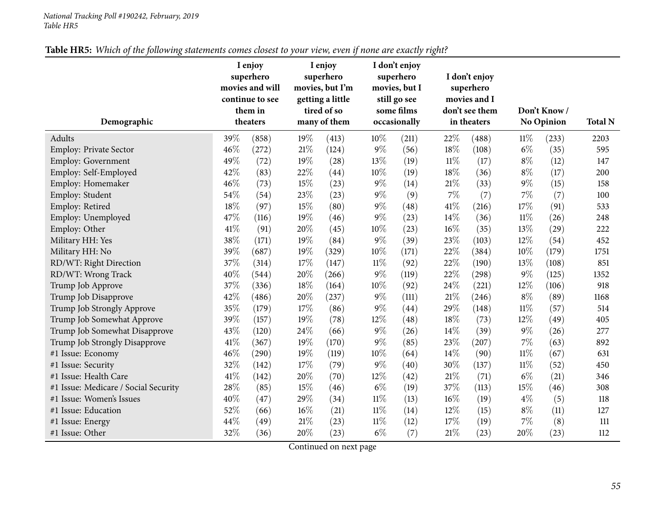| Table HR5: Which of the following statements comes closest to your view, even if none are exactly right? |
|----------------------------------------------------------------------------------------------------------|
|----------------------------------------------------------------------------------------------------------|

| Demographic                          |      | I enjoy<br>superhero<br>movies and will<br>continue to see<br>them in<br>theaters |     | I enjoy<br>superhero<br>movies, but I'm<br>getting a little<br>tired of so<br>many of them |        | I don't enjoy<br>superhero<br>movies, but I<br>still go see<br>some films<br>occasionally |        | I don't enjoy<br>superhero<br>movies and I<br>don't see them<br>in theaters |        | Don't Know/<br><b>No Opinion</b> | <b>Total N</b> |
|--------------------------------------|------|-----------------------------------------------------------------------------------|-----|--------------------------------------------------------------------------------------------|--------|-------------------------------------------------------------------------------------------|--------|-----------------------------------------------------------------------------|--------|----------------------------------|----------------|
| Adults                               | 39%  | (858)                                                                             | 19% | (413)                                                                                      | 10%    | (211)                                                                                     | 22%    | (488)                                                                       | $11\%$ | (233)                            | 2203           |
| <b>Employ: Private Sector</b>        | 46%  | (272)                                                                             | 21% | (124)                                                                                      | $9\%$  | (56)                                                                                      | 18%    | (108)                                                                       | $6\%$  | (35)                             | 595            |
| <b>Employ: Government</b>            | 49%  | (72)                                                                              | 19% | (28)                                                                                       | 13%    | (19)                                                                                      | $11\%$ | (17)                                                                        | $8\%$  | (12)                             | 147            |
| Employ: Self-Employed                | 42%  | (83)                                                                              | 22% | (44)                                                                                       | 10%    | (19)                                                                                      | 18%    | (36)                                                                        | $8\%$  | (17)                             | 200            |
| Employ: Homemaker                    | 46%  | (73)                                                                              | 15% | (23)                                                                                       | $9\%$  | (14)                                                                                      | 21%    | (33)                                                                        | $9\%$  | (15)                             | 158            |
| Employ: Student                      | 54%  | (54)                                                                              | 23% | (23)                                                                                       | $9\%$  | (9)                                                                                       | 7%     | (7)                                                                         | $7\%$  | (7)                              | 100            |
| Employ: Retired                      | 18%  | (97)                                                                              | 15% | (80)                                                                                       | $9\%$  | (48)                                                                                      | 41\%   | (216)                                                                       | 17%    | (91)                             | 533            |
| Employ: Unemployed                   | 47\% | (116)                                                                             | 19% | (46)                                                                                       | 9%     | (23)                                                                                      | 14\%   | (36)                                                                        | 11%    | (26)                             | 248            |
| Employ: Other                        | 41\% | (91)                                                                              | 20% | (45)                                                                                       | 10%    | (23)                                                                                      | 16%    | (35)                                                                        | 13\%   | (29)                             | 222            |
| Military HH: Yes                     | 38%  | (171)                                                                             | 19% | (84)                                                                                       | $9\%$  | (39)                                                                                      | 23%    | (103)                                                                       | 12%    | (54)                             | 452            |
| Military HH: No                      | 39%  | (687)                                                                             | 19% | (329)                                                                                      | 10%    | (171)                                                                                     | 22%    | (384)                                                                       | $10\%$ | (179)                            | 1751           |
| RD/WT: Right Direction               | 37%  | (314)                                                                             | 17% | (147)                                                                                      | $11\%$ | (92)                                                                                      | 22%    | (190)                                                                       | 13%    | (108)                            | 851            |
| RD/WT: Wrong Track                   | 40%  | (544)                                                                             | 20% | (266)                                                                                      | $9\%$  | (119)                                                                                     | 22%    | (298)                                                                       | $9\%$  | (125)                            | 1352           |
| Trump Job Approve                    | 37%  | (336)                                                                             | 18% | (164)                                                                                      | 10%    | (92)                                                                                      | 24%    | (221)                                                                       | $12\%$ | (106)                            | 918            |
| Trump Job Disapprove                 | 42%  | (486)                                                                             | 20% | (237)                                                                                      | $9\%$  | (111)                                                                                     | 21%    | (246)                                                                       | $8\%$  | (89)                             | 1168           |
| Trump Job Strongly Approve           | 35%  | (179)                                                                             | 17% | (86)                                                                                       | $9\%$  | (44)                                                                                      | 29%    | (148)                                                                       | $11\%$ | (57)                             | 514            |
| Trump Job Somewhat Approve           | 39%  | (157)                                                                             | 19% | (78)                                                                                       | 12%    | (48)                                                                                      | 18%    | (73)                                                                        | 12%    | (49)                             | 405            |
| Trump Job Somewhat Disapprove        | 43%  | (120)                                                                             | 24% | (66)                                                                                       | $9\%$  | (26)                                                                                      | 14%    | (39)                                                                        | $9\%$  | (26)                             | 277            |
| Trump Job Strongly Disapprove        | 41%  | (367)                                                                             | 19% | (170)                                                                                      | $9\%$  | (85)                                                                                      | 23%    | (207)                                                                       | $7\%$  | (63)                             | 892            |
| #1 Issue: Economy                    | 46%  | (290)                                                                             | 19% | (119)                                                                                      | 10%    | (64)                                                                                      | 14\%   | (90)                                                                        | $11\%$ | (67)                             | 631            |
| #1 Issue: Security                   | 32%  | (142)                                                                             | 17% | (79)                                                                                       | $9\%$  | (40)                                                                                      | 30%    | (137)                                                                       | $11\%$ | (52)                             | 450            |
| #1 Issue: Health Care                | 41\% | (142)                                                                             | 20% | (70)                                                                                       | 12%    | (42)                                                                                      | 21%    | (71)                                                                        | $6\%$  | (21)                             | 346            |
| #1 Issue: Medicare / Social Security | 28%  | (85)                                                                              | 15% | (46)                                                                                       | $6\%$  | (19)                                                                                      | 37%    | (113)                                                                       | 15%    | (46)                             | 308            |
| #1 Issue: Women's Issues             | 40%  | (47)                                                                              | 29% | (34)                                                                                       | $11\%$ | (13)                                                                                      | 16%    | (19)                                                                        | $4\%$  | (5)                              | 118            |
| #1 Issue: Education                  | 52%  | (66)                                                                              | 16% | (21)                                                                                       | $11\%$ | (14)                                                                                      | 12%    | (15)                                                                        | $8\%$  | (11)                             | 127            |
| #1 Issue: Energy                     | 44%  | (49)                                                                              | 21% | (23)                                                                                       | 11%    | (12)                                                                                      | 17%    | (19)                                                                        | $7\%$  | (8)                              | 111            |
| #1 Issue: Other                      | 32%  | (36)                                                                              | 20% | (23)                                                                                       | $6\%$  | (7)                                                                                       | 21%    | (23)                                                                        | 20%    | (23)                             | 112            |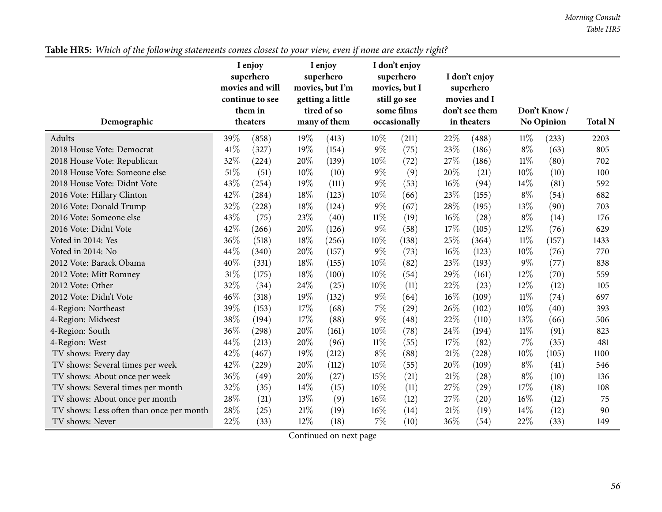*Morning Consult Table HR5*

| Demographic                              |      | I enjoy<br>superhero<br>movies and will<br>continue to see<br>them in<br>theaters |     | I enjoy<br>superhero<br>movies, but I'm<br>getting a little<br>tired of so<br>many of them |        | I don't enjoy<br>superhero<br>movies, but I<br>still go see<br>some films<br>occasionally |      | I don't enjoy<br>superhero<br>movies and I<br>don't see them<br>in theaters |        | Don't Know/<br><b>No Opinion</b> | <b>Total N</b> |
|------------------------------------------|------|-----------------------------------------------------------------------------------|-----|--------------------------------------------------------------------------------------------|--------|-------------------------------------------------------------------------------------------|------|-----------------------------------------------------------------------------|--------|----------------------------------|----------------|
|                                          |      |                                                                                   |     |                                                                                            |        |                                                                                           |      |                                                                             |        |                                  |                |
| Adults                                   | 39%  | (858)                                                                             | 19% | (413)                                                                                      | $10\%$ | (211)                                                                                     | 22%  | (488)                                                                       | 11%    | (233)                            | 2203           |
| 2018 House Vote: Democrat                | 41\% | (327)                                                                             | 19% | (154)                                                                                      | $9\%$  | (75)                                                                                      | 23%  | (186)                                                                       | $8\%$  | (63)                             | 805            |
| 2018 House Vote: Republican              | 32%  | (224)                                                                             | 20% | (139)                                                                                      | 10%    | (72)                                                                                      | 27%  | (186)                                                                       | $11\%$ | (80)                             | 702            |
| 2018 House Vote: Someone else            | 51%  | (51)                                                                              | 10% | (10)                                                                                       | $9\%$  | (9)                                                                                       | 20%  | (21)                                                                        | 10%    | (10)                             | 100            |
| 2018 House Vote: Didnt Vote              | 43%  | (254)                                                                             | 19% | (111)                                                                                      | $9\%$  | (53)                                                                                      | 16%  | (94)                                                                        | 14\%   | (81)                             | 592            |
| 2016 Vote: Hillary Clinton               | 42%  | (284)                                                                             | 18% | (123)                                                                                      | 10%    | (66)                                                                                      | 23%  | (155)                                                                       | $8\%$  | (54)                             | 682            |
| 2016 Vote: Donald Trump                  | 32%  | (228)                                                                             | 18% | (124)                                                                                      | $9\%$  | (67)                                                                                      | 28\% | (195)                                                                       | 13%    | (90)                             | 703            |
| 2016 Vote: Someone else                  | 43%  | (75)                                                                              | 23% | (40)                                                                                       | $11\%$ | (19)                                                                                      | 16%  | (28)                                                                        | $8\%$  | (14)                             | 176            |
| 2016 Vote: Didnt Vote                    | 42%  | (266)                                                                             | 20% | (126)                                                                                      | $9\%$  | (58)                                                                                      | 17%  | (105)                                                                       | 12%    | (76)                             | 629            |
| Voted in 2014: Yes                       | 36%  | (518)                                                                             | 18% | (256)                                                                                      | 10%    | (138)                                                                                     | 25%  | (364)                                                                       | $11\%$ | (157)                            | 1433           |
| Voted in 2014: No                        | 44%  | (340)                                                                             | 20% | (157)                                                                                      | $9\%$  | (73)                                                                                      | 16%  | (123)                                                                       | 10%    | (76)                             | 770            |
| 2012 Vote: Barack Obama                  | 40%  | (331)                                                                             | 18% | (155)                                                                                      | 10%    | (82)                                                                                      | 23%  | (193)                                                                       | $9\%$  | (77)                             | 838            |
| 2012 Vote: Mitt Romney                   | 31%  | (175)                                                                             | 18% | (100)                                                                                      | 10%    | (54)                                                                                      | 29%  | (161)                                                                       | 12%    | (70)                             | 559            |
| 2012 Vote: Other                         | 32%  | (34)                                                                              | 24% | (25)                                                                                       | 10%    | (11)                                                                                      | 22%  | (23)                                                                        | 12%    | (12)                             | 105            |
| 2012 Vote: Didn't Vote                   | 46%  | (318)                                                                             | 19% | (132)                                                                                      | $9\%$  | (64)                                                                                      | 16%  | (109)                                                                       | $11\%$ | (74)                             | 697            |
| 4-Region: Northeast                      | 39%  | (153)                                                                             | 17% | (68)                                                                                       | $7\%$  | (29)                                                                                      | 26\% | (102)                                                                       | 10%    | (40)                             | 393            |
| 4-Region: Midwest                        | 38%  | (194)                                                                             | 17% | (88)                                                                                       | $9\%$  | (48)                                                                                      | 22%  | (110)                                                                       | 13%    | (66)                             | 506            |
| 4-Region: South                          | 36%  | (298)                                                                             | 20% | (161)                                                                                      | 10%    | (78)                                                                                      | 24%  | (194)                                                                       | $11\%$ | (91)                             | 823            |
| 4-Region: West                           | 44%  | (213)                                                                             | 20% | (96)                                                                                       | $11\%$ | (55)                                                                                      | 17%  | (82)                                                                        | 7%     | (35)                             | 481            |
| TV shows: Every day                      | 42%  | (467)                                                                             | 19% | (212)                                                                                      | $8\%$  | (88)                                                                                      | 21%  | (228)                                                                       | 10%    | (105)                            | 1100           |
| TV shows: Several times per week         | 42%  | (229)                                                                             | 20% | (112)                                                                                      | 10%    | (55)                                                                                      | 20%  | (109)                                                                       | $8\%$  | (41)                             | 546            |
| TV shows: About once per week            | 36%  | (49)                                                                              | 20% | (27)                                                                                       | 15%    | (21)                                                                                      | 21%  | (28)                                                                        | $8\%$  | (10)                             | 136            |
| TV shows: Several times per month        | 32%  | (35)                                                                              | 14% | (15)                                                                                       | 10%    | (11)                                                                                      | 27%  | (29)                                                                        | 17%    | (18)                             | 108            |
| TV shows: About once per month           | 28%  | (21)                                                                              | 13% | (9)                                                                                        | 16%    | (12)                                                                                      | 27%  | (20)                                                                        | 16%    | (12)                             | 75             |
| TV shows: Less often than once per month | 28%  | (25)                                                                              | 21% | (19)                                                                                       | 16%    | (14)                                                                                      | 21%  | (19)                                                                        | 14%    | (12)                             | 90             |
| TV shows: Never                          | 22%  | (33)                                                                              | 12% | (18)                                                                                       | $7\%$  | (10)                                                                                      | 36%  | (54)                                                                        | 22%    | (33)                             | 149            |

Table HR5: Which of the following statements comes closest to your view, even if none are exactly right?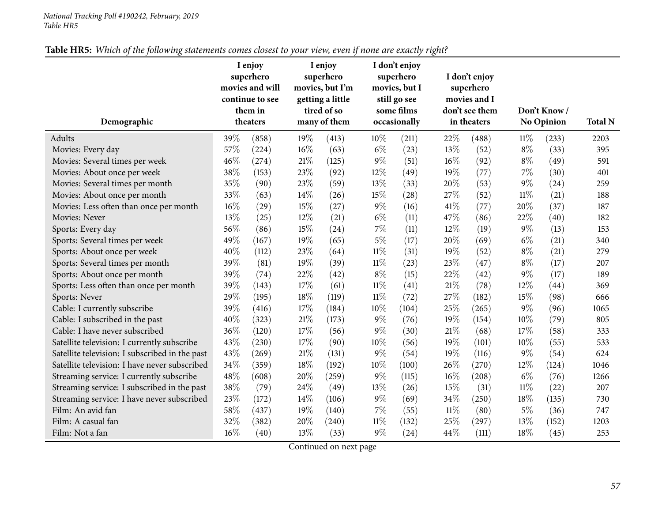| Table HR5: Which of the following statements comes closest to your view, even if none are exactly right? |  |
|----------------------------------------------------------------------------------------------------------|--|
|----------------------------------------------------------------------------------------------------------|--|

|                                                |     | I enjoy<br>superhero<br>movies and will<br>continue to see<br>them in |     | I enjoy<br>superhero<br>movies, but I'm<br>getting a little<br>tired of so |        | I don't enjoy<br>superhero<br>movies, but I<br>still go see<br>some films |        | I don't enjoy<br>superhero<br>movies and I<br>don't see them |        | Don't Know/       |                |
|------------------------------------------------|-----|-----------------------------------------------------------------------|-----|----------------------------------------------------------------------------|--------|---------------------------------------------------------------------------|--------|--------------------------------------------------------------|--------|-------------------|----------------|
| Demographic                                    |     | theaters                                                              |     | many of them                                                               |        | occasionally                                                              |        | in theaters                                                  |        | <b>No Opinion</b> | <b>Total N</b> |
| Adults                                         | 39% | (858)                                                                 | 19% | (413)                                                                      | $10\%$ | (211)                                                                     | $22\%$ | (488)                                                        | $11\%$ | (233)             | 2203           |
| Movies: Every day                              | 57% | (224)                                                                 | 16% | (63)                                                                       | $6\%$  | (23)                                                                      | 13%    | (52)                                                         | $8\%$  | (33)              | 395            |
| Movies: Several times per week                 | 46% | (274)                                                                 | 21% | (125)                                                                      | 9%     | (51)                                                                      | $16\%$ | (92)                                                         | $8\%$  | (49)              | 591            |
| Movies: About once per week                    | 38% | (153)                                                                 | 23% | (92)                                                                       | 12%    | (49)                                                                      | 19%    | (77)                                                         | 7%     | (30)              | 401            |
| Movies: Several times per month                | 35% | (90)                                                                  | 23% | (59)                                                                       | 13\%   | (33)                                                                      | 20%    | (53)                                                         | $9\%$  | (24)              | 259            |
| Movies: About once per month                   | 33% | (63)                                                                  | 14% | (26)                                                                       | 15%    | (28)                                                                      | 27%    | (52)                                                         | $11\%$ | (21)              | 188            |
| Movies: Less often than once per month         | 16% | (29)                                                                  | 15% | (27)                                                                       | $9\%$  | (16)                                                                      | 41\%   | (77)                                                         | 20%    | (37)              | 187            |
| Movies: Never                                  | 13% | (25)                                                                  | 12% | (21)                                                                       | $6\%$  | (11)                                                                      | 47%    | (86)                                                         | 22%    | (40)              | 182            |
| Sports: Every day                              | 56% | (86)                                                                  | 15% | (24)                                                                       | 7%     | (11)                                                                      | 12%    | (19)                                                         | $9\%$  | (13)              | 153            |
| Sports: Several times per week                 | 49% | (167)                                                                 | 19% | (65)                                                                       | $5\%$  | (17)                                                                      | 20%    | (69)                                                         | $6\%$  | (21)              | 340            |
| Sports: About once per week                    | 40% | (112)                                                                 | 23% | (64)                                                                       | $11\%$ | (31)                                                                      | 19%    | (52)                                                         | $8\%$  | (21)              | 279            |
| Sports: Several times per month                | 39% | (81)                                                                  | 19% | (39)                                                                       | $11\%$ | (23)                                                                      | 23%    | (47)                                                         | $8\%$  | (17)              | 207            |
| Sports: About once per month                   | 39% | (74)                                                                  | 22% | (42)                                                                       | $8\%$  | (15)                                                                      | 22%    | (42)                                                         | $9\%$  | (17)              | 189            |
| Sports: Less often than once per month         | 39% | (143)                                                                 | 17% | (61)                                                                       | $11\%$ | (41)                                                                      | 21%    | (78)                                                         | 12%    | (44)              | 369            |
| Sports: Never                                  | 29% | (195)                                                                 | 18% | (119)                                                                      | $11\%$ | (72)                                                                      | 27%    | (182)                                                        | 15%    | (98)              | 666            |
| Cable: I currently subscribe                   | 39% | (416)                                                                 | 17% | (184)                                                                      | 10%    | (104)                                                                     | 25%    | (265)                                                        | $9\%$  | (96)              | 1065           |
| Cable: I subscribed in the past                | 40% | (323)                                                                 | 21% | (173)                                                                      | $9\%$  | (76)                                                                      | 19%    | (154)                                                        | 10%    | (79)              | 805            |
| Cable: I have never subscribed                 | 36% | (120)                                                                 | 17% | (56)                                                                       | $9\%$  | (30)                                                                      | 21%    | (68)                                                         | 17%    | (58)              | 333            |
| Satellite television: I currently subscribe    | 43% | (230)                                                                 | 17% | (90)                                                                       | 10%    | (56)                                                                      | 19%    | (101)                                                        | 10%    | (55)              | 533            |
| Satellite television: I subscribed in the past | 43% | (269)                                                                 | 21% | (131)                                                                      | $9\%$  | (54)                                                                      | 19%    | (116)                                                        | $9\%$  | (54)              | 624            |
| Satellite television: I have never subscribed  | 34% | (359)                                                                 | 18% | (192)                                                                      | 10%    | (100)                                                                     | 26%    | (270)                                                        | 12%    | (124)             | 1046           |
| Streaming service: I currently subscribe       | 48% | (608)                                                                 | 20% | (259)                                                                      | $9\%$  | (115)                                                                     | $16\%$ | (208)                                                        | $6\%$  | (76)              | 1266           |
| Streaming service: I subscribed in the past    | 38% | (79)                                                                  | 24% | (49)                                                                       | 13%    | (26)                                                                      | 15%    | (31)                                                         | $11\%$ | (22)              | 207            |
| Streaming service: I have never subscribed     | 23% | (172)                                                                 | 14% | (106)                                                                      | 9%     | (69)                                                                      | 34%    | (250)                                                        | 18%    | (135)             | 730            |
| Film: An avid fan                              | 58% | (437)                                                                 | 19% | (140)                                                                      | $7\%$  | (55)                                                                      | $11\%$ | (80)                                                         | $5\%$  | (36)              | 747            |
| Film: A casual fan                             | 32% | (382)                                                                 | 20% | (240)                                                                      | $11\%$ | (132)                                                                     | 25%    | (297)                                                        | 13%    | (152)             | 1203           |
| Film: Not a fan                                | 16% | (40)                                                                  | 13% | (33)                                                                       | $9\%$  | (24)                                                                      | 44%    | (111)                                                        | 18%    | (45)              | 253            |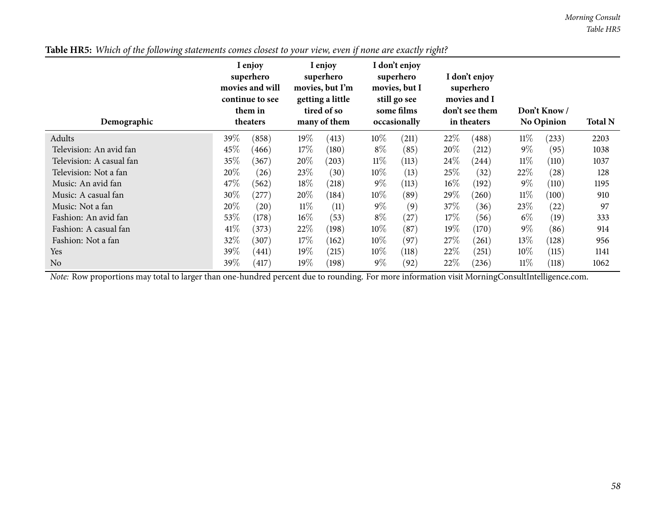*Morning Consult Table HR5*

| Demographic              |      | I enjoy<br>superhero<br>movies and will<br>continue to see<br>them in<br>theaters |        | I enjoy<br>superhero<br>movies, but I'm<br>getting a little<br>tired of so<br>many of them |        | I don't enjoy<br>superhero<br>movies, but I<br>still go see<br>some films<br>occasionally |        | I don't enjoy<br>superhero<br>movies and I<br>don't see them<br>in theaters |        | Don't Know/<br>No Opinion | <b>Total N</b> |
|--------------------------|------|-----------------------------------------------------------------------------------|--------|--------------------------------------------------------------------------------------------|--------|-------------------------------------------------------------------------------------------|--------|-----------------------------------------------------------------------------|--------|---------------------------|----------------|
| Adults                   | 39\% | (858)                                                                             | 19%    | (413)                                                                                      | $10\%$ | (211)                                                                                     | 22%    | (488)                                                                       | $11\%$ | (233)                     | 2203           |
| Television: An avid fan  | 45%  | (466)                                                                             | 17%    | (180)                                                                                      | $8\%$  | (85)                                                                                      | 20%    | (212)                                                                       | $9\%$  | (95)                      | 1038           |
| Television: A casual fan | 35\% | (367)                                                                             | 20%    | (203)                                                                                      | $11\%$ | (113)                                                                                     | $24\%$ | (244)                                                                       | $11\%$ | (110)                     | 1037           |
| Television: Not a fan    | 20%  | (26)                                                                              | 23\%   | (30)                                                                                       | $10\%$ | (13)                                                                                      | 25\%   | (32)                                                                        | 22\%   | $\left( 28\right)$        | 128            |
| Music: An avid fan       | 47\% | (562)                                                                             | 18%    | (218)                                                                                      | $9\%$  | (113)                                                                                     | $16\%$ | (192)                                                                       | $9\%$  | (110)                     | 1195           |
| Music: A casual fan      | 30%  | (277)                                                                             | 20%    | (184)                                                                                      | $10\%$ | (89)                                                                                      | 29\%   | (260)                                                                       | $11\%$ | (100)                     | 910            |
| Music: Not a fan         | 20%  | (20)                                                                              | $11\%$ | (11)                                                                                       | $9\%$  | (9)                                                                                       | 37\%   | (36)                                                                        | 23\%   | (22)                      | 97             |
| Fashion: An avid fan     | 53\% | (178)                                                                             | $16\%$ | (53)                                                                                       | $8\%$  | (27)                                                                                      | 17%    | (56)                                                                        | $6\%$  | (19)                      | 333            |
| Fashion: A casual fan    | 41\% | (373)                                                                             | 22%    | (198)                                                                                      | $10\%$ | (87)                                                                                      | $19\%$ | (170)                                                                       | $9\%$  | (86)                      | 914            |
| Fashion: Not a fan       | 32\% | (307)                                                                             | 17%    | (162)                                                                                      | $10\%$ | (97)                                                                                      | 27%    | (261)                                                                       | $13\%$ | (128)                     | 956            |
| Yes                      | 39\% | (441)                                                                             | 19%    | (215)                                                                                      | $10\%$ | (118)                                                                                     | 22%    | (251)                                                                       | $10\%$ | (115)                     | 1141           |
| N <sub>o</sub>           | 39\% | (417)                                                                             | 19%    | (198)                                                                                      | $9\%$  | (92)                                                                                      | 22%    | (236)                                                                       | 11%    | (118)                     | 1062           |

Table HR5: Which of the following statements comes closest to your view, even if none are exactly right?

*Note:* Row proportions may total to larger than one-hundred percen<sup>t</sup> due to rounding. For more information visit [MorningConsultIntelligence.com](https://morningconsultintelligence.com).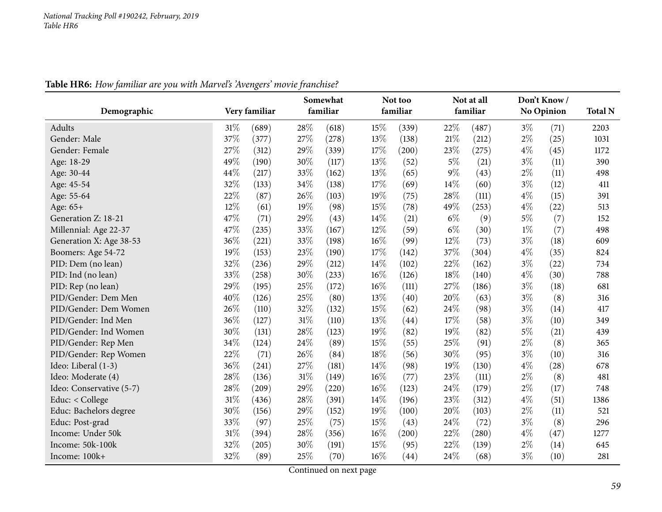|                          |      |               | Somewhat |          |      | Not too  |       | Not at all          |       | Don't Know/ |                |
|--------------------------|------|---------------|----------|----------|------|----------|-------|---------------------|-------|-------------|----------------|
| Demographic              |      | Very familiar |          | familiar |      | familiar |       | familiar            |       | No Opinion  | <b>Total N</b> |
| Adults                   | 31%  | (689)         | 28%      | (618)    | 15%  | (339)    | 22%   | (487)               | $3\%$ | (71)        | 2203           |
| Gender: Male             | 37%  | (377)         | 27%      | (278)    | 13%  | (138)    | 21%   | (212)               | $2\%$ | (25)        | 1031           |
| Gender: Female           | 27%  | (312)         | 29%      | (339)    | 17\% | (200)    | 23%   | (275)               | $4\%$ | (45)        | 1172           |
| Age: 18-29               | 49%  | (190)         | 30%      | (117)    | 13%  | (52)     | $5\%$ | (21)                | $3\%$ | (11)        | 390            |
| Age: 30-44               | 44\% | (217)         | 33%      | (162)    | 13%  | (65)     | $9\%$ | (43)                | $2\%$ | (11)        | 498            |
| Age: 45-54               | 32%  | (133)         | $34\%$   | (138)    | 17%  | (69)     | 14%   | (60)                | $3\%$ | (12)        | 411            |
| Age: 55-64               | 22%  | (87)          | 26%      | (103)    | 19%  | (75)     | 28%   | (111)               | $4\%$ | (15)        | 391            |
| Age: 65+                 | 12%  | (61)          | 19%      | (98)     | 15%  | (78)     | 49%   | (253)               | $4\%$ | (22)        | 513            |
| Generation Z: 18-21      | 47%  | (71)          | 29%      | (43)     | 14\% | (21)     | $6\%$ | (9)                 | $5\%$ | (7)         | 152            |
| Millennial: Age 22-37    | 47%  | (235)         | 33%      | (167)    | 12%  | (59)     | $6\%$ | (30)                | $1\%$ | (7)         | 498            |
| Generation X: Age 38-53  | 36%  | (221)         | 33%      | (198)    | 16%  | (99)     | 12%   | (73)                | $3\%$ | (18)        | 609            |
| Boomers: Age 54-72       | 19%  | (153)         | 23%      | (190)    | 17%  | (142)    | 37%   | (304)               | $4\%$ | (35)        | 824            |
| PID: Dem (no lean)       | 32%  | (236)         | 29%      | (212)    | 14%  | (102)    | 22%   | (162)               | $3\%$ | (22)        | 734            |
| PID: Ind (no lean)       | 33%  | (258)         | 30%      | (233)    | 16%  | (126)    | 18%   | (140)               | $4\%$ | (30)        | 788            |
| PID: Rep (no lean)       | 29%  | (195)         | 25%      | (172)    | 16%  | (111)    | 27%   | (186)               | $3\%$ | (18)        | 681            |
| PID/Gender: Dem Men      | 40%  | (126)         | 25%      | (80)     | 13%  | (40)     | 20%   | (63)                | $3\%$ | (8)         | 316            |
| PID/Gender: Dem Women    | 26%  | (110)         | 32%      | (132)    | 15%  | (62)     | 24\%  | (98)                | $3\%$ | (14)        | 417            |
| PID/Gender: Ind Men      | 36%  | (127)         | 31%      | (110)    | 13%  | (44)     | 17%   | (58)                | $3\%$ | (10)        | 349            |
| PID/Gender: Ind Women    | 30%  | (131)         | 28%      | (123)    | 19%  | (82)     | 19%   | (82)                | $5\%$ | (21)        | 439            |
| PID/Gender: Rep Men      | 34%  | (124)         | 24\%     | (89)     | 15%  | (55)     | 25%   | (91)                | $2\%$ | (8)         | 365            |
| PID/Gender: Rep Women    | 22%  | (71)          | 26%      | (84)     | 18%  | (56)     | 30%   | (95)                | $3\%$ | (10)        | 316            |
| Ideo: Liberal (1-3)      | 36%  | (241)         | 27%      | (181)    | 14\% | (98)     | 19%   | (130)               | $4\%$ | (28)        | 678            |
| Ideo: Moderate (4)       | 28%  | (136)         | 31%      | (149)    | 16%  | (77)     | 23%   | (111)               | $2\%$ | (8)         | 481            |
| Ideo: Conservative (5-7) | 28\% | (209)         | 29%      | (220)    | 16%  | (123)    | 24%   | (179)               | $2\%$ | (17)        | 748            |
| Educ: < College          | 31%  | (436)         | 28%      | (391)    | 14\% | (196)    | 23%   | (312)               | $4\%$ | (51)        | 1386           |
| Educ: Bachelors degree   | 30%  | (156)         | 29%      | (152)    | 19%  | (100)    | 20%   | (103)               | $2\%$ | (11)        | 521            |
| Educ: Post-grad          | 33%  | (97)          | 25%      | (75)     | 15%  | (43)     | 24\%  | (72)                | $3\%$ | (8)         | 296            |
| Income: Under 50k        | 31%  | (394)         | 28%      | (356)    | 16%  | (200)    | 22%   | $\left( 280\right)$ | $4\%$ | (47)        | 1277           |
| Income: 50k-100k         | 32%  | (205)         | 30%      | (191)    | 15%  | (95)     | 22%   | (139)               | $2\%$ | (14)        | 645            |
| Income: 100k+            | 32%  | (89)          | 25%      | (70)     | 16%  | (44)     | 24%   | (68)                | $3\%$ | (10)        | 281            |

**Table HR6:** *How familiar are you with Marvel's 'Avengers' movie franchise?*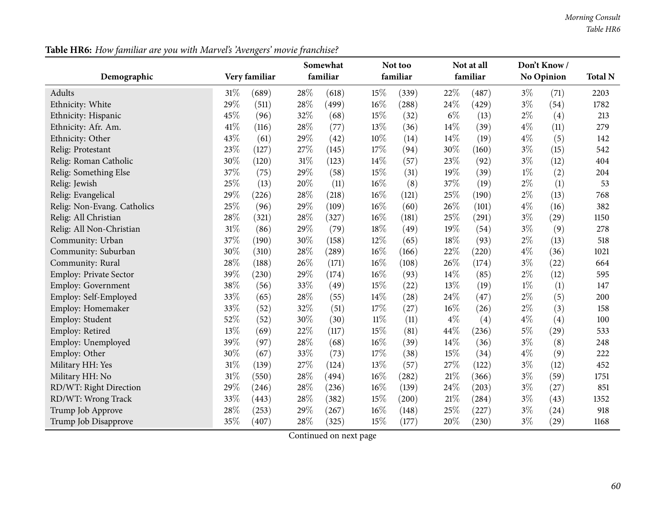| Demographic                 |        | Very familiar | Somewhat<br>familiar |       |        | Not too<br>familiar |       | Not at all<br>familiar |       | Don't Know/<br>No Opinion |      |
|-----------------------------|--------|---------------|----------------------|-------|--------|---------------------|-------|------------------------|-------|---------------------------|------|
| Adults                      | 31%    | (689)         | 28\%                 | (618) | 15%    | (339)               | 22%   | (487)                  | $3\%$ | (71)                      | 2203 |
| Ethnicity: White            | 29%    | (511)         | 28%                  | (499) | 16%    | (288)               | 24%   | (429)                  | $3\%$ | (54)                      | 1782 |
| Ethnicity: Hispanic         | 45%    | (96)          | 32%                  | (68)  | 15%    | (32)                | $6\%$ | (13)                   | $2\%$ | (4)                       | 213  |
| Ethnicity: Afr. Am.         | 41\%   | (116)         | 28%                  | (77)  | 13%    | (36)                | 14\%  | (39)                   | $4\%$ | (11)                      | 279  |
| Ethnicity: Other            | 43%    | (61)          | 29%                  | (42)  | 10%    | (14)                | 14\%  | (19)                   | $4\%$ | (5)                       | 142  |
| Relig: Protestant           | 23%    | (127)         | 27%                  | (145) | 17%    | (94)                | 30%   | (160)                  | $3\%$ | (15)                      | 542  |
| Relig: Roman Catholic       | 30%    | (120)         | 31%                  | (123) | 14%    | (57)                | 23%   | (92)                   | $3\%$ | (12)                      | 404  |
| Relig: Something Else       | 37%    | (75)          | 29%                  | (58)  | 15%    | (31)                | 19%   | (39)                   | $1\%$ | (2)                       | 204  |
| Relig: Jewish               | 25%    | (13)          | 20%                  | (11)  | 16%    | (8)                 | 37%   | (19)                   | $2\%$ | (1)                       | 53   |
| Relig: Evangelical          | 29%    | (226)         | 28%                  | (218) | 16%    | (121)               | 25%   | (190)                  | $2\%$ | (13)                      | 768  |
| Relig: Non-Evang. Catholics | 25%    | (96)          | 29%                  | (109) | 16%    | (60)                | 26%   | (101)                  | $4\%$ | (16)                      | 382  |
| Relig: All Christian        | 28%    | (321)         | 28\%                 | (327) | 16%    | (181)               | 25%   | (291)                  | $3\%$ | (29)                      | 1150 |
| Relig: All Non-Christian    | 31%    | (86)          | 29%                  | (79)  | 18%    | (49)                | 19%   | (54)                   | $3\%$ | (9)                       | 278  |
| Community: Urban            | 37%    | (190)         | 30%                  | (158) | 12%    | (65)                | 18%   | (93)                   | $2\%$ | (13)                      | 518  |
| Community: Suburban         | 30%    | (310)         | 28%                  | (289) | 16%    | (166)               | 22%   | (220)                  | $4\%$ | (36)                      | 1021 |
| Community: Rural            | 28%    | (188)         | 26\%                 | (171) | 16%    | (108)               | 26%   | (174)                  | $3\%$ | (22)                      | 664  |
| Employ: Private Sector      | 39%    | (230)         | 29%                  | (174) | 16%    | (93)                | 14\%  | (85)                   | $2\%$ | (12)                      | 595  |
| Employ: Government          | 38%    | (56)          | 33%                  | (49)  | 15%    | (22)                | 13%   | (19)                   | $1\%$ | (1)                       | 147  |
| Employ: Self-Employed       | 33%    | (65)          | 28%                  | (55)  | 14%    | (28)                | 24%   | (47)                   | $2\%$ | (5)                       | 200  |
| Employ: Homemaker           | 33%    | (52)          | 32%                  | (51)  | 17%    | (27)                | 16%   | (26)                   | $2\%$ | (3)                       | 158  |
| Employ: Student             | 52%    | (52)          | 30%                  | (30)  | $11\%$ | (11)                | $4\%$ | (4)                    | $4\%$ | (4)                       | 100  |
| Employ: Retired             | 13%    | (69)          | 22%                  | (117) | 15%    | (81)                | 44%   | (236)                  | $5\%$ | (29)                      | 533  |
| Employ: Unemployed          | 39%    | (97)          | 28%                  | (68)  | 16%    | (39)                | 14\%  | (36)                   | $3\%$ | (8)                       | 248  |
| Employ: Other               | 30%    | (67)          | 33%                  | (73)  | 17%    | (38)                | 15%   | (34)                   | $4\%$ | (9)                       | 222  |
| Military HH: Yes            | 31%    | (139)         | 27%                  | (124) | 13%    | (57)                | 27%   | (122)                  | $3\%$ | (12)                      | 452  |
| Military HH: No             | $31\%$ | (550)         | 28\%                 | (494) | 16%    | (282)               | 21%   | (366)                  | $3\%$ | (59)                      | 1751 |
| RD/WT: Right Direction      | 29%    | (246)         | 28%                  | (236) | 16%    | (139)               | 24%   | (203)                  | $3\%$ | (27)                      | 851  |
| RD/WT: Wrong Track          | 33%    | (443)         | 28\%                 | (382) | 15%    | (200)               | 21%   | (284)                  | $3\%$ | (43)                      | 1352 |
| Trump Job Approve           | 28%    | (253)         | 29%                  | (267) | 16%    | (148)               | 25%   | (227)                  | $3\%$ | (24)                      | 918  |
| Trump Job Disapprove        | 35%    | (407)         | 28\%                 | (325) | 15%    | (177)               | 20%   | (230)                  | $3\%$ | (29)                      | 1168 |

**Table HR6:** *How familiar are you with Marvel's 'Avengers' movie franchise?*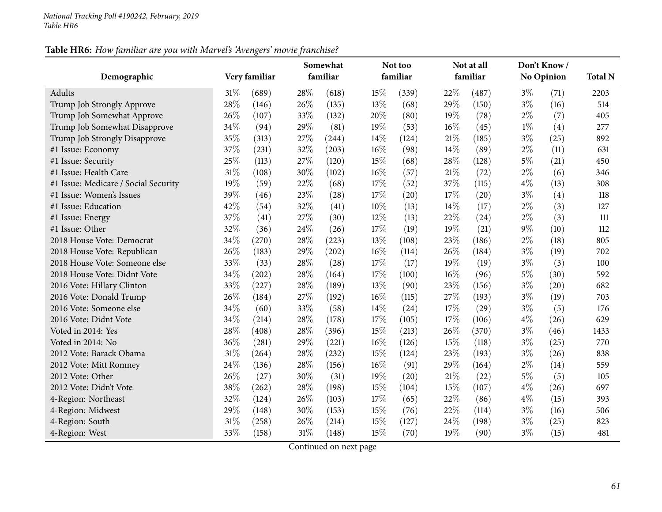### **Table HR6:** *How familiar are you with Marvel's 'Avengers' movie franchise?*

| Demographic                          |        | Very familiar | Somewhat<br>familiar |       |        | Not too<br>familiar |     | Not at all<br>familiar |       | Don't Know/<br><b>No Opinion</b> |                |
|--------------------------------------|--------|---------------|----------------------|-------|--------|---------------------|-----|------------------------|-------|----------------------------------|----------------|
|                                      |        |               |                      |       |        |                     |     |                        |       |                                  | <b>Total N</b> |
| Adults                               | 31%    | (689)         | 28\%                 | (618) | 15%    | (339)               | 22% | (487)                  | $3\%$ | (71)                             | 2203           |
| Trump Job Strongly Approve           | 28%    | (146)         | 26%                  | (135) | 13%    | (68)                | 29% | (150)                  | $3\%$ | (16)                             | 514            |
| Trump Job Somewhat Approve           | 26%    | (107)         | 33%                  | (132) | 20%    | (80)                | 19% | (78)                   | $2\%$ | (7)                              | 405            |
| Trump Job Somewhat Disapprove        | 34%    | (94)          | 29%                  | (81)  | 19%    | (53)                | 16% | (45)                   | $1\%$ | (4)                              | 277            |
| Trump Job Strongly Disapprove        | 35%    | (313)         | 27%                  | (244) | 14%    | (124)               | 21% | (185)                  | $3\%$ | (25)                             | 892            |
| #1 Issue: Economy                    | 37%    | (231)         | 32%                  | (203) | 16%    | (98)                | 14% | (89)                   | $2\%$ | (11)                             | 631            |
| #1 Issue: Security                   | 25%    | (113)         | 27%                  | (120) | 15%    | (68)                | 28% | (128)                  | $5\%$ | (21)                             | 450            |
| #1 Issue: Health Care                | $31\%$ | (108)         | 30%                  | (102) | $16\%$ | (57)                | 21% | (72)                   | $2\%$ | (6)                              | 346            |
| #1 Issue: Medicare / Social Security | 19%    | (59)          | 22%                  | (68)  | 17%    | (52)                | 37% | (115)                  | $4\%$ | (13)                             | 308            |
| #1 Issue: Women's Issues             | 39%    | (46)          | 23%                  | (28)  | 17%    | (20)                | 17% | (20)                   | $3\%$ | (4)                              | 118            |
| #1 Issue: Education                  | 42%    | (54)          | 32%                  | (41)  | $10\%$ | (13)                | 14% | (17)                   | $2\%$ | (3)                              | 127            |
| #1 Issue: Energy                     | 37%    | (41)          | 27%                  | (30)  | 12%    | (13)                | 22% | (24)                   | $2\%$ | (3)                              | 111            |
| #1 Issue: Other                      | 32%    | (36)          | 24%                  | (26)  | 17%    | (19)                | 19% | (21)                   | $9\%$ | (10)                             | 112            |
| 2018 House Vote: Democrat            | 34%    | (270)         | 28%                  | (223) | 13%    | (108)               | 23% | (186)                  | $2\%$ | (18)                             | 805            |
| 2018 House Vote: Republican          | 26%    | (183)         | 29%                  | (202) | 16%    | (114)               | 26% | (184)                  | $3\%$ | (19)                             | 702            |
| 2018 House Vote: Someone else        | 33%    | (33)          | 28%                  | (28)  | 17%    | (17)                | 19% | (19)                   | $3\%$ | (3)                              | 100            |
| 2018 House Vote: Didnt Vote          | 34%    | (202)         | 28%                  | (164) | 17%    | (100)               | 16% | (96)                   | $5\%$ | (30)                             | 592            |
| 2016 Vote: Hillary Clinton           | 33%    | (227)         | 28%                  | (189) | 13%    | (90)                | 23% | (156)                  | $3\%$ | (20)                             | 682            |
| 2016 Vote: Donald Trump              | 26%    | (184)         | 27%                  | (192) | 16%    | (115)               | 27% | (193)                  | $3\%$ | (19)                             | 703            |
| 2016 Vote: Someone else              | 34%    | (60)          | 33%                  | (58)  | 14%    | (24)                | 17% | (29)                   | $3\%$ | (5)                              | 176            |
| 2016 Vote: Didnt Vote                | 34%    | (214)         | 28%                  | (178) | 17%    | (105)               | 17% | (106)                  | $4\%$ | (26)                             | 629            |
| Voted in 2014: Yes                   | 28%    | (408)         | 28%                  | (396) | 15%    | (213)               | 26% | (370)                  | $3\%$ | (46)                             | 1433           |
| Voted in 2014: No                    | 36%    | (281)         | 29%                  | (221) | $16\%$ | (126)               | 15% | (118)                  | $3\%$ | (25)                             | 770            |
| 2012 Vote: Barack Obama              | 31%    | (264)         | 28%                  | (232) | 15%    | (124)               | 23% | (193)                  | $3\%$ | (26)                             | 838            |
| 2012 Vote: Mitt Romney               | 24%    | (136)         | 28%                  | (156) | 16%    | (91)                | 29% | (164)                  | $2\%$ | (14)                             | 559            |
| 2012 Vote: Other                     | 26%    | (27)          | 30%                  | (31)  | 19%    | (20)                | 21% | (22)                   | $5\%$ | (5)                              | 105            |
| 2012 Vote: Didn't Vote               | 38%    | (262)         | 28%                  | (198) | 15%    | (104)               | 15% | (107)                  | $4\%$ | (26)                             | 697            |
| 4-Region: Northeast                  | 32%    | (124)         | 26%                  | (103) | 17%    | (65)                | 22% | (86)                   | $4\%$ | (15)                             | 393            |
| 4-Region: Midwest                    | 29%    | (148)         | 30%                  | (153) | 15%    | (76)                | 22% | (114)                  | $3\%$ | (16)                             | 506            |
| 4-Region: South                      | 31%    | (258)         | 26%                  | (214) | 15%    | (127)               | 24% | (198)                  | $3\%$ | (25)                             | 823            |
| 4-Region: West                       | 33%    | (158)         | 31%                  | (148) | 15%    | (70)                | 19% | (90)                   | $3\%$ | (15)                             | 481            |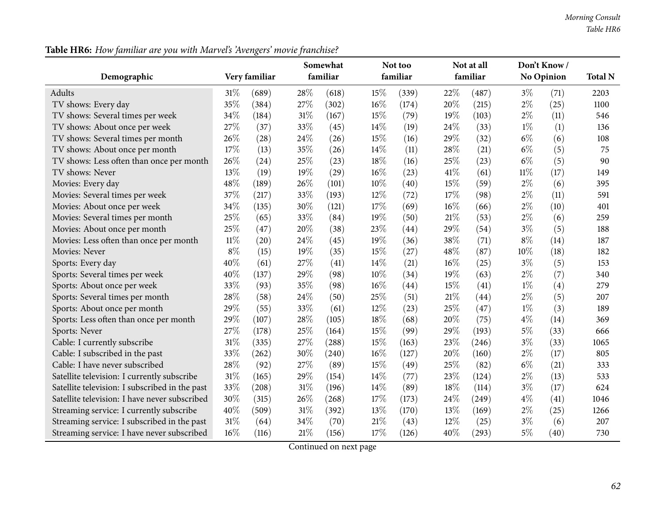| Demographic                                    |        | Very familiar | Somewhat<br>familiar |       |     | Not too<br>familiar |      | Not at all<br>familiar |        | Don't Know/<br>No Opinion |      |
|------------------------------------------------|--------|---------------|----------------------|-------|-----|---------------------|------|------------------------|--------|---------------------------|------|
| <b>Adults</b>                                  | 31\%   | (689)         | 28%                  | (618) | 15% | (339)               | 22%  | (487)                  | $3\%$  | (71)                      | 2203 |
| TV shows: Every day                            | 35%    | (384)         | 27%                  | (302) | 16% | (174)               | 20%  | (215)                  | $2\%$  | (25)                      | 1100 |
| TV shows: Several times per week               | 34%    | (184)         | 31%                  | (167) | 15% | (79)                | 19%  | (103)                  | $2\%$  | (11)                      | 546  |
| TV shows: About once per week                  | 27%    | (37)          | 33%                  | (45)  | 14% | (19)                | 24\% | (33)                   | $1\%$  | (1)                       | 136  |
| TV shows: Several times per month              | 26%    | (28)          | 24%                  | (26)  | 15% | (16)                | 29%  | (32)                   | $6\%$  | (6)                       | 108  |
| TV shows: About once per month                 | 17%    | (13)          | 35%                  | (26)  | 14% | (11)                | 28%  | (21)                   | $6\%$  | (5)                       | 75   |
| TV shows: Less often than once per month       | 26%    | (24)          | 25%                  | (23)  | 18% | (16)                | 25%  | (23)                   | $6\%$  | (5)                       | 90   |
| TV shows: Never                                | 13%    | (19)          | 19%                  | (29)  | 16% | (23)                | 41\% | (61)                   | $11\%$ | (17)                      | 149  |
| Movies: Every day                              | 48%    | (189)         | 26%                  | (101) | 10% | (40)                | 15%  | (59)                   | $2\%$  | (6)                       | 395  |
| Movies: Several times per week                 | 37%    | (217)         | 33%                  | (193) | 12% | (72)                | 17%  | (98)                   | $2\%$  | (11)                      | 591  |
| Movies: About once per week                    | 34%    | (135)         | 30%                  | (121) | 17% | (69)                | 16%  | (66)                   | $2\%$  | (10)                      | 401  |
| Movies: Several times per month                | 25%    | (65)          | 33%                  | (84)  | 19% | (50)                | 21%  | (53)                   | $2\%$  | (6)                       | 259  |
| Movies: About once per month                   | 25%    | (47)          | 20%                  | (38)  | 23% | (44)                | 29%  | (54)                   | $3\%$  | (5)                       | 188  |
| Movies: Less often than once per month         | $11\%$ | (20)          | 24%                  | (45)  | 19% | (36)                | 38%  | (71)                   | $8\%$  | (14)                      | 187  |
| Movies: Never                                  | $8\%$  | (15)          | 19%                  | (35)  | 15% | (27)                | 48%  | (87)                   | $10\%$ | (18)                      | 182  |
| Sports: Every day                              | 40%    | (61)          | 27%                  | (41)  | 14% | (21)                | 16%  | (25)                   | $3\%$  | (5)                       | 153  |
| Sports: Several times per week                 | 40%    | (137)         | 29%                  | (98)  | 10% | (34)                | 19%  | (63)                   | $2\%$  | (7)                       | 340  |
| Sports: About once per week                    | 33%    | (93)          | 35%                  | (98)  | 16% | (44)                | 15%  | (41)                   | $1\%$  | (4)                       | 279  |
| Sports: Several times per month                | 28%    | (58)          | 24%                  | (50)  | 25% | (51)                | 21%  | (44)                   | $2\%$  | (5)                       | 207  |
| Sports: About once per month                   | 29%    | (55)          | 33%                  | (61)  | 12% | (23)                | 25%  | (47)                   | $1\%$  | (3)                       | 189  |
| Sports: Less often than once per month         | 29%    | (107)         | 28%                  | (105) | 18% | (68)                | 20%  | (75)                   | $4\%$  | (14)                      | 369  |
| Sports: Never                                  | 27%    | (178)         | 25%                  | (164) | 15% | (99)                | 29%  | (193)                  | $5\%$  | (33)                      | 666  |
| Cable: I currently subscribe                   | 31%    | (335)         | 27%                  | (288) | 15% | (163)               | 23%  | (246)                  | $3\%$  | (33)                      | 1065 |
| Cable: I subscribed in the past                | 33%    | (262)         | 30%                  | (240) | 16% | (127)               | 20%  | (160)                  | $2\%$  | (17)                      | 805  |
| Cable: I have never subscribed                 | 28%    | (92)          | 27%                  | (89)  | 15% | (49)                | 25%  | (82)                   | $6\%$  | (21)                      | 333  |
| Satellite television: I currently subscribe    | 31%    | (165)         | 29%                  | (154) | 14% | (77)                | 23%  | (124)                  | $2\%$  | (13)                      | 533  |
| Satellite television: I subscribed in the past | 33%    | (208)         | 31%                  | (196) | 14% | (89)                | 18%  | (114)                  | $3\%$  | (17)                      | 624  |
| Satellite television: I have never subscribed  | 30%    | (315)         | 26%                  | (268) | 17% | (173)               | 24%  | (249)                  | $4\%$  | (41)                      | 1046 |
| Streaming service: I currently subscribe       | 40%    | (509)         | 31%                  | (392) | 13% | (170)               | 13%  | (169)                  | $2\%$  | (25)                      | 1266 |
| Streaming service: I subscribed in the past    | 31%    | (64)          | 34%                  | (70)  | 21% | (43)                | 12%  | (25)                   | $3\%$  | (6)                       | 207  |
| Streaming service: I have never subscribed     | 16%    | (116)         | 21%                  | (156) | 17% | (126)               | 40%  | (293)                  | $5\%$  | (40)                      | 730  |

**Table HR6:** *How familiar are you with Marvel's 'Avengers' movie franchise?*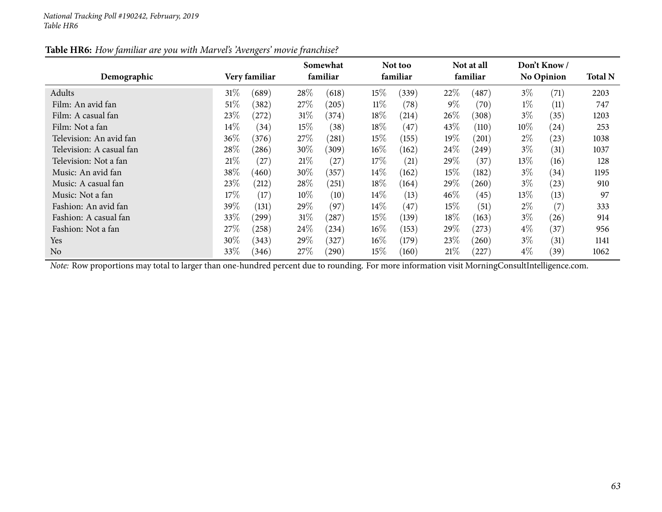| Table HR6: How familiar are you with Marvel's 'Avengers' movie franchise? |  |
|---------------------------------------------------------------------------|--|
|---------------------------------------------------------------------------|--|

| Demographic              |        | Very familiar |        | Somewhat<br>familiar |        | Not too<br>familiar |        | Not at all<br>familiar |        | Don't Know/<br>No Opinion |      |
|--------------------------|--------|---------------|--------|----------------------|--------|---------------------|--------|------------------------|--------|---------------------------|------|
| Adults                   | 31%    | (689)         | 28\%   | (618)                | $15\%$ | (339)               | 22%    | $\left( 487\right)$    | $3\%$  | (71)                      | 2203 |
| Film: An avid fan        | $51\%$ | (382)         | 27\%   | (205)                | $11\%$ | (78)                | $9\%$  | (70)                   | $1\%$  | (11)                      | 747  |
| Film: A casual fan       | 23%    | (272)         | $31\%$ | (374)                | 18%    | (214)               | 26\%   | (308)                  | $3\%$  | (35)                      | 1203 |
| Film: Not a fan          | $14\%$ | (34)          | $15\%$ | (38)                 | 18%    | (47)                | 43\%   | (110)                  | $10\%$ | (24)                      | 253  |
| Television: An avid fan  | 36\%   | (376)         | 27%    | (281)                | $15\%$ | (155)               | $19\%$ | (201)                  | $2\%$  | (23)                      | 1038 |
| Television: A casual fan | 28\%   | (286)         | $30\%$ | (309)                | $16\%$ | (162)               | 24\%   | (249)                  | $3\%$  | (31)                      | 1037 |
| Television: Not a fan    | 21%    | (27)          | 21%    | (27)                 | 17%    | (21)                | 29\%   | (37)                   | $13\%$ | (16)                      | 128  |
| Music: An avid fan       | 38\%   | (460)         | $30\%$ | (357)                | $14\%$ | (162)               | $15\%$ | (182)                  | $3\%$  | (34)                      | 1195 |
| Music: A casual fan      | 23\%   | (212)         | 28\%   | 251                  | $18\%$ | (164)               | 29\%   | (260)                  | $3\%$  | (23)                      | 910  |
| Music: Not a fan         | 17\%   | (17)          | $10\%$ | (10)                 | $14\%$ | (13)                | $46\%$ | (45)                   | $13\%$ | (13)                      | 97   |
| Fashion: An avid fan     | 39%    | (131)         | 29\%   | (97)                 | $14\%$ | (47)                | $15\%$ | (51)                   | $2\%$  | (7)                       | 333  |
| Fashion: A casual fan    | 33\%   | $^{'}299)$    | 31%    | (287)                | $15\%$ | (139)               | 18\%   | (163)                  | $3\%$  | (26)                      | 914  |
| Fashion: Not a fan       | 27%    | (258)         | 24\%   | (234)                | $16\%$ | (153)               | 29%    | (273)                  | $4\%$  | (37)                      | 956  |
| Yes                      | $30\%$ | (343)         | $29\%$ | (327)                | $16\%$ | (179)               | 23\%   | (260)                  | $3\%$  | (31)                      | 1141 |
| N <sub>o</sub>           | 33%    | (346)         | 27%    | $^{'}290)$           | 15%    | (160)               | 21%    | (227)                  | $4\%$  | (39)                      | 1062 |

*Note:* Row proportions may total to larger than one-hundred percen<sup>t</sup> due to rounding. For more information visit [MorningConsultIntelligence.com](https://morningconsultintelligence.com).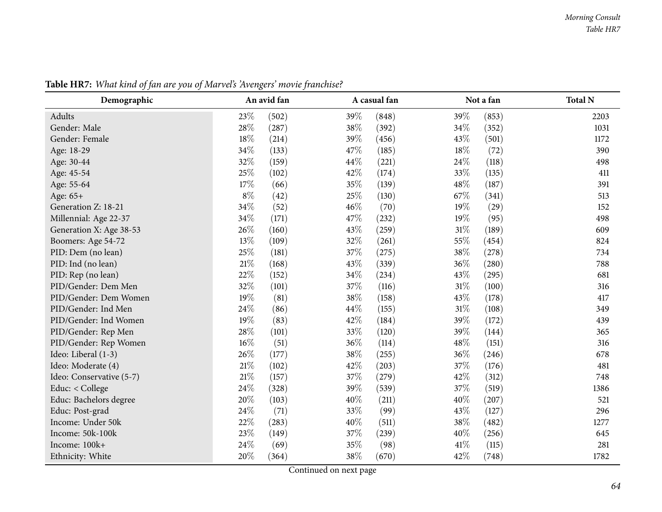| Demographic              | An avid fan |       |      | A casual fan |        | Not a fan | <b>Total N</b> |
|--------------------------|-------------|-------|------|--------------|--------|-----------|----------------|
| Adults                   | 23%         | (502) | 39%  | (848)        | 39%    | (853)     | 2203           |
| Gender: Male             | 28%         | (287) | 38%  | (392)        | 34%    | (352)     | 1031           |
| Gender: Female           | 18%         | (214) | 39%  | (456)        | 43%    | (501)     | 1172           |
| Age: 18-29               | 34%         | (133) | 47\% | (185)        | 18%    | (72)      | 390            |
| Age: 30-44               | 32%         | (159) | 44%  | (221)        | 24%    | (118)     | 498            |
| Age: 45-54               | 25%         | (102) | 42%  | (174)        | 33%    | (135)     | 411            |
| Age: 55-64               | 17%         | (66)  | 35%  | (139)        | 48%    | (187)     | 391            |
| Age: 65+                 | $8\%$       | (42)  | 25%  | (130)        | 67%    | (341)     | 513            |
| Generation Z: 18-21      | 34%         | (52)  | 46%  | (70)         | 19%    | (29)      | 152            |
| Millennial: Age 22-37    | 34%         | (171) | 47%  | (232)        | 19%    | (95)      | 498            |
| Generation X: Age 38-53  | 26%         | (160) | 43%  | (259)        | $31\%$ | (189)     | 609            |
| Boomers: Age 54-72       | 13%         | (109) | 32%  | (261)        | 55%    | (454)     | 824            |
| PID: Dem (no lean)       | 25%         | (181) | 37%  | (275)        | 38%    | (278)     | 734            |
| PID: Ind (no lean)       | $21\%$      | (168) | 43%  | (339)        | 36%    | (280)     | 788            |
| PID: Rep (no lean)       | 22%         | (152) | 34%  | (234)        | 43%    | (295)     | 681            |
| PID/Gender: Dem Men      | 32%         | (101) | 37%  | (116)        | $31\%$ | (100)     | 316            |
| PID/Gender: Dem Women    | 19%         | (81)  | 38%  | (158)        | 43%    | (178)     | 417            |
| PID/Gender: Ind Men      | 24%         | (86)  | 44%  | (155)        | $31\%$ | (108)     | 349            |
| PID/Gender: Ind Women    | 19%         | (83)  | 42\% | (184)        | 39%    | (172)     | 439            |
| PID/Gender: Rep Men      | 28%         | (101) | 33%  | (120)        | 39%    | (144)     | 365            |
| PID/Gender: Rep Women    | $16\%$      | (51)  | 36%  | (114)        | 48%    | (151)     | 316            |
| Ideo: Liberal (1-3)      | 26%         | (177) | 38%  | (255)        | 36%    | (246)     | 678            |
| Ideo: Moderate (4)       | $21\%$      | (102) | 42%  | (203)        | 37%    | (176)     | 481            |
| Ideo: Conservative (5-7) | $21\%$      | (157) | 37%  | (279)        | 42%    | (312)     | 748            |
| Educ: < College          | 24%         | (328) | 39%  | (539)        | 37%    | (519)     | 1386           |
| Educ: Bachelors degree   | 20%         | (103) | 40%  | (211)        | 40%    | (207)     | 521            |
| Educ: Post-grad          | 24%         | (71)  | 33%  | (99)         | 43%    | (127)     | 296            |
| Income: Under 50k        | 22%         | (283) | 40%  | (511)        | $38\%$ | (482)     | 1277           |
| Income: 50k-100k         | 23%         | (149) | 37%  | (239)        | 40%    | (256)     | 645            |
| Income: 100k+            | 24%         | (69)  | 35%  | (98)         | 41\%   | (115)     | 281            |
| Ethnicity: White         | 20%         | (364) | 38%  | (670)        | 42\%   | (748)     | 1782           |

Table HR7: What kind of fan are you of Marvel's 'Avengers' movie franchise?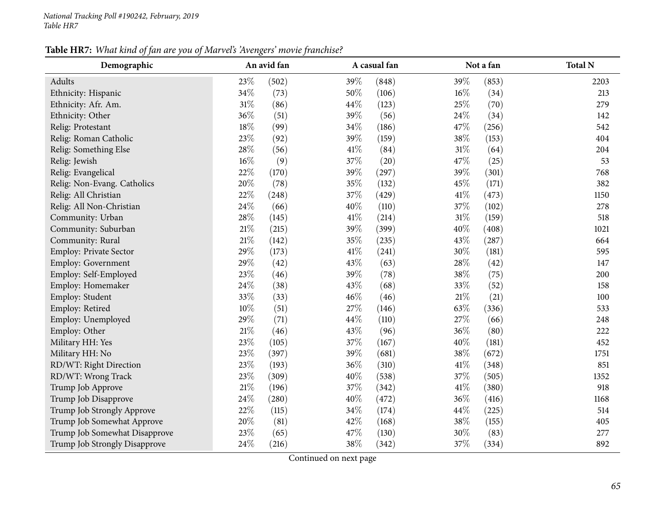Table HR7: What kind of fan are you of Marvel's 'Avengers' movie franchise?

| ה ה<br>Demographic            | An avid fan     | A casual fan  | Not a fan       | <b>Total N</b> |
|-------------------------------|-----------------|---------------|-----------------|----------------|
| Adults                        | 23%<br>(502)    | 39%<br>(848)  | 39%<br>(853)    | 2203           |
| Ethnicity: Hispanic           | 34%<br>(73)     | 50%<br>(106)  | 16%<br>(34)     | 213            |
| Ethnicity: Afr. Am.           | $31\%$<br>(86)  | 44%<br>(123)  | 25%<br>(70)     | 279            |
| Ethnicity: Other              | 36%<br>(51)     | 39%<br>(56)   | 24%<br>(34)     | 142            |
| Relig: Protestant             | 18%<br>(99)     | 34%<br>(186)  | 47%<br>(256)    | 542            |
| Relig: Roman Catholic         | 23%<br>(92)     | 39%<br>(159)  | 38%<br>(153)    | 404            |
| Relig: Something Else         | 28\%<br>(56)    | 41\%<br>(84)  | $31\%$<br>(64)  | 204            |
| Relig: Jewish                 | $16\%$<br>(9)   | 37%<br>(20)   | 47%<br>(25)     | 53             |
| Relig: Evangelical            | 22%<br>(170)    | 39%<br>(297)  | 39%<br>(301)    | 768            |
| Relig: Non-Evang. Catholics   | 20%<br>(78)     | 35%<br>(132)  | 45%<br>(171)    | 382            |
| Relig: All Christian          | 22%<br>(248)    | 37%<br>(429)  | $41\%$<br>(473) | 1150           |
| Relig: All Non-Christian      | 24%<br>(66)     | 40%<br>(110)  | $37\%$<br>(102) | 278            |
| Community: Urban              | 28\%<br>(145)   | 41%<br>(214)  | $31\%$<br>(159) | 518            |
| Community: Suburban           | $21\%$<br>(215) | 39%<br>(399)  | 40%<br>(408)    | 1021           |
| Community: Rural              | $21\%$<br>(142) | 35%<br>(235)  | 43%<br>(287)    | 664            |
| Employ: Private Sector        | 29%<br>(173)    | 41\%<br>(241) | 30%<br>(181)    | 595            |
| Employ: Government            | 29%<br>(42)     | 43%<br>(63)   | 28\%<br>(42)    | 147            |
| Employ: Self-Employed         | 23%<br>(46)     | 39%<br>(78)   | 38%<br>(75)     | 200            |
| Employ: Homemaker             | $24\%$<br>(38)  | 43%<br>(68)   | 33%<br>(52)     | 158            |
| Employ: Student               | 33%<br>(33)     | 46%<br>(46)   | $21\%$<br>(21)  | 100            |
| Employ: Retired               | $10\%$<br>(51)  | 27%<br>(146)  | 63%<br>(336)    | 533            |
| Employ: Unemployed            | 29%<br>(71)     | 44%<br>(110)  | 27%<br>(66)     | 248            |
| Employ: Other                 | $21\%$<br>(46)  | 43%<br>(96)   | 36%<br>(80)     | 222            |
| Military HH: Yes              | 23%<br>(105)    | 37%<br>(167)  | 40%<br>(181)    | 452            |
| Military HH: No               | 23%<br>(397)    | 39%<br>(681)  | 38%<br>(672)    | 1751           |
| RD/WT: Right Direction        | 23%<br>(193)    | 36%<br>(310)  | 41\%<br>(348)   | 851            |
| RD/WT: Wrong Track            | 23%<br>(309)    | 40%<br>(538)  | 37%<br>(505)    | 1352           |
| Trump Job Approve             | $21\%$<br>(196) | 37%<br>(342)  | $41\%$<br>(380) | 918            |
| Trump Job Disapprove          | 24%<br>(280)    | 40%<br>(472)  | 36%<br>(416)    | 1168           |
| Trump Job Strongly Approve    | 22%<br>(115)    | 34%<br>(174)  | 44%<br>(225)    | 514            |
| Trump Job Somewhat Approve    | 20%<br>(81)     | 42%<br>(168)  | $38\%$<br>(155) | 405            |
| Trump Job Somewhat Disapprove | 23%<br>(65)     | 47%<br>(130)  | 30%<br>(83)     | 277            |
| Trump Job Strongly Disapprove | 24%<br>(216)    | 38%<br>(342)  | 37%<br>(334)    | 892            |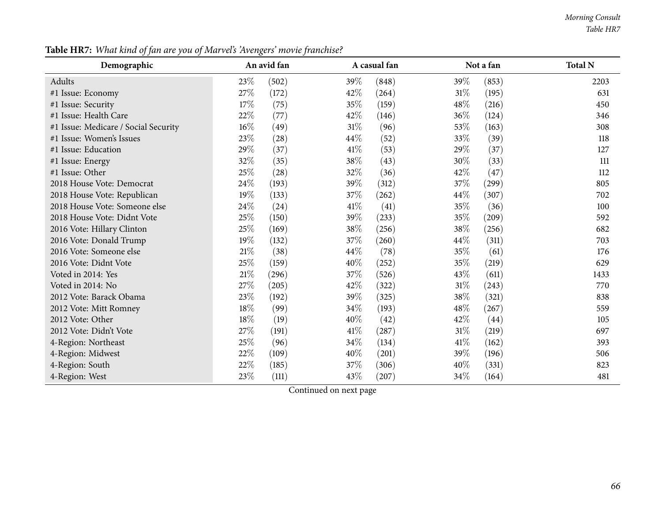#### *Morning Consult Table HR7*

| Demographic                          | An avid fan     | A casual fan    | Not a fan       | <b>Total N</b> |
|--------------------------------------|-----------------|-----------------|-----------------|----------------|
| Adults                               | 23\%<br>(502)   | 39\%<br>(848)   | 39\%<br>(853)   | 2203           |
| #1 Issue: Economy                    | $27\%$<br>(172) | 42\%<br>(264)   | $31\%$<br>(195) | 631            |
| #1 Issue: Security                   | 17%<br>(75)     | 35%<br>(159)    | 48\%<br>(216)   | 450            |
| #1 Issue: Health Care                | 22%<br>(77)     | 42\%<br>(146)   | 36\%<br>(124)   | 346            |
| #1 Issue: Medicare / Social Security | $16\%$<br>(49)  | $31\%$<br>(96)  | 53\%<br>(163)   | 308            |
| #1 Issue: Women's Issues             | 23\%<br>(28)    | 44\%<br>(52)    | 33\%<br>(39)    | 118            |
| #1 Issue: Education                  | 29%<br>(37)     | $41\%$<br>(53)  | 29%<br>(37)     | 127            |
| #1 Issue: Energy                     | 32%<br>(35)     | 38\%<br>(43)    | 30%<br>(33)     | 111            |
| #1 Issue: Other                      | 25\%<br>(28)    | 32%<br>(36)     | 42\%<br>(47)    | 112            |
| 2018 House Vote: Democrat            | 24\%<br>(193)   | 39%<br>(312)    | 37\%<br>(299)   | 805            |
| 2018 House Vote: Republican          | 19%<br>(133)    | 37\%<br>(262)   | $44\%$<br>(307) | 702            |
| 2018 House Vote: Someone else        | 24\%<br>(24)    | 41\%<br>(41)    | 35%<br>(36)     | 100            |
| 2018 House Vote: Didnt Vote          | 25%<br>(150)    | 39\%<br>(233)   | 35\%<br>(209)   | 592            |
| 2016 Vote: Hillary Clinton           | 25\%<br>(169)   | 38\%<br>(256)   | $38\%$<br>(256) | 682            |
| 2016 Vote: Donald Trump              | 19%<br>(132)    | 37%<br>(260)    | 44\%<br>(311)   | 703            |
| 2016 Vote: Someone else              | $21\%$<br>(38)  | 44\%<br>(78)    | 35%<br>(61)     | 176            |
| 2016 Vote: Didnt Vote                | 25\%<br>(159)   | $40\%$<br>(252) | 35\%<br>(219)   | 629            |
| Voted in 2014: Yes                   | $21\%$<br>(296) | 37\%<br>(526)   | 43\%<br>(611)   | 1433           |
| Voted in 2014: No                    | $27\%$<br>(205) | 42\%<br>(322)   | $31\%$<br>(243) | 770            |
| 2012 Vote: Barack Obama              | 23\%<br>(192)   | 39%<br>(325)    | 38\%<br>(321)   | 838            |
| 2012 Vote: Mitt Romney               | 18%<br>(99)     | 34\%<br>(193)   | 48\%<br>(267)   | 559            |
| 2012 Vote: Other                     | 18\%<br>(19)    | $40\%$<br>(42)  | 42\%<br>(44)    | 105            |
| 2012 Vote: Didn't Vote               | 27\%<br>(191)   | 41\%<br>(287)   | $31\%$<br>(219) | 697            |
| 4-Region: Northeast                  | 25%<br>(96)     | 34\%<br>(134)   | 41\%<br>(162)   | 393            |
| 4-Region: Midwest                    | 22\%<br>(109)   | 40%<br>(201)    | 39%<br>(196)    | 506            |
| 4-Region: South                      | 22\%<br>(185)   | 37\%<br>(306)   | 40\%<br>(331)   | 823            |
| 4-Region: West                       | 23%<br>(111)    | 43\%<br>(207)   | 34\%<br>(164)   | 481            |

Table HR7: What kind of fan are you of Marvel's 'Avengers' movie franchise?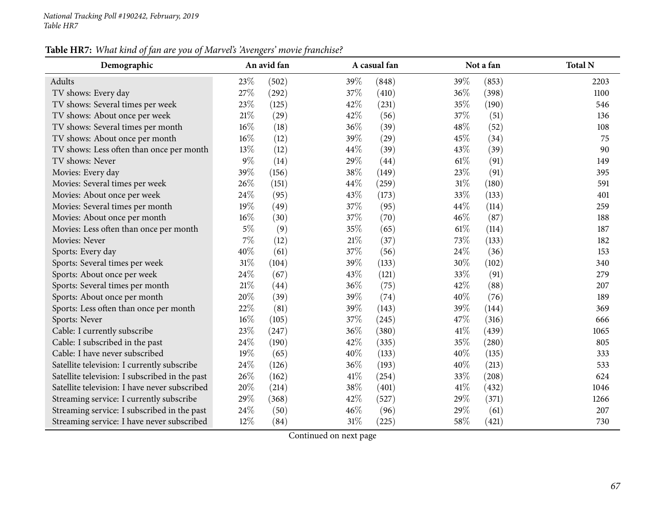### Table HR7: What kind of fan are you of Marvel's 'Avengers' movie franchise?

| Demographic                                    |        | An avid fan |        | A casual fan |      | Not a fan | <b>Total N</b> |
|------------------------------------------------|--------|-------------|--------|--------------|------|-----------|----------------|
| Adults                                         | 23%    | (502)       | 39%    | (848)        | 39%  | (853)     | 2203           |
| TV shows: Every day                            | 27%    | (292)       | 37%    | (410)        | 36%  | (398)     | 1100           |
| TV shows: Several times per week               | 23%    | (125)       | 42%    | (231)        | 35%  | (190)     | 546            |
| TV shows: About once per week                  | $21\%$ | (29)        | 42%    | (56)         | 37%  | (51)      | 136            |
| TV shows: Several times per month              | $16\%$ | (18)        | 36%    | (39)         | 48%  | (52)      | 108            |
| TV shows: About once per month                 | 16%    | (12)        | 39%    | (29)         | 45%  | (34)      | 75             |
| TV shows: Less often than once per month       | 13%    | (12)        | 44%    | (39)         | 43%  | (39)      | 90             |
| TV shows: Never                                | $9\%$  | (14)        | 29%    | (44)         | 61%  | (91)      | 149            |
| Movies: Every day                              | 39%    | (156)       | 38%    | (149)        | 23%  | (91)      | 395            |
| Movies: Several times per week                 | 26\%   | (151)       | 44%    | (259)        | 31%  | (180)     | 591            |
| Movies: About once per week                    | 24%    | (95)        | 43%    | (173)        | 33%  | (133)     | 401            |
| Movies: Several times per month                | 19%    | (49)        | 37%    | (95)         | 44%  | (114)     | 259            |
| Movies: About once per month                   | $16\%$ | (30)        | 37%    | (70)         | 46\% | (87)      | 188            |
| Movies: Less often than once per month         | $5\%$  | (9)         | 35%    | (65)         | 61\% | (114)     | 187            |
| Movies: Never                                  | 7%     | (12)        | $21\%$ | (37)         | 73%  | (133)     | 182            |
| Sports: Every day                              | 40%    | (61)        | 37%    | (56)         | 24\% | (36)      | 153            |
| Sports: Several times per week                 | 31\%   | (104)       | 39%    | (133)        | 30%  | (102)     | 340            |
| Sports: About once per week                    | 24%    | (67)        | 43%    | (121)        | 33%  | (91)      | 279            |
| Sports: Several times per month                | $21\%$ | (44)        | 36%    | (75)         | 42%  | (88)      | 207            |
| Sports: About once per month                   | 20%    | (39)        | 39%    | (74)         | 40%  | (76)      | 189            |
| Sports: Less often than once per month         | 22%    | (81)        | 39%    | (143)        | 39%  | (144)     | 369            |
| Sports: Never                                  | 16%    | (105)       | 37%    | (245)        | 47%  | (316)     | 666            |
| Cable: I currently subscribe                   | 23%    | (247)       | 36%    | (380)        | 41\% | (439)     | 1065           |
| Cable: I subscribed in the past                | 24\%   | (190)       | 42%    | (335)        | 35%  | (280)     | 805            |
| Cable: I have never subscribed                 | 19%    | (65)        | 40%    | (133)        | 40%  | (135)     | 333            |
| Satellite television: I currently subscribe    | 24\%   | (126)       | 36%    | (193)        | 40%  | (213)     | 533            |
| Satellite television: I subscribed in the past | 26%    | (162)       | 41\%   | (254)        | 33%  | (208)     | 624            |
| Satellite television: I have never subscribed  | 20%    | (214)       | 38%    | (401)        | 41\% | (432)     | 1046           |
| Streaming service: I currently subscribe       | 29%    | (368)       | 42%    | (527)        | 29%  | (371)     | 1266           |
| Streaming service: I subscribed in the past    | 24%    | (50)        | 46%    | (96)         | 29%  | (61)      | 207            |
| Streaming service: I have never subscribed     | $12\%$ | (84)        | $31\%$ | (225)        | 58%  | (421)     | 730            |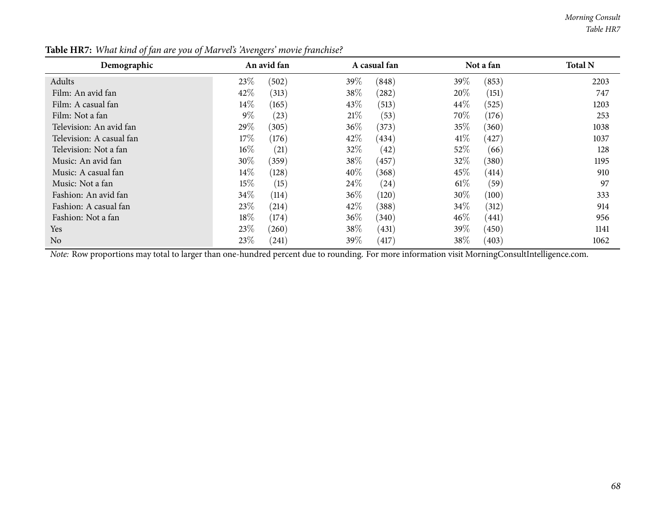*Morning Consult Table HR7*

| Demographic              | An avid fan     | A casual fan               | Not a fan       | <b>Total N</b> |
|--------------------------|-----------------|----------------------------|-----------------|----------------|
| Adults                   | 23\%<br>(502)   | 39\%<br>(848)              | 39\%<br>(853)   | 2203           |
| Film: An avid fan        | 42\%<br>(313)   | 38\%<br>(282)              | 20%<br>(151)    | 747            |
| Film: A casual fan       | $14\%$<br>(165) | 43\%<br>(513)              | 44\%<br>(525)   | 1203           |
| Film: Not a fan          | $9\%$<br>(23)   | 21%<br>(53)                | 70%<br>(176)    | 253            |
| Television: An avid fan  | 29\%<br>(305)   | 36\%<br>(373)              | 35%<br>(360)    | 1038           |
| Television: A casual fan | $17\%$<br>(176) | 42\%<br>(434)              | 41\%<br>(427)   | 1037           |
| Television: Not a fan    | $16\%$<br>(21)  | 32\%<br>(42)               | 52\%<br>(66)    | 128            |
| Music: An avid fan       | $30\%$<br>(359) | 38\%<br>(457)              | 32%<br>(380)    | 1195           |
| Music: A casual fan      | $14\%$<br>(128) | $40\%$<br>(368)            | 45\%<br>(414)   | 910            |
| Music: Not a fan         | $15\%$<br>(15)  | 24\%<br>$\left( 24\right)$ | $61\%$<br>(59)  | 97             |
| Fashion: An avid fan     | $34\%$<br>(114) | $36\%$<br>(120)            | 30\%<br>(100)   | 333            |
| Fashion: A casual fan    | 23\%<br>(214)   | 42%<br>(388)               | $34\%$<br>(312) | 914            |
| Fashion: Not a fan       | $18\%$<br>(174) | $36\%$<br>(340)            | $46\%$<br>(441) | 956            |
| <b>Yes</b>               | 23\%<br>(260)   | 38\%<br>(431)              | 39\%<br>(450)   | 1141           |
| N <sub>o</sub>           | 23\%<br>(241)   | 39%<br>(417)               | 38\%<br>(403)   | 1062           |

Table HR7: What kind of fan are you of Marvel's 'Avengers' movie franchise?

*Note:* Row proportions may total to larger than one-hundred percen<sup>t</sup> due to rounding. For more information visit [MorningConsultIntelligence.com](https://morningconsultintelligence.com).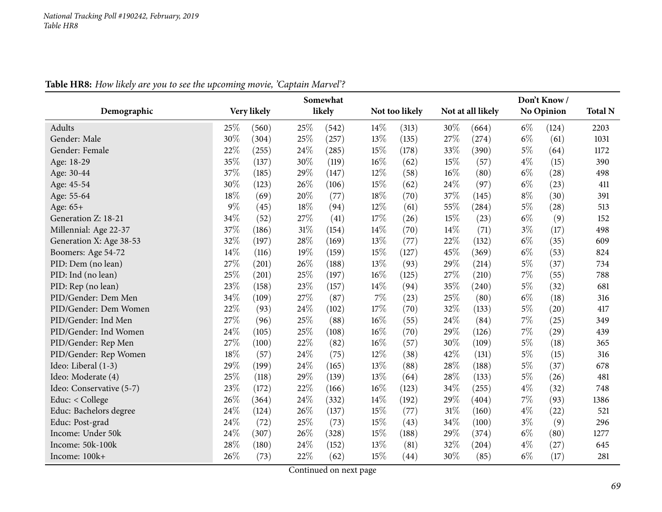|                          | Somewhat |             |      |        |       |                |     |                   |       | Don't Know/       |                |
|--------------------------|----------|-------------|------|--------|-------|----------------|-----|-------------------|-------|-------------------|----------------|
| Demographic              |          | Very likely |      | likely |       | Not too likely |     | Not at all likely |       | <b>No Opinion</b> | <b>Total N</b> |
| Adults                   | 25%      | (560)       | 25%  | (542)  | 14\%  | (313)          | 30% | (664)             | $6\%$ | (124)             | 2203           |
| Gender: Male             | 30%      | (304)       | 25%  | (257)  | 13%   | (135)          | 27% | (274)             | $6\%$ | (61)              | 1031           |
| Gender: Female           | 22%      | (255)       | 24%  | (285)  | 15%   | (178)          | 33% | (390)             | $5\%$ | (64)              | 1172           |
| Age: 18-29               | 35%      | (137)       | 30%  | (119)  | 16%   | (62)           | 15% | (57)              | $4\%$ | (15)              | 390            |
| Age: 30-44               | 37%      | (185)       | 29%  | (147)  | 12%   | (58)           | 16% | (80)              | $6\%$ | (28)              | 498            |
| Age: 45-54               | 30%      | (123)       | 26%  | (106)  | 15%   | (62)           | 24% | (97)              | $6\%$ | (23)              | 411            |
| Age: 55-64               | 18%      | (69)        | 20%  | (77)   | 18%   | (70)           | 37% | (145)             | $8\%$ | (30)              | 391            |
| Age: 65+                 | $9\%$    | (45)        | 18%  | (94)   | 12%   | (61)           | 55% | (284)             | $5\%$ | (28)              | 513            |
| Generation Z: 18-21      | 34%      | (52)        | 27%  | (41)   | 17%   | (26)           | 15% | (23)              | $6\%$ | (9)               | 152            |
| Millennial: Age 22-37    | 37%      | (186)       | 31%  | (154)  | 14%   | (70)           | 14% | (71)              | $3\%$ | (17)              | 498            |
| Generation X: Age 38-53  | 32%      | (197)       | 28%  | (169)  | 13%   | (77)           | 22% | (132)             | $6\%$ | (35)              | 609            |
| Boomers: Age 54-72       | 14\%     | (116)       | 19%  | (159)  | 15%   | (127)          | 45% | (369)             | $6\%$ | (53)              | 824            |
| PID: Dem (no lean)       | 27\%     | (201)       | 26%  | (188)  | 13%   | (93)           | 29% | (214)             | $5\%$ | (37)              | 734            |
| PID: Ind (no lean)       | 25%      | (201)       | 25%  | (197)  | 16%   | (125)          | 27% | (210)             | $7\%$ | (55)              | 788            |
| PID: Rep (no lean)       | 23%      | (158)       | 23%  | (157)  | 14\%  | (94)           | 35% | (240)             | $5\%$ | (32)              | 681            |
| PID/Gender: Dem Men      | 34%      | (109)       | 27\% | (87)   | $7\%$ | (23)           | 25% | (80)              | $6\%$ | (18)              | 316            |
| PID/Gender: Dem Women    | 22%      | (93)        | 24%  | (102)  | 17%   | (70)           | 32% | (133)             | $5\%$ | (20)              | 417            |
| PID/Gender: Ind Men      | 27%      | (96)        | 25%  | (88)   | 16%   | (55)           | 24% | (84)              | $7\%$ | (25)              | 349            |
| PID/Gender: Ind Women    | 24%      | (105)       | 25%  | (108)  | 16%   | (70)           | 29% | (126)             | $7\%$ | (29)              | 439            |
| PID/Gender: Rep Men      | 27%      | (100)       | 22%  | (82)   | 16%   | (57)           | 30% | (109)             | $5\%$ | (18)              | 365            |
| PID/Gender: Rep Women    | 18%      | (57)        | 24%  | (75)   | 12%   | (38)           | 42% | (131)             | $5\%$ | (15)              | 316            |
| Ideo: Liberal (1-3)      | 29%      | (199)       | 24%  | (165)  | 13%   | (88)           | 28% | (188)             | $5\%$ | (37)              | 678            |
| Ideo: Moderate (4)       | 25%      | (118)       | 29%  | (139)  | 13%   | (64)           | 28% | (133)             | $5\%$ | (26)              | 481            |
| Ideo: Conservative (5-7) | 23%      | (172)       | 22%  | (166)  | 16%   | (123)          | 34% | (255)             | $4\%$ | (32)              | 748            |
| Educ: < College          | 26%      | (364)       | 24%  | (332)  | 14%   | (192)          | 29% | (404)             | $7\%$ | (93)              | 1386           |
| Educ: Bachelors degree   | 24%      | (124)       | 26%  | (137)  | 15%   | (77)           | 31% | (160)             | $4\%$ | (22)              | 521            |
| Educ: Post-grad          | 24\%     | (72)        | 25%  | (73)   | 15%   | (43)           | 34% | (100)             | $3\%$ | (9)               | 296            |
| Income: Under 50k        | 24%      | (307)       | 26%  | (328)  | 15%   | (188)          | 29% | (374)             | $6\%$ | (80)              | 1277           |
| Income: 50k-100k         | 28%      | (180)       | 24%  | (152)  | 13%   | (81)           | 32% | (204)             | $4\%$ | (27)              | 645            |
| Income: 100k+            | 26%      | (73)        | 22%  | (62)   | 15%   | (44)           | 30% | (85)              | $6\%$ | (17)              | 281            |

### Table HR8: How likely are you to see the upcoming movie, 'Captain Marvel'?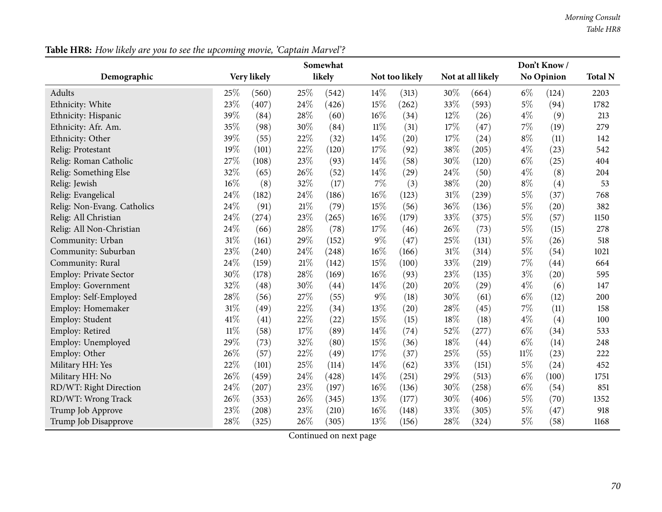|                               | Somewhat |             |               |                       |        |                | Don't Know/ |                   |        |            |      |  |
|-------------------------------|----------|-------------|---------------|-----------------------|--------|----------------|-------------|-------------------|--------|------------|------|--|
| Demographic                   |          | Very likely |               | likely                |        | Not too likely |             | Not at all likely |        | No Opinion |      |  |
| <b>Adults</b>                 | 25%      | (560)       | 25%           | (542)                 | 14%    | (313)          | 30%         | (664)             | $6\%$  | (124)      | 2203 |  |
| Ethnicity: White              | 23%      | (407)       | 24%           | (426)                 | 15%    | (262)          | 33%         | (593)             | $5\%$  | (94)       | 1782 |  |
| Ethnicity: Hispanic           | 39%      | (84)        | 28%           | (60)                  | 16%    | (34)           | $12\%$      | (26)              | $4\%$  | (9)        | 213  |  |
| Ethnicity: Afr. Am.           | 35%      | (98)        | 30%           | (84)                  | $11\%$ | (31)           | 17%         | (47)              | 7%     | (19)       | 279  |  |
| Ethnicity: Other              | 39%      | (55)        | 22%           | (32)                  | 14%    | (20)           | 17%         | (24)              | $8\%$  | (11)       | 142  |  |
| Relig: Protestant             | 19%      | (101)       | 22%           | (120)                 | 17%    | (92)           | 38%         | (205)             | $4\%$  | (23)       | 542  |  |
| Relig: Roman Catholic         | 27%      | (108)       | 23%           | (93)                  | 14%    | (58)           | 30%         | (120)             | $6\%$  | (25)       | 404  |  |
| Relig: Something Else         | 32%      | (65)        | 26%           | (52)                  | 14%    | (29)           | 24\%        | (50)              | $4\%$  | (8)        | 204  |  |
| Relig: Jewish                 | 16%      | (8)         | 32%           | (17)                  | $7\%$  | (3)            | 38\%        | (20)              | $8\%$  | (4)        | 53   |  |
| Relig: Evangelical            | 24%      | (182)       | 24%           | (186)                 | 16%    | (123)          | $31\%$      | (239)             | $5\%$  | (37)       | 768  |  |
| Relig: Non-Evang. Catholics   | 24%      | (91)        | 21%           | (79)                  | 15%    | (56)           | 36%         | (136)             | $5\%$  | (20)       | 382  |  |
| Relig: All Christian          | 24%      | (274)       | 23%           | (265)                 | 16%    | (179)          | 33%         | (375)             | $5\%$  | (57)       | 1150 |  |
| Relig: All Non-Christian      | 24%      | (66)        | 28%           | (78)                  | 17%    | (46)           | 26\%        | (73)              | $5\%$  | (15)       | 278  |  |
| Community: Urban              | 31%      | (161)       | 29%           | (152)                 | $9\%$  | (47)           | 25%         | (131)             | $5\%$  | (26)       | 518  |  |
| Community: Suburban           | 23%      | (240)       | 24%           | (248)                 | 16%    | (166)          | $31\%$      | (314)             | $5\%$  | (54)       | 1021 |  |
| Community: Rural              | 24%      | (159)       | 21%           | (142)                 | 15%    | (100)          | 33%         | (219)             | 7%     | (44)       | 664  |  |
| <b>Employ: Private Sector</b> | 30%      | (178)       | 28%           | (169)                 | 16%    | (93)           | 23%         | (135)             | $3\%$  | (20)       | 595  |  |
| <b>Employ: Government</b>     | 32%      | (48)        | 30%           | (44)                  | 14%    | (20)           | 20%         | (29)              | $4\%$  | (6)        | 147  |  |
| Employ: Self-Employed         | 28%      | (56)        | 27%           | (55)                  | $9\%$  | (18)           | 30%         | (61)              | $6\%$  | (12)       | 200  |  |
| Employ: Homemaker             | 31%      | (49)        | 22%           | (34)                  | 13%    | (20)           | 28%         | (45)              | $7\%$  | (11)       | 158  |  |
| Employ: Student               | 41%      | (41)        | 22%           | (22)                  | 15%    | (15)           | 18%         | (18)              | $4\%$  | (4)        | 100  |  |
| Employ: Retired               | $11\%$   | (58)        | 17%           | (89)                  | 14%    | (74)           | 52%         | (277)             | $6\%$  | (34)       | 533  |  |
| Employ: Unemployed            | 29%      | (73)        | 32%           | (80)                  | 15%    | (36)           | 18%         | (44)              | $6\%$  | (14)       | 248  |  |
| Employ: Other                 | 26%      | (57)        | 22%           | (49)                  | 17%    | (37)           | 25\%        | (55)              | $11\%$ | (23)       | 222  |  |
| Military HH: Yes              | 22%      | (101)       | 25%           | (114)                 | 14%    | (62)           | 33%         | (151)             | $5\%$  | (24)       | 452  |  |
| Military HH: No               | 26%      | (459)       | 24%           | (428)                 | 14%    | (251)          | 29%         | (513)             | $6\%$  | (100)      | 1751 |  |
| RD/WT: Right Direction        | 24%      | (207)       | 23%           | (197)                 | 16%    | (136)          | 30%         | (258)             | $6\%$  | (54)       | 851  |  |
| RD/WT: Wrong Track            | 26%      | (353)       | 26%           | (345)                 | 13%    | (177)          | 30%         | (406)             | $5\%$  | (70)       | 1352 |  |
| Trump Job Approve             | 23%      | (208)       | 23%           | (210)                 | 16%    | (148)          | 33%         | (305)             | $5\%$  | (47)       | 918  |  |
| Trump Job Disapprove          | 28%      | (325)       | 26%<br>$\sim$ | (305)<br>$\mathbf{1}$ | 13%    | (156)          | 28\%        | (324)             | $5\%$  | (58)       | 1168 |  |

Table HR8: How likely are you to see the upcoming movie, 'Captain Marvel'?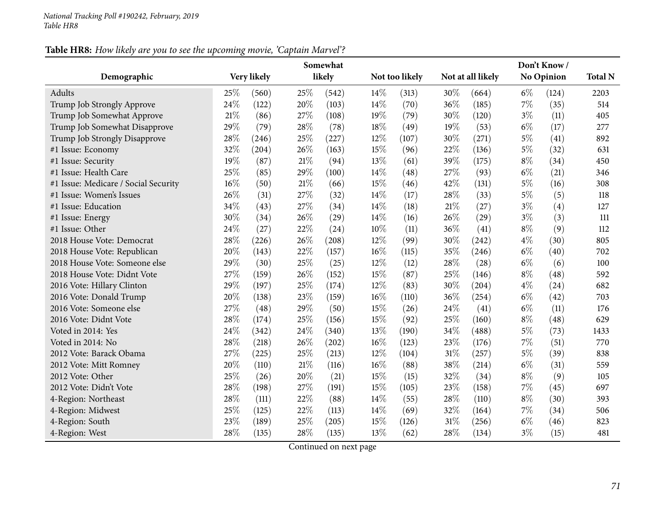### Table HR8: How likely are you to see the upcoming movie, 'Captain Marvel'?

|                                      | Somewhat    |       |        |        |        |                | Don't Know/ |                   |       |            |      |  |
|--------------------------------------|-------------|-------|--------|--------|--------|----------------|-------------|-------------------|-------|------------|------|--|
| Demographic                          | Very likely |       |        | likely |        | Not too likely |             | Not at all likely |       | No Opinion |      |  |
| Adults                               | 25%         | (560) | 25%    | (542)  | 14%    | (313)          | 30%         | (664)             | $6\%$ | (124)      | 2203 |  |
| Trump Job Strongly Approve           | 24%         | (122) | 20%    | (103)  | 14%    | (70)           | 36%         | (185)             | 7%    | (35)       | 514  |  |
| Trump Job Somewhat Approve           | 21%         | (86)  | 27%    | (108)  | 19%    | (79)           | 30%         | (120)             | $3\%$ | (11)       | 405  |  |
| Trump Job Somewhat Disapprove        | 29%         | (79)  | 28%    | (78)   | 18%    | (49)           | 19%         | (53)              | $6\%$ | (17)       | 277  |  |
| Trump Job Strongly Disapprove        | 28%         | (246) | 25%    | (227)  | 12%    | (107)          | 30%         | (271)             | $5\%$ | (41)       | 892  |  |
| #1 Issue: Economy                    | 32%         | (204) | 26%    | (163)  | 15%    | (96)           | 22%         | (136)             | $5\%$ | (32)       | 631  |  |
| #1 Issue: Security                   | 19%         | (87)  | $21\%$ | (94)   | 13%    | (61)           | 39%         | (175)             | $8\%$ | (34)       | 450  |  |
| #1 Issue: Health Care                | 25%         | (85)  | 29%    | (100)  | 14%    | (48)           | 27%         | (93)              | $6\%$ | (21)       | 346  |  |
| #1 Issue: Medicare / Social Security | 16%         | (50)  | 21%    | (66)   | 15%    | (46)           | 42%         | (131)             | $5\%$ | (16)       | 308  |  |
| #1 Issue: Women's Issues             | 26%         | (31)  | 27%    | (32)   | 14%    | (17)           | 28%         | (33)              | $5\%$ | (5)        | 118  |  |
| #1 Issue: Education                  | 34%         | (43)  | 27%    | (34)   | 14%    | (18)           | 21%         | (27)              | $3\%$ | (4)        | 127  |  |
| #1 Issue: Energy                     | 30%         | (34)  | 26%    | (29)   | 14%    | (16)           | 26%         | (29)              | $3\%$ | (3)        | 111  |  |
| #1 Issue: Other                      | 24%         | (27)  | 22%    | (24)   | $10\%$ | (11)           | 36%         | (41)              | $8\%$ | (9)        | 112  |  |
| 2018 House Vote: Democrat            | 28%         | (226) | 26%    | (208)  | 12%    | (99)           | 30%         | (242)             | $4\%$ | (30)       | 805  |  |
| 2018 House Vote: Republican          | 20%         | (143) | 22%    | (157)  | $16\%$ | (115)          | 35%         | (246)             | $6\%$ | (40)       | 702  |  |
| 2018 House Vote: Someone else        | 29%         | (30)  | 25%    | (25)   | 12%    | (12)           | 28%         | (28)              | $6\%$ | (6)        | 100  |  |
| 2018 House Vote: Didnt Vote          | 27%         | (159) | 26%    | (152)  | 15%    | (87)           | 25%         | (146)             | $8\%$ | (48)       | 592  |  |
| 2016 Vote: Hillary Clinton           | 29%         | (197) | 25%    | (174)  | 12%    | (83)           | 30%         | (204)             | $4\%$ | (24)       | 682  |  |
| 2016 Vote: Donald Trump              | 20%         | (138) | 23%    | (159)  | $16\%$ | (110)          | 36%         | (254)             | $6\%$ | (42)       | 703  |  |
| 2016 Vote: Someone else              | 27%         | (48)  | 29%    | (50)   | 15%    | (26)           | 24%         | (41)              | $6\%$ | (11)       | 176  |  |
| 2016 Vote: Didnt Vote                | 28%         | (174) | 25%    | (156)  | 15%    | (92)           | 25%         | (160)             | $8\%$ | (48)       | 629  |  |
| Voted in 2014: Yes                   | 24%         | (342) | 24%    | (340)  | 13%    | (190)          | 34%         | (488)             | $5\%$ | (73)       | 1433 |  |
| Voted in 2014: No                    | 28%         | (218) | 26%    | (202)  | $16\%$ | (123)          | 23%         | (176)             | 7%    | (51)       | 770  |  |
| 2012 Vote: Barack Obama              | 27%         | (225) | 25%    | (213)  | 12%    | (104)          | 31%         | (257)             | $5\%$ | (39)       | 838  |  |
| 2012 Vote: Mitt Romney               | 20%         | (110) | 21%    | (116)  | $16\%$ | (88)           | 38%         | (214)             | $6\%$ | (31)       | 559  |  |
| 2012 Vote: Other                     | 25%         | (26)  | 20%    | (21)   | 15%    | (15)           | 32%         | (34)              | $8\%$ | (9)        | 105  |  |
| 2012 Vote: Didn't Vote               | 28%         | (198) | 27%    | (191)  | 15%    | (105)          | 23%         | (158)             | $7\%$ | (45)       | 697  |  |
| 4-Region: Northeast                  | 28%         | (111) | 22%    | (88)   | 14%    | (55)           | 28%         | (110)             | $8\%$ | (30)       | 393  |  |
| 4-Region: Midwest                    | 25%         | (125) | 22%    | (113)  | 14%    | (69)           | 32%         | (164)             | 7%    | (34)       | 506  |  |
| 4-Region: South                      | 23%         | (189) | 25%    | (205)  | 15%    | (126)          | 31%         | (256)             | $6\%$ | (46)       | 823  |  |
| 4-Region: West                       | 28%         | (135) | 28%    | (135)  | 13%    | (62)           | 28%         | (134)             | $3\%$ | (15)       | 481  |  |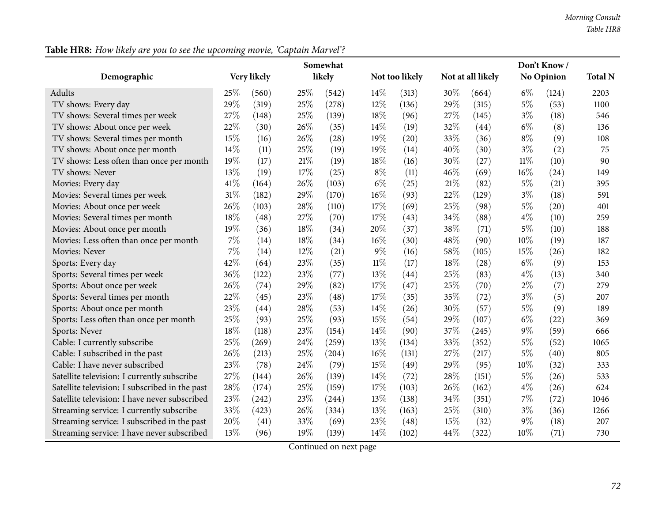|                                                | Somewhat |             |     |        |        |                | Don't Know/ |                   |        |            |      |  |
|------------------------------------------------|----------|-------------|-----|--------|--------|----------------|-------------|-------------------|--------|------------|------|--|
| Demographic                                    |          | Very likely |     | likely |        | Not too likely |             | Not at all likely |        | No Opinion |      |  |
| <b>Adults</b>                                  | 25%      | (560)       | 25% | (542)  | 14%    | (313)          | 30%         | (664)             | $6\%$  | (124)      | 2203 |  |
| TV shows: Every day                            | 29%      | (319)       | 25% | (278)  | 12%    | (136)          | 29%         | (315)             | $5\%$  | (53)       | 1100 |  |
| TV shows: Several times per week               | 27%      | (148)       | 25% | (139)  | 18%    | (96)           | 27%         | (145)             | $3\%$  | (18)       | 546  |  |
| TV shows: About once per week                  | 22%      | (30)        | 26% | (35)   | 14%    | (19)           | 32%         | (44)              | $6\%$  | (8)        | 136  |  |
| TV shows: Several times per month              | 15%      | (16)        | 26% | (28)   | 19%    | (20)           | 33%         | (36)              | $8\%$  | (9)        | 108  |  |
| TV shows: About once per month                 | 14%      | (11)        | 25% | (19)   | 19%    | (14)           | 40%         | (30)              | $3\%$  | (2)        | 75   |  |
| TV shows: Less often than once per month       | 19%      | (17)        | 21% | (19)   | 18%    | (16)           | 30%         | (27)              | $11\%$ | (10)       | 90   |  |
| TV shows: Never                                | 13%      | (19)        | 17% | (25)   | $8\%$  | (11)           | 46\%        | (69)              | 16%    | (24)       | 149  |  |
| Movies: Every day                              | 41%      | (164)       | 26% | (103)  | $6\%$  | (25)           | $21\%$      | (82)              | $5\%$  | (21)       | 395  |  |
| Movies: Several times per week                 | 31%      | (182)       | 29% | (170)  | 16%    | (93)           | 22%         | (129)             | $3\%$  | (18)       | 591  |  |
| Movies: About once per week                    | 26%      | (103)       | 28% | (110)  | 17%    | (69)           | 25%         | (98)              | $5\%$  | (20)       | 401  |  |
| Movies: Several times per month                | 18%      | (48)        | 27% | (70)   | 17%    | (43)           | 34%         | (88)              | $4\%$  | (10)       | 259  |  |
| Movies: About once per month                   | 19%      | (36)        | 18% | (34)   | 20%    | (37)           | 38\%        | (71)              | 5%     | (10)       | 188  |  |
| Movies: Less often than once per month         | $7\%$    | (14)        | 18% | (34)   | 16%    | (30)           | 48%         | (90)              | 10%    | (19)       | 187  |  |
| Movies: Never                                  | 7%       | (14)        | 12% | (21)   | 9%     | (16)           | 58%         | (105)             | 15\%   | (26)       | 182  |  |
| Sports: Every day                              | 42%      | (64)        | 23% | (35)   | $11\%$ | (17)           | 18%         | (28)              | $6\%$  | (9)        | 153  |  |
| Sports: Several times per week                 | 36%      | (122)       | 23% | (77)   | 13%    | (44)           | 25%         | (83)              | $4\%$  | (13)       | 340  |  |
| Sports: About once per week                    | 26%      | (74)        | 29% | (82)   | 17%    | (47)           | 25\%        | (70)              | $2\%$  | (7)        | 279  |  |
| Sports: Several times per month                | 22%      | (45)        | 23% | (48)   | 17%    | (35)           | 35%         | (72)              | $3\%$  | (5)        | 207  |  |
| Sports: About once per month                   | 23%      | (44)        | 28% | (53)   | 14%    | (26)           | 30%         | (57)              | $5\%$  | (9)        | 189  |  |
| Sports: Less often than once per month         | 25%      | (93)        | 25% | (93)   | 15%    | (54)           | 29%         | (107)             | $6\%$  | (22)       | 369  |  |
| Sports: Never                                  | 18%      | (118)       | 23% | (154)  | 14%    | (90)           | 37%         | (245)             | $9\%$  | (59)       | 666  |  |
| Cable: I currently subscribe                   | 25%      | (269)       | 24% | (259)  | 13%    | (134)          | 33%         | (352)             | $5\%$  | (52)       | 1065 |  |
| Cable: I subscribed in the past                | 26%      | (213)       | 25% | (204)  | 16%    | (131)          | 27%         | (217)             | $5\%$  | (40)       | 805  |  |
| Cable: I have never subscribed                 | 23%      | (78)        | 24% | (79)   | 15%    | (49)           | 29%         | (95)              | 10%    | (32)       | 333  |  |
| Satellite television: I currently subscribe    | 27%      | (144)       | 26% | (139)  | 14%    | (72)           | 28%         | (151)             | $5\%$  | (26)       | 533  |  |
| Satellite television: I subscribed in the past | 28%      | (174)       | 25% | (159)  | 17%    | (103)          | 26%         | (162)             | $4\%$  | (26)       | 624  |  |
| Satellite television: I have never subscribed  | 23%      | (242)       | 23% | (244)  | 13%    | (138)          | 34%         | (351)             | 7%     | (72)       | 1046 |  |
| Streaming service: I currently subscribe       | 33%      | (423)       | 26% | (334)  | 13%    | (163)          | 25%         | (310)             | $3\%$  | (36)       | 1266 |  |
| Streaming service: I subscribed in the past    | 20%      | (41)        | 33% | (69)   | 23%    | (48)           | 15%         | (32)              | $9\%$  | (18)       | 207  |  |
| Streaming service: I have never subscribed     | 13%      | (96)        | 19% | (139)  | 14%    | (102)          | 44%         | (322)             | 10%    | (71)       | 730  |  |

Table HR8: How likely are you to see the upcoming movie, 'Captain Marvel'?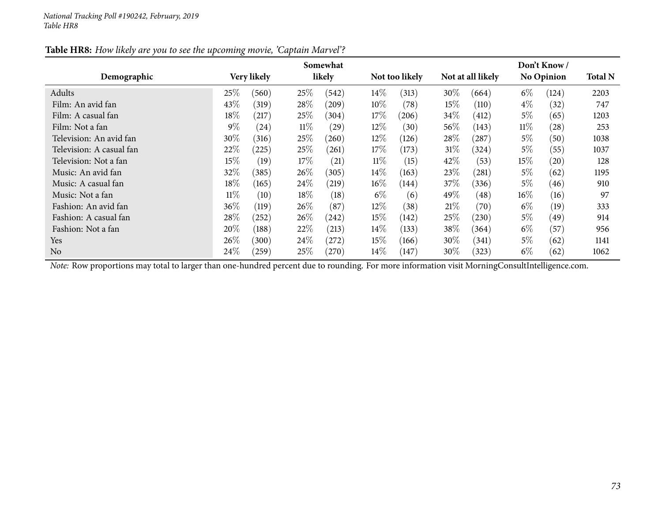|                          |        |             |        | Somewhat |        |                |        |                   |        | Don't Know/       |                |
|--------------------------|--------|-------------|--------|----------|--------|----------------|--------|-------------------|--------|-------------------|----------------|
| Demographic              |        | Very likely |        | likely   |        | Not too likely |        | Not at all likely |        | <b>No Opinion</b> | <b>Total N</b> |
| Adults                   | 25%    | (560)       | 25%    | (542)    | $14\%$ | (313)          | 30%    | (664)             | $6\%$  | (124)             | 2203           |
| Film: An avid fan        | 43\%   | (319)       | 28\%   | (209)    | $10\%$ | (78)           | $15\%$ | (110)             | $4\%$  | (32)              | 747            |
| Film: A casual fan       | 18%    | (217)       | $25\%$ | (304)    | $17\%$ | (206)          | $34\%$ | (412)             | $5\%$  | (65)              | 1203           |
| Film: Not a fan          | $9\%$  | (24)        | $11\%$ | (29)     | $12\%$ | (30)           | $56\%$ | (143)             | $11\%$ | (28)              | 253            |
| Television: An avid fan  | 30%    | (316)       | $25\%$ | (260)    | $12\%$ | (126)          | $28\%$ | (287)             | 5%     | (50)              | 1038           |
| Television: A casual fan | 22%    | $^{'}225)$  | $25\%$ | (261)    | $17\%$ | (173)          | 31%    | (324)             | $5\%$  | (55)              | 1037           |
| Television: Not a fan    | 15%    | (19)        | $17\%$ | (21)     | $11\%$ | (15)           | 42\%   | (53)              | $15\%$ | (20)              | 128            |
| Music: An avid fan       | $32\%$ | (385)       | $26\%$ | (305)    | $14\%$ | (163)          | 23\%   | (281)             | 5%     | (62)              | 1195           |
| Music: A casual fan      | 18%    | (165)       | 24\%   | (219)    | $16\%$ | (144)          | 37%    | (336)             | $5\%$  | (46)              | 910            |
| Music: Not a fan         | $11\%$ | (10)        | 18%    | (18)     | $6\%$  | (6)            | 49%    | (48)              | $16\%$ | (16)              | 97             |
| Fashion: An avid fan     | 36\%   | (119)       | 26\%   | (87)     | $12\%$ | (38)           | 21%    | (70)              | $6\%$  | (19)              | 333            |
| Fashion: A casual fan    | 28\%   | (252)       | 26\%   | (242)    | $15\%$ | (142)          | 25%    | (230)             | $5\%$  | (49)              | 914            |
| Fashion: Not a fan       | 20%    | (188)       | 22\%   | (213)    | $14\%$ | (133)          | 38\%   | (364)             | $6\%$  | (57)              | 956            |
| Yes                      | 26\%   | (300)       | 24%    | (272)    | $15\%$ | (166)          | $30\%$ | (341)             | $5\%$  | (62)              | 1141           |
| N <sub>o</sub>           | 24\%   | (259)       | $25\%$ | (270)    | $14\%$ | (147)          | $30\%$ | (323)             | $6\%$  | (62)              | 1062           |

## Table HR8: How likely are you to see the upcoming movie, 'Captain Marvel'?

*Note:* Row proportions may total to larger than one-hundred percen<sup>t</sup> due to rounding. For more information visit [MorningConsultIntelligence.com](https://morningconsultintelligence.com).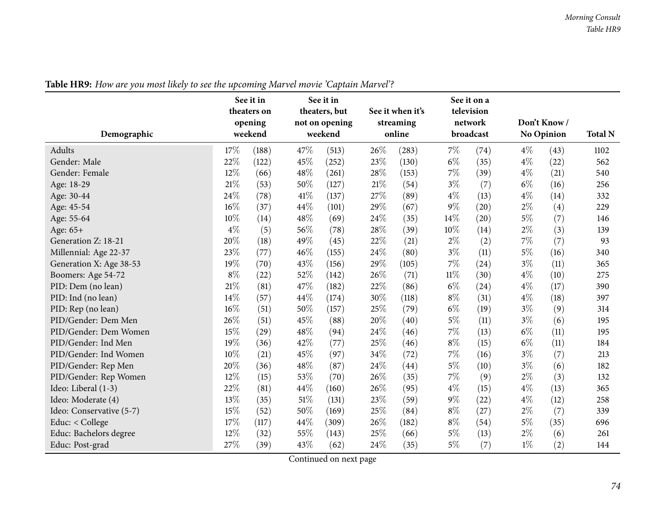| Demographic              |        | See it in<br>theaters on<br>opening<br>weekend |      | See it in<br>theaters, but<br>not on opening<br>weekend |      | See it when it's<br>streaming<br>online |        | See it on a<br>television<br>network<br>broadcast |       | Don't Know/<br><b>No Opinion</b> | <b>Total N</b> |
|--------------------------|--------|------------------------------------------------|------|---------------------------------------------------------|------|-----------------------------------------|--------|---------------------------------------------------|-------|----------------------------------|----------------|
| <b>Adults</b>            | 17%    | (188)                                          | 47%  | (513)                                                   | 26%  | (283)                                   | $7\%$  | (74)                                              | $4\%$ | (43)                             | 1102           |
| Gender: Male             | 22%    | (122)                                          | 45%  | (252)                                                   | 23%  | (130)                                   | $6\%$  | (35)                                              | $4\%$ | (22)                             | 562            |
| Gender: Female           | 12%    | (66)                                           | 48%  | (261)                                                   | 28%  | (153)                                   | 7%     | (39)                                              | $4\%$ | (21)                             | 540            |
| Age: 18-29               | 21%    | (53)                                           | 50%  | (127)                                                   | 21%  | (54)                                    | $3\%$  | (7)                                               | $6\%$ | (16)                             | 256            |
| Age: 30-44               | 24%    | (78)                                           | 41\% | (137)                                                   | 27%  | (89)                                    | $4\%$  | (13)                                              | $4\%$ | (14)                             | 332            |
| Age: 45-54               | 16%    | (37)                                           | 44%  | (101)                                                   | 29%  | (67)                                    | 9%     | (20)                                              | $2\%$ | (4)                              | 229            |
| Age: 55-64               | 10%    | (14)                                           | 48%  | (69)                                                    | 24%  | (35)                                    | 14%    | (20)                                              | $5\%$ | (7)                              | 146            |
| Age: 65+                 | $4\%$  | (5)                                            | 56%  | (78)                                                    | 28%  | (39)                                    | 10%    | (14)                                              | $2\%$ | (3)                              | 139            |
| Generation Z: 18-21      | 20%    | (18)                                           | 49%  | (45)                                                    | 22%  | (21)                                    | $2\%$  | (2)                                               | $7\%$ | (7)                              | 93             |
| Millennial: Age 22-37    | 23%    | (77)                                           | 46%  | (155)                                                   | 24\% | (80)                                    | $3\%$  | (11)                                              | $5\%$ | (16)                             | 340            |
| Generation X: Age 38-53  | 19%    | (70)                                           | 43%  | (156)                                                   | 29\% | (105)                                   | 7%     | (24)                                              | $3\%$ | (11)                             | 365            |
| Boomers: Age 54-72       | $8\%$  | (22)                                           | 52%  | (142)                                                   | 26%  | (71)                                    | $11\%$ | (30)                                              | $4\%$ | (10)                             | 275            |
| PID: Dem (no lean)       | $21\%$ | (81)                                           | 47%  | (182)                                                   | 22%  | (86)                                    | $6\%$  | (24)                                              | $4\%$ | (17)                             | 390            |
| PID: Ind (no lean)       | 14%    | (57)                                           | 44%  | (174)                                                   | 30%  | (118)                                   | $8\%$  | (31)                                              | $4\%$ | (18)                             | 397            |
| PID: Rep (no lean)       | 16%    | (51)                                           | 50%  | (157)                                                   | 25%  | (79)                                    | $6\%$  | (19)                                              | $3\%$ | (9)                              | 314            |
| PID/Gender: Dem Men      | 26%    | (51)                                           | 45%  | (88)                                                    | 20%  | (40)                                    | $5\%$  | (11)                                              | $3\%$ | (6)                              | 195            |
| PID/Gender: Dem Women    | 15%    | (29)                                           | 48%  | (94)                                                    | 24%  | (46)                                    | 7%     | (13)                                              | $6\%$ | (11)                             | 195            |
| PID/Gender: Ind Men      | 19%    | (36)                                           | 42%  | (77)                                                    | 25%  | (46)                                    | $8\%$  | (15)                                              | $6\%$ | (11)                             | 184            |
| PID/Gender: Ind Women    | 10%    | (21)                                           | 45%  | (97)                                                    | 34%  | (72)                                    | 7%     | (16)                                              | $3\%$ | (7)                              | 213            |
| PID/Gender: Rep Men      | 20%    | (36)                                           | 48%  | (87)                                                    | 24%  | (44)                                    | $5\%$  | (10)                                              | $3\%$ | (6)                              | 182            |
| PID/Gender: Rep Women    | 12%    | (15)                                           | 53%  | (70)                                                    | 26%  | (35)                                    | $7\%$  | (9)                                               | $2\%$ | (3)                              | 132            |
| Ideo: Liberal (1-3)      | 22%    | (81)                                           | 44%  | (160)                                                   | 26%  | (95)                                    | $4\%$  | (15)                                              | $4\%$ | (13)                             | 365            |
| Ideo: Moderate (4)       | 13%    | (35)                                           | 51%  | (131)                                                   | 23%  | (59)                                    | 9%     | (22)                                              | $4\%$ | (12)                             | 258            |
| Ideo: Conservative (5-7) | 15%    | (52)                                           | 50%  | (169)                                                   | 25%  | (84)                                    | $8\%$  | (27)                                              | $2\%$ | (7)                              | 339            |
| Educ: < College          | 17%    | (117)                                          | 44%  | (309)                                                   | 26\% | (182)                                   | $8\%$  | (54)                                              | $5\%$ | (35)                             | 696            |
| Educ: Bachelors degree   | 12%    | (32)                                           | 55%  | (143)                                                   | 25%  | (66)                                    | $5\%$  | (13)                                              | $2\%$ | (6)                              | 261            |
| Educ: Post-grad          | 27%    | (39)                                           | 43%  | (62)                                                    | 24%  | (35)                                    | $5\%$  | (7)                                               | $1\%$ | (2)                              | 144            |

Table HR9: How are you most likely to see the upcoming Marvel movie 'Captain Marvel'?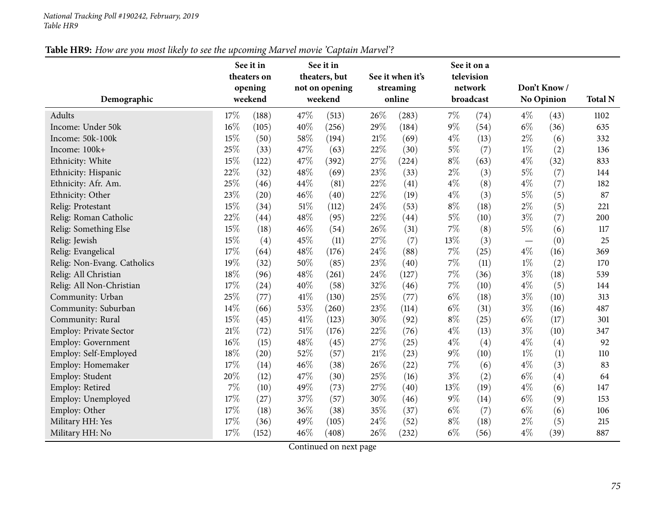#### *National Tracking Poll #190242, February, <sup>2019</sup> Table HR9*

## Table HR9: How are you most likely to see the upcoming Marvel movie 'Captain Marvel'?

|                               |        | See it in<br>theaters on |      | See it in<br>theaters, but |     | See it when it's |       | See it on a<br>television |       |                   |                |
|-------------------------------|--------|--------------------------|------|----------------------------|-----|------------------|-------|---------------------------|-------|-------------------|----------------|
|                               |        | opening                  |      | not on opening             |     | streaming        |       | network                   |       | Don't Know/       |                |
| Demographic                   |        | weekend                  |      | weekend                    |     | online           |       | broadcast                 |       | <b>No Opinion</b> | <b>Total N</b> |
| Adults                        | 17%    | (188)                    | 47%  | (513)                      | 26% | (283)            | $7\%$ | (74)                      | $4\%$ | (43)              | 1102           |
| Income: Under 50k             | $16\%$ | (105)                    | 40%  | (256)                      | 29% | (184)            | 9%    | (54)                      | $6\%$ | (36)              | 635            |
| Income: 50k-100k              | 15%    | (50)                     | 58%  | (194)                      | 21% | (69)             | $4\%$ | (13)                      | $2\%$ | (6)               | 332            |
| Income: 100k+                 | 25%    | (33)                     | 47%  | (63)                       | 22% | (30)             | $5\%$ | (7)                       | $1\%$ | (2)               | 136            |
| Ethnicity: White              | 15%    | (122)                    | 47%  | (392)                      | 27% | (224)            | $8\%$ | (63)                      | $4\%$ | (32)              | 833            |
| Ethnicity: Hispanic           | 22%    | (32)                     | 48%  | (69)                       | 23% | (33)             | $2\%$ | (3)                       | $5\%$ | (7)               | 144            |
| Ethnicity: Afr. Am.           | 25%    | (46)                     | 44%  | (81)                       | 22% | (41)             | $4\%$ | (8)                       | $4\%$ | (7)               | 182            |
| Ethnicity: Other              | 23%    | (20)                     | 46%  | (40)                       | 22% | (19)             | $4\%$ | (3)                       | $5\%$ | (5)               | 87             |
| Relig: Protestant             | 15%    | (34)                     | 51\% | (112)                      | 24% | (53)             | $8\%$ | (18)                      | $2\%$ | (5)               | 221            |
| Relig: Roman Catholic         | 22%    | (44)                     | 48%  | (95)                       | 22% | (44)             | $5\%$ | (10)                      | $3\%$ | (7)               | 200            |
| Relig: Something Else         | 15%    | (18)                     | 46%  | (54)                       | 26% | (31)             | $7\%$ | (8)                       | $5\%$ | (6)               | 117            |
| Relig: Jewish                 | 15%    | (4)                      | 45%  | (11)                       | 27% | (7)              | 13%   | (3)                       |       | (0)               | 25             |
| Relig: Evangelical            | 17%    | (64)                     | 48%  | (176)                      | 24% | (88)             | 7%    | (25)                      | $4\%$ | (16)              | 369            |
| Relig: Non-Evang. Catholics   | 19%    | (32)                     | 50%  | (85)                       | 23% | (40)             | 7%    | (11)                      | $1\%$ | (2)               | 170            |
| Relig: All Christian          | $18\%$ | (96)                     | 48%  | (261)                      | 24% | (127)            | $7\%$ | (36)                      | $3\%$ | (18)              | 539            |
| Relig: All Non-Christian      | 17%    | (24)                     | 40%  | (58)                       | 32% | (46)             | $7\%$ | (10)                      | $4\%$ | (5)               | 144            |
| Community: Urban              | 25%    | (77)                     | 41\% | (130)                      | 25% | (77)             | $6\%$ | (18)                      | $3\%$ | (10)              | 313            |
| Community: Suburban           | 14%    | (66)                     | 53%  | (260)                      | 23% | (114)            | $6\%$ | (31)                      | $3\%$ | (16)              | 487            |
| Community: Rural              | 15%    | (45)                     | 41\% | (123)                      | 30% | (92)             | $8\%$ | (25)                      | $6\%$ | (17)              | 301            |
| <b>Employ: Private Sector</b> | 21\%   | (72)                     | 51%  | (176)                      | 22% | (76)             | $4\%$ | (13)                      | $3\%$ | (10)              | 347            |
| Employ: Government            | 16%    | (15)                     | 48%  | (45)                       | 27% | (25)             | $4\%$ | (4)                       | $4\%$ | (4)               | 92             |
| Employ: Self-Employed         | $18\%$ | (20)                     | 52%  | (57)                       | 21% | (23)             | 9%    | (10)                      | $1\%$ | (1)               | 110            |
| Employ: Homemaker             | 17%    | (14)                     | 46%  | (38)                       | 26% | (22)             | 7%    | (6)                       | $4\%$ | (3)               | 83             |
| Employ: Student               | 20%    | (12)                     | 47%  | (30)                       | 25% | (16)             | $3\%$ | (2)                       | $6\%$ | (4)               | 64             |
| Employ: Retired               | $7\%$  | (10)                     | 49%  | (73)                       | 27% | (40)             | 13%   | (19)                      | $4\%$ | (6)               | 147            |
| Employ: Unemployed            | $17\%$ | (27)                     | 37%  | (57)                       | 30% | (46)             | $9\%$ | (14)                      | $6\%$ | (9)               | 153            |
| Employ: Other                 | $17\%$ | (18)                     | 36%  | (38)                       | 35% | (37)             | $6\%$ | (7)                       | $6\%$ | (6)               | 106            |
| Military HH: Yes              | $17\%$ | (36)                     | 49%  | (105)                      | 24% | (52)             | $8\%$ | (18)                      | $2\%$ | (5)               | 215            |
| Military HH: No               | 17%    | (152)                    | 46%  | (408)                      | 26% | (232)            | $6\%$ | (56)                      | $4\%$ | (39)              | 887            |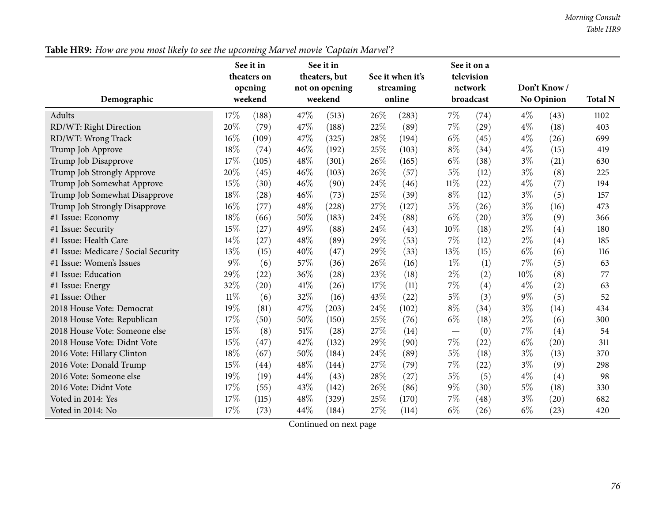## Table HR9: How are you most likely to see the upcoming Marvel movie 'Captain Marvel'?

|                                      |        | See it in<br>theaters on<br>opening |      | See it in<br>theaters, but<br>not on opening |      | See it when it's<br>streaming<br>online |       | See it on a<br>television<br>network |       | Don't Know/       |                |
|--------------------------------------|--------|-------------------------------------|------|----------------------------------------------|------|-----------------------------------------|-------|--------------------------------------|-------|-------------------|----------------|
| Demographic                          |        | weekend                             |      | weekend                                      |      |                                         |       | broadcast                            |       | <b>No Opinion</b> | <b>Total N</b> |
| Adults                               | 17%    | (188)                               | 47%  | (513)                                        | 26%  | (283)                                   | $7\%$ | (74)                                 | $4\%$ | (43)              | 1102           |
| RD/WT: Right Direction               | 20%    | (79)                                | 47%  | (188)                                        | 22%  | (89)                                    | $7\%$ | (29)                                 | $4\%$ | (18)              | 403            |
| RD/WT: Wrong Track                   | 16%    | (109)                               | 47%  | (325)                                        | 28%  | (194)                                   | $6\%$ | (45)                                 | $4\%$ | (26)              | 699            |
| Trump Job Approve                    | 18%    | (74)                                | 46%  | (192)                                        | 25%  | (103)                                   | $8\%$ | (34)                                 | $4\%$ | (15)              | 419            |
| Trump Job Disapprove                 | 17%    | (105)                               | 48%  | (301)                                        | 26%  | (165)                                   | $6\%$ | (38)                                 | $3\%$ | (21)              | 630            |
| Trump Job Strongly Approve           | 20%    | (45)                                | 46%  | (103)                                        | 26%  | (57)                                    | $5\%$ | (12)                                 | $3\%$ | (8)               | 225            |
| Trump Job Somewhat Approve           | 15%    | (30)                                | 46%  | (90)                                         | 24\% | (46)                                    | 11%   | (22)                                 | $4\%$ | (7)               | 194            |
| Trump Job Somewhat Disapprove        | 18%    | (28)                                | 46%  | (73)                                         | 25%  | (39)                                    | $8\%$ | (12)                                 | $3\%$ | (5)               | 157            |
| Trump Job Strongly Disapprove        | $16\%$ | (77)                                | 48%  | (228)                                        | 27%  | (127)                                   | $5\%$ | (26)                                 | $3\%$ | (16)              | 473            |
| #1 Issue: Economy                    | 18%    | (66)                                | 50%  | (183)                                        | 24\% | (88)                                    | $6\%$ | (20)                                 | $3\%$ | (9)               | 366            |
| #1 Issue: Security                   | 15%    | (27)                                | 49%  | (88)                                         | 24%  | (43)                                    | 10%   | (18)                                 | $2\%$ | (4)               | 180            |
| #1 Issue: Health Care                | 14%    | (27)                                | 48%  | (89)                                         | 29%  | (53)                                    | 7%    | (12)                                 | $2\%$ | (4)               | 185            |
| #1 Issue: Medicare / Social Security | 13%    | (15)                                | 40%  | (47)                                         | 29%  | (33)                                    | 13%   | (15)                                 | $6\%$ | (6)               | 116            |
| #1 Issue: Women's Issues             | $9\%$  | (6)                                 | 57%  | (36)                                         | 26%  | (16)                                    | $1\%$ | (1)                                  | 7%    | (5)               | 63             |
| #1 Issue: Education                  | 29%    | (22)                                | 36%  | (28)                                         | 23%  | (18)                                    | $2\%$ | (2)                                  | 10%   | (8)               | 77             |
| #1 Issue: Energy                     | 32%    | (20)                                | 41\% | (26)                                         | 17%  | (11)                                    | 7%    | (4)                                  | $4\%$ | (2)               | 63             |
| #1 Issue: Other                      | $11\%$ | (6)                                 | 32%  | (16)                                         | 43%  | (22)                                    | $5\%$ | (3)                                  | $9\%$ | (5)               | 52             |
| 2018 House Vote: Democrat            | 19%    | (81)                                | 47%  | (203)                                        | 24\% | (102)                                   | $8\%$ | (34)                                 | $3\%$ | (14)              | 434            |
| 2018 House Vote: Republican          | 17%    | (50)                                | 50%  | (150)                                        | 25%  | (76)                                    | $6\%$ | (18)                                 | $2\%$ | (6)               | 300            |
| 2018 House Vote: Someone else        | 15%    | (8)                                 | 51%  | (28)                                         | 27%  | (14)                                    |       | (0)                                  | $7\%$ | (4)               | 54             |
| 2018 House Vote: Didnt Vote          | 15%    | (47)                                | 42%  | (132)                                        | 29%  | (90)                                    | 7%    | (22)                                 | $6\%$ | (20)              | 311            |
| 2016 Vote: Hillary Clinton           | $18\%$ | (67)                                | 50%  | (184)                                        | 24%  | (89)                                    | $5\%$ | (18)                                 | $3\%$ | (13)              | 370            |
| 2016 Vote: Donald Trump              | 15%    | (44)                                | 48%  | (144)                                        | 27\% | (79)                                    | 7%    | (22)                                 | $3\%$ | (9)               | 298            |
| 2016 Vote: Someone else              | 19%    | (19)                                | 44%  | (43)                                         | 28%  | (27)                                    | $5\%$ | (5)                                  | $4\%$ | (4)               | 98             |
| 2016 Vote: Didnt Vote                | 17%    | (55)                                | 43%  | (142)                                        | 26%  | (86)                                    | $9\%$ | (30)                                 | $5\%$ | (18)              | 330            |
| Voted in 2014: Yes                   | 17%    | (115)                               | 48%  | (329)                                        | 25%  | (170)                                   | 7%    | (48)                                 | $3\%$ | (20)              | 682            |
| Voted in 2014: No                    | 17%    | (73)                                | 44%  | (184)                                        | 27%  | (114)                                   | $6\%$ | (26)                                 | $6\%$ | (23)              | 420            |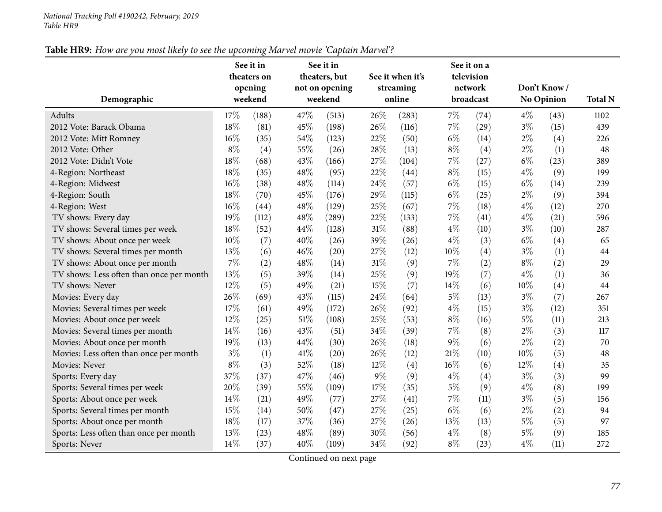#### *National Tracking Poll #190242, February, <sup>2019</sup> Table HR9*

## Table HR9: How are you most likely to see the upcoming Marvel movie 'Captain Marvel'?

|                                          |       | See it in<br>theaters on |        | See it in<br>theaters, but<br>not on opening |     | See it when it's<br>streaming |       | See it on a<br>television<br>network |        | Don't Know/       |                |
|------------------------------------------|-------|--------------------------|--------|----------------------------------------------|-----|-------------------------------|-------|--------------------------------------|--------|-------------------|----------------|
| Demographic                              |       | opening<br>weekend       |        | weekend                                      |     | online                        |       | broadcast                            |        | <b>No Opinion</b> | <b>Total N</b> |
| Adults                                   | 17%   | (188)                    | 47%    | (513)                                        | 26% | (283)                         | $7\%$ | (74)                                 | $4\%$  | (43)              | 1102           |
| 2012 Vote: Barack Obama                  | 18%   | (81)                     | 45%    | (198)                                        | 26% | (116)                         | 7%    | (29)                                 | $3\%$  | (15)              | 439            |
| 2012 Vote: Mitt Romney                   | 16%   | (35)                     | 54%    | (123)                                        | 22% | (50)                          | $6\%$ | (14)                                 | $2\%$  | (4)               | 226            |
| 2012 Vote: Other                         | $8\%$ | (4)                      | 55%    | (26)                                         | 28% | (13)                          | $8\%$ | (4)                                  | $2\%$  | (1)               | 48             |
| 2012 Vote: Didn't Vote                   | 18%   | (68)                     | 43%    | (166)                                        | 27% | (104)                         | 7%    | (27)                                 | $6\%$  | (23)              | 389            |
| 4-Region: Northeast                      | 18%   | (35)                     | 48%    | (95)                                         | 22% | (44)                          | $8\%$ | (15)                                 | $4\%$  | (9)               | 199            |
| 4-Region: Midwest                        | 16%   | (38)                     | 48%    | (114)                                        | 24% | (57)                          | $6\%$ | (15)                                 | $6\%$  | (14)              | 239            |
| 4-Region: South                          | 18%   | (70)                     | 45%    | (176)                                        | 29% | (115)                         | $6\%$ | (25)                                 | $2\%$  | (9)               | 394            |
| 4-Region: West                           | 16%   | (44)                     | 48%    | (129)                                        | 25% | (67)                          | 7%    | (18)                                 | $4\%$  | (12)              | 270            |
| TV shows: Every day                      | 19%   | (112)                    | 48%    | (289)                                        | 22% | (133)                         | 7%    | (41)                                 | $4\%$  | (21)              | 596            |
| TV shows: Several times per week         | 18%   | (52)                     | 44%    | (128)                                        | 31% | (88)                          | $4\%$ | (10)                                 | $3\%$  | (10)              | 287            |
| TV shows: About once per week            | 10%   | (7)                      | 40%    | (26)                                         | 39% | (26)                          | $4\%$ | (3)                                  | $6\%$  | (4)               | 65             |
| TV shows: Several times per month        | 13%   | (6)                      | 46%    | (20)                                         | 27% | (12)                          | 10%   | (4)                                  | $3\%$  | (1)               | 44             |
| TV shows: About once per month           | $7\%$ | (2)                      | 48%    | (14)                                         | 31% | (9)                           | 7%    | (2)                                  | $8\%$  | (2)               | 29             |
| TV shows: Less often than once per month | 13%   | (5)                      | 39%    | (14)                                         | 25% | (9)                           | 19%   | (7)                                  | $4\%$  | (1)               | 36             |
| TV shows: Never                          | 12%   | (5)                      | 49%    | (21)                                         | 15% | (7)                           | 14%   | (6)                                  | 10%    | (4)               | 44             |
| Movies: Every day                        | 26%   | (69)                     | 43%    | (115)                                        | 24% | (64)                          | 5%    | (13)                                 | $3\%$  | (7)               | 267            |
| Movies: Several times per week           | 17%   | (61)                     | 49%    | (172)                                        | 26% | (92)                          | $4\%$ | (15)                                 | $3\%$  | (12)              | 351            |
| Movies: About once per week              | 12%   | (25)                     | $51\%$ | (108)                                        | 25% | (53)                          | $8\%$ | (16)                                 | $5\%$  | (11)              | 213            |
| Movies: Several times per month          | 14%   | (16)                     | 43%    | (51)                                         | 34% | (39)                          | 7%    | (8)                                  | $2\%$  | (3)               | 117            |
| Movies: About once per month             | 19%   | (13)                     | 44%    | (30)                                         | 26% | (18)                          | 9%    | (6)                                  | $2\%$  | (2)               | 70             |
| Movies: Less often than once per month   | $3\%$ | (1)                      | 41%    | (20)                                         | 26% | (12)                          | 21%   | (10)                                 | $10\%$ | (5)               | 48             |
| Movies: Never                            | $8\%$ | (3)                      | 52%    | (18)                                         | 12% | (4)                           | 16%   | (6)                                  | 12%    | (4)               | 35             |
| Sports: Every day                        | 37%   | (37)                     | 47%    | (46)                                         | 9%  | (9)                           | $4\%$ | (4)                                  | $3\%$  | (3)               | 99             |
| Sports: Several times per week           | 20%   | (39)                     | 55%    | (109)                                        | 17% | (35)                          | 5%    | (9)                                  | $4\%$  | (8)               | 199            |
| Sports: About once per week              | 14\%  | (21)                     | 49%    | (77)                                         | 27% | (41)                          | 7%    | (11)                                 | $3\%$  | (5)               | 156            |
| Sports: Several times per month          | 15%   | (14)                     | 50%    | (47)                                         | 27% | (25)                          | $6\%$ | (6)                                  | $2\%$  | (2)               | 94             |
| Sports: About once per month             | 18%   | (17)                     | 37%    | (36)                                         | 27% | (26)                          | 13%   | (13)                                 | $5\%$  | (5)               | 97             |
| Sports: Less often than once per month   | 13%   | (23)                     | 48%    | (89)                                         | 30% | (56)                          | $4\%$ | (8)                                  | $5\%$  | (9)               | 185            |
| Sports: Never                            | 14%   | (37)                     | 40%    | (109)                                        | 34% | (92)                          | $8\%$ | (23)                                 | $4\%$  | (11)              | 272            |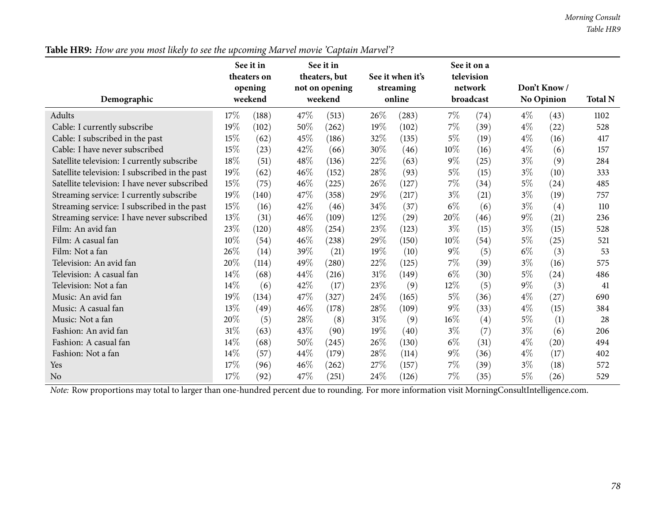### Table HR9: How are you most likely to see the upcoming Marvel movie 'Captain Marvel'?

| Demographic                                    |        | See it in<br>theaters on<br>opening<br>weekend |      | See it in<br>theaters, but<br>not on opening<br>weekend |        | See it when it's<br>streaming<br>online |       | See it on a<br>television<br>network<br>broadcast |       | Don't Know/<br><b>No Opinion</b> | <b>Total N</b> |
|------------------------------------------------|--------|------------------------------------------------|------|---------------------------------------------------------|--------|-----------------------------------------|-------|---------------------------------------------------|-------|----------------------------------|----------------|
| Adults                                         | 17%    | (188)                                          | 47\% | (513)                                                   | 26\%   | (283)                                   | $7\%$ | (74)                                              | $4\%$ | (43)                             | 1102           |
| Cable: I currently subscribe                   | 19%    | (102)                                          | 50%  | (262)                                                   | 19%    | (102)                                   | 7%    | (39)                                              | $4\%$ | (22)                             | 528            |
| Cable: I subscribed in the past                | 15%    | (62)                                           | 45%  | (186)                                                   | 32%    | (135)                                   | $5\%$ | (19)                                              | $4\%$ | (16)                             | 417            |
| Cable: I have never subscribed                 | 15%    | (23)                                           | 42%  | (66)                                                    | 30%    | (46)                                    | 10%   | (16)                                              | $4\%$ | (6)                              | 157            |
| Satellite television: I currently subscribe    | $18\%$ | (51)                                           | 48%  | (136)                                                   | 22%    | (63)                                    | $9\%$ | (25)                                              | $3\%$ | (9)                              | 284            |
| Satellite television: I subscribed in the past | 19%    | (62)                                           | 46%  | (152)                                                   | 28%    | (93)                                    | $5\%$ | (15)                                              | $3\%$ | (10)                             | 333            |
| Satellite television: I have never subscribed  | 15%    | (75)                                           | 46%  | (225)                                                   | 26\%   | (127)                                   | $7\%$ | (34)                                              | $5\%$ | (24)                             | 485            |
| Streaming service: I currently subscribe       | 19%    | (140)                                          | 47%  | (358)                                                   | 29%    | (217)                                   | $3\%$ | (21)                                              | $3\%$ | (19)                             | 757            |
| Streaming service: I subscribed in the past    | $15\%$ | (16)                                           | 42\% | (46)                                                    | 34\%   | (37)                                    | $6\%$ | (6)                                               | $3\%$ | (4)                              | 110            |
| Streaming service: I have never subscribed     | 13%    | (31)                                           | 46%  | (109)                                                   | 12%    | (29)                                    | 20%   | (46)                                              | $9\%$ | (21)                             | 236            |
| Film: An avid fan                              | 23%    | (120)                                          | 48%  | (254)                                                   | 23%    | (123)                                   | $3\%$ | (15)                                              | $3\%$ | (15)                             | 528            |
| Film: A casual fan                             | 10%    | (54)                                           | 46%  | (238)                                                   | 29%    | (150)                                   | 10%   | (54)                                              | $5\%$ | (25)                             | 521            |
| Film: Not a fan                                | 26%    | (14)                                           | 39%  | (21)                                                    | 19%    | (10)                                    | 9%    | (5)                                               | $6\%$ | (3)                              | 53             |
| Television: An avid fan                        | 20%    | (114)                                          | 49%  | (280)                                                   | 22%    | (125)                                   | 7%    | (39)                                              | $3\%$ | (16)                             | 575            |
| Television: A casual fan                       | 14\%   | (68)                                           | 44%  | (216)                                                   | $31\%$ | (149)                                   | $6\%$ | (30)                                              | $5\%$ | (24)                             | 486            |
| Television: Not a fan                          | 14\%   | (6)                                            | 42%  | (17)                                                    | 23%    | (9)                                     | 12%   | (5)                                               | $9\%$ | (3)                              | 41             |
| Music: An avid fan                             | 19%    | (134)                                          | 47%  | (327)                                                   | 24%    | (165)                                   | $5\%$ | (36)                                              | $4\%$ | (27)                             | 690            |
| Music: A casual fan                            | 13%    | (49)                                           | 46%  | (178)                                                   | 28%    | (109)                                   | $9\%$ | (33)                                              | $4\%$ | (15)                             | 384            |
| Music: Not a fan                               | 20%    | (5)                                            | 28\% | (8)                                                     | $31\%$ | (9)                                     | 16%   | (4)                                               | $5\%$ | (1)                              | 28             |
| Fashion: An avid fan                           | $31\%$ | (63)                                           | 43%  | (90)                                                    | 19%    | (40)                                    | $3\%$ | (7)                                               | $3\%$ | (6)                              | 206            |
| Fashion: A casual fan                          | 14\%   | (68)                                           | 50%  | (245)                                                   | 26\%   | (130)                                   | $6\%$ | (31)                                              | $4\%$ | (20)                             | 494            |
| Fashion: Not a fan                             | 14\%   | (57)                                           | 44%  | (179)                                                   | 28%    | (114)                                   | $9\%$ | (36)                                              | $4\%$ | (17)                             | 402            |
| Yes                                            | $17\%$ | (96)                                           | 46\% | (262)                                                   | 27%    | (157)                                   | 7%    | (39)                                              | $3\%$ | (18)                             | 572            |
| N <sub>o</sub>                                 | 17%    | (92)                                           | 47\% | (251)                                                   | 24\%   | (126)                                   | 7%    | (35)                                              | $5\%$ | (26)                             | 529            |

*Note:* Row proportions may total to larger than one-hundred percen<sup>t</sup> due to rounding. For more information visit [MorningConsultIntelligence.com](https://morningconsultintelligence.com).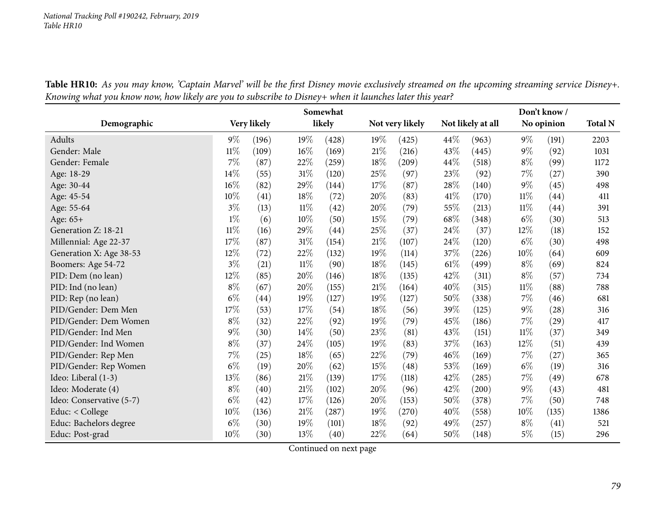| Table HR10: As you may know, 'Captain Marvel' will be the first Disney movie exclusively streamed on the upcoming streaming service Disney+. |  |
|----------------------------------------------------------------------------------------------------------------------------------------------|--|
| Knowing what you know now, how likely are you to subscribe to Disney+ when it launches later this year?                                      |  |

|                          |        |             |        | Somewhat |        |                 |      |                   |        | Don't know/        |                |
|--------------------------|--------|-------------|--------|----------|--------|-----------------|------|-------------------|--------|--------------------|----------------|
| Demographic              |        | Very likely |        | likely   |        | Not very likely |      | Not likely at all |        | No opinion         | <b>Total N</b> |
| Adults                   | $9\%$  | (196)       | 19%    | (428)    | 19%    | (425)           | 44\% | (963)             | $9\%$  | (191)              | 2203           |
| Gender: Male             | $11\%$ | (109)       | $16\%$ | (169)    | 21\%   | (216)           | 43%  | (445)             | $9\%$  | (92)               | 1031           |
| Gender: Female           | $7\%$  | (87)        | 22%    | (259)    | 18%    | (209)           | 44\% | (518)             | $8\%$  | (99)               | 1172           |
| Age: 18-29               | 14%    | (55)        | 31%    | (120)    | 25%    | (97)            | 23%  | (92)              | $7\%$  | (27)               | 390            |
| Age: 30-44               | 16%    | (82)        | 29%    | (144)    | $17\%$ | (87)            | 28%  | (140)             | $9\%$  | (45)               | 498            |
| Age: 45-54               | 10%    | (41)        | 18%    | (72)     | 20%    | (83)            | 41\% | (170)             | $11\%$ | $\left( 44\right)$ | 411            |
| Age: 55-64               | $3\%$  | (13)        | $11\%$ | (42)     | 20%    | (79)            | 55%  | (213)             | $11\%$ | (44)               | 391            |
| Age: 65+                 | $1\%$  | (6)         | 10%    | (50)     | 15%    | (79)            | 68%  | (348)             | $6\%$  | (30)               | 513            |
| Generation Z: 18-21      | $11\%$ | (16)        | 29%    | (44)     | 25%    | (37)            | 24%  | (37)              | 12%    | (18)               | 152            |
| Millennial: Age 22-37    | $17\%$ | (87)        | 31%    | (154)    | $21\%$ | (107)           | 24%  | (120)             | $6\%$  | (30)               | 498            |
| Generation X: Age 38-53  | 12%    | (72)        | 22%    | (132)    | 19%    | (114)           | 37%  | (226)             | 10%    | (64)               | 609            |
| Boomers: Age 54-72       | $3\%$  | (21)        | $11\%$ | (90)     | 18%    | (145)           | 61\% | (499)             | $8\%$  | (69)               | 824            |
| PID: Dem (no lean)       | 12%    | (85)        | 20%    | (146)    | 18%    | (135)           | 42%  | (311)             | $8\%$  | (57)               | 734            |
| PID: Ind (no lean)       | $8\%$  | (67)        | 20%    | (155)    | 21%    | (164)           | 40%  | (315)             | $11\%$ | (88)               | 788            |
| PID: Rep (no lean)       | $6\%$  | (44)        | 19%    | (127)    | 19%    | (127)           | 50%  | (338)             | $7\%$  | (46)               | 681            |
| PID/Gender: Dem Men      | 17%    | (53)        | 17%    | (54)     | 18%    | (56)            | 39%  | (125)             | $9\%$  | (28)               | 316            |
| PID/Gender: Dem Women    | $8\%$  | (32)        | 22\%   | (92)     | 19%    | (79)            | 45%  | (186)             | $7\%$  | (29)               | 417            |
| PID/Gender: Ind Men      | $9\%$  | (30)        | $14\%$ | (50)     | 23%    | (81)            | 43%  | (151)             | $11\%$ | (37)               | 349            |
| PID/Gender: Ind Women    | $8\%$  | (37)        | 24%    | (105)    | 19%    | (83)            | 37%  | (163)             | 12%    | (51)               | 439            |
| PID/Gender: Rep Men      | $7\%$  | (25)        | 18%    | (65)     | 22%    | (79)            | 46%  | (169)             | $7\%$  | (27)               | 365            |
| PID/Gender: Rep Women    | $6\%$  | (19)        | 20%    | (62)     | $15\%$ | (48)            | 53%  | (169)             | $6\%$  | (19)               | 316            |
| Ideo: Liberal (1-3)      | 13\%   | (86)        | $21\%$ | (139)    | $17\%$ | (118)           | 42%  | (285)             | $7\%$  | (49)               | 678            |
| Ideo: Moderate (4)       | $8\%$  | (40)        | 21%    | (102)    | 20%    | (96)            | 42%  | (200)             | $9\%$  | (43)               | 481            |
| Ideo: Conservative (5-7) | $6\%$  | (42)        | 17%    | (126)    | 20%    | (153)           | 50%  | (378)             | 7%     | (50)               | 748            |
| Educ: $<$ College        | 10%    | (136)       | 21%    | (287)    | 19%    | (270)           | 40%  | (558)             | 10%    | (135)              | 1386           |
| Educ: Bachelors degree   | $6\%$  | (30)        | 19%    | (101)    | 18%    | (92)            | 49%  | (257)             | $8\%$  | (41)               | 521            |
| Educ: Post-grad          | 10%    | (30)        | 13%    | (40)     | 22%    | (64)            | 50%  | (148)             | $5\%$  | (15)               | 296            |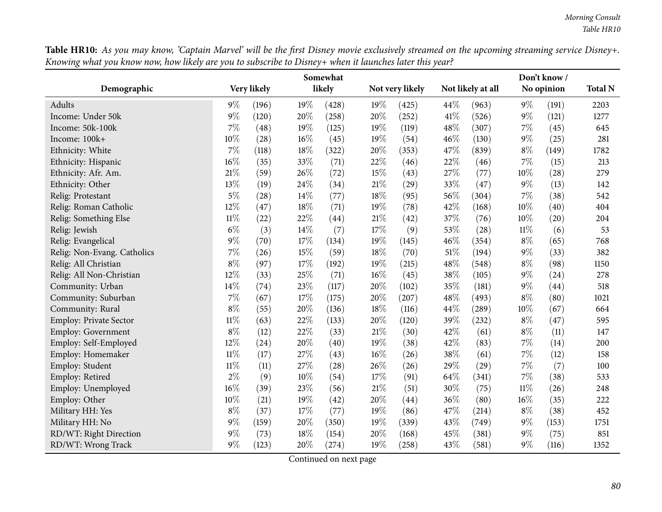Table HR10: As you may know, 'Captain Marvel' will be the first Disney movie exclusively streamed on the upcoming streaming service Disney+. Knowing what you know now, how likely are you to subscribe to Disney+ when it launches later this year?

|                               |        |             |     | Somewhat |     |                 |        |                   |        | Don't know/ |                |
|-------------------------------|--------|-------------|-----|----------|-----|-----------------|--------|-------------------|--------|-------------|----------------|
| Demographic                   |        | Very likely |     | likely   |     | Not very likely |        | Not likely at all |        | No opinion  | <b>Total N</b> |
| Adults                        | $9\%$  | (196)       | 19% | (428)    | 19% | (425)           | 44%    | (963)             | $9\%$  | (191)       | 2203           |
| Income: Under 50k             | $9\%$  | (120)       | 20% | (258)    | 20% | (252)           | 41\%   | (526)             | $9\%$  | (121)       | 1277           |
| Income: 50k-100k              | 7%     | (48)        | 19% | (125)    | 19% | (119)           | 48%    | (307)             | 7%     | (45)        | 645            |
| Income: 100k+                 | $10\%$ | (28)        | 16% | (45)     | 19% | (54)            | 46\%   | (130)             | $9\%$  | (25)        | 281            |
| Ethnicity: White              | $7\%$  | (118)       | 18% | (322)    | 20% | (353)           | 47\%   | (839)             | $8\%$  | (149)       | 1782           |
| Ethnicity: Hispanic           | $16\%$ | (35)        | 33% | (71)     | 22% | (46)            | 22%    | (46)              | $7\%$  | (15)        | 213            |
| Ethnicity: Afr. Am.           | $21\%$ | (59)        | 26% | (72)     | 15% | (43)            | 27%    | (77)              | $10\%$ | (28)        | 279            |
| Ethnicity: Other              | 13%    | (19)        | 24% | (34)     | 21% | (29)            | 33%    | (47)              | $9\%$  | (13)        | 142            |
| Relig: Protestant             | $5\%$  | (28)        | 14% | (77)     | 18% | (95)            | 56%    | (304)             | $7\%$  | (38)        | 542            |
| Relig: Roman Catholic         | 12%    | (47)        | 18% | (71)     | 19% | (78)            | 42%    | (168)             | 10%    | (40)        | 404            |
| Relig: Something Else         | $11\%$ | (22)        | 22% | (44)     | 21% | (42)            | 37%    | (76)              | 10%    | (20)        | 204            |
| Relig: Jewish                 | $6\%$  | (3)         | 14% | (7)      | 17% | (9)             | 53%    | (28)              | $11\%$ | (6)         | 53             |
| Relig: Evangelical            | $9\%$  | (70)        | 17% | (134)    | 19% | (145)           | 46%    | (354)             | $8\%$  | (65)        | 768            |
| Relig: Non-Evang. Catholics   | $7\%$  | (26)        | 15% | (59)     | 18% | (70)            | $51\%$ | (194)             | $9\%$  | (33)        | 382            |
| Relig: All Christian          | $8\%$  | (97)        | 17% | (192)    | 19% | (215)           | 48%    | (548)             | $8\%$  | (98)        | 1150           |
| Relig: All Non-Christian      | 12%    | (33)        | 25% | (71)     | 16% | (45)            | 38%    | (105)             | $9\%$  | (24)        | 278            |
| Community: Urban              | $14\%$ | (74)        | 23% | (117)    | 20% | (102)           | 35%    | (181)             | $9\%$  | (44)        | 518            |
| Community: Suburban           | $7\%$  | (67)        | 17% | (175)    | 20% | (207)           | 48%    | (493)             | $8\%$  | (80)        | 1021           |
| Community: Rural              | $8\%$  | (55)        | 20% | (136)    | 18% | (116)           | 44%    | (289)             | 10%    | (67)        | 664            |
| <b>Employ: Private Sector</b> | $11\%$ | (63)        | 22% | (133)    | 20% | (120)           | 39%    | (232)             | $8\%$  | (47)        | 595            |
| <b>Employ: Government</b>     | $8\%$  | (12)        | 22% | (33)     | 21% | (30)            | 42%    | (61)              | $8\%$  | (11)        | 147            |
| Employ: Self-Employed         | 12%    | (24)        | 20% | (40)     | 19% | (38)            | 42%    | (83)              | $7\%$  | (14)        | 200            |
| Employ: Homemaker             | $11\%$ | (17)        | 27% | (43)     | 16% | (26)            | 38%    | (61)              | $7\%$  | (12)        | 158            |
| Employ: Student               | $11\%$ | (11)        | 27% | (28)     | 26% | (26)            | 29%    | (29)              | $7\%$  | (7)         | 100            |
| Employ: Retired               | $2\%$  | (9)         | 10% | (54)     | 17% | (91)            | 64%    | (341)             | $7\%$  | (38)        | 533            |
| Employ: Unemployed            | 16%    | (39)        | 23% | (56)     | 21% | (51)            | 30%    | (75)              | $11\%$ | (26)        | 248            |
| Employ: Other                 | $10\%$ | (21)        | 19% | (42)     | 20% | (44)            | 36%    | (80)              | 16%    | (35)        | 222            |
| Military HH: Yes              | $8\%$  | (37)        | 17% | (77)     | 19% | (86)            | 47%    | (214)             | $8\%$  | (38)        | 452            |
| Military HH: No               | $9\%$  | (159)       | 20% | (350)    | 19% | (339)           | 43%    | (749)             | $9\%$  | (153)       | 1751           |
| RD/WT: Right Direction        | $9\%$  | (73)        | 18% | (154)    | 20% | (168)           | 45%    | (381)             | $9\%$  | (75)        | 851            |
| RD/WT: Wrong Track            | $9\%$  | (123)       | 20% | (274)    | 19% | (258)           | 43%    | (581)             | $9\%$  | (116)       | 1352           |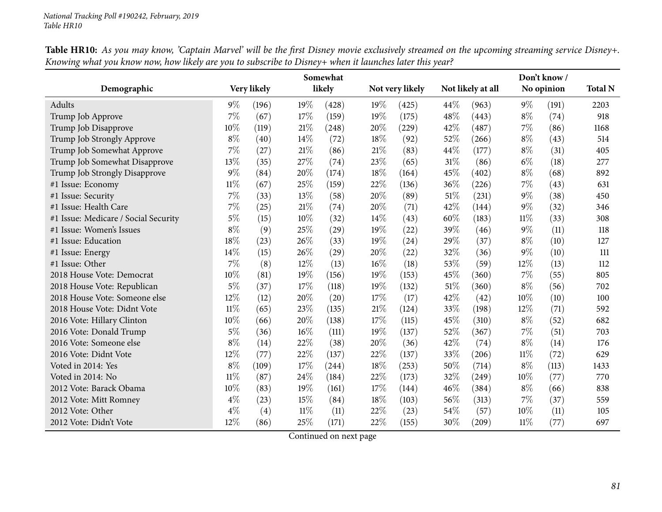|                                      |        |             |     | Somewhat |      |                 |     |                   |        | Don't know/ |                |
|--------------------------------------|--------|-------------|-----|----------|------|-----------------|-----|-------------------|--------|-------------|----------------|
| Demographic                          |        | Very likely |     | likely   |      | Not very likely |     | Not likely at all |        | No opinion  | <b>Total N</b> |
| Adults                               | $9\%$  | (196)       | 19% | (428)    | 19%  | (425)           | 44% | (963)             | $9\%$  | (191)       | 2203           |
| Trump Job Approve                    | 7%     | (67)        | 17% | (159)    | 19%  | (175)           | 48% | (443)             | $8\%$  | (74)        | 918            |
| Trump Job Disapprove                 | 10%    | (119)       | 21% | (248)    | 20%  | (229)           | 42% | (487)             | 7%     | (86)        | 1168           |
| Trump Job Strongly Approve           | $8\%$  | (40)        | 14% | (72)     | 18%  | (92)            | 52% | (266)             | $8\%$  | (43)        | 514            |
| Trump Job Somewhat Approve           | 7%     | (27)        | 21% | (86)     | 21%  | (83)            | 44% | (177)             | $8\%$  | (31)        | 405            |
| Trump Job Somewhat Disapprove        | 13%    | (35)        | 27% | (74)     | 23%  | (65)            | 31% | (86)              | $6\%$  | (18)        | 277            |
| Trump Job Strongly Disapprove        | $9\%$  | (84)        | 20% | (174)    | 18%  | (164)           | 45% | (402)             | $8\%$  | (68)        | 892            |
| #1 Issue: Economy                    | $11\%$ | (67)        | 25% | (159)    | 22%  | (136)           | 36% | (226)             | 7%     | (43)        | 631            |
| #1 Issue: Security                   | 7%     | (33)        | 13% | (58)     | 20%  | (89)            | 51% | (231)             | $9\%$  | (38)        | 450            |
| #1 Issue: Health Care                | $7\%$  | (25)        | 21% | (74)     | 20%  | (71)            | 42% | (144)             | $9\%$  | (32)        | 346            |
| #1 Issue: Medicare / Social Security | 5%     | (15)        | 10% | (32)     | 14%  | (43)            | 60% | (183)             | $11\%$ | (33)        | 308            |
| #1 Issue: Women's Issues             | $8\%$  | (9)         | 25% | (29)     | 19%  | (22)            | 39% | (46)              | $9\%$  | (11)        | 118            |
| #1 Issue: Education                  | 18%    | (23)        | 26% | (33)     | 19%  | (24)            | 29% | (37)              | $8\%$  | (10)        | 127            |
| #1 Issue: Energy                     | 14%    | (15)        | 26% | (29)     | 20%  | (22)            | 32% | (36)              | $9\%$  | (10)        | 111            |
| #1 Issue: Other                      | 7%     | (8)         | 12% | (13)     | 16%  | (18)            | 53% | (59)              | 12%    | (13)        | 112            |
| 2018 House Vote: Democrat            | 10%    | (81)        | 19% | (156)    | 19%  | (153)           | 45% | (360)             | 7%     | (55)        | 805            |
| 2018 House Vote: Republican          | $5\%$  | (37)        | 17% | (118)    | 19%  | (132)           | 51% | (360)             | $8\%$  | (56)        | 702            |
| 2018 House Vote: Someone else        | 12%    | (12)        | 20% | (20)     | 17%  | (17)            | 42% | (42)              | 10%    | (10)        | 100            |
| 2018 House Vote: Didnt Vote          | $11\%$ | (65)        | 23% | (135)    | 21%  | (124)           | 33% | (198)             | 12%    | (71)        | 592            |
| 2016 Vote: Hillary Clinton           | 10%    | (66)        | 20% | (138)    | 17\% | (115)           | 45% | (310)             | $8\%$  | (52)        | 682            |
| 2016 Vote: Donald Trump              | 5%     | (36)        | 16% | (111)    | 19%  | (137)           | 52% | (367)             | 7%     | (51)        | 703            |
| 2016 Vote: Someone else              | $8\%$  | (14)        | 22% | (38)     | 20%  | (36)            | 42% | (74)              | $8\%$  | (14)        | 176            |
| 2016 Vote: Didnt Vote                | $12\%$ | (77)        | 22% | (137)    | 22%  | (137)           | 33% | (206)             | $11\%$ | (72)        | 629            |
| Voted in 2014: Yes                   | $8\%$  | (109)       | 17% | (244)    | 18%  | (253)           | 50% | (714)             | $8\%$  | (113)       | 1433           |
| Voted in 2014: No                    | $11\%$ | (87)        | 24% | (184)    | 22%  | (173)           | 32% | (249)             | 10%    | (77)        | 770            |
| 2012 Vote: Barack Obama              | 10%    | (83)        | 19% | (161)    | 17\% | (144)           | 46% | (384)             | $8\%$  | (66)        | 838            |
| 2012 Vote: Mitt Romney               | $4\%$  | (23)        | 15% | (84)     | 18%  | (103)           | 56% | (313)             | 7%     | (37)        | 559            |
| 2012 Vote: Other                     | $4\%$  | (4)         | 11% | (11)     | 22%  | (23)            | 54% | (57)              | 10%    | (11)        | 105            |
| 2012 Vote: Didn't Vote               | 12%    | (86)        | 25% | (171)    | 22%  | (155)           | 30% | (209)             | $11\%$ | (77)        | 697            |

Table HR10: As you may know, 'Captain Marvel' will be the first Disney movie exclusively streamed on the upcoming streaming service Disney+. Knowing what you know now, how likely are you to subscribe to Disney+ when it launches later this year?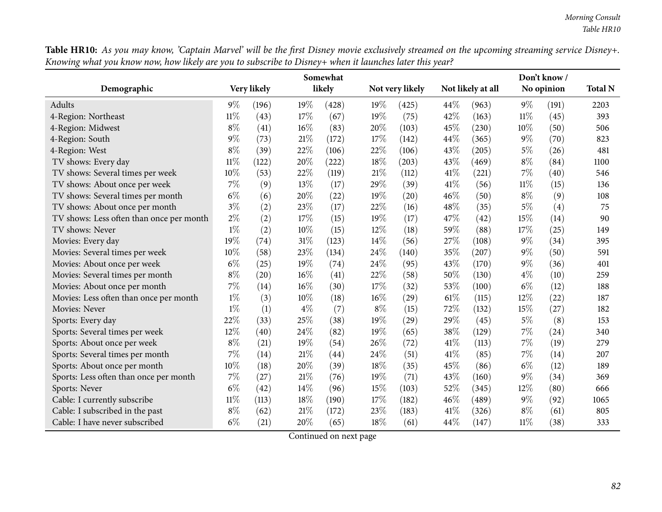Table HR10: As you may know, 'Captain Marvel' will be the first Disney movie exclusively streamed on the upcoming streaming service Disney+. Knowing what you know now, how likely are you to subscribe to Disney+ when it launches later this year?  $\overline{\phantom{0}}$ 

|                                          |        |             |        | Somewhat |       |                 |      |                   |        | Don't know /      |                |
|------------------------------------------|--------|-------------|--------|----------|-------|-----------------|------|-------------------|--------|-------------------|----------------|
| Demographic                              |        | Very likely |        | likely   |       | Not very likely |      | Not likely at all |        | No opinion        | <b>Total N</b> |
| Adults                                   | $9\%$  | (196)       | 19%    | (428)    | 19%   | (425)           | 44\% | (963)             | $9\%$  | (191)             | 2203           |
| 4-Region: Northeast                      | $11\%$ | (43)        | 17%    | (67)     | 19%   | (75)            | 42%  | (163)             | $11\%$ | (45)              | 393            |
| 4-Region: Midwest                        | $8\%$  | (41)        | 16%    | (83)     | 20%   | (103)           | 45%  | (230)             | 10%    | (50)              | 506            |
| 4-Region: South                          | $9\%$  | (73)        | 21%    | (172)    | 17%   | (142)           | 44\% | (365)             | $9\%$  | (70)              | 823            |
| 4-Region: West                           | $8\%$  | (39)        | 22%    | (106)    | 22%   | (106)           | 43%  | (205)             | $5\%$  | (26)              | 481            |
| TV shows: Every day                      | $11\%$ | (122)       | 20%    | (222)    | 18%   | (203)           | 43%  | (469)             | $8\%$  | (84)              | 1100           |
| TV shows: Several times per week         | 10%    | (53)        | 22%    | (119)    | 21%   | (112)           | 41\% | (221)             | 7%     | (40)              | 546            |
| TV shows: About once per week            | 7%     | (9)         | 13%    | (17)     | 29%   | (39)            | 41\% | (56)              | $11\%$ | (15)              | 136            |
| TV shows: Several times per month        | $6\%$  | (6)         | 20%    | (22)     | 19%   | (20)            | 46%  | (50)              | $8\%$  | (9)               | 108            |
| TV shows: About once per month           | $3\%$  | (2)         | 23\%   | (17)     | 22%   | (16)            | 48%  | (35)              | $5\%$  | $\left( 4\right)$ | 75             |
| TV shows: Less often than once per month | $2\%$  | (2)         | 17%    | (15)     | 19%   | (17)            | 47%  | (42)              | 15%    | (14)              | 90             |
| TV shows: Never                          | $1\%$  | (2)         | 10%    | (15)     | 12%   | (18)            | 59%  | (88)              | 17%    | (25)              | 149            |
| Movies: Every day                        | 19%    | (74)        | 31%    | (123)    | 14%   | (56)            | 27\% | (108)             | $9\%$  | (34)              | 395            |
| Movies: Several times per week           | 10%    | (58)        | 23%    | (134)    | 24%   | (140)           | 35%  | (207)             | $9\%$  | (50)              | 591            |
| Movies: About once per week              | $6\%$  | (25)        | 19%    | (74)     | 24%   | (95)            | 43%  | (170)             | $9\%$  | (36)              | 401            |
| Movies: Several times per month          | $8\%$  | (20)        | $16\%$ | (41)     | 22%   | (58)            | 50%  | (130)             | $4\%$  | (10)              | 259            |
| Movies: About once per month             | 7%     | (14)        | 16%    | (30)     | 17%   | (32)            | 53%  | (100)             | $6\%$  | (12)              | 188            |
| Movies: Less often than once per month   | $1\%$  | (3)         | 10%    | (18)     | 16%   | (29)            | 61\% | (115)             | 12%    | (22)              | 187            |
| Movies: Never                            | $1\%$  | (1)         | $4\%$  | (7)      | $8\%$ | (15)            | 72%  | (132)             | 15%    | (27)              | 182            |
| Sports: Every day                        | 22%    | (33)        | 25%    | (38)     | 19%   | (29)            | 29%  | (45)              | $5\%$  | (8)               | 153            |
| Sports: Several times per week           | 12%    | (40)        | 24\%   | (82)     | 19%   | (65)            | 38%  | (129)             | $7\%$  | (24)              | 340            |
| Sports: About once per week              | $8\%$  | (21)        | 19%    | (54)     | 26%   | (72)            | 41\% | (113)             | 7%     | (19)              | 279            |
| Sports: Several times per month          | 7%     | (14)        | 21%    | (44)     | 24%   | (51)            | 41\% | (85)              | 7%     | (14)              | 207            |
| Sports: About once per month             | 10%    | (18)        | 20%    | (39)     | 18%   | (35)            | 45%  | (86)              | $6\%$  | (12)              | 189            |
| Sports: Less often than once per month   | 7%     | (27)        | 21\%   | (76)     | 19%   | (71)            | 43%  | (160)             | $9\%$  | (34)              | 369            |
| Sports: Never                            | $6\%$  | (42)        | 14%    | (96)     | 15%   | (103)           | 52%  | (345)             | 12%    | (80)              | 666            |
| Cable: I currently subscribe             | $11\%$ | (113)       | 18%    | (190)    | 17%   | (182)           | 46%  | (489)             | $9\%$  | (92)              | 1065           |
| Cable: I subscribed in the past          | $8\%$  | (62)        | 21%    | (172)    | 23%   | (183)           | 41\% | (326)             | $8\%$  | (61)              | 805            |
| Cable: I have never subscribed           | $6\%$  | (21)        | 20%    | (65)     | 18%   | (61)            | 44%  | (147)             | $11\%$ | (38)              | 333            |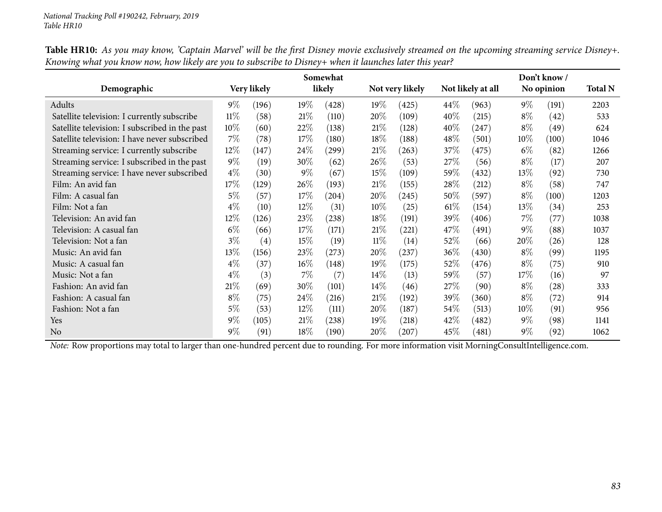|                                                |        |                   |        | Somewhat |        |                 |         |                     |        | Don't know/ |                |
|------------------------------------------------|--------|-------------------|--------|----------|--------|-----------------|---------|---------------------|--------|-------------|----------------|
| Demographic                                    |        | Very likely       |        | likely   |        | Not very likely |         | Not likely at all   |        | No opinion  | <b>Total N</b> |
| Adults                                         | $9\%$  | (196)             | 19%    | (428)    | 19%    | (425)           | $44\%$  | (963)               | $9\%$  | (191)       | 2203           |
| Satellite television: I currently subscribe    | $11\%$ | (58)              | 21%    | (110)    | 20%    | (109)           | 40%     | (215)               | $8\%$  | (42)        | 533            |
| Satellite television: I subscribed in the past | 10%    | (60)              | 22%    | (138)    | 21%    | (128)           | $40\%$  | (247)               | $8\%$  | (49)        | 624            |
| Satellite television: I have never subscribed  | $7\%$  | (78)              | 17%    | (180)    | $18\%$ | (188)           | 48\%    | (501)               | $10\%$ | (100)       | 1046           |
| Streaming service: I currently subscribe       | 12%    | (147)             | 24\%   | (299)    | 21%    | (263)           | 37\%    | (475)               | $6\%$  | (82)        | 1266           |
| Streaming service: I subscribed in the past    | $9\%$  | (19)              | 30%    | (62)     | $26\%$ | (53)            | 27%     | (56)                | $8\%$  | (17)        | 207            |
| Streaming service: I have never subscribed     | $4\%$  | (30)              | $9\%$  | (67)     | $15\%$ | (109)           | $59\%$  | (432)               | 13\%   | (92)        | 730            |
| Film: An avid fan                              | 17%    | (129)             | 26\%   | (193)    | 21%    | (155)           | 28\%    | (212)               | $8\%$  | (58)        | 747            |
| Film: A casual fan                             | $5\%$  | (57)              | 17%    | (204)    | 20\%   | (245)           | $50\%$  | (597)               | $8\%$  | (100)       | 1203           |
| Film: Not a fan                                | $4\%$  | (10)              | 12%    | (31)     | $10\%$ | (25)            | $61\%$  | (154)               | $13\%$ | (34)        | 253            |
| Television: An avid fan                        | $12\%$ | (126)             | 23%    | (238)    | $18\%$ | (191)           | 39\%    | (406)               | $7\%$  | (77)        | 1038           |
| Television: A casual fan                       | $6\%$  | (66)              | 17%    | (171)    | 21%    | (221)           | $47\%$  | (491)               | $9\%$  | (88)        | 1037           |
| Television: Not a fan                          | $3\%$  | $\left( 4\right)$ | 15%    | (19)     | $11\%$ | (14)            | 52\%    | (66)                | 20%    | (26)        | 128            |
| Music: An avid fan                             | 13%    | (156)             | 23%    | (273)    | 20\%   | (237)           | $36\%$  | (430)               | $8\%$  | (99)        | 1195           |
| Music: A casual fan                            | $4\%$  | (37)              | $16\%$ | (148)    | 19%    | (175)           | 52\%    | (476)               | $8\%$  | (75)        | 910            |
| Music: Not a fan                               | $4\%$  | (3)               | $7\%$  | (7)      | $14\%$ | (13)            | 59 $\%$ | (57)                | $17\%$ | (16)        | 97             |
| Fashion: An avid fan                           | 21%    | (69)              | 30%    | (101)    | $14\%$ | (46)            | 27\%    | (90)                | $8\%$  | (28)        | 333            |
| Fashion: A casual fan                          | $8\%$  | (75)              | 24\%   | (216)    | 21%    | (192)           | 39\%    | (360)               | $8\%$  | (72)        | 914            |
| Fashion: Not a fan                             | $5\%$  | (53)              | 12%    | (111)    | $20\%$ | (187)           | $54\%$  | (513)               | $10\%$ | (91)        | 956            |
| Yes                                            | $9\%$  | (105)             | 21%    | (238)    | 19%    | (218)           | $42\%$  | $\left( 482\right)$ | $9\%$  | (98)        | 1141           |
| No                                             | $9\%$  | (91)              | 18%    | (190)    | 20\%   | (207)           | $45\%$  | (481)               | $9\%$  | (92)        | 1062           |

Table HR10: As you may know, 'Captain Marvel' will be the first Disney movie exclusively streamed on the upcoming streaming service Disney+. Knowing what you know now, how likely are you to subscribe to Disney+ when it launches later this year?

*Note:* Row proportions may total to larger than one-hundred percen<sup>t</sup> due to rounding. For more information visit [MorningConsultIntelligence.com](https://morningconsultintelligence.com).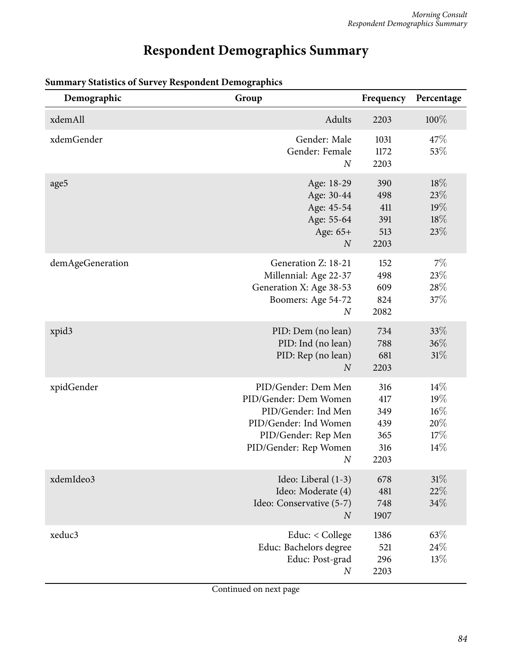# **Respondent Demographics Summary**

| Demographic      | Group                                                                                                                                             | Frequency                                      | Percentage                                |
|------------------|---------------------------------------------------------------------------------------------------------------------------------------------------|------------------------------------------------|-------------------------------------------|
| xdemAll          | Adults                                                                                                                                            | 2203                                           | 100%                                      |
| xdemGender       | Gender: Male<br>Gender: Female<br>$\boldsymbol{N}$                                                                                                | 1031<br>1172<br>2203                           | 47%<br>53%                                |
| age5             | Age: 18-29<br>Age: 30-44<br>Age: 45-54<br>Age: 55-64<br>Age: 65+<br>$\boldsymbol{N}$                                                              | 390<br>498<br>411<br>391<br>513<br>2203        | 18%<br>23\%<br>19%<br>18%<br>23%          |
| demAgeGeneration | Generation Z: 18-21<br>Millennial: Age 22-37<br>Generation X: Age 38-53<br>Boomers: Age 54-72<br>$\boldsymbol{N}$                                 | 152<br>498<br>609<br>824<br>2082               | 7%<br>23%<br>28%<br>37%                   |
| xpid3            | PID: Dem (no lean)<br>PID: Ind (no lean)<br>PID: Rep (no lean)<br>$\boldsymbol{N}$                                                                | 734<br>788<br>681<br>2203                      | 33\%<br>36%<br>31%                        |
| xpidGender       | PID/Gender: Dem Men<br>PID/Gender: Dem Women<br>PID/Gender: Ind Men<br>PID/Gender: Ind Women<br>PID/Gender: Rep Men<br>PID/Gender: Rep Women<br>N | 316<br>417<br>349<br>439<br>365<br>316<br>2203 | 14%<br>19%<br>$16\%$<br>20%<br>17%<br>14% |
| xdemIdeo3        | Ideo: Liberal (1-3)<br>Ideo: Moderate (4)<br>Ideo: Conservative (5-7)<br>$\overline{N}$                                                           | 678<br>481<br>748<br>1907                      | 31%<br>22%<br>34%                         |
| xeduc3           | Educ: < College<br>Educ: Bachelors degree<br>Educ: Post-grad<br>$\boldsymbol{N}$                                                                  | 1386<br>521<br>296<br>2203                     | 63%<br>24\%<br>13%                        |

## **Summary Statistics of Survey Respondent Demographics**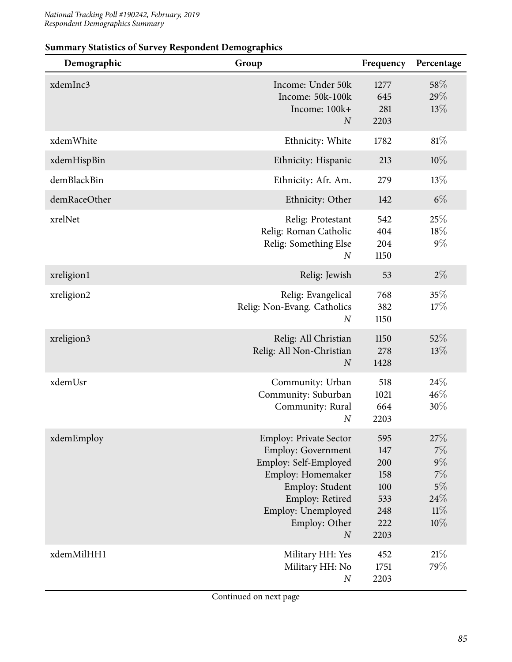| Demographic  | Group                                                                                                                                                                                                     | Frequency                                                    | Percentage                                                   |
|--------------|-----------------------------------------------------------------------------------------------------------------------------------------------------------------------------------------------------------|--------------------------------------------------------------|--------------------------------------------------------------|
| xdemInc3     | Income: Under 50k<br>Income: 50k-100k<br>Income: 100k+<br>$\overline{N}$                                                                                                                                  | 1277<br>645<br>281<br>2203                                   | 58%<br>29%<br>13%                                            |
| xdemWhite    | Ethnicity: White                                                                                                                                                                                          | 1782                                                         | 81%                                                          |
| xdemHispBin  | Ethnicity: Hispanic                                                                                                                                                                                       | 213                                                          | $10\%$                                                       |
| demBlackBin  | Ethnicity: Afr. Am.                                                                                                                                                                                       | 279                                                          | 13%                                                          |
| demRaceOther | Ethnicity: Other                                                                                                                                                                                          | 142                                                          | $6\%$                                                        |
| xrelNet      | Relig: Protestant<br>Relig: Roman Catholic<br>Relig: Something Else<br>$\boldsymbol{N}$                                                                                                                   | 542<br>404<br>204<br>1150                                    | 25%<br>18%<br>$9\%$                                          |
| xreligion1   | Relig: Jewish                                                                                                                                                                                             | 53                                                           | $2\%$                                                        |
| xreligion2   | Relig: Evangelical<br>Relig: Non-Evang. Catholics<br>$\boldsymbol{N}$                                                                                                                                     | 768<br>382<br>1150                                           | 35%<br>17%                                                   |
| xreligion3   | Relig: All Christian<br>Relig: All Non-Christian<br>$\overline{N}$                                                                                                                                        | 1150<br>278<br>1428                                          | 52%<br>13%                                                   |
| xdemUsr      | Community: Urban<br>Community: Suburban<br>Community: Rural<br>$\boldsymbol{N}$                                                                                                                           | 518<br>1021<br>664<br>2203                                   | 24\%<br>46%<br>30%                                           |
| xdemEmploy   | <b>Employ: Private Sector</b><br><b>Employ: Government</b><br>Employ: Self-Employed<br>Employ: Homemaker<br>Employ: Student<br>Employ: Retired<br>Employ: Unemployed<br>Employ: Other<br>$\boldsymbol{N}$ | 595<br>147<br>200<br>158<br>100<br>533<br>248<br>222<br>2203 | $27\%$<br>7%<br>$9\%$<br>$7\%$<br>$5\%$<br>24%<br>11%<br>10% |
| xdemMilHH1   | Military HH: Yes<br>Military HH: No<br>$\boldsymbol{N}$                                                                                                                                                   | 452<br>1751<br>2203                                          | 21%<br>79%                                                   |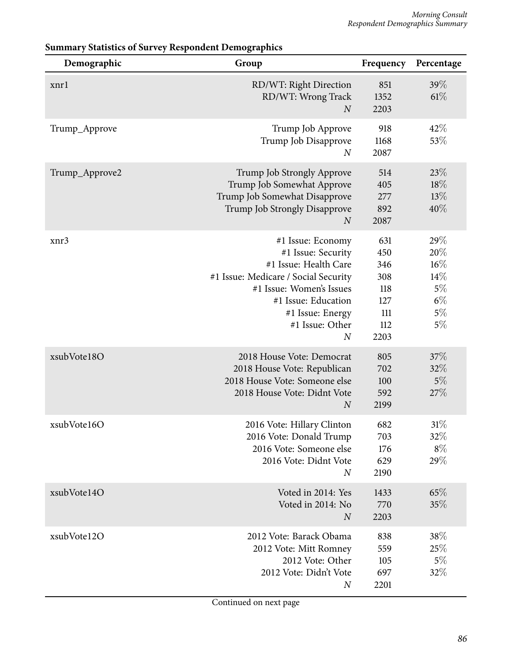| Demographic    | Group                                                                                                                                                                                                                  | Frequency                                                    | Percentage                                                      |
|----------------|------------------------------------------------------------------------------------------------------------------------------------------------------------------------------------------------------------------------|--------------------------------------------------------------|-----------------------------------------------------------------|
| xnrl           | RD/WT: Right Direction<br>RD/WT: Wrong Track<br>$\overline{N}$                                                                                                                                                         | 851<br>1352<br>2203                                          | 39%<br>61%                                                      |
| Trump_Approve  | Trump Job Approve<br>Trump Job Disapprove<br>$\boldsymbol{N}$                                                                                                                                                          | 918<br>1168<br>2087                                          | 42%<br>53%                                                      |
| Trump_Approve2 | Trump Job Strongly Approve<br>Trump Job Somewhat Approve<br>Trump Job Somewhat Disapprove<br>Trump Job Strongly Disapprove<br>$\overline{N}$                                                                           | 514<br>405<br>277<br>892<br>2087                             | 23%<br>18%<br>13%<br>40%                                        |
| xnr3           | #1 Issue: Economy<br>#1 Issue: Security<br>#1 Issue: Health Care<br>#1 Issue: Medicare / Social Security<br>#1 Issue: Women's Issues<br>#1 Issue: Education<br>#1 Issue: Energy<br>#1 Issue: Other<br>$\boldsymbol{N}$ | 631<br>450<br>346<br>308<br>118<br>127<br>111<br>112<br>2203 | 29%<br>20%<br>$16\%$<br>14%<br>$5\%$<br>$6\%$<br>$5\%$<br>$5\%$ |
| xsubVote18O    | 2018 House Vote: Democrat<br>2018 House Vote: Republican<br>2018 House Vote: Someone else<br>2018 House Vote: Didnt Vote<br>$\boldsymbol{N}$                                                                           | 805<br>702<br>100<br>592<br>2199                             | 37%<br>32%<br>$5\%$<br>27%                                      |
| xsubVote16O    | 2016 Vote: Hillary Clinton<br>2016 Vote: Donald Trump<br>2016 Vote: Someone else<br>2016 Vote: Didnt Vote<br>$\boldsymbol{N}$                                                                                          | 682<br>703<br>176<br>629<br>2190                             | $31\%$<br>32\%<br>$8\%$<br>29%                                  |
| xsubVote14O    | Voted in 2014: Yes<br>Voted in 2014: No<br>$\overline{N}$                                                                                                                                                              | 1433<br>770<br>2203                                          | 65%<br>35%                                                      |
| xsubVote12O    | 2012 Vote: Barack Obama<br>2012 Vote: Mitt Romney<br>2012 Vote: Other<br>2012 Vote: Didn't Vote<br>$\boldsymbol{N}$                                                                                                    | 838<br>559<br>105<br>697<br>2201                             | 38%<br>25\%<br>5%<br>32%                                        |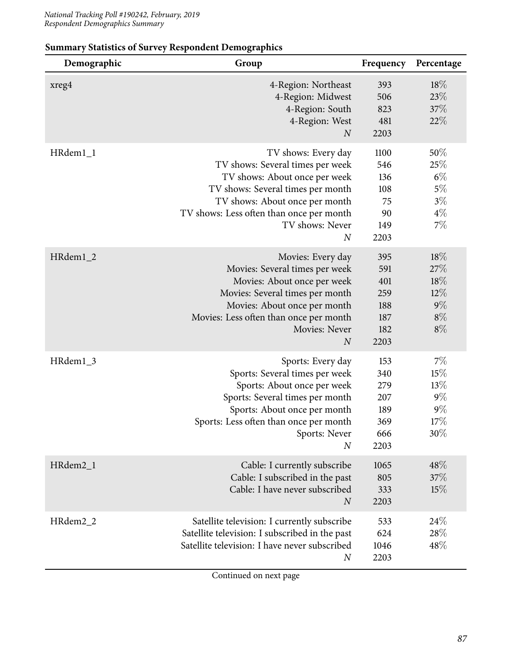| Demographic | Group                                                                                                                                                                                                                                              | Frequency                                             | Percentage                                              |
|-------------|----------------------------------------------------------------------------------------------------------------------------------------------------------------------------------------------------------------------------------------------------|-------------------------------------------------------|---------------------------------------------------------|
| xreg4       | 4-Region: Northeast<br>4-Region: Midwest<br>4-Region: South<br>4-Region: West<br>$\boldsymbol{N}$                                                                                                                                                  | 393<br>506<br>823<br>481<br>2203                      | $18\%$<br>23%<br>37%<br>22%                             |
| HRdem1_1    | TV shows: Every day<br>TV shows: Several times per week<br>TV shows: About once per week<br>TV shows: Several times per month<br>TV shows: About once per month<br>TV shows: Less often than once per month<br>TV shows: Never<br>$\boldsymbol{N}$ | 1100<br>546<br>136<br>108<br>75<br>90<br>149<br>2203  | 50%<br>25%<br>$6\%$<br>$5\%$<br>$3\%$<br>$4\%$<br>7%    |
| HRdem1_2    | Movies: Every day<br>Movies: Several times per week<br>Movies: About once per week<br>Movies: Several times per month<br>Movies: About once per month<br>Movies: Less often than once per month<br>Movies: Never<br>$\boldsymbol{N}$               | 395<br>591<br>401<br>259<br>188<br>187<br>182<br>2203 | 18\%<br>27%<br>18%<br>$12\%$<br>$9\%$<br>$8\%$<br>$8\%$ |
| HRdem1_3    | Sports: Every day<br>Sports: Several times per week<br>Sports: About once per week<br>Sports: Several times per month<br>Sports: About once per month<br>Sports: Less often than once per month<br>Sports: Never<br>$\boldsymbol{N}$               | 153<br>340<br>279<br>207<br>189<br>369<br>666<br>2203 | $7\%$<br>15%<br>$13\%$<br>$9\%$<br>$9\%$<br>17%<br>30%  |
| HRdem2_1    | Cable: I currently subscribe<br>Cable: I subscribed in the past<br>Cable: I have never subscribed<br>$\boldsymbol{N}$                                                                                                                              | 1065<br>805<br>333<br>2203                            | 48%<br>$37\%$<br>15%                                    |
| HRdem2_2    | Satellite television: I currently subscribe<br>Satellite television: I subscribed in the past<br>Satellite television: I have never subscribed<br>$\boldsymbol{N}$                                                                                 | 533<br>624<br>1046<br>2203                            | 24\%<br>28%<br>48%                                      |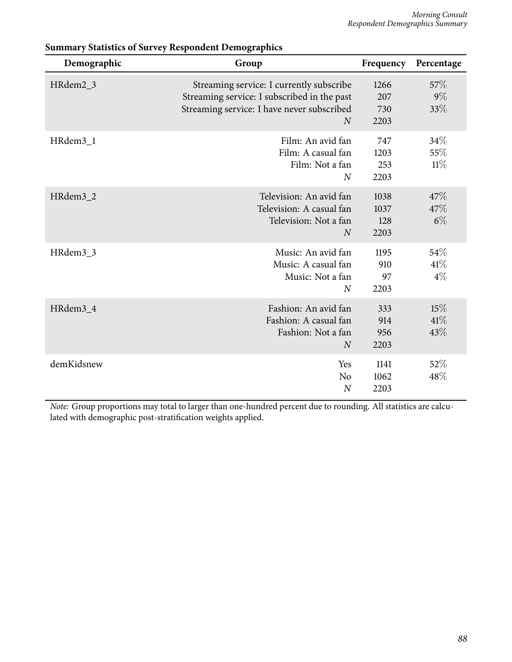| Demographic | Group                                                                                                                                                   | Frequency                   | Percentage              |
|-------------|---------------------------------------------------------------------------------------------------------------------------------------------------------|-----------------------------|-------------------------|
| HRdem2_3    | Streaming service: I currently subscribe<br>Streaming service: I subscribed in the past<br>Streaming service: I have never subscribed<br>$\overline{N}$ | 1266<br>207<br>730<br>2203  | 57\%<br>9%<br>33%       |
| HRdem3_1    | Film: An avid fan<br>Film: A casual fan<br>Film: Not a fan<br>$\overline{N}$                                                                            | 747<br>1203<br>253<br>2203  | 34\%<br>55\%<br>$11\%$  |
| HRdem3_2    | Television: An avid fan<br>Television: A casual fan<br>Television: Not a fan<br>$\overline{N}$                                                          | 1038<br>1037<br>128<br>2203 | 47\%<br>47%<br>$6\%$    |
| HRdem3_3    | Music: An avid fan<br>Music: A casual fan<br>Music: Not a fan<br>$\overline{N}$                                                                         | 1195<br>910<br>97<br>2203   | 54\%<br>$41\%$<br>$4\%$ |
| HRdem3_4    | Fashion: An avid fan<br>Fashion: A casual fan<br>Fashion: Not a fan<br>$\boldsymbol{N}$                                                                 | 333<br>914<br>956<br>2203   | $15\%$<br>41%<br>43%    |
| demKidsnew  | Yes<br>N <sub>o</sub><br>$\overline{N}$                                                                                                                 | 1141<br>1062<br>2203        | 52%<br>48%              |

*Note:* Group proportions may total to larger than one-hundred percent due to rounding. All statistics are calculated with demographic post-stratification weights applied.